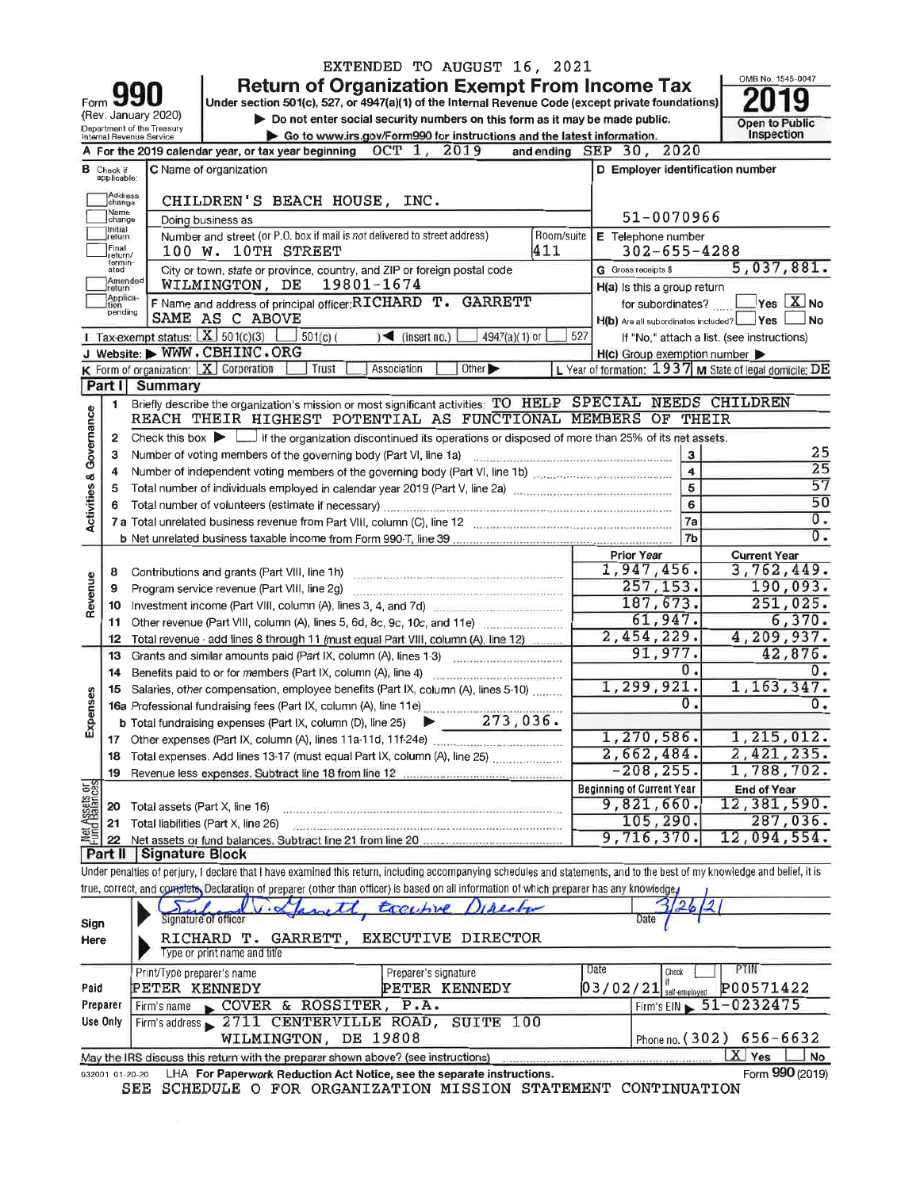|                                |                                  |                                                    | EXTENDED TO AUGUST 16, 2021                                                                                                                                                                                                          |            |                                                     |                         |                                                         |
|--------------------------------|----------------------------------|----------------------------------------------------|--------------------------------------------------------------------------------------------------------------------------------------------------------------------------------------------------------------------------------------|------------|-----------------------------------------------------|-------------------------|---------------------------------------------------------|
|                                |                                  |                                                    | <b>Return of Organization Exempt From Income Tax</b>                                                                                                                                                                                 |            |                                                     |                         | OMB No. 1545-0047                                       |
| Form                           |                                  | (Rev. January 2020)                                | Under section 501(c), 527, or 4947(a)(1) of the Internal Revenue Code (except private foundations)                                                                                                                                   |            |                                                     |                         |                                                         |
|                                |                                  | Department of the Treasury                         | Do not enter social security numbers on this form as it may be made public.                                                                                                                                                          |            |                                                     |                         | <b>Open to Public</b>                                   |
|                                |                                  | Internal Revenue Service                           | Go to www.irs.gov/Form990 for instructions and the latest information.                                                                                                                                                               |            |                                                     |                         | Inspection                                              |
|                                |                                  |                                                    | A For the 2019 calendar year, or tax year beginning OCT 1, 2019                                                                                                                                                                      |            | and ending SEP 30, 2020                             |                         |                                                         |
|                                | <b>B</b> Check if<br>applicable: |                                                    | C Name of organization                                                                                                                                                                                                               |            | D Employer identification number                    |                         |                                                         |
|                                | Address<br>change                |                                                    | CHILDREN'S BEACH HOUSE, INC.                                                                                                                                                                                                         |            |                                                     |                         |                                                         |
|                                | Name<br>change                   |                                                    | Doing business as                                                                                                                                                                                                                    |            | 51-0070966                                          |                         |                                                         |
|                                | Initial<br>return                |                                                    | Number and street (or P.O. box if mail is not delivered to street address)                                                                                                                                                           | Room/suite | E Telephone number                                  |                         |                                                         |
|                                | Final<br>return/                 |                                                    | 100 W. 10TH STREET                                                                                                                                                                                                                   | 411        | $302 - 655 - 4288$                                  |                         |                                                         |
|                                | termin-<br>ated                  |                                                    | City or town, state or province, country, and ZIP or foreign postal code                                                                                                                                                             |            | G Gross receipts \$                                 |                         | 5,037,881.                                              |
|                                | Amended<br>return                |                                                    | WILMINGTON, DE<br>19801-1674                                                                                                                                                                                                         |            | H(a) Is this a group return                         |                         |                                                         |
|                                | Applica-<br>pending              |                                                    | F Name and address of principal officer: RICHARD T.<br>GARRETT                                                                                                                                                                       |            | for subordinates?                                   |                         | $\sqrt{1 + \sum_{i=1}^{n} x_i}$ No                      |
|                                |                                  |                                                    | SAME AS C ABOVE                                                                                                                                                                                                                      |            | H(b) Are all subordinates included? Yes             |                         | ⊿No                                                     |
|                                |                                  |                                                    | 1 Tax-exempt status: $X \ 501(c)(3)$<br>$501(c)$ (<br>$\leq$ (insert no.)<br>4947(a)(1) or                                                                                                                                           | 527        |                                                     |                         | If "No," attach a list. (see instructions)              |
|                                |                                  |                                                    | J Website: MWW.CBHINC.ORG                                                                                                                                                                                                            |            | $H(c)$ Group exemption number $\blacktriangleright$ |                         |                                                         |
|                                | Part I                           | K Form of organization: $X$ Corporation<br>Summary | Trust<br>Association<br>Other                                                                                                                                                                                                        |            |                                                     |                         | L Year of formation: 1937 M State of legal domicile: DE |
|                                |                                  |                                                    |                                                                                                                                                                                                                                      |            |                                                     |                         |                                                         |
|                                | 1                                |                                                    | Briefly describe the organization's mission or most significant activities: TO HELP SPECIAL NEEDS CHILDREN<br>REACH THEIR HIGHEST POTENTIAL AS FUNCTIONAL MEMBERS OF THEIR                                                           |            |                                                     |                         |                                                         |
|                                | 2                                |                                                    | Check this box $\blacktriangleright$ $\Box$ if the organization discontinued its operations or disposed of more than 25% of its net assets.                                                                                          |            |                                                     |                         |                                                         |
|                                | з                                |                                                    | Number of voting members of the governing body (Part VI, line 1a)                                                                                                                                                                    |            |                                                     | 3                       | 25                                                      |
|                                | 4                                |                                                    | Number of independent voting members of the governing body (Part VI, line 1b) contains an example of independent                                                                                                                     |            |                                                     | $\overline{\mathbf{4}}$ | 25                                                      |
|                                | 5                                |                                                    | Total number of individuals employed in calendar year 2019 (Part V, line 2a)                                                                                                                                                         |            |                                                     | 5                       | 57                                                      |
| Activities & Governance        |                                  |                                                    |                                                                                                                                                                                                                                      |            | 6                                                   |                         | 50                                                      |
|                                |                                  |                                                    |                                                                                                                                                                                                                                      |            | 7a                                                  |                         | 0.                                                      |
|                                |                                  |                                                    |                                                                                                                                                                                                                                      |            | 7b                                                  |                         | 0.                                                      |
|                                |                                  |                                                    |                                                                                                                                                                                                                                      |            | <b>Prior Year</b>                                   |                         | <b>Current Year</b>                                     |
|                                | 8                                |                                                    |                                                                                                                                                                                                                                      |            | 1,947,456.                                          |                         | 3,762,449.                                              |
| Revenue                        | 9                                |                                                    | Program service revenue (Part VIII, line 2g)                                                                                                                                                                                         |            | 257, 153.                                           |                         | 190,093.                                                |
|                                | 10                               |                                                    | Investment income (Part VIII, column (A), lines 3, 4, and 7d)                                                                                                                                                                        |            | 187,673.                                            |                         | 251,025.                                                |
|                                | 11                               |                                                    | Other revenue (Part VIII, column (A), lines 5, 6d, 8c, 9c, 10c, and 11e)                                                                                                                                                             |            | 61,947.                                             |                         | 6,370.                                                  |
|                                | 12                               |                                                    | Total revenue - add lines 8 through 11 (must equal Part VIII, column (A), line 12)                                                                                                                                                   |            | 2,454,229.                                          |                         | 4,209,937.                                              |
|                                | 13                               |                                                    | Grants and similar amounts paid (Part IX, column (A), lines 1-3)                                                                                                                                                                     |            | 91,977.                                             |                         | 42,876.                                                 |
|                                | 14                               |                                                    | Benefits paid to or for members (Part IX, column (A), line 4)                                                                                                                                                                        |            | 0.                                                  |                         | 0.                                                      |
| xpenses                        | 15                               |                                                    | Salaries, other compensation, employee benefits (Part IX, column (A), lines 5-10)<br>15 Salaries, other compensions, stress, column (A), line 11e)<br>16a Professional fundraising fees (Part IX, column (A), line 11e)<br>273, 036. |            | 1, 299, 921.<br>0.                                  |                         | 1, 163, 347.<br>0.                                      |
|                                |                                  |                                                    |                                                                                                                                                                                                                                      |            |                                                     |                         |                                                         |
| ш                              | 17                               |                                                    |                                                                                                                                                                                                                                      |            | 1,270,586.                                          |                         | 1,215,012.                                              |
|                                | 18                               |                                                    | Total expenses. Add lines 13-17 (must equal Part IX, column (A), line 25)                                                                                                                                                            |            | 2,662,484.                                          |                         | 2,421,235.                                              |
|                                | 19                               |                                                    |                                                                                                                                                                                                                                      |            | $-208, 255.$                                        |                         | 1,788,702.                                              |
|                                |                                  |                                                    |                                                                                                                                                                                                                                      |            | <b>Beginning of Current Year</b>                    |                         | End of Year                                             |
| Net Assets or<br>Fund Balances | 20                               | Total assets (Part X, line 16)                     |                                                                                                                                                                                                                                      |            | 9,821,660.                                          |                         | 12,381,590.                                             |
|                                | 21                               |                                                    | Total liabilities (Part X, line 26)                                                                                                                                                                                                  |            | 105,290.                                            |                         | 287,036.                                                |
|                                | 22                               |                                                    | Net assets or fund balances. Subtract line 21 from line 20                                                                                                                                                                           |            | 9,716,370.                                          |                         | 12,094,554.                                             |
|                                | Part II                          | Signature Block                                    |                                                                                                                                                                                                                                      |            |                                                     |                         |                                                         |
|                                |                                  |                                                    | Under penalties of perjury, I declare that I have examined this return, including accompanying schedules and statements, and to the best of my knowledge and belief, it is                                                           |            |                                                     |                         |                                                         |
|                                |                                  |                                                    | true, correct, and complete, Declaration of preparer (other than officer) is based on all information of which preparer has any knowledge,                                                                                           |            |                                                     |                         |                                                         |

| Sign<br>Here     | 1. Sprett tocentre Director<br>Signature of officer<br>RICHARD T. GARRETT, EXECUTIVE DIRECTOR<br>Type or print name and title                               | $\sim$<br>Date                                                                         |
|------------------|-------------------------------------------------------------------------------------------------------------------------------------------------------------|----------------------------------------------------------------------------------------|
| Paid<br>Preparer | Date<br>Print/Type preparer's name<br>Preparer's signature<br>PETER KENNEDY<br>PETER KENNEDY<br>COVER & ROSSITER, P.A.<br>Firm's name                       | PTIN<br>Check<br>P00571422<br>$03/02/21$ self-employed<br>Firm's EIN $\, 51 - 0232475$ |
| Use Only         | Firm's address 2711 CENTERVILLE ROAD, SUITE<br>100<br>WILMINGTON, DE 19808                                                                                  | Phone no. (302) 656-6632                                                               |
| 332001 01-20-20  | May the IRS discuss this return with the preparer shown above? (see instructions)<br>LHA For Paperwork Reduction Act Notice, see the separate instructions. | X Yes<br>No.<br>Form 990 (2019)                                                        |

332001 01-20-20 LHA For Paperwork Reduction Act Notice, see the separate instructions.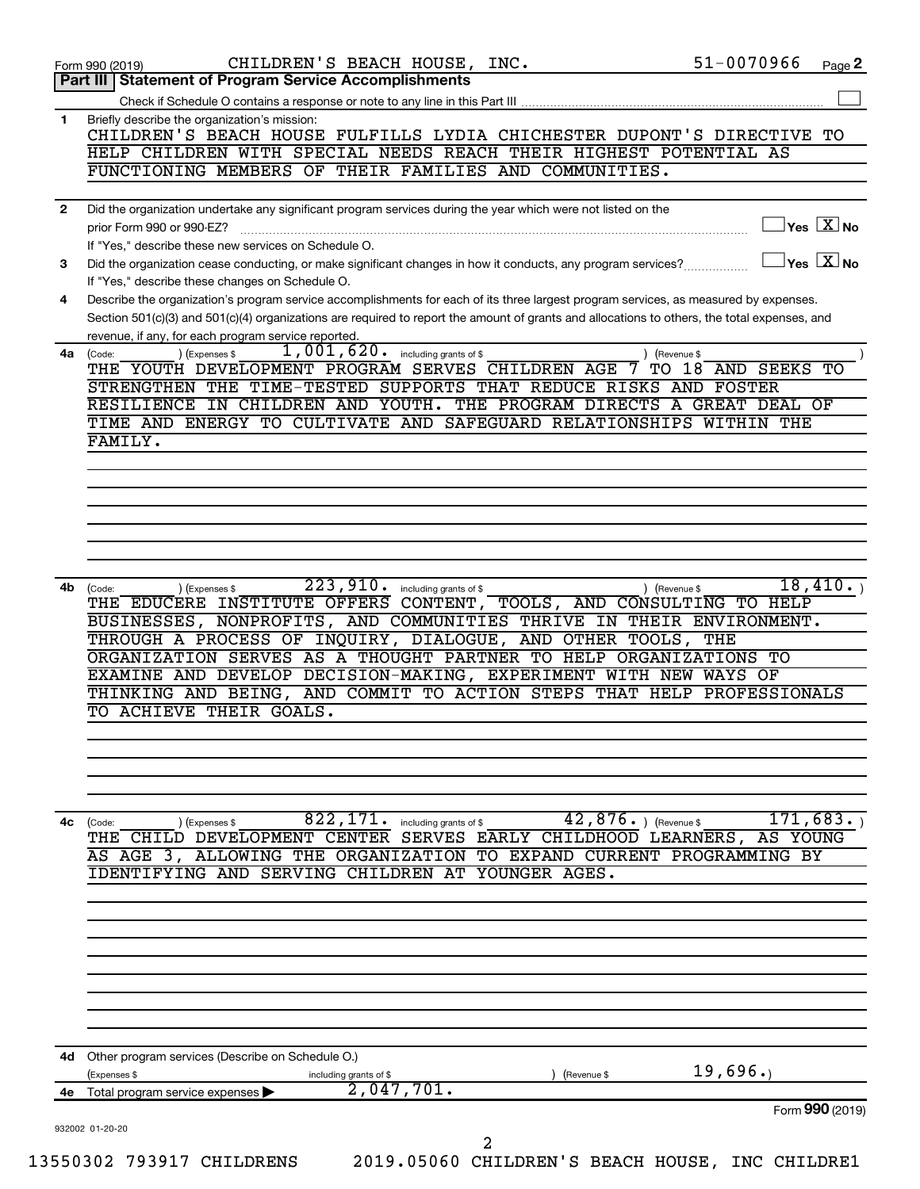|              | CHILDREN'S BEACH HOUSE, INC.<br>51-0070966<br>Page 2<br>Form 990 (2019)                                                                                                                                                                                                              |
|--------------|--------------------------------------------------------------------------------------------------------------------------------------------------------------------------------------------------------------------------------------------------------------------------------------|
|              | Part III Statement of Program Service Accomplishments                                                                                                                                                                                                                                |
| 1            | Briefly describe the organization's mission:                                                                                                                                                                                                                                         |
|              | CHILDREN'S BEACH HOUSE FULFILLS LYDIA CHICHESTER DUPONT'S DIRECTIVE TO                                                                                                                                                                                                               |
|              | HELP CHILDREN WITH SPECIAL NEEDS REACH THEIR HIGHEST POTENTIAL AS                                                                                                                                                                                                                    |
|              | FUNCTIONING MEMBERS OF THEIR FAMILIES AND COMMUNITIES.                                                                                                                                                                                                                               |
| $\mathbf{2}$ | Did the organization undertake any significant program services during the year which were not listed on the                                                                                                                                                                         |
|              | $\overline{\ }$ Yes $\overline{\rm X}$ No<br>prior Form 990 or 990-EZ?                                                                                                                                                                                                               |
|              | If "Yes," describe these new services on Schedule O.                                                                                                                                                                                                                                 |
| 3            | $\vert$ Yes $\vert$ $\mathrm{X}\vert$ No<br>Did the organization cease conducting, or make significant changes in how it conducts, any program services?                                                                                                                             |
|              | If "Yes," describe these changes on Schedule O.                                                                                                                                                                                                                                      |
| 4            | Describe the organization's program service accomplishments for each of its three largest program services, as measured by expenses.<br>Section 501(c)(3) and 501(c)(4) organizations are required to report the amount of grants and allocations to others, the total expenses, and |
|              | revenue, if any, for each program service reported.                                                                                                                                                                                                                                  |
| 4a l         | $1,001,620$ .<br>) (Expenses \$<br>including grants of \$<br>(Code:<br>(Revenue \$                                                                                                                                                                                                   |
|              | THE YOUTH DEVELOPMENT PROGRAM SERVES CHILDREN AGE<br>18 AND SEEKS TO<br>TO.                                                                                                                                                                                                          |
|              | STRENGTHEN THE TIME-TESTED SUPPORTS THAT REDUCE RISKS AND FOSTER                                                                                                                                                                                                                     |
|              | RESILIENCE IN CHILDREN AND YOUTH. THE PROGRAM DIRECTS A GREAT DEAL OF<br>TIME AND ENERGY TO CULTIVATE AND SAFEGUARD RELATIONSHIPS WITHIN THE                                                                                                                                         |
|              | FAMILY.                                                                                                                                                                                                                                                                              |
|              |                                                                                                                                                                                                                                                                                      |
|              |                                                                                                                                                                                                                                                                                      |
|              |                                                                                                                                                                                                                                                                                      |
|              |                                                                                                                                                                                                                                                                                      |
|              |                                                                                                                                                                                                                                                                                      |
|              |                                                                                                                                                                                                                                                                                      |
| 4b           | 223,910.<br>18,410.<br>including grants of \$<br>) (Expenses \$<br>(Code:<br>) (Revenue \$                                                                                                                                                                                           |
|              | THE EDUCERE INSTITUTE OFFERS CONTENT, TOOLS, AND CONSULTING TO HELP                                                                                                                                                                                                                  |
|              | BUSINESSES, NONPROFITS, AND COMMUNITIES THRIVE IN THEIR ENVIRONMENT.<br>THROUGH A PROCESS OF INQUIRY, DIALOGUE, AND OTHER TOOLS, THE                                                                                                                                                 |
|              | ORGANIZATION SERVES AS A THOUGHT PARTNER TO HELP ORGANIZATIONS TO                                                                                                                                                                                                                    |
|              | EXAMINE AND DEVELOP DECISION-MAKING, EXPERIMENT WITH NEW WAYS OF                                                                                                                                                                                                                     |
|              | THINKING AND BEING, AND COMMIT TO ACTION STEPS THAT HELP PROFESSIONALS                                                                                                                                                                                                               |
|              | TO ACHIEVE THEIR GOALS.                                                                                                                                                                                                                                                              |
|              |                                                                                                                                                                                                                                                                                      |
|              |                                                                                                                                                                                                                                                                                      |
|              |                                                                                                                                                                                                                                                                                      |
|              |                                                                                                                                                                                                                                                                                      |
| 4с           | $42$ , $876$ $\cdot$ ) (Revenue \$<br>$\overline{822}$ , 171. including grants of \$<br>171,683.<br>) (Expenses \$<br>(Code:                                                                                                                                                         |
|              | THE CHILD DEVELOPMENT CENTER SERVES EARLY CHILDHOOD LEARNERS, AS YOUNG<br>AS AGE 3, ALLOWING THE ORGANIZATION TO EXPAND CURRENT PROGRAMMING BY                                                                                                                                       |
|              | IDENTIFYING AND SERVING CHILDREN AT YOUNGER AGES.                                                                                                                                                                                                                                    |
|              |                                                                                                                                                                                                                                                                                      |
|              |                                                                                                                                                                                                                                                                                      |
|              |                                                                                                                                                                                                                                                                                      |
|              |                                                                                                                                                                                                                                                                                      |
|              |                                                                                                                                                                                                                                                                                      |
|              |                                                                                                                                                                                                                                                                                      |
|              |                                                                                                                                                                                                                                                                                      |
|              |                                                                                                                                                                                                                                                                                      |
| 4d           | Other program services (Describe on Schedule O.)<br>19,696.                                                                                                                                                                                                                          |
| 4е           | (Expenses \$<br>including grants of \$<br>(Revenue \$<br>2,047,701.<br>Total program service expenses                                                                                                                                                                                |
|              | Form 990 (2019)                                                                                                                                                                                                                                                                      |
|              | 932002 01-20-20                                                                                                                                                                                                                                                                      |
|              | 2                                                                                                                                                                                                                                                                                    |
|              | 13550302 793917 CHILDRENS<br>2019.05060 CHILDREN'S BEACH HOUSE, INC CHILDRE1                                                                                                                                                                                                         |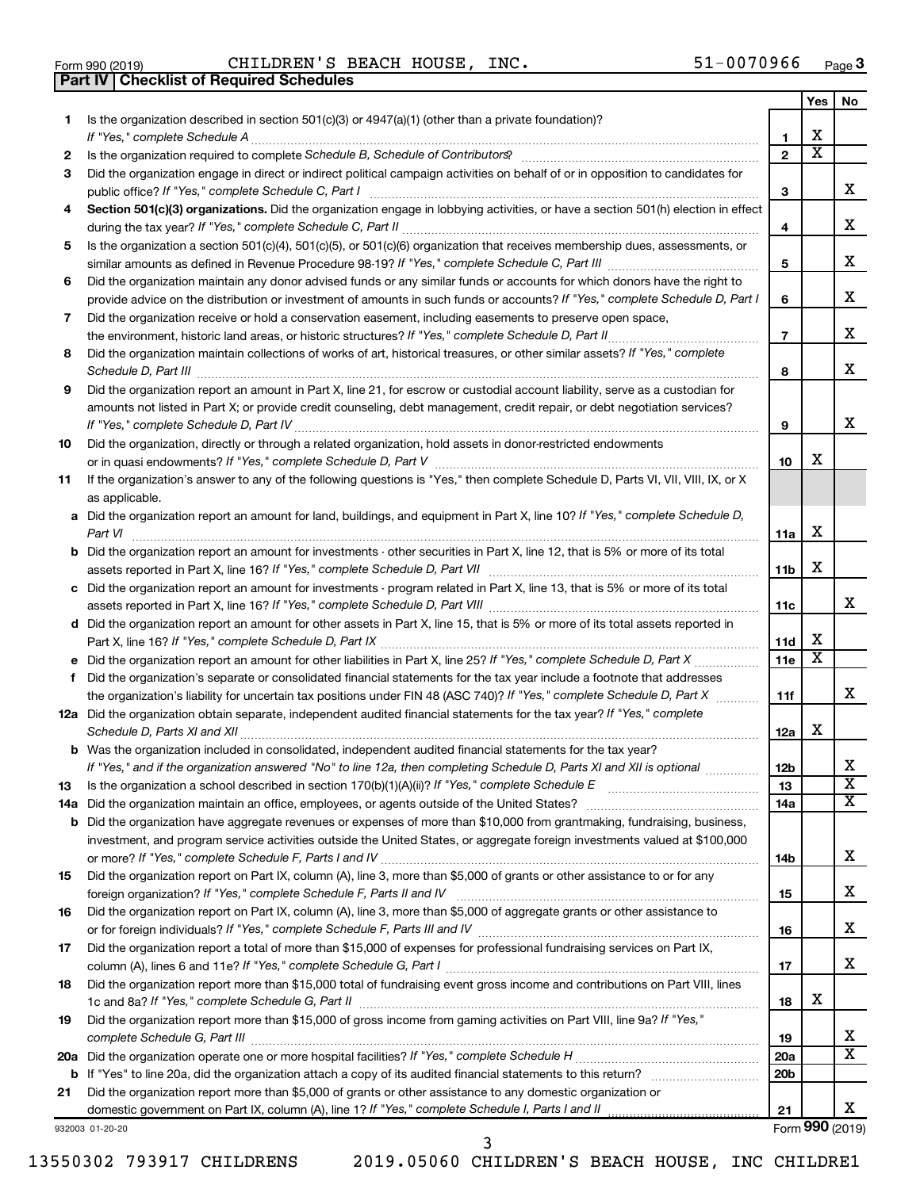| Form 990 (2019) |  |  |
|-----------------|--|--|

**Part IV Checklist of Required Schedules**

Form 990 (2019)  $\,$  CHILDREN'S BEACH HOUSE, INC.  $\,$  51-0070966  $\,$   $_{\rm Page}$ 

|    |                                                                                                                                       |                 | Yes                     | No                           |
|----|---------------------------------------------------------------------------------------------------------------------------------------|-----------------|-------------------------|------------------------------|
| 1. | Is the organization described in section 501(c)(3) or 4947(a)(1) (other than a private foundation)?                                   |                 |                         |                              |
|    |                                                                                                                                       | 1               | х                       |                              |
| 2  |                                                                                                                                       | $\mathbf{2}$    | $\overline{\mathbf{X}}$ |                              |
| З  | Did the organization engage in direct or indirect political campaign activities on behalf of or in opposition to candidates for       |                 |                         |                              |
|    |                                                                                                                                       | 3               |                         | x                            |
| 4  | Section 501(c)(3) organizations. Did the organization engage in lobbying activities, or have a section 501(h) election in effect      |                 |                         |                              |
|    |                                                                                                                                       | 4               |                         | х                            |
| 5  | Is the organization a section 501(c)(4), 501(c)(5), or 501(c)(6) organization that receives membership dues, assessments, or          |                 |                         |                              |
|    |                                                                                                                                       | 5               |                         | х                            |
| 6  | Did the organization maintain any donor advised funds or any similar funds or accounts for which donors have the right to             |                 |                         | х                            |
|    | provide advice on the distribution or investment of amounts in such funds or accounts? If "Yes," complete Schedule D, Part I          | 6               |                         |                              |
| 7  | Did the organization receive or hold a conservation easement, including easements to preserve open space,                             |                 |                         | х                            |
|    |                                                                                                                                       | $\overline{7}$  |                         |                              |
| 8  | Did the organization maintain collections of works of art, historical treasures, or other similar assets? If "Yes," complete          |                 |                         | х                            |
|    |                                                                                                                                       | 8               |                         |                              |
| 9  | Did the organization report an amount in Part X, line 21, for escrow or custodial account liability, serve as a custodian for         |                 |                         |                              |
|    | amounts not listed in Part X; or provide credit counseling, debt management, credit repair, or debt negotiation services?             | 9               |                         | х                            |
| 10 | Did the organization, directly or through a related organization, hold assets in donor-restricted endowments                          |                 |                         |                              |
|    |                                                                                                                                       | 10              | х                       |                              |
| 11 | If the organization's answer to any of the following questions is "Yes," then complete Schedule D, Parts VI, VII, VIII, IX, or X      |                 |                         |                              |
|    | as applicable.                                                                                                                        |                 |                         |                              |
|    | a Did the organization report an amount for land, buildings, and equipment in Part X, line 10? If "Yes," complete Schedule D,         |                 |                         |                              |
|    |                                                                                                                                       | 11a             | х                       |                              |
|    | <b>b</b> Did the organization report an amount for investments - other securities in Part X, line 12, that is 5% or more of its total |                 |                         |                              |
|    |                                                                                                                                       | 11b             | х                       |                              |
|    | c Did the organization report an amount for investments - program related in Part X, line 13, that is 5% or more of its total         |                 |                         |                              |
|    |                                                                                                                                       | 11c             |                         | х                            |
|    | d Did the organization report an amount for other assets in Part X, line 15, that is 5% or more of its total assets reported in       |                 |                         |                              |
|    |                                                                                                                                       | 11d             | х                       |                              |
|    |                                                                                                                                       | 11e             | X                       |                              |
| f. | Did the organization's separate or consolidated financial statements for the tax year include a footnote that addresses               |                 |                         |                              |
|    | the organization's liability for uncertain tax positions under FIN 48 (ASC 740)? If "Yes," complete Schedule D, Part X                | 11f             |                         | x                            |
|    | 12a Did the organization obtain separate, independent audited financial statements for the tax year? If "Yes," complete               |                 |                         |                              |
|    |                                                                                                                                       | 12a             | х                       |                              |
|    | <b>b</b> Was the organization included in consolidated, independent audited financial statements for the tax year?                    |                 |                         |                              |
|    | If "Yes," and if the organization answered "No" to line 12a, then completing Schedule D, Parts XI and XII is optional                 | 12 <sub>b</sub> |                         | Х                            |
| 13 |                                                                                                                                       | 13              |                         | $\overline{\textbf{X}}$      |
|    |                                                                                                                                       | 14a             |                         | X                            |
|    | <b>b</b> Did the organization have aggregate revenues or expenses of more than \$10,000 from grantmaking, fundraising, business,      |                 |                         |                              |
|    | investment, and program service activities outside the United States, or aggregate foreign investments valued at \$100,000            |                 |                         |                              |
|    |                                                                                                                                       | 14b             |                         | х                            |
| 15 | Did the organization report on Part IX, column (A), line 3, more than \$5,000 of grants or other assistance to or for any             |                 |                         |                              |
|    |                                                                                                                                       | 15              |                         | X                            |
| 16 | Did the organization report on Part IX, column (A), line 3, more than \$5,000 of aggregate grants or other assistance to              |                 |                         |                              |
|    |                                                                                                                                       | 16              |                         | X                            |
| 17 | Did the organization report a total of more than \$15,000 of expenses for professional fundraising services on Part IX,               |                 |                         |                              |
|    |                                                                                                                                       | 17              |                         | x                            |
| 18 | Did the organization report more than \$15,000 total of fundraising event gross income and contributions on Part VIII, lines          |                 |                         |                              |
|    |                                                                                                                                       | 18              | х                       |                              |
| 19 | Did the organization report more than \$15,000 of gross income from gaming activities on Part VIII, line 9a? If "Yes,"                |                 |                         |                              |
|    |                                                                                                                                       | 19              |                         | х<br>$\overline{\texttt{X}}$ |
|    |                                                                                                                                       | 20a             |                         |                              |
|    |                                                                                                                                       | 20 <sub>b</sub> |                         |                              |
| 21 | Did the organization report more than \$5,000 of grants or other assistance to any domestic organization or                           |                 |                         | x                            |
|    | domestic government on Part IX, column (A), line 1? If "Yes," complete Schedule I, Parts I and II                                     | 21              |                         | Form 990 (2019)              |
|    | 932003 01-20-20                                                                                                                       |                 |                         |                              |

13550302 793917 CHILDRENS 2019.05060 CHILDREN'S BEACH HOUSE, INC CHILDRE1

3

Form (2019) **990**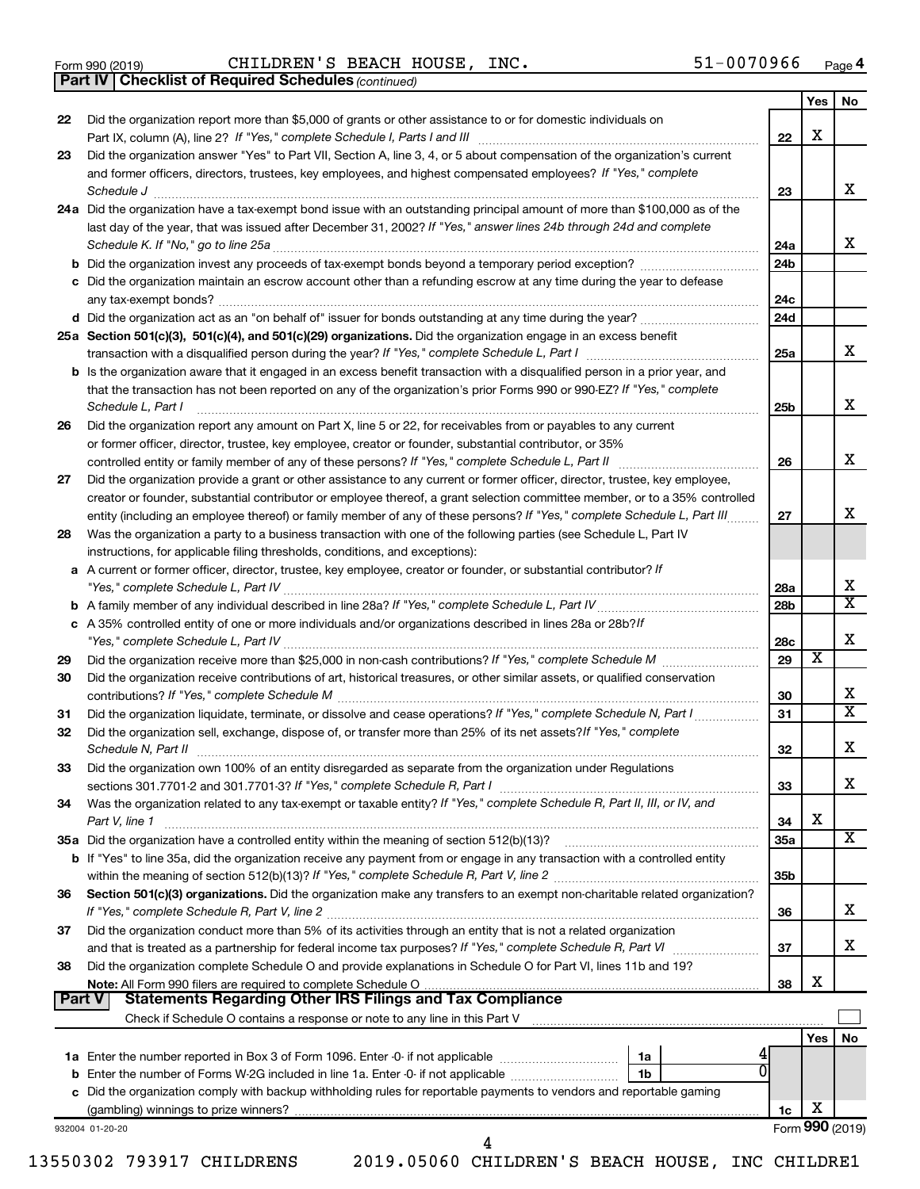|  | Form 990 (2019) |  |
|--|-----------------|--|
|  |                 |  |

 $\frac{1}{100}$  Form 990 (2019) CHILDREN S BEACH HOUSE, INC. 51-UU / U 9 6 Page CHILDREN'S BEACH HOUSE, INC. 51-0070966

|               | <b>Part IV   Checklist of Required Schedules (continued)</b>                                                                 |                 |                         |                         |
|---------------|------------------------------------------------------------------------------------------------------------------------------|-----------------|-------------------------|-------------------------|
|               |                                                                                                                              |                 | Yes                     | No.                     |
| 22            | Did the organization report more than \$5,000 of grants or other assistance to or for domestic individuals on                |                 |                         |                         |
|               |                                                                                                                              | 22              | X                       |                         |
| 23            | Did the organization answer "Yes" to Part VII, Section A, line 3, 4, or 5 about compensation of the organization's current   |                 |                         |                         |
|               | and former officers, directors, trustees, key employees, and highest compensated employees? If "Yes," complete               |                 |                         |                         |
|               | Schedule J <b>Execute Schedule J Execute Schedule J</b>                                                                      | 23              |                         | x                       |
|               | 24a Did the organization have a tax-exempt bond issue with an outstanding principal amount of more than \$100,000 as of the  |                 |                         |                         |
|               | last day of the year, that was issued after December 31, 2002? If "Yes," answer lines 24b through 24d and complete           |                 |                         |                         |
|               |                                                                                                                              | 24a             |                         | x                       |
|               |                                                                                                                              | 24 <sub>b</sub> |                         |                         |
|               |                                                                                                                              |                 |                         |                         |
|               | c Did the organization maintain an escrow account other than a refunding escrow at any time during the year to defease       |                 |                         |                         |
|               |                                                                                                                              | 24c             |                         |                         |
|               |                                                                                                                              | 24d             |                         |                         |
|               | 25a Section 501(c)(3), 501(c)(4), and 501(c)(29) organizations. Did the organization engage in an excess benefit             |                 |                         |                         |
|               |                                                                                                                              | 25a             |                         | x                       |
|               | b Is the organization aware that it engaged in an excess benefit transaction with a disqualified person in a prior year, and |                 |                         |                         |
|               | that the transaction has not been reported on any of the organization's prior Forms 990 or 990-EZ? If "Yes," complete        |                 |                         |                         |
|               | Schedule L, Part I                                                                                                           | 25b             |                         | х                       |
| 26            | Did the organization report any amount on Part X, line 5 or 22, for receivables from or payables to any current              |                 |                         |                         |
|               | or former officer, director, trustee, key employee, creator or founder, substantial contributor, or 35%                      |                 |                         |                         |
|               |                                                                                                                              | 26              |                         | X                       |
| 27            | Did the organization provide a grant or other assistance to any current or former officer, director, trustee, key employee,  |                 |                         |                         |
|               | creator or founder, substantial contributor or employee thereof, a grant selection committee member, or to a 35% controlled  |                 |                         |                         |
|               | entity (including an employee thereof) or family member of any of these persons? If "Yes," complete Schedule L, Part III.    | 27              |                         | x                       |
| 28            | Was the organization a party to a business transaction with one of the following parties (see Schedule L, Part IV            |                 |                         |                         |
|               | instructions, for applicable filing thresholds, conditions, and exceptions):                                                 |                 |                         |                         |
|               | a A current or former officer, director, trustee, key employee, creator or founder, or substantial contributor? If           |                 |                         |                         |
|               |                                                                                                                              | 28a             |                         | х                       |
|               |                                                                                                                              | 28b             |                         | $\overline{\mathbf{X}}$ |
|               | c A 35% controlled entity of one or more individuals and/or organizations described in lines 28a or 28b?/f                   |                 |                         |                         |
|               |                                                                                                                              | 28c             |                         | х                       |
| 29            |                                                                                                                              | 29              | $\overline{\textbf{x}}$ |                         |
| 30            | Did the organization receive contributions of art, historical treasures, or other similar assets, or qualified conservation  |                 |                         |                         |
|               |                                                                                                                              | 30              |                         | х                       |
| 31            | Did the organization liquidate, terminate, or dissolve and cease operations? If "Yes," complete Schedule N, Part I           | 31              |                         | $\overline{\mathbf{X}}$ |
| 32            | Did the organization sell, exchange, dispose of, or transfer more than 25% of its net assets? If "Yes," complete             |                 |                         |                         |
|               |                                                                                                                              | 32              |                         | ▵                       |
| 33            | Did the organization own 100% of an entity disregarded as separate from the organization under Regulations                   |                 |                         |                         |
|               |                                                                                                                              | 33              |                         | x.                      |
| 34            | Was the organization related to any tax-exempt or taxable entity? If "Yes," complete Schedule R, Part II, III, or IV, and    |                 |                         |                         |
|               | Part V, line 1                                                                                                               | 34              | X                       |                         |
|               |                                                                                                                              | 35a             |                         | х                       |
|               | b If "Yes" to line 35a, did the organization receive any payment from or engage in any transaction with a controlled entity  |                 |                         |                         |
|               |                                                                                                                              | 35b             |                         |                         |
| 36            | Section 501(c)(3) organizations. Did the organization make any transfers to an exempt non-charitable related organization?   |                 |                         |                         |
|               |                                                                                                                              |                 |                         | х                       |
|               |                                                                                                                              | 36              |                         |                         |
| 37            | Did the organization conduct more than 5% of its activities through an entity that is not a related organization             |                 |                         | х                       |
|               |                                                                                                                              | 37              |                         |                         |
| 38            | Did the organization complete Schedule O and provide explanations in Schedule O for Part VI, lines 11b and 19?               |                 | х                       |                         |
| <b>Part V</b> | <b>Statements Regarding Other IRS Filings and Tax Compliance</b>                                                             | 38              |                         |                         |
|               |                                                                                                                              |                 |                         |                         |
|               |                                                                                                                              |                 |                         |                         |
|               |                                                                                                                              |                 | Yes                     | No                      |
|               | 1a                                                                                                                           |                 |                         |                         |
|               | <b>b</b> Enter the number of Forms W-2G included in line 1a. Enter -0- if not applicable<br>1b                               |                 |                         |                         |
|               | c Did the organization comply with backup withholding rules for reportable payments to vendors and reportable gaming         |                 | х                       |                         |
|               |                                                                                                                              | 1c              |                         |                         |
|               | 932004 01-20-20<br>4                                                                                                         |                 |                         | Form 990 (2019)         |
|               |                                                                                                                              |                 |                         |                         |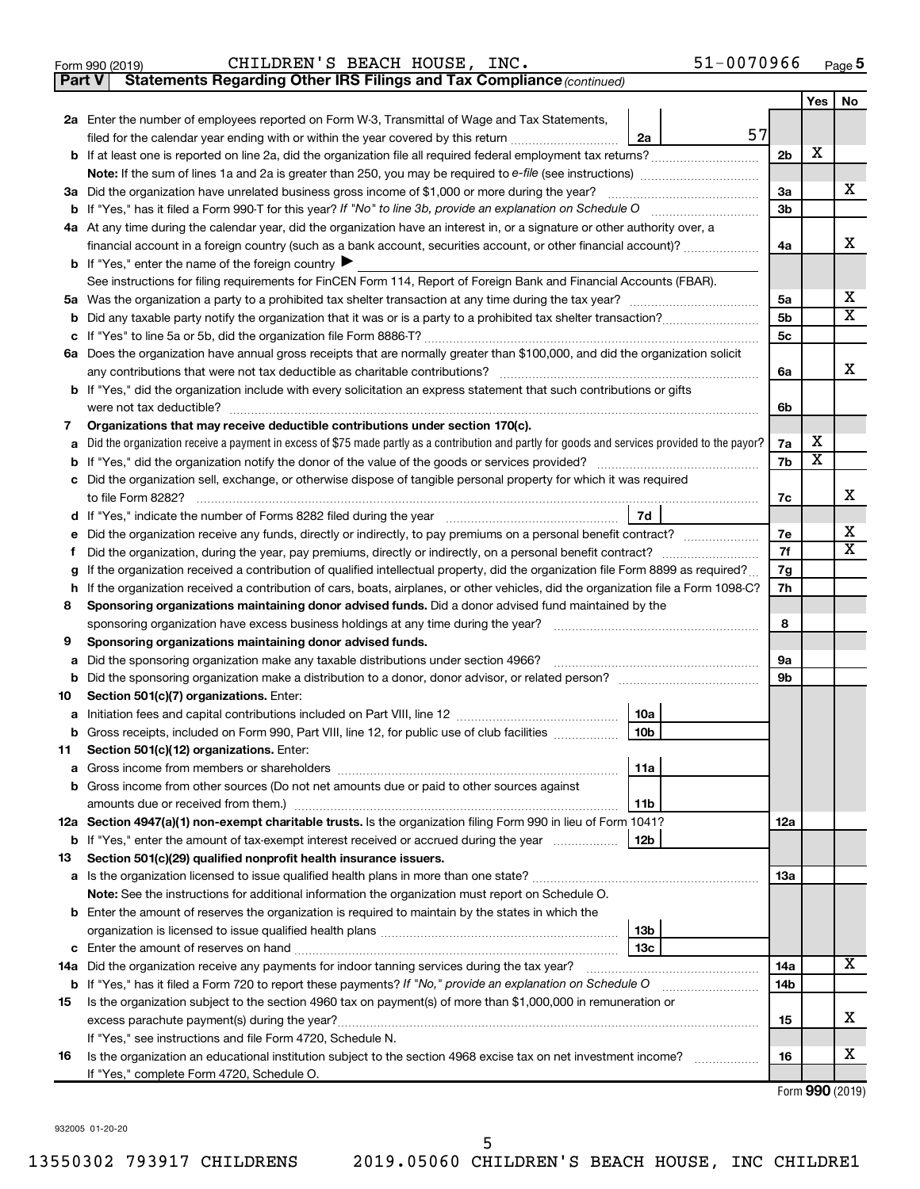|  | Form 990 (2019) |
|--|-----------------|
|  |                 |

**Part V** Statements Regarding Other IRS Filings and Tax Compliance (continued)

|        |                                                                                                                                                                                                                                     |                | Yes    | No                      |
|--------|-------------------------------------------------------------------------------------------------------------------------------------------------------------------------------------------------------------------------------------|----------------|--------|-------------------------|
|        | 2a Enter the number of employees reported on Form W-3, Transmittal of Wage and Tax Statements,                                                                                                                                      |                |        |                         |
|        | 57<br>filed for the calendar year ending with or within the year covered by this return <i>[[[[[[[[[[[[[[[]]]]</i> ]]<br>2a                                                                                                         |                |        |                         |
|        | <b>b</b> If at least one is reported on line 2a, did the organization file all required federal employment tax returns?                                                                                                             | 2 <sub>b</sub> | х      |                         |
|        |                                                                                                                                                                                                                                     |                |        |                         |
|        | 3a Did the organization have unrelated business gross income of \$1,000 or more during the year?                                                                                                                                    | 3a             |        | х                       |
|        |                                                                                                                                                                                                                                     | 3b             |        |                         |
|        | 4a At any time during the calendar year, did the organization have an interest in, or a signature or other authority over, a                                                                                                        |                |        |                         |
|        | financial account in a foreign country (such as a bank account, securities account, or other financial account)?                                                                                                                    | 4a             |        | х                       |
|        | <b>b</b> If "Yes," enter the name of the foreign country $\blacktriangleright$                                                                                                                                                      |                |        |                         |
|        | See instructions for filing requirements for FinCEN Form 114, Report of Foreign Bank and Financial Accounts (FBAR).                                                                                                                 |                |        |                         |
|        |                                                                                                                                                                                                                                     | 5a             |        | x                       |
|        |                                                                                                                                                                                                                                     | 5b             |        | $\overline{\mathbf{X}}$ |
|        |                                                                                                                                                                                                                                     | 5 <sub>c</sub> |        |                         |
|        | 6a Does the organization have annual gross receipts that are normally greater than \$100,000, and did the organization solicit                                                                                                      |                |        |                         |
|        |                                                                                                                                                                                                                                     | 6a             |        | х                       |
|        | <b>b</b> If "Yes," did the organization include with every solicitation an express statement that such contributions or gifts                                                                                                       |                |        |                         |
|        |                                                                                                                                                                                                                                     | 6b             |        |                         |
| 7      | Organizations that may receive deductible contributions under section 170(c).                                                                                                                                                       |                |        |                         |
| a      | Did the organization receive a payment in excess of \$75 made partly as a contribution and partly for goods and services provided to the payor?                                                                                     | 7a             | х<br>х |                         |
| b      |                                                                                                                                                                                                                                     | 7b             |        |                         |
|        | c Did the organization sell, exchange, or otherwise dispose of tangible personal property for which it was required                                                                                                                 |                |        | х                       |
|        |                                                                                                                                                                                                                                     | 7c             |        |                         |
|        | 7d                                                                                                                                                                                                                                  | 7e             |        | х                       |
| е<br>f | Did the organization receive any funds, directly or indirectly, to pay premiums on a personal benefit contract?<br>Did the organization, during the year, pay premiums, directly or indirectly, on a personal benefit contract?     | 7f             |        | X                       |
| g      | If the organization received a contribution of qualified intellectual property, did the organization file Form 8899 as required?                                                                                                    | 7g             |        |                         |
| h      | If the organization received a contribution of cars, boats, airplanes, or other vehicles, did the organization file a Form 1098-C?                                                                                                  | 7h             |        |                         |
| 8      | Sponsoring organizations maintaining donor advised funds. Did a donor advised fund maintained by the                                                                                                                                |                |        |                         |
|        |                                                                                                                                                                                                                                     | 8              |        |                         |
| 9      | Sponsoring organizations maintaining donor advised funds.                                                                                                                                                                           |                |        |                         |
| a      | Did the sponsoring organization make any taxable distributions under section 4966?                                                                                                                                                  | 9а             |        |                         |
|        | b Did the sponsoring organization make a distribution to a donor, donor advisor, or related person? [111] [12]                                                                                                                      | 9b             |        |                         |
| 10     | Section 501(c)(7) organizations. Enter:                                                                                                                                                                                             |                |        |                         |
|        | 10a                                                                                                                                                                                                                                 |                |        |                         |
|        | 10 <sub>b</sub><br>b Gross receipts, included on Form 990, Part VIII, line 12, for public use of club facilities                                                                                                                    |                |        |                         |
|        | 11 Section 501(c)(12) organizations. Enter:                                                                                                                                                                                         |                |        |                         |
|        | 11a                                                                                                                                                                                                                                 |                |        |                         |
|        | <b>b</b> Gross income from other sources (Do not net amounts due or paid to other sources against                                                                                                                                   |                |        |                         |
|        | 11b                                                                                                                                                                                                                                 |                |        |                         |
|        | 12a Section 4947(a)(1) non-exempt charitable trusts. Is the organization filing Form 990 in lieu of Form 1041?                                                                                                                      | 12a            |        |                         |
|        | <b>b</b> If "Yes," enter the amount of tax-exempt interest received or accrued during the year<br>12 <sub>b</sub>                                                                                                                   |                |        |                         |
| 13     | Section 501(c)(29) qualified nonprofit health insurance issuers.                                                                                                                                                                    |                |        |                         |
|        | a Is the organization licensed to issue qualified health plans in more than one state?                                                                                                                                              | 13a            |        |                         |
|        | Note: See the instructions for additional information the organization must report on Schedule O.                                                                                                                                   |                |        |                         |
|        | <b>b</b> Enter the amount of reserves the organization is required to maintain by the states in which the                                                                                                                           |                |        |                         |
|        | 13 <sub>b</sub>                                                                                                                                                                                                                     |                |        |                         |
|        | 13 <sub>c</sub>                                                                                                                                                                                                                     |                |        | x                       |
|        | 14a Did the organization receive any payments for indoor tanning services during the tax year?                                                                                                                                      | 14a            |        |                         |
|        | <b>b</b> If "Yes," has it filed a Form 720 to report these payments? If "No," provide an explanation on Schedule O<br>Is the organization subject to the section 4960 tax on payment(s) of more than \$1,000,000 in remuneration or | 14b            |        |                         |
| 15     |                                                                                                                                                                                                                                     | 15             |        | x                       |
|        | excess parachute payment(s) during the year?<br>If "Yes," see instructions and file Form 4720, Schedule N.                                                                                                                          |                |        |                         |
| 16     | Is the organization an educational institution subject to the section 4968 excise tax on net investment income?                                                                                                                     | 16             |        | x                       |
|        | If "Yes," complete Form 4720, Schedule O.                                                                                                                                                                                           |                |        |                         |
|        |                                                                                                                                                                                                                                     |                |        |                         |

Form (2019) **990**

932005 01-20-20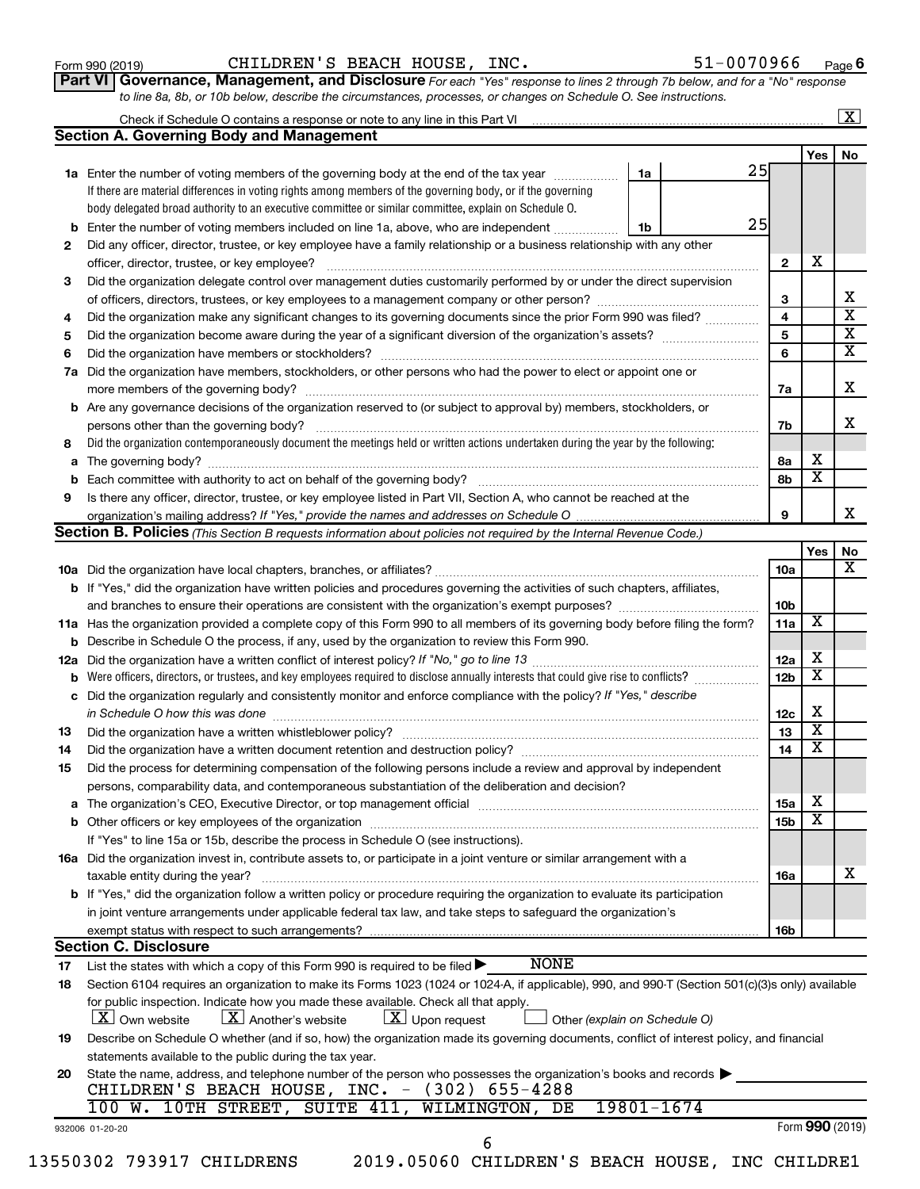| Form 990 (2019) |
|-----------------|
|-----------------|

Form 990 (2019)  $\,$  CHILDREN'S BEACH HOUSE, INC.  $\,$  51-0070966  $\,$   $_{\rm Page}$ 

51-0070966 Page 6

| Part VI   Governance, Management, and Disclosure For each "Yes" response to lines 2 through 7b below, and for a "No" response |  |
|-------------------------------------------------------------------------------------------------------------------------------|--|
| to line 8a, 8b, or 10b below, describe the circumstances, processes, or changes on Schedule O. See instructions.              |  |

|     | <b>Section A. Governing Body and Management</b>                                                                                                                                                             |                 |                         | No |
|-----|-------------------------------------------------------------------------------------------------------------------------------------------------------------------------------------------------------------|-----------------|-------------------------|----|
|     | 25                                                                                                                                                                                                          |                 | Yes                     |    |
|     | 1a<br>1a Enter the number of voting members of the governing body at the end of the tax year<br>If there are material differences in voting rights among members of the governing body, or if the governing |                 |                         |    |
|     |                                                                                                                                                                                                             |                 |                         |    |
|     | body delegated broad authority to an executive committee or similar committee, explain on Schedule O.<br>25                                                                                                 |                 |                         |    |
|     | <b>b</b> Enter the number of voting members included on line 1a, above, who are independent<br>1b                                                                                                           |                 |                         |    |
| 2   | Did any officer, director, trustee, or key employee have a family relationship or a business relationship with any other                                                                                    |                 | X                       |    |
|     | officer, director, trustee, or key employee?                                                                                                                                                                | $\mathbf{2}$    |                         |    |
| 3   | Did the organization delegate control over management duties customarily performed by or under the direct supervision                                                                                       |                 |                         |    |
|     |                                                                                                                                                                                                             | 3               |                         |    |
| 4   | Did the organization make any significant changes to its governing documents since the prior Form 990 was filed?                                                                                            | 4               |                         |    |
| 5   |                                                                                                                                                                                                             | 5               |                         |    |
| 6   |                                                                                                                                                                                                             | 6               |                         |    |
|     | 7a Did the organization have members, stockholders, or other persons who had the power to elect or appoint one or                                                                                           |                 |                         |    |
|     |                                                                                                                                                                                                             | 7a              |                         |    |
|     | <b>b</b> Are any governance decisions of the organization reserved to (or subject to approval by) members, stockholders, or                                                                                 |                 |                         |    |
|     | persons other than the governing body?                                                                                                                                                                      | 7b              |                         |    |
| 8   | Did the organization contemporaneously document the meetings held or written actions undertaken during the year by the following:                                                                           |                 |                         |    |
|     |                                                                                                                                                                                                             | 8а              | X                       |    |
| b   |                                                                                                                                                                                                             | 8b              | $\overline{\textbf{x}}$ |    |
| 9   | Is there any officer, director, trustee, or key employee listed in Part VII, Section A, who cannot be reached at the                                                                                        |                 |                         |    |
|     |                                                                                                                                                                                                             | 9               |                         |    |
|     | Section B. Policies (This Section B requests information about policies not required by the Internal Revenue Code.)                                                                                         |                 |                         |    |
|     |                                                                                                                                                                                                             |                 | Yes                     |    |
|     |                                                                                                                                                                                                             | 10a             |                         |    |
|     | <b>b</b> If "Yes," did the organization have written policies and procedures governing the activities of such chapters, affiliates,                                                                         |                 |                         |    |
|     |                                                                                                                                                                                                             | 10b             |                         |    |
|     | 11a Has the organization provided a complete copy of this Form 990 to all members of its governing body before filing the form?                                                                             | 11a             | X                       |    |
|     | <b>b</b> Describe in Schedule O the process, if any, used by the organization to review this Form 990.                                                                                                      |                 |                         |    |
| 12a |                                                                                                                                                                                                             | 12a             | х                       |    |
|     |                                                                                                                                                                                                             | 12 <sub>b</sub> | $\overline{\textbf{x}}$ |    |
| с   | Did the organization regularly and consistently monitor and enforce compliance with the policy? If "Yes," describe                                                                                          |                 |                         |    |
|     | in Schedule O how this was done manufactured and continuum and contact the was done manufactured and contact t                                                                                              | 12c             | х                       |    |
| 13  |                                                                                                                                                                                                             | 13              | $\overline{\textbf{x}}$ |    |
| 14  |                                                                                                                                                                                                             | 14              | $\overline{\text{x}}$   |    |
| 15  | Did the process for determining compensation of the following persons include a review and approval by independent                                                                                          |                 |                         |    |
|     | persons, comparability data, and contemporaneous substantiation of the deliberation and decision?                                                                                                           |                 |                         |    |
|     |                                                                                                                                                                                                             | <b>15a</b>      | х                       |    |
|     |                                                                                                                                                                                                             | 15 <sub>b</sub> | $\overline{\textbf{x}}$ |    |
|     | If "Yes" to line 15a or 15b, describe the process in Schedule O (see instructions).                                                                                                                         |                 |                         |    |
|     |                                                                                                                                                                                                             |                 |                         |    |
|     | 16a Did the organization invest in, contribute assets to, or participate in a joint venture or similar arrangement with a                                                                                   |                 |                         |    |
|     | taxable entity during the year?                                                                                                                                                                             | 16a             |                         |    |
|     | b If "Yes," did the organization follow a written policy or procedure requiring the organization to evaluate its participation                                                                              |                 |                         |    |
|     | in joint venture arrangements under applicable federal tax law, and take steps to safeguard the organization's                                                                                              |                 |                         |    |
|     | exempt status with respect to such arrangements?                                                                                                                                                            | 16b             |                         |    |
|     | <b>Section C. Disclosure</b>                                                                                                                                                                                |                 |                         |    |
| 17  | <b>NONE</b><br>List the states with which a copy of this Form 990 is required to be filed $\blacktriangleright$                                                                                             |                 |                         |    |
| 18  | Section 6104 requires an organization to make its Forms 1023 (1024 or 1024-A, if applicable), 990, and 990-T (Section 501(c)(3)s only) available                                                            |                 |                         |    |
|     | for public inspection. Indicate how you made these available. Check all that apply.                                                                                                                         |                 |                         |    |
|     | $\lfloor x \rfloor$ Upon request<br>$X$ Own website<br>$\lfloor x \rfloor$ Another's website<br>Other (explain on Schedule O)                                                                               |                 |                         |    |
| 19  | Describe on Schedule O whether (and if so, how) the organization made its governing documents, conflict of interest policy, and financial                                                                   |                 |                         |    |
|     | statements available to the public during the tax year.                                                                                                                                                     |                 |                         |    |
| 20  | State the name, address, and telephone number of the person who possesses the organization's books and records                                                                                              |                 |                         |    |
|     | CHILDREN'S BEACH HOUSE, INC. - (302) 655-4288                                                                                                                                                               |                 |                         |    |
|     |                                                                                                                                                                                                             |                 |                         |    |
|     | 10TH STREET, SUITE 411, WILMINGTON, DE<br>19801-1674<br>100 W.                                                                                                                                              |                 | Form 990 (2019)         |    |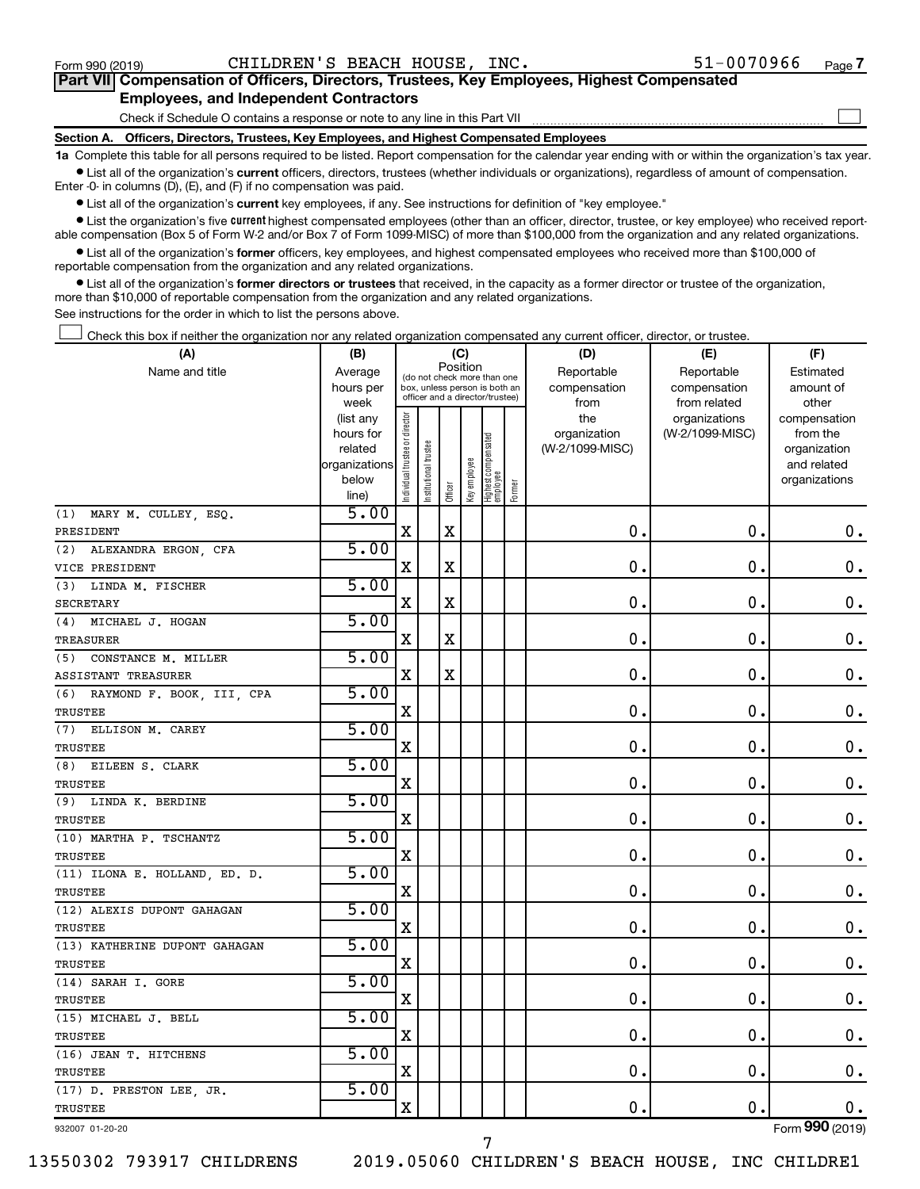$\Box$ 

| Part VII Compensation of Officers, Directors, Trustees, Key Employees, Highest Compensated |  |  |
|--------------------------------------------------------------------------------------------|--|--|
| <b>Employees, and Independent Contractors</b>                                              |  |  |

Check if Schedule O contains a response or note to any line in this Part VII

**Section A. Officers, Directors, Trustees, Key Employees, and Highest Compensated Employees**

**1a**  Complete this table for all persons required to be listed. Report compensation for the calendar year ending with or within the organization's tax year.  $\bullet$  List all of the organization's current officers, directors, trustees (whether individuals or organizations), regardless of amount of compensation.

Enter -0- in columns (D), (E), and (F) if no compensation was paid.

**•** List all of the organization's current key employees, if any. See instructions for definition of "key employee."

• List the organization's five *current* highest compensated employees (other than an officer, director, trustee, or key employee) who received reportable compensation (Box 5 of Form W-2 and/or Box 7 of Form 1099-MISC) of more than \$100,000 from the organization and any related organizations.

 $\bullet$  List all of the organization's former officers, key employees, and highest compensated employees who received more than \$100,000 of reportable compensation from the organization and any related organizations.

**•** List all of the organization's former directors or trustees that received, in the capacity as a former director or trustee of the organization, more than \$10,000 of reportable compensation from the organization and any related organizations.

See instructions for the order in which to list the persons above.

Check this box if neither the organization nor any related organization compensated any current officer, director, or trustee.  $\Box$ 

| (A)                           | (B)                  |                                |                                                                  |             | (C)          |                                 |        | (D)                             | (E)             | (F)                      |
|-------------------------------|----------------------|--------------------------------|------------------------------------------------------------------|-------------|--------------|---------------------------------|--------|---------------------------------|-----------------|--------------------------|
| Name and title                | Average              |                                | (do not check more than one                                      | Position    |              |                                 |        | Reportable                      | Reportable      | Estimated                |
|                               | hours per            |                                | box, unless person is both an<br>officer and a director/trustee) |             |              |                                 |        | compensation                    | compensation    | amount of                |
|                               | week                 |                                |                                                                  |             |              |                                 |        | from                            | from related    | other                    |
|                               | (list any            |                                |                                                                  |             |              |                                 |        | the                             | organizations   | compensation             |
|                               | hours for<br>related |                                |                                                                  |             |              |                                 |        | organization<br>(W-2/1099-MISC) | (W-2/1099-MISC) | from the<br>organization |
|                               | organizations        |                                |                                                                  |             |              |                                 |        |                                 |                 | and related              |
|                               | below                |                                |                                                                  |             |              |                                 |        |                                 |                 | organizations            |
|                               | line)                | Individual trustee or director | nstitutional trustee                                             | Officer     | Key employee | Highest compensated<br>employee | Former |                                 |                 |                          |
| MARY M. CULLEY, ESQ.<br>(1)   | 5.00                 |                                |                                                                  |             |              |                                 |        |                                 |                 |                          |
| PRESIDENT                     |                      | $\mathbf X$                    |                                                                  | X           |              |                                 |        | 0.                              | $\mathbf 0$ .   | 0.                       |
| ALEXANDRA ERGON, CFA<br>(2)   | 5.00                 |                                |                                                                  |             |              |                                 |        |                                 |                 |                          |
| VICE PRESIDENT                |                      | $\mathbf X$                    |                                                                  | $\mathbf X$ |              |                                 |        | $\mathbf 0$ .                   | $\mathbf 0$ .   | $\mathbf 0$ .            |
| (3) LINDA M. FISCHER          | 5.00                 |                                |                                                                  |             |              |                                 |        |                                 |                 |                          |
| SECRETARY                     |                      | X                              |                                                                  | $\mathbf X$ |              |                                 |        | $\mathbf 0$                     | $\mathbf 0$     | $\mathbf 0$ .            |
| (4) MICHAEL J. HOGAN          | 5.00                 |                                |                                                                  |             |              |                                 |        |                                 |                 |                          |
| TREASURER                     |                      | X                              |                                                                  | $\mathbf X$ |              |                                 |        | $\mathbf 0$                     | $\mathbf 0$ .   | $\boldsymbol{0}$ .       |
| (5)<br>CONSTANCE M. MILLER    | 5.00                 |                                |                                                                  |             |              |                                 |        |                                 |                 |                          |
| ASSISTANT TREASURER           |                      | X                              |                                                                  | $\mathbf X$ |              |                                 |        | 0                               | $\mathbf 0$ .   | $\mathbf 0$ .            |
| (6) RAYMOND F. BOOK, III, CPA | 5.00                 |                                |                                                                  |             |              |                                 |        |                                 |                 |                          |
| <b>TRUSTEE</b>                |                      | X                              |                                                                  |             |              |                                 |        | 0                               | $\mathbf 0$ .   | $\mathbf 0$ .            |
| (7)<br>ELLISON M. CAREY       | 5.00                 |                                |                                                                  |             |              |                                 |        |                                 |                 |                          |
| <b>TRUSTEE</b>                |                      | X                              |                                                                  |             |              |                                 |        | $\mathbf 0$                     | $\mathbf 0$     | $\mathbf 0$ .            |
| EILEEN S. CLARK<br>(8)        | 5.00                 |                                |                                                                  |             |              |                                 |        |                                 |                 |                          |
| TRUSTEE                       |                      | X                              |                                                                  |             |              |                                 |        | $\mathbf 0$                     | $\mathbf 0$ .   | $\mathbf 0$ .            |
| LINDA K. BERDINE<br>(9)       | 5.00                 |                                |                                                                  |             |              |                                 |        |                                 |                 |                          |
| <b>TRUSTEE</b>                |                      | X                              |                                                                  |             |              |                                 |        | 0.                              | $\mathbf 0$ .   | $\mathbf 0$ .            |
| (10) MARTHA P. TSCHANTZ       | 5.00                 |                                |                                                                  |             |              |                                 |        |                                 |                 |                          |
| <b>TRUSTEE</b>                |                      | $\mathbf X$                    |                                                                  |             |              |                                 |        | $\mathbf 0$ .                   | $\mathbf 0$ .   | 0.                       |
| (11) ILONA E. HOLLAND, ED. D. | 5.00                 |                                |                                                                  |             |              |                                 |        |                                 |                 |                          |
| TRUSTEE                       |                      | $\mathbf X$                    |                                                                  |             |              |                                 |        | 0                               | $\mathbf 0$     | $\mathbf 0$ .            |
| (12) ALEXIS DUPONT GAHAGAN    | 5.00                 |                                |                                                                  |             |              |                                 |        |                                 |                 |                          |
| TRUSTEE                       |                      | X                              |                                                                  |             |              |                                 |        | 0                               | $\mathbf 0$ .   | $\mathbf 0$ .            |
| (13) KATHERINE DUPONT GAHAGAN | 5.00                 |                                |                                                                  |             |              |                                 |        |                                 |                 |                          |
| TRUSTEE                       |                      | X                              |                                                                  |             |              |                                 |        | 0                               | $\mathbf 0$ .   | $\mathbf 0$ .            |
| (14) SARAH I. GORE            | 5.00                 |                                |                                                                  |             |              |                                 |        |                                 |                 |                          |
| <b>TRUSTEE</b>                |                      | $\mathbf X$                    |                                                                  |             |              |                                 |        | $\mathbf 0$ .                   | $\mathbf 0$ .   | $\mathbf 0$ .            |
| (15) MICHAEL J. BELL          | 5.00                 |                                |                                                                  |             |              |                                 |        |                                 |                 |                          |
| <b>TRUSTEE</b>                |                      | X                              |                                                                  |             |              |                                 |        | 0                               | $\mathbf 0$     | $\mathbf 0$ .            |
| (16) JEAN T. HITCHENS         | 5.00                 |                                |                                                                  |             |              |                                 |        |                                 |                 |                          |
| TRUSTEE                       |                      | X                              |                                                                  |             |              |                                 |        | 0                               | $\mathbf 0$ .   | 0.                       |
| (17) D. PRESTON LEE, JR.      | 5.00                 |                                |                                                                  |             |              |                                 |        |                                 |                 |                          |
| TRUSTEE                       |                      | $\mathbf X$                    |                                                                  |             |              |                                 |        | 0.                              | $\mathbf 0$ .   | $0$ .                    |
| 932007 01-20-20               |                      |                                |                                                                  |             |              |                                 |        |                                 |                 | Form 990 (2019)          |

932007 01-20-20

13550302 793917 CHILDRENS 2019.05060 CHILDREN'S BEACH HOUSE, INC CHILDRE1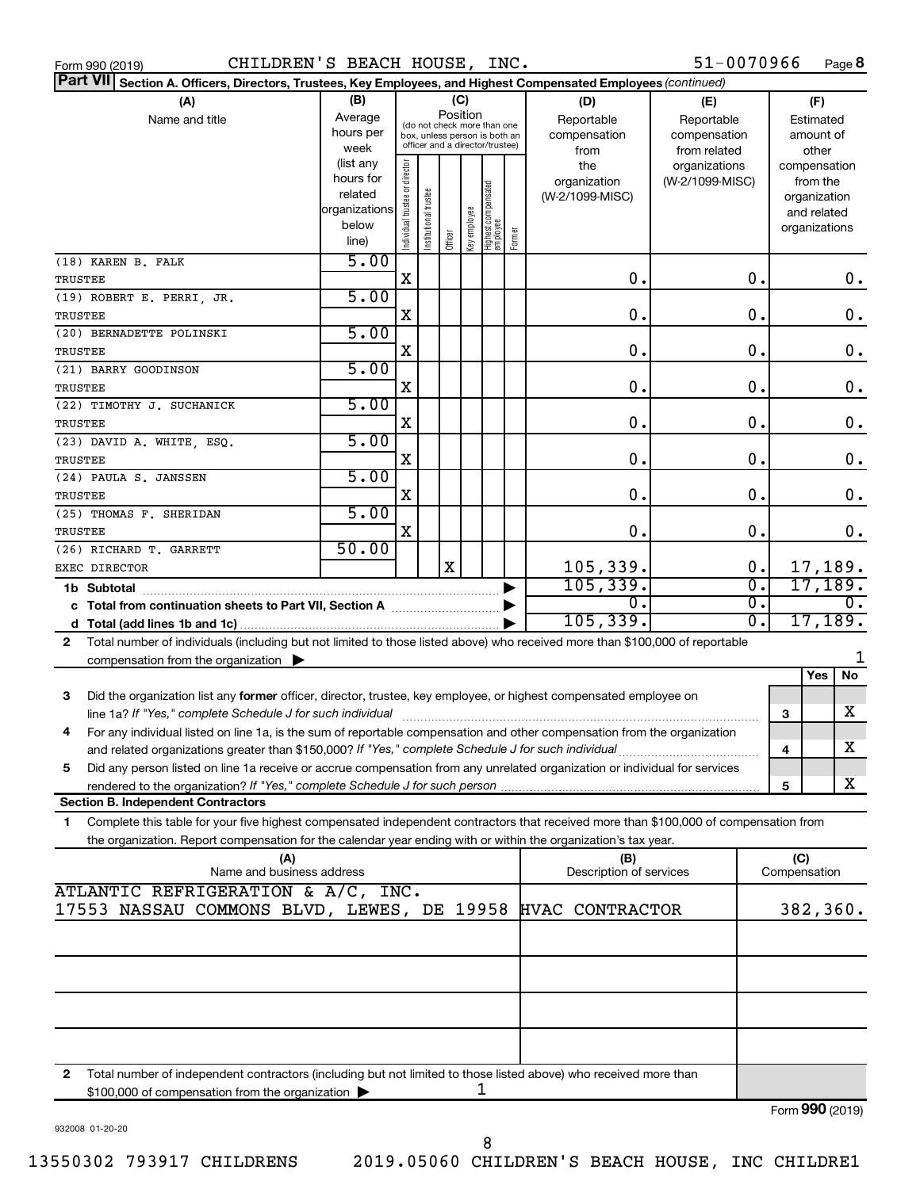| Form 990 (2019)                                                                                                                              | CHILDREN'S BEACH HOUSE, INC.                                                              |                               |                                 |         |              |                                   |              |                         | 51-0070966      |                  |              | Page 8                   |
|----------------------------------------------------------------------------------------------------------------------------------------------|-------------------------------------------------------------------------------------------|-------------------------------|---------------------------------|---------|--------------|-----------------------------------|--------------|-------------------------|-----------------|------------------|--------------|--------------------------|
| Part VII Section A. Officers, Directors, Trustees, Key Employees, and Highest Compensated Employees (continued)                              |                                                                                           |                               |                                 |         |              |                                   |              |                         |                 |                  |              |                          |
| (A)                                                                                                                                          | (B)                                                                                       |                               |                                 |         | (C)          |                                   |              | (D)                     | (E)             |                  |              | (F)                      |
| Average<br>Name and title                                                                                                                    |                                                                                           |                               |                                 |         | Position     |                                   |              | Reportable              | Reportable      |                  |              | Estimated                |
|                                                                                                                                              | (do not check more than one<br>hours per<br>compensation<br>box, unless person is both an |                               |                                 |         |              |                                   | compensation |                         |                 | amount of        |              |                          |
|                                                                                                                                              | week                                                                                      |                               | officer and a director/trustee) |         |              |                                   |              | from                    | from related    |                  |              | other                    |
|                                                                                                                                              | (list any                                                                                 |                               |                                 |         |              |                                   |              | the                     | organizations   |                  |              |                          |
|                                                                                                                                              | hours for                                                                                 |                               |                                 |         |              |                                   |              | organization            | (W-2/1099-MISC) |                  |              | compensation<br>from the |
|                                                                                                                                              | related                                                                                   |                               |                                 |         |              |                                   |              | (W-2/1099-MISC)         |                 |                  |              | organization             |
|                                                                                                                                              | organizations                                                                             |                               |                                 |         |              |                                   |              |                         |                 |                  |              | and related              |
|                                                                                                                                              | below                                                                                     |                               |                                 |         |              |                                   |              |                         |                 |                  |              |                          |
|                                                                                                                                              | line)                                                                                     | ndividual trustee or director | Institutional trustee           | Officer | Key employee | Highest compensated<br>  employee | Former       |                         |                 |                  |              | organizations            |
|                                                                                                                                              | 5.00                                                                                      |                               |                                 |         |              |                                   |              |                         |                 |                  |              |                          |
| (18) KAREN B. FALK                                                                                                                           |                                                                                           |                               |                                 |         |              |                                   |              |                         |                 |                  |              |                          |
| TRUSTEE                                                                                                                                      |                                                                                           | Χ                             |                                 |         |              |                                   |              | О.                      |                 | 0.               |              | 0.                       |
| (19) ROBERT E. PERRI, JR.                                                                                                                    | 5.00                                                                                      |                               |                                 |         |              |                                   |              |                         |                 |                  |              |                          |
| TRUSTEE                                                                                                                                      |                                                                                           | X                             |                                 |         |              |                                   |              | 0.                      |                 | 0.               |              | $\mathbf 0$ .            |
| (20) BERNADETTE POLINSKI                                                                                                                     | 5.00                                                                                      |                               |                                 |         |              |                                   |              |                         |                 |                  |              |                          |
| TRUSTEE                                                                                                                                      |                                                                                           | X                             |                                 |         |              |                                   |              | 0.                      |                 | 0.               |              | $\mathbf 0$ .            |
| (21) BARRY GOODINSON                                                                                                                         | 5.00                                                                                      |                               |                                 |         |              |                                   |              |                         |                 |                  |              |                          |
| TRUSTEE                                                                                                                                      |                                                                                           | X                             |                                 |         |              |                                   |              | 0.                      |                 | 0.               |              | $\mathbf 0$ .            |
| (22) TIMOTHY J. SUCHANICK                                                                                                                    | 5.00                                                                                      |                               |                                 |         |              |                                   |              |                         |                 |                  |              |                          |
|                                                                                                                                              |                                                                                           | X                             |                                 |         |              |                                   |              | 0.                      |                 | 0.               |              | $\mathbf 0$ .            |
| TRUSTEE                                                                                                                                      |                                                                                           |                               |                                 |         |              |                                   |              |                         |                 |                  |              |                          |
| (23) DAVID A. WHITE, ESQ.                                                                                                                    | 5.00                                                                                      |                               |                                 |         |              |                                   |              |                         |                 |                  |              |                          |
| <b>TRUSTEE</b>                                                                                                                               |                                                                                           | X                             |                                 |         |              |                                   |              | 0.                      |                 | 0.               |              | $\boldsymbol{0}$ .       |
| (24) PAULA S. JANSSEN                                                                                                                        | 5.00                                                                                      |                               |                                 |         |              |                                   |              |                         |                 |                  |              |                          |
| TRUSTEE                                                                                                                                      |                                                                                           | X                             |                                 |         |              |                                   |              | О.                      |                 | 0.               |              | 0.                       |
| (25) THOMAS F. SHERIDAN                                                                                                                      | 5.00                                                                                      |                               |                                 |         |              |                                   |              |                         |                 |                  |              |                          |
| TRUSTEE                                                                                                                                      |                                                                                           | X                             |                                 |         |              |                                   |              | 0.                      |                 | $\mathbf 0$ .    |              | 0.                       |
| (26) RICHARD T. GARRETT                                                                                                                      | 50.00                                                                                     |                               |                                 |         |              |                                   |              |                         |                 |                  |              |                          |
| EXEC DIRECTOR                                                                                                                                |                                                                                           |                               |                                 | X       |              |                                   |              | 105,339.                |                 | 0.               |              | 17,189.                  |
|                                                                                                                                              |                                                                                           |                               |                                 |         |              |                                   |              | 105, 339.               |                 | $\overline{0}$ . |              | 17, 189.                 |
| 1b Subtotal                                                                                                                                  |                                                                                           |                               |                                 |         |              |                                   |              | $\overline{0}$ .        |                 | $\overline{0}$ . |              | $\overline{0}$ .         |
| c Total from continuation sheets to Part VII, Section A manuscreen continuum                                                                 |                                                                                           |                               |                                 |         |              |                                   |              |                         |                 |                  |              |                          |
|                                                                                                                                              |                                                                                           |                               |                                 |         |              |                                   |              | 105, 339.               |                 | $\overline{0}$ . |              | 17,189.                  |
| Total number of individuals (including but not limited to those listed above) who received more than \$100,000 of reportable<br>$\mathbf{2}$ |                                                                                           |                               |                                 |         |              |                                   |              |                         |                 |                  |              |                          |
| compensation from the organization $\blacktriangleright$                                                                                     |                                                                                           |                               |                                 |         |              |                                   |              |                         |                 |                  |              |                          |
|                                                                                                                                              |                                                                                           |                               |                                 |         |              |                                   |              |                         |                 |                  |              | No<br>Yes                |
| 3<br>Did the organization list any former officer, director, trustee, key employee, or highest compensated employee on                       |                                                                                           |                               |                                 |         |              |                                   |              |                         |                 |                  |              |                          |
| line 1a? If "Yes," complete Schedule J for such individual manufacture content to the set of the set of the such a                           |                                                                                           |                               |                                 |         |              |                                   |              |                         |                 |                  | 3            | X                        |
| For any individual listed on line 1a, is the sum of reportable compensation and other compensation from the organization                     |                                                                                           |                               |                                 |         |              |                                   |              |                         |                 |                  |              |                          |
| and related organizations greater than \$150,000? If "Yes," complete Schedule J for such individual                                          |                                                                                           |                               |                                 |         |              |                                   |              |                         |                 |                  | 4            | х                        |
| Did any person listed on line 1a receive or accrue compensation from any unrelated organization or individual for services<br>5              |                                                                                           |                               |                                 |         |              |                                   |              |                         |                 |                  |              |                          |
|                                                                                                                                              |                                                                                           |                               |                                 |         |              |                                   |              |                         |                 |                  |              | X                        |
| rendered to the organization? If "Yes," complete Schedule J for such person.                                                                 |                                                                                           |                               |                                 |         |              |                                   |              |                         |                 |                  | 5            |                          |
| <b>Section B. Independent Contractors</b>                                                                                                    |                                                                                           |                               |                                 |         |              |                                   |              |                         |                 |                  |              |                          |
| Complete this table for your five highest compensated independent contractors that received more than \$100,000 of compensation from<br>1    |                                                                                           |                               |                                 |         |              |                                   |              |                         |                 |                  |              |                          |
| the organization. Report compensation for the calendar year ending with or within the organization's tax year.                               |                                                                                           |                               |                                 |         |              |                                   |              |                         |                 |                  |              |                          |
| (A)                                                                                                                                          |                                                                                           |                               |                                 |         |              |                                   |              | (B)                     |                 |                  | (C)          |                          |
| Name and business address                                                                                                                    |                                                                                           |                               |                                 |         |              |                                   |              | Description of services |                 |                  | Compensation |                          |
| ATLANTIC REFRIGERATION & A/C, INC.                                                                                                           |                                                                                           |                               |                                 |         |              |                                   |              |                         |                 |                  |              |                          |
| 17553 NASSAU COMMONS BLVD, LEWES, DE 19958                                                                                                   |                                                                                           |                               |                                 |         |              |                                   |              | HVAC CONTRACTOR         |                 |                  |              | 382,360.                 |
|                                                                                                                                              |                                                                                           |                               |                                 |         |              |                                   |              |                         |                 |                  |              |                          |
|                                                                                                                                              |                                                                                           |                               |                                 |         |              |                                   |              |                         |                 |                  |              |                          |
|                                                                                                                                              |                                                                                           |                               |                                 |         |              |                                   |              |                         |                 |                  |              |                          |
|                                                                                                                                              |                                                                                           |                               |                                 |         |              |                                   |              |                         |                 |                  |              |                          |
|                                                                                                                                              |                                                                                           |                               |                                 |         |              |                                   |              |                         |                 |                  |              |                          |
|                                                                                                                                              |                                                                                           |                               |                                 |         |              |                                   |              |                         |                 |                  |              |                          |
|                                                                                                                                              |                                                                                           |                               |                                 |         |              |                                   |              |                         |                 |                  |              |                          |
|                                                                                                                                              |                                                                                           |                               |                                 |         |              |                                   |              |                         |                 |                  |              |                          |
|                                                                                                                                              |                                                                                           |                               |                                 |         |              |                                   |              |                         |                 |                  |              |                          |
| Total number of independent contractors (including but not limited to those listed above) who received more than<br>2                        |                                                                                           |                               |                                 |         |              |                                   |              |                         |                 |                  |              |                          |
| \$100,000 of compensation from the organization                                                                                              |                                                                                           |                               |                                 |         |              | ı                                 |              |                         |                 |                  |              |                          |
|                                                                                                                                              |                                                                                           |                               |                                 |         |              |                                   |              |                         |                 |                  |              | Form 990 (2019)          |

932008 01-20-20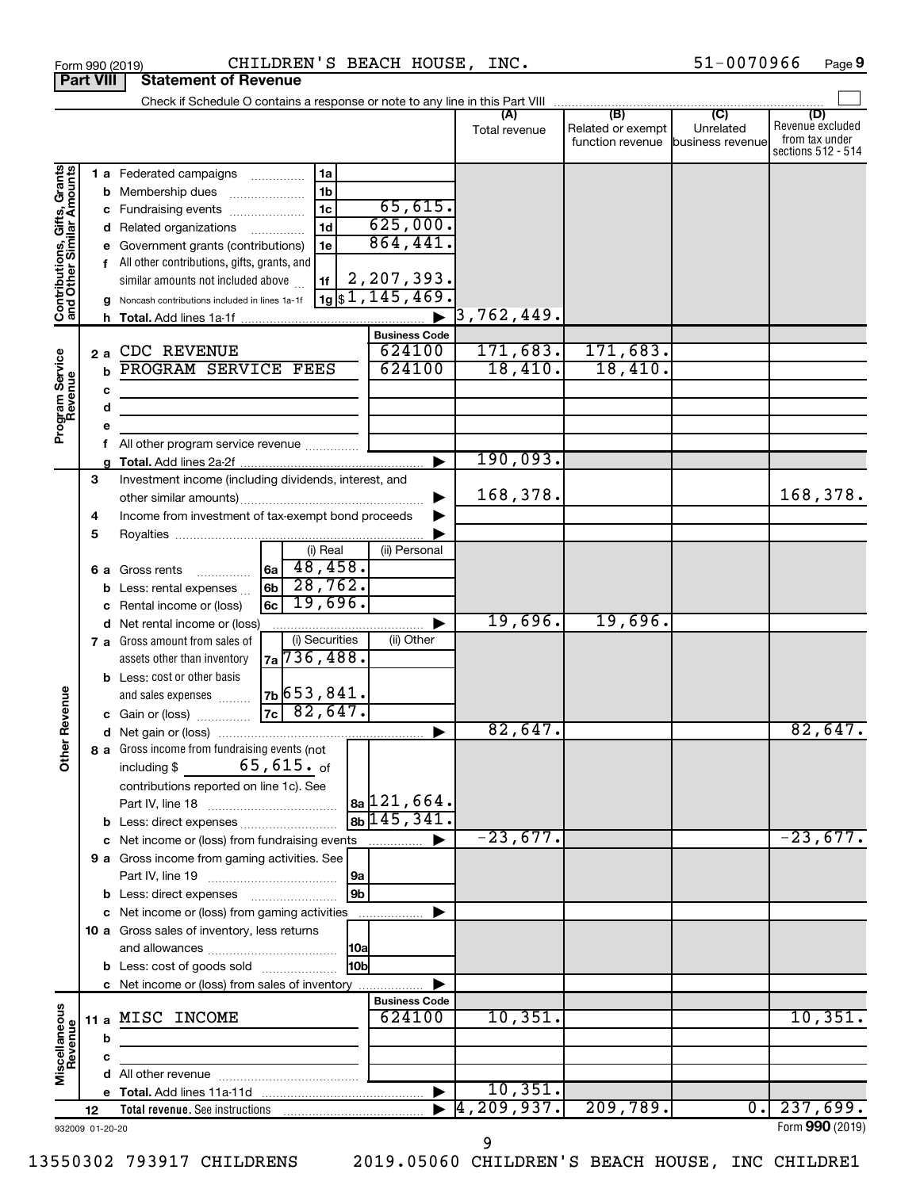|                                                           |                                                       |     | CHILDREN'S BEACH HOUSE, INC.<br>Form 990 (2019)                      |                           |                          |                                   | 51-0070966 | Page 9                  |
|-----------------------------------------------------------|-------------------------------------------------------|-----|----------------------------------------------------------------------|---------------------------|--------------------------|-----------------------------------|------------|-------------------------|
| <b>Part VIII</b>                                          |                                                       |     | <b>Statement of Revenue</b>                                          |                           |                          |                                   |            |                         |
|                                                           |                                                       |     |                                                                      |                           |                          |                                   |            |                         |
|                                                           |                                                       |     |                                                                      |                           |                          | Related or exempt                 | Unrelated  | (D)<br>Revenue excluded |
|                                                           |                                                       |     |                                                                      |                           | Total revenue            | function revenue business revenue |            | from tax under          |
|                                                           |                                                       |     |                                                                      |                           |                          |                                   |            | sections 512 - 514      |
| Contributions, Gifts, Grants<br>and Other Similar Amounts |                                                       |     | 1a<br>1 a Federated campaigns                                        |                           |                          |                                   |            |                         |
|                                                           |                                                       |     | 1 <sub>b</sub><br><b>b</b> Membership dues                           |                           |                          |                                   |            |                         |
|                                                           |                                                       |     | 1 <sub>c</sub><br>c Fundraising events                               | 65,615.                   |                          |                                   |            |                         |
|                                                           | 625,000.<br>1 <sub>d</sub><br>d Related organizations |     |                                                                      |                           |                          |                                   |            |                         |
|                                                           |                                                       |     | 1e<br>e Government grants (contributions)                            | 864,441.                  |                          |                                   |            |                         |
|                                                           |                                                       |     | f All other contributions, gifts, grants, and                        |                           |                          |                                   |            |                         |
|                                                           |                                                       |     | similar amounts not included above<br>1f                             | 2,207,393.                |                          |                                   |            |                         |
|                                                           |                                                       |     | g Noncash contributions included in lines 1a-1f                      | $\sqrt{19}\$ \$1,145,469. |                          |                                   |            |                         |
|                                                           |                                                       |     |                                                                      |                           | $\overline{3}$ ,762,449. |                                   |            |                         |
|                                                           |                                                       |     |                                                                      | <b>Business Code</b>      |                          |                                   |            |                         |
|                                                           |                                                       | 2 a | CDC REVENUE                                                          | 624100                    | 171,683.                 | 171,683.                          |            |                         |
|                                                           |                                                       | h   | PROGRAM SERVICE FEES                                                 | 624100                    | 18,410.                  | 18,410.                           |            |                         |
|                                                           |                                                       |     |                                                                      |                           |                          |                                   |            |                         |
|                                                           |                                                       | с   |                                                                      |                           |                          |                                   |            |                         |
| Program Service<br>Revenue                                |                                                       | d   |                                                                      |                           |                          |                                   |            |                         |
|                                                           |                                                       | е   |                                                                      |                           |                          |                                   |            |                         |
|                                                           |                                                       | f   | All other program service revenue                                    |                           | 190,093.                 |                                   |            |                         |
|                                                           |                                                       | g   |                                                                      |                           |                          |                                   |            |                         |
|                                                           | 3                                                     |     | Investment income (including dividends, interest, and                |                           | 168,378.                 |                                   |            | 168,378.                |
|                                                           |                                                       |     |                                                                      |                           |                          |                                   |            |                         |
|                                                           | 4                                                     |     | Income from investment of tax-exempt bond proceeds                   |                           |                          |                                   |            |                         |
|                                                           | 5                                                     |     |                                                                      |                           |                          |                                   |            |                         |
|                                                           |                                                       |     | (i) Real                                                             | (ii) Personal             |                          |                                   |            |                         |
|                                                           |                                                       |     | 48,458.<br> 6a  <br>6 a Gross rents                                  |                           |                          |                                   |            |                         |
|                                                           |                                                       |     | 28,762.<br>6 <sub>b</sub><br><b>b</b> Less: rental expenses $\ldots$ |                           |                          |                                   |            |                         |
|                                                           |                                                       |     | 19,696.<br>6c l<br>c Rental income or (loss)                         |                           |                          |                                   |            |                         |
|                                                           |                                                       |     | d Net rental income or (loss)                                        |                           | 19,696.                  | 19,696.                           |            |                         |
|                                                           |                                                       |     | (i) Securities<br>7 a Gross amount from sales of                     | (ii) Other                |                          |                                   |            |                         |
|                                                           |                                                       |     | $7a\overline{736,488}$<br>assets other than inventory                |                           |                          |                                   |            |                         |
|                                                           |                                                       |     | <b>b</b> Less: cost or other basis                                   |                           |                          |                                   |            |                         |
|                                                           |                                                       |     | $7b$ 653,841.<br>and sales expenses                                  |                           |                          |                                   |            |                         |
| evenue                                                    |                                                       |     | $7c$ 82,647.<br>c Gain or (loss)                                     |                           |                          |                                   |            |                         |
| Œ                                                         |                                                       |     |                                                                      |                           | 82,647.                  |                                   |            | 82,647.                 |
| Other                                                     |                                                       |     | 8 a Gross income from fundraising events (not                        |                           |                          |                                   |            |                         |
|                                                           |                                                       |     | $65$ ,615. $_{\rm of}$<br>including \$                               |                           |                          |                                   |            |                         |
|                                                           |                                                       |     | contributions reported on line 1c). See                              |                           |                          |                                   |            |                         |
|                                                           |                                                       |     |                                                                      | $ a_2 121,664.$           |                          |                                   |            |                         |
|                                                           |                                                       |     |                                                                      | $8b$ 145, 341.            |                          |                                   |            |                         |
|                                                           |                                                       |     | c Net income or (loss) from fundraising events                       | ▶                         | $-23,677.$               |                                   |            | $-23,677.$              |
|                                                           |                                                       |     | 9 a Gross income from gaming activities. See                         |                           |                          |                                   |            |                         |
|                                                           |                                                       |     | 9a                                                                   |                           |                          |                                   |            |                         |
|                                                           |                                                       |     | 9 <sub>b</sub><br><b>b</b> Less: direct expenses                     |                           |                          |                                   |            |                         |
|                                                           |                                                       |     | c Net income or (loss) from gaming activities                        |                           |                          |                                   |            |                         |
|                                                           |                                                       |     | 10 a Gross sales of inventory, less returns                          |                           |                          |                                   |            |                         |
|                                                           |                                                       |     | 10a                                                                  |                           |                          |                                   |            |                         |
|                                                           |                                                       |     | 10 <sub>b</sub><br><b>b</b> Less: cost of goods sold                 |                           |                          |                                   |            |                         |
|                                                           |                                                       |     | c Net income or (loss) from sales of inventory                       |                           |                          |                                   |            |                         |
|                                                           |                                                       |     |                                                                      | <b>Business Code</b>      |                          |                                   |            |                         |
|                                                           |                                                       |     | 11 a MISC INCOME                                                     | 624100                    | 10,351.                  |                                   |            | 10,351.                 |
|                                                           |                                                       | b   |                                                                      |                           |                          |                                   |            |                         |
|                                                           |                                                       | c   |                                                                      |                           |                          |                                   |            |                         |
| Miscellaneous<br>Revenue                                  |                                                       |     |                                                                      |                           |                          |                                   |            |                         |
|                                                           |                                                       |     |                                                                      | ▶                         | 10,351.                  |                                   |            |                         |
|                                                           | 12                                                    |     | <b>Total revenue.</b> See instructions                               |                           | 4, 209, 937.             | 209,789.                          | 0.         | 237,699.                |
| 932009 01-20-20                                           |                                                       |     |                                                                      |                           |                          |                                   |            | Form 990 (2019)         |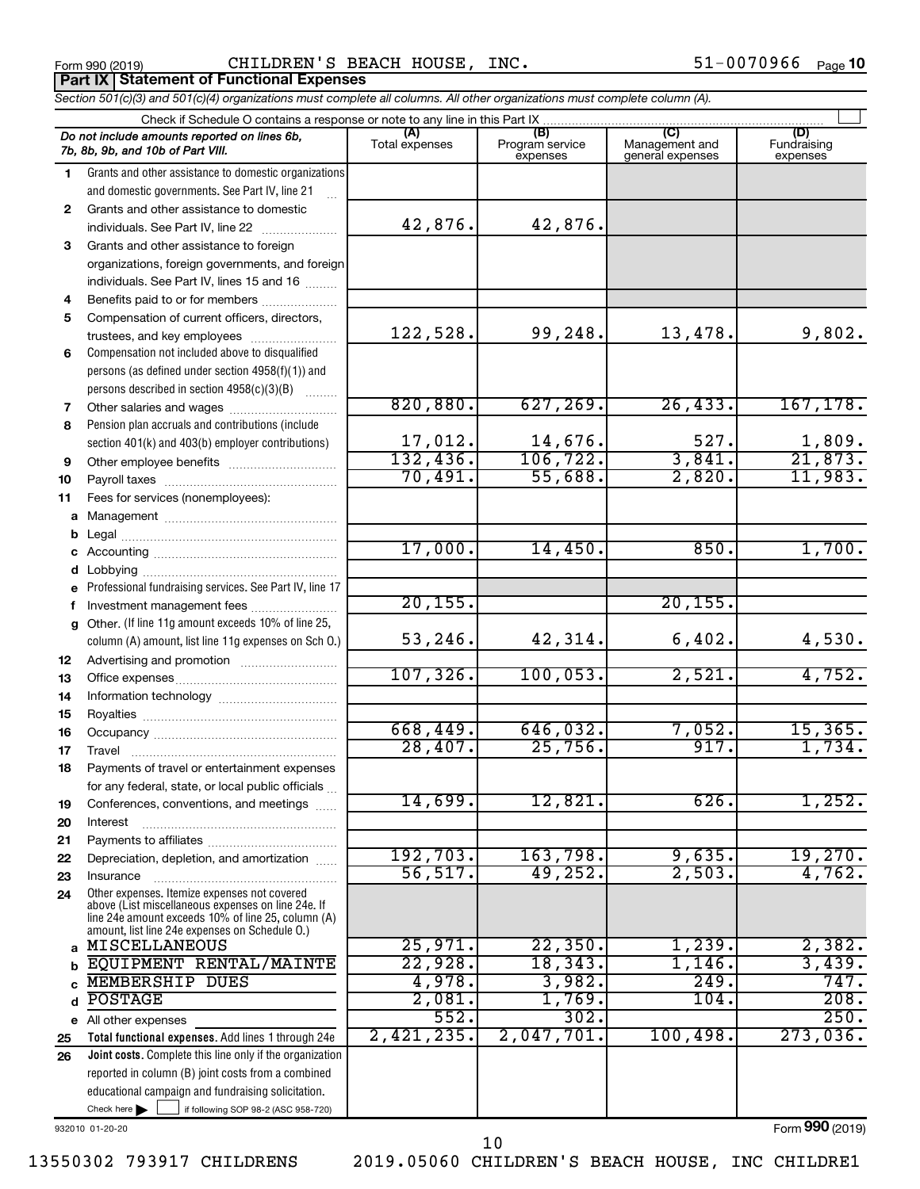Form 990 (2019)  $\qquad \qquad \qquad \qquad \text{CHILDREN'S BEACH HOUSE, INC.}$  51-0070966  $_{\text{Page}}$ **Part IX Statement of Functional Expenses**

*Section 501(c)(3) and 501(c)(4) organizations must complete all columns. All other organizations must complete column (A).*

| Check if Schedule O contains a response or note to any line in this Part IX. |                                                                                                                                                                                                            |                          |                                    |                                           |                                |  |  |  |  |
|------------------------------------------------------------------------------|------------------------------------------------------------------------------------------------------------------------------------------------------------------------------------------------------------|--------------------------|------------------------------------|-------------------------------------------|--------------------------------|--|--|--|--|
|                                                                              | Do not include amounts reported on lines 6b,<br>7b, 8b, 9b, and 10b of Part VIII.                                                                                                                          | (A)<br>Total expenses    | (B)<br>Program service<br>expenses | (C)<br>Management and<br>general expenses | (D)<br>Fundraising<br>expenses |  |  |  |  |
| 1.                                                                           | Grants and other assistance to domestic organizations                                                                                                                                                      |                          |                                    |                                           |                                |  |  |  |  |
|                                                                              | and domestic governments. See Part IV, line 21                                                                                                                                                             |                          |                                    |                                           |                                |  |  |  |  |
| $\mathbf{2}$                                                                 | Grants and other assistance to domestic                                                                                                                                                                    |                          |                                    |                                           |                                |  |  |  |  |
|                                                                              | individuals. See Part IV, line 22                                                                                                                                                                          | 42,876.                  | 42,876.                            |                                           |                                |  |  |  |  |
| 3                                                                            | Grants and other assistance to foreign                                                                                                                                                                     |                          |                                    |                                           |                                |  |  |  |  |
|                                                                              | organizations, foreign governments, and foreign                                                                                                                                                            |                          |                                    |                                           |                                |  |  |  |  |
|                                                                              | individuals. See Part IV, lines 15 and 16                                                                                                                                                                  |                          |                                    |                                           |                                |  |  |  |  |
| 4                                                                            | Benefits paid to or for members                                                                                                                                                                            |                          |                                    |                                           |                                |  |  |  |  |
| 5                                                                            | Compensation of current officers, directors,                                                                                                                                                               |                          |                                    |                                           |                                |  |  |  |  |
|                                                                              | trustees, and key employees                                                                                                                                                                                | 122,528.                 | 99,248.                            | 13,478.                                   | 9,802.                         |  |  |  |  |
| 6                                                                            | Compensation not included above to disqualified                                                                                                                                                            |                          |                                    |                                           |                                |  |  |  |  |
|                                                                              | persons (as defined under section 4958(f)(1)) and<br>persons described in section 4958(c)(3)(B)                                                                                                            |                          |                                    |                                           |                                |  |  |  |  |
| 7                                                                            | Other salaries and wages                                                                                                                                                                                   | 820, 880.                | 627, 269.                          | 26, 433.                                  | 167, 178.                      |  |  |  |  |
| 8                                                                            | Pension plan accruals and contributions (include                                                                                                                                                           |                          |                                    |                                           |                                |  |  |  |  |
|                                                                              | section 401(k) and 403(b) employer contributions)                                                                                                                                                          |                          |                                    | 527.                                      |                                |  |  |  |  |
| 9                                                                            | Other employee benefits                                                                                                                                                                                    | $\frac{17,012}{132,436}$ | $\frac{14,676}{106,722}$           | 3,841.                                    | $\frac{1,809}{21,873}$         |  |  |  |  |
| 10                                                                           |                                                                                                                                                                                                            | 70,491.                  | 55,688.                            | 2,820.                                    | 11,983.                        |  |  |  |  |
| 11                                                                           | Fees for services (nonemployees):                                                                                                                                                                          |                          |                                    |                                           |                                |  |  |  |  |
|                                                                              |                                                                                                                                                                                                            |                          |                                    |                                           |                                |  |  |  |  |
| b                                                                            |                                                                                                                                                                                                            |                          |                                    |                                           |                                |  |  |  |  |
| c                                                                            |                                                                                                                                                                                                            | 17,000.                  | 14,450.                            | 850.                                      | 1,700.                         |  |  |  |  |
|                                                                              |                                                                                                                                                                                                            |                          |                                    |                                           |                                |  |  |  |  |
| е                                                                            | Professional fundraising services. See Part IV, line 17                                                                                                                                                    |                          |                                    |                                           |                                |  |  |  |  |
| f                                                                            | Investment management fees                                                                                                                                                                                 | 20, 155.                 |                                    | 20, 155.                                  |                                |  |  |  |  |
| g                                                                            | Other. (If line 11g amount exceeds 10% of line 25,                                                                                                                                                         |                          |                                    |                                           |                                |  |  |  |  |
|                                                                              | column (A) amount, list line 11g expenses on Sch O.)                                                                                                                                                       | 53,246.                  | 42,314.                            | 6,402.                                    | 4,530.                         |  |  |  |  |
| 12                                                                           |                                                                                                                                                                                                            | 107, 326.                | 100,053.                           | 2,521.                                    | 4,752.                         |  |  |  |  |
| 13                                                                           |                                                                                                                                                                                                            |                          |                                    |                                           |                                |  |  |  |  |
| 14<br>15                                                                     |                                                                                                                                                                                                            |                          |                                    |                                           |                                |  |  |  |  |
| 16                                                                           |                                                                                                                                                                                                            | 668,449.                 | 646,032.                           | 7,052.                                    | 15,365.                        |  |  |  |  |
| 17                                                                           |                                                                                                                                                                                                            | 28,407.                  | 25,756.                            | 917.                                      | 1,734.                         |  |  |  |  |
| 18                                                                           | Payments of travel or entertainment expenses                                                                                                                                                               |                          |                                    |                                           |                                |  |  |  |  |
|                                                                              | for any federal, state, or local public officials                                                                                                                                                          |                          |                                    |                                           |                                |  |  |  |  |
| 19                                                                           | Conferences, conventions, and meetings                                                                                                                                                                     | 14,699.                  | 12,821.                            | 626.                                      | 1,252.                         |  |  |  |  |
| 20                                                                           | Interest                                                                                                                                                                                                   |                          |                                    |                                           |                                |  |  |  |  |
| 21                                                                           |                                                                                                                                                                                                            |                          |                                    |                                           |                                |  |  |  |  |
| 22                                                                           | Depreciation, depletion, and amortization                                                                                                                                                                  | 192,703.                 | 163,798.                           | 9,635.                                    | 19,270.                        |  |  |  |  |
| 23                                                                           | Insurance                                                                                                                                                                                                  | 56, 517.                 | 49,252.                            | 2,503.                                    | 4,762.                         |  |  |  |  |
| 24                                                                           | Other expenses. Itemize expenses not covered<br>above (List miscellaneous expenses on line 24e. If<br>line 24e amount exceeds 10% of line 25, column (A)<br>amount, list line 24e expenses on Schedule O.) |                          |                                    |                                           |                                |  |  |  |  |
| a                                                                            | <b>MISCELLANEOUS</b>                                                                                                                                                                                       | 25,971.                  | 22,350.                            | 1,239.                                    | 2,382.                         |  |  |  |  |
|                                                                              | EQUIPMENT RENTAL/MAINTE                                                                                                                                                                                    | 22,928.                  | 18,343.                            | $1,146$ .                                 | 3,439.                         |  |  |  |  |
|                                                                              | <b>MEMBERSHIP DUES</b>                                                                                                                                                                                     | 4,978.                   | 3,982.                             | 249.                                      | 747.                           |  |  |  |  |
|                                                                              | <b>POSTAGE</b>                                                                                                                                                                                             | 2,081.                   | 1,769.                             | 104.                                      | 208.                           |  |  |  |  |
| е                                                                            | All other expenses                                                                                                                                                                                         | 552.                     | 302.                               |                                           | 250.                           |  |  |  |  |
| 25                                                                           | Total functional expenses. Add lines 1 through 24e                                                                                                                                                         | 2,421,235.               | 2,047,701.                         | 100,498.                                  | 273,036.                       |  |  |  |  |
| 26                                                                           | Joint costs. Complete this line only if the organization                                                                                                                                                   |                          |                                    |                                           |                                |  |  |  |  |
|                                                                              | reported in column (B) joint costs from a combined                                                                                                                                                         |                          |                                    |                                           |                                |  |  |  |  |
|                                                                              | educational campaign and fundraising solicitation.                                                                                                                                                         |                          |                                    |                                           |                                |  |  |  |  |
|                                                                              | Check here $\blacktriangleright$<br>if following SOP 98-2 (ASC 958-720)                                                                                                                                    |                          |                                    |                                           |                                |  |  |  |  |

932010 01-20-20

Form (2019) **990**

13550302 793917 CHILDRENS 2019.05060 CHILDREN'S BEACH HOUSE, INC CHILDRE1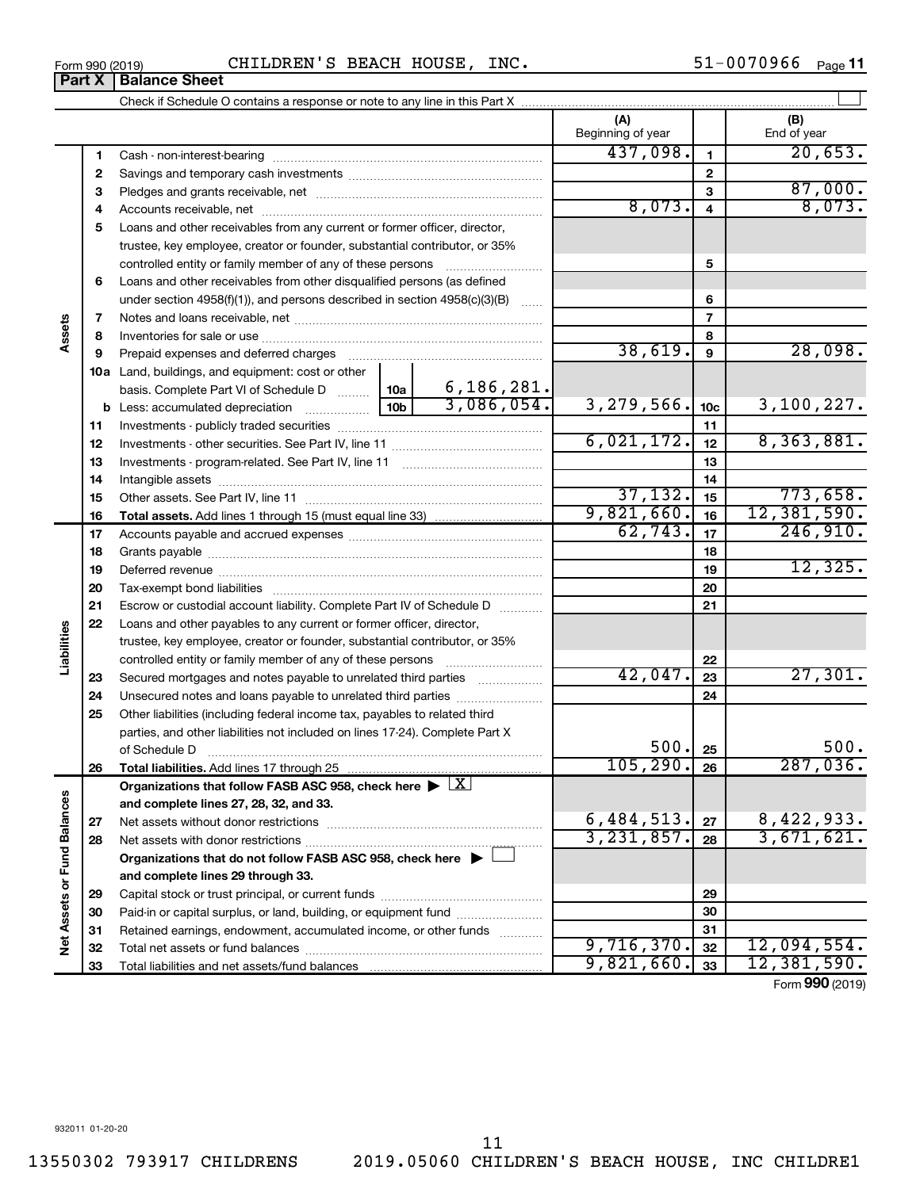**33**

Total liabilities and net assets/fund balances

**33**

9,821,660. 33 12,381,590.

Form (2019) **990**

Form 990 (2019)  $\begin{array}{cccc} \text{CHILDREN} \text{'S} \text{ BEACH HOUSE} \text{, INC.} \end{array}$   $\begin{array}{cccc} \text{51--0070966} \text{ Page} \end{array}$ **Part X** | Balance Sheet

Check if Schedule O contains a response or note to any line in this Part X

|                            |    |                                                                                            |            |              | Beginning of year |                         | End of year |
|----------------------------|----|--------------------------------------------------------------------------------------------|------------|--------------|-------------------|-------------------------|-------------|
|                            | 1  |                                                                                            |            |              | 437,098.          | 1                       | 20,653.     |
|                            | 2  |                                                                                            |            |              |                   | $\mathbf{2}$            |             |
|                            | З  |                                                                                            |            |              |                   | 3                       | 87,000.     |
|                            | 4  |                                                                                            |            |              | 8,073.            | $\overline{\mathbf{4}}$ | 8,073.      |
|                            | 5  | Loans and other receivables from any current or former officer, director,                  |            |              |                   |                         |             |
|                            |    | trustee, key employee, creator or founder, substantial contributor, or 35%                 |            |              |                   |                         |             |
|                            |    | controlled entity or family member of any of these persons                                 |            |              |                   | 5                       |             |
|                            | 6  | Loans and other receivables from other disqualified persons (as defined                    |            |              |                   |                         |             |
|                            |    | under section $4958(f)(1)$ , and persons described in section $4958(c)(3)(B)$              |            | $\ldots$     |                   | 6                       |             |
| Assets                     | 7  |                                                                                            |            |              | $\overline{7}$    |                         |             |
|                            | 8  |                                                                                            |            |              |                   | 8                       |             |
|                            | 9  |                                                                                            |            | 38,619.      | $\boldsymbol{9}$  | 28,098.                 |             |
|                            |    | 10a Land, buildings, and equipment: cost or other                                          |            |              |                   |                         |             |
|                            |    | basis. Complete Part VI of Schedule D  10a                                                 |            | 6, 186, 281. |                   |                         |             |
|                            |    |                                                                                            | 10b        | 3,086,054.   | 3,279,566.        | 10 <sub>c</sub>         | 3,100,227.  |
|                            | 11 |                                                                                            |            |              | 11                |                         |             |
|                            | 12 |                                                                                            |            | 6,021,172.   | 12                | 8,363,881.              |             |
|                            | 13 |                                                                                            |            | 13           |                   |                         |             |
|                            | 14 |                                                                                            |            |              | 14                |                         |             |
|                            | 15 |                                                                                            |            |              | 37,132.           | 15                      | 773,658.    |
|                            | 16 | <b>Total assets.</b> Add lines 1 through 15 (must equal line 33) <i></i>                   |            |              | 9,821,660.        | 16                      | 12,381,590. |
|                            | 17 |                                                                                            |            |              | 62,743.           | 17                      | 246,910.    |
|                            | 18 |                                                                                            |            | 18           |                   |                         |             |
|                            | 19 |                                                                                            |            | 19           | 12,325.           |                         |             |
|                            | 20 |                                                                                            |            |              |                   | 20                      |             |
|                            | 21 | Escrow or custodial account liability. Complete Part IV of Schedule D                      |            |              |                   | 21                      |             |
|                            | 22 | Loans and other payables to any current or former officer, director,                       |            |              |                   |                         |             |
| Liabilities                |    | trustee, key employee, creator or founder, substantial contributor, or 35%                 |            |              |                   |                         |             |
|                            |    |                                                                                            |            |              |                   | 22                      |             |
|                            | 23 | Secured mortgages and notes payable to unrelated third parties                             |            |              | 42,047.           | 23                      | 27,301.     |
|                            | 24 | Unsecured notes and loans payable to unrelated third parties                               |            |              |                   | 24                      |             |
|                            | 25 | Other liabilities (including federal income tax, payables to related third                 |            |              |                   |                         |             |
|                            |    | parties, and other liabilities not included on lines 17-24). Complete Part X               |            |              |                   |                         |             |
|                            |    | of Schedule D                                                                              |            |              | 500.              | 25                      | 500.        |
|                            | 26 |                                                                                            |            |              | 105, 290.         | 26                      | 287,036.    |
| Ø                          |    | Organizations that follow FASB ASC 958, check here $\blacktriangleright \lfloor X \rfloor$ |            |              |                   |                         |             |
|                            |    | and complete lines 27, 28, 32, and 33.                                                     |            |              |                   |                         |             |
|                            | 27 | Net assets without donor restrictions                                                      | 6,484,513. | 27           | 8,422,933.        |                         |             |
|                            | 28 | Net assets with donor restrictions                                                         |            |              | 3, 231, 857.      | 28                      | 3,671,621.  |
|                            |    | Organizations that do not follow FASB ASC 958, check here $\blacktriangleright$            |            |              |                   |                         |             |
| Net Assets or Fund Balance |    | and complete lines 29 through 33.                                                          |            |              |                   |                         |             |
|                            | 29 |                                                                                            |            |              |                   | 29                      |             |
|                            | 30 | Paid-in or capital surplus, or land, building, or equipment fund                           |            |              |                   | 30                      |             |
|                            | 31 | Retained earnings, endowment, accumulated income, or other funds                           |            |              |                   | 31                      |             |
|                            | 32 | Total net assets or fund balances                                                          |            |              | 9,716,370.        | 32                      | 12,094,554. |

 $\perp$ 

**(A) (B)**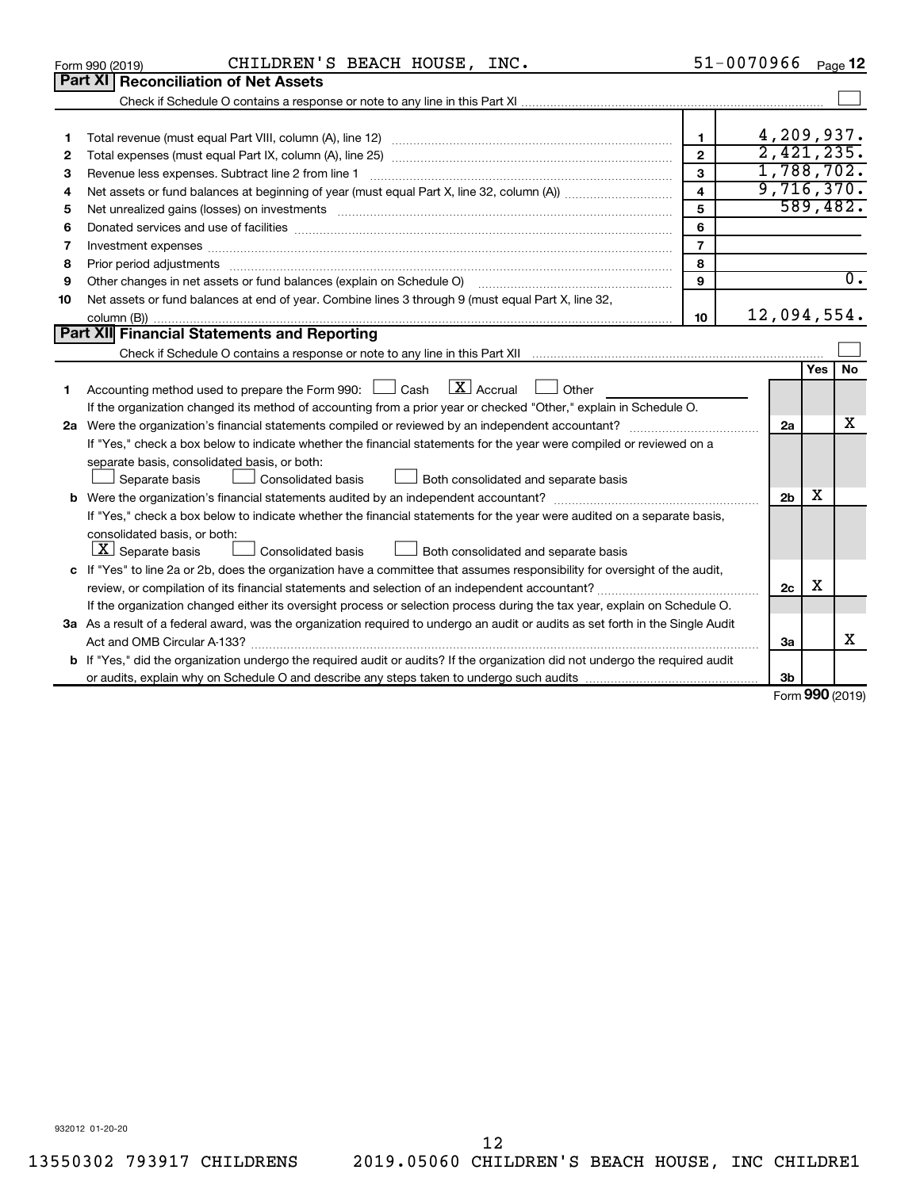|    | CHILDREN'S BEACH HOUSE, INC.<br>Form 990 (2019)                                                                                                                                                                                |                         | 51-0070966     |     | Page 12             |
|----|--------------------------------------------------------------------------------------------------------------------------------------------------------------------------------------------------------------------------------|-------------------------|----------------|-----|---------------------|
|    | <b>Part XI Reconciliation of Net Assets</b>                                                                                                                                                                                    |                         |                |     |                     |
|    |                                                                                                                                                                                                                                |                         |                |     |                     |
|    |                                                                                                                                                                                                                                |                         |                |     |                     |
| 1  |                                                                                                                                                                                                                                | $\mathbf{1}$            | 4,209,937.     |     |                     |
| 2  |                                                                                                                                                                                                                                | $\overline{2}$          | 2,421,235.     |     |                     |
| з  |                                                                                                                                                                                                                                | 3                       | 1,788,702.     |     |                     |
| 4  |                                                                                                                                                                                                                                | $\overline{\mathbf{4}}$ | 9,716,370.     |     |                     |
| 5  | Net unrealized gains (losses) on investments [111] matter in the contract of the contract of the contract of the contract of the contract of the contract of the contract of the contract of the contract of the contract of t | 5                       |                |     | 589,482.            |
| 6  |                                                                                                                                                                                                                                | 6                       |                |     |                     |
| 7  | Investment expenses www.communication.com/www.communication.com/www.communication.com/www.com                                                                                                                                  | $\overline{7}$          |                |     |                     |
| 8  | Prior period adjustments www.communication.communication.com/news/communications/communications/communications                                                                                                                 | 8                       |                |     |                     |
| 9  | Other changes in net assets or fund balances (explain on Schedule O)                                                                                                                                                           | 9                       |                |     | $\overline{0}$ .    |
| 10 | Net assets or fund balances at end of year. Combine lines 3 through 9 (must equal Part X, line 32,                                                                                                                             |                         |                |     |                     |
|    |                                                                                                                                                                                                                                | 10                      | 12,094,554.    |     |                     |
|    | Part XII Financial Statements and Reporting                                                                                                                                                                                    |                         |                |     |                     |
|    |                                                                                                                                                                                                                                |                         |                |     |                     |
|    |                                                                                                                                                                                                                                |                         |                | Yes | No                  |
| 1  | $\lfloor x \rfloor$ Accrual<br>Accounting method used to prepare the Form 990: [130] Cash<br>$\Box$ Other                                                                                                                      |                         |                |     |                     |
|    | If the organization changed its method of accounting from a prior year or checked "Other," explain in Schedule O.                                                                                                              |                         |                |     |                     |
|    |                                                                                                                                                                                                                                |                         | 2a             |     | x                   |
|    | If "Yes," check a box below to indicate whether the financial statements for the year were compiled or reviewed on a                                                                                                           |                         |                |     |                     |
|    | separate basis, consolidated basis, or both:                                                                                                                                                                                   |                         |                |     |                     |
|    | Consolidated basis<br>Both consolidated and separate basis<br>Separate basis                                                                                                                                                   |                         |                |     |                     |
|    |                                                                                                                                                                                                                                |                         | 2 <sub>b</sub> | х   |                     |
|    | If "Yes," check a box below to indicate whether the financial statements for the year were audited on a separate basis,                                                                                                        |                         |                |     |                     |
|    | consolidated basis, or both:                                                                                                                                                                                                   |                         |                |     |                     |
|    | $\lfloor x \rfloor$ Separate basis<br>Consolidated basis<br>Both consolidated and separate basis                                                                                                                               |                         |                |     |                     |
|    | c If "Yes" to line 2a or 2b, does the organization have a committee that assumes responsibility for oversight of the audit,                                                                                                    |                         |                |     |                     |
|    |                                                                                                                                                                                                                                |                         | 2c             | х   |                     |
|    | If the organization changed either its oversight process or selection process during the tax year, explain on Schedule O.                                                                                                      |                         |                |     |                     |
|    | 3a As a result of a federal award, was the organization required to undergo an audit or audits as set forth in the Single Audit                                                                                                |                         |                |     |                     |
|    |                                                                                                                                                                                                                                |                         | 3a             |     | х                   |
|    | <b>b</b> If "Yes," did the organization undergo the required audit or audits? If the organization did not undergo the required audit                                                                                           |                         |                |     |                     |
|    |                                                                                                                                                                                                                                |                         | 3b             |     | $000 \text{ hours}$ |

Form (2019) **990**

932012 01-20-20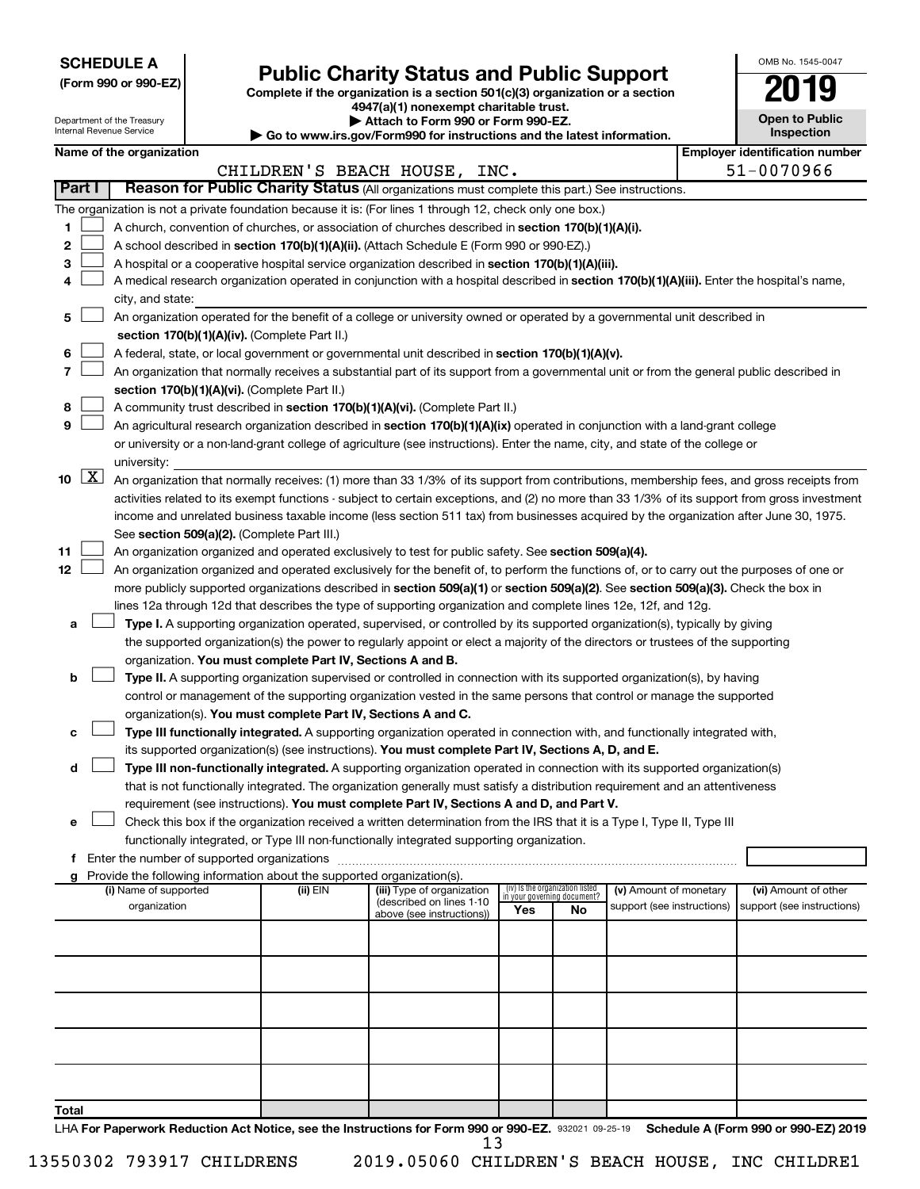| <b>SCHEDULE A</b> |  |
|-------------------|--|
|-------------------|--|

Department of the Treasury Internal Revenue Service

| (Form 990 or 990-EZ) |  |  |  |  |
|----------------------|--|--|--|--|
|----------------------|--|--|--|--|

# Form 990 or 990-EZ) **Public Charity Status and Public Support**<br>
Complete if the organization is a section 501(c)(3) organization or a section<br> **2019**

**4947(a)(1) nonexempt charitable trust. | Attach to Form 990 or Form 990-EZ.** 

**| Go to www.irs.gov/Form990 for instructions and the latest information.**

| <b>Open to Public</b><br>Inspection |
|-------------------------------------|

OMB No. 1545-0047

| Name of the organization |  |
|--------------------------|--|
|--------------------------|--|

|       |          | Name of the organization                                                                                                                                                                                                                                       |          |                                                        |     |                                                                |                            |  | <b>Employer identification number</b> |
|-------|----------|----------------------------------------------------------------------------------------------------------------------------------------------------------------------------------------------------------------------------------------------------------------|----------|--------------------------------------------------------|-----|----------------------------------------------------------------|----------------------------|--|---------------------------------------|
|       |          |                                                                                                                                                                                                                                                                |          | CHILDREN'S BEACH HOUSE, INC.                           |     |                                                                |                            |  | 51-0070966                            |
|       | Part I   | Reason for Public Charity Status (All organizations must complete this part.) See instructions.                                                                                                                                                                |          |                                                        |     |                                                                |                            |  |                                       |
|       |          | The organization is not a private foundation because it is: (For lines 1 through 12, check only one box.)                                                                                                                                                      |          |                                                        |     |                                                                |                            |  |                                       |
| 1     |          | A church, convention of churches, or association of churches described in section 170(b)(1)(A)(i).                                                                                                                                                             |          |                                                        |     |                                                                |                            |  |                                       |
| 2     |          | A school described in section 170(b)(1)(A)(ii). (Attach Schedule E (Form 990 or 990-EZ).)                                                                                                                                                                      |          |                                                        |     |                                                                |                            |  |                                       |
| 3     |          | A hospital or a cooperative hospital service organization described in section 170(b)(1)(A)(iii).                                                                                                                                                              |          |                                                        |     |                                                                |                            |  |                                       |
| 4     |          | A medical research organization operated in conjunction with a hospital described in section 170(b)(1)(A)(iii). Enter the hospital's name,                                                                                                                     |          |                                                        |     |                                                                |                            |  |                                       |
|       |          | city, and state:                                                                                                                                                                                                                                               |          |                                                        |     |                                                                |                            |  |                                       |
| 5     |          | An organization operated for the benefit of a college or university owned or operated by a governmental unit described in                                                                                                                                      |          |                                                        |     |                                                                |                            |  |                                       |
|       |          | section 170(b)(1)(A)(iv). (Complete Part II.)                                                                                                                                                                                                                  |          |                                                        |     |                                                                |                            |  |                                       |
| 6     |          | A federal, state, or local government or governmental unit described in section 170(b)(1)(A)(v).                                                                                                                                                               |          |                                                        |     |                                                                |                            |  |                                       |
| 7     |          | An organization that normally receives a substantial part of its support from a governmental unit or from the general public described in                                                                                                                      |          |                                                        |     |                                                                |                            |  |                                       |
|       |          | section 170(b)(1)(A)(vi). (Complete Part II.)                                                                                                                                                                                                                  |          |                                                        |     |                                                                |                            |  |                                       |
| 8     |          | A community trust described in section 170(b)(1)(A)(vi). (Complete Part II.)                                                                                                                                                                                   |          |                                                        |     |                                                                |                            |  |                                       |
| 9     |          | An agricultural research organization described in section 170(b)(1)(A)(ix) operated in conjunction with a land-grant college                                                                                                                                  |          |                                                        |     |                                                                |                            |  |                                       |
|       |          | or university or a non-land-grant college of agriculture (see instructions). Enter the name, city, and state of the college or                                                                                                                                 |          |                                                        |     |                                                                |                            |  |                                       |
|       |          | university:                                                                                                                                                                                                                                                    |          |                                                        |     |                                                                |                            |  |                                       |
|       | 10 $ X $ | An organization that normally receives: (1) more than 33 1/3% of its support from contributions, membership fees, and gross receipts from                                                                                                                      |          |                                                        |     |                                                                |                            |  |                                       |
|       |          | activities related to its exempt functions - subject to certain exceptions, and (2) no more than 33 1/3% of its support from gross investment                                                                                                                  |          |                                                        |     |                                                                |                            |  |                                       |
|       |          | income and unrelated business taxable income (less section 511 tax) from businesses acquired by the organization after June 30, 1975.                                                                                                                          |          |                                                        |     |                                                                |                            |  |                                       |
|       |          | See section 509(a)(2). (Complete Part III.)                                                                                                                                                                                                                    |          |                                                        |     |                                                                |                            |  |                                       |
| 11    |          | An organization organized and operated exclusively to test for public safety. See section 509(a)(4).                                                                                                                                                           |          |                                                        |     |                                                                |                            |  |                                       |
| 12    |          | An organization organized and operated exclusively for the benefit of, to perform the functions of, or to carry out the purposes of one or                                                                                                                     |          |                                                        |     |                                                                |                            |  |                                       |
|       |          | more publicly supported organizations described in section 509(a)(1) or section 509(a)(2). See section 509(a)(3). Check the box in                                                                                                                             |          |                                                        |     |                                                                |                            |  |                                       |
|       |          | lines 12a through 12d that describes the type of supporting organization and complete lines 12e, 12f, and 12g.                                                                                                                                                 |          |                                                        |     |                                                                |                            |  |                                       |
| a     |          | Type I. A supporting organization operated, supervised, or controlled by its supported organization(s), typically by giving<br>the supported organization(s) the power to regularly appoint or elect a majority of the directors or trustees of the supporting |          |                                                        |     |                                                                |                            |  |                                       |
|       |          | organization. You must complete Part IV, Sections A and B.                                                                                                                                                                                                     |          |                                                        |     |                                                                |                            |  |                                       |
| b     |          | Type II. A supporting organization supervised or controlled in connection with its supported organization(s), by having                                                                                                                                        |          |                                                        |     |                                                                |                            |  |                                       |
|       |          | control or management of the supporting organization vested in the same persons that control or manage the supported                                                                                                                                           |          |                                                        |     |                                                                |                            |  |                                       |
|       |          | organization(s). You must complete Part IV, Sections A and C.                                                                                                                                                                                                  |          |                                                        |     |                                                                |                            |  |                                       |
|       |          | Type III functionally integrated. A supporting organization operated in connection with, and functionally integrated with,                                                                                                                                     |          |                                                        |     |                                                                |                            |  |                                       |
|       |          | its supported organization(s) (see instructions). You must complete Part IV, Sections A, D, and E.                                                                                                                                                             |          |                                                        |     |                                                                |                            |  |                                       |
| d     |          | Type III non-functionally integrated. A supporting organization operated in connection with its supported organization(s)                                                                                                                                      |          |                                                        |     |                                                                |                            |  |                                       |
|       |          | that is not functionally integrated. The organization generally must satisfy a distribution requirement and an attentiveness                                                                                                                                   |          |                                                        |     |                                                                |                            |  |                                       |
|       |          | requirement (see instructions). You must complete Part IV, Sections A and D, and Part V.                                                                                                                                                                       |          |                                                        |     |                                                                |                            |  |                                       |
| е     |          | Check this box if the organization received a written determination from the IRS that it is a Type I, Type II, Type III                                                                                                                                        |          |                                                        |     |                                                                |                            |  |                                       |
|       |          | functionally integrated, or Type III non-functionally integrated supporting organization.                                                                                                                                                                      |          |                                                        |     |                                                                |                            |  |                                       |
|       |          |                                                                                                                                                                                                                                                                |          |                                                        |     |                                                                |                            |  |                                       |
|       |          | Provide the following information about the supported organization(s).                                                                                                                                                                                         |          |                                                        |     |                                                                |                            |  |                                       |
|       |          | (i) Name of supported                                                                                                                                                                                                                                          | (ii) EIN | (iii) Type of organization<br>(described on lines 1-10 |     | (iv) Is the organization listed<br>in your governing document? | (v) Amount of monetary     |  | (vi) Amount of other                  |
|       |          | organization                                                                                                                                                                                                                                                   |          | above (see instructions))                              | Yes | No                                                             | support (see instructions) |  | support (see instructions)            |
|       |          |                                                                                                                                                                                                                                                                |          |                                                        |     |                                                                |                            |  |                                       |
|       |          |                                                                                                                                                                                                                                                                |          |                                                        |     |                                                                |                            |  |                                       |
|       |          |                                                                                                                                                                                                                                                                |          |                                                        |     |                                                                |                            |  |                                       |
|       |          |                                                                                                                                                                                                                                                                |          |                                                        |     |                                                                |                            |  |                                       |
|       |          |                                                                                                                                                                                                                                                                |          |                                                        |     |                                                                |                            |  |                                       |
|       |          |                                                                                                                                                                                                                                                                |          |                                                        |     |                                                                |                            |  |                                       |
|       |          |                                                                                                                                                                                                                                                                |          |                                                        |     |                                                                |                            |  |                                       |
|       |          |                                                                                                                                                                                                                                                                |          |                                                        |     |                                                                |                            |  |                                       |
|       |          |                                                                                                                                                                                                                                                                |          |                                                        |     |                                                                |                            |  |                                       |
| Total |          |                                                                                                                                                                                                                                                                |          |                                                        |     |                                                                |                            |  |                                       |
|       |          | LHA For Paperwork Reduction Act Notice, see the Instructions for Form 990 or 990-EZ. 932021 09-25-19                                                                                                                                                           |          |                                                        |     |                                                                |                            |  | Schedule A (Form 990 or 990-EZ) 2019  |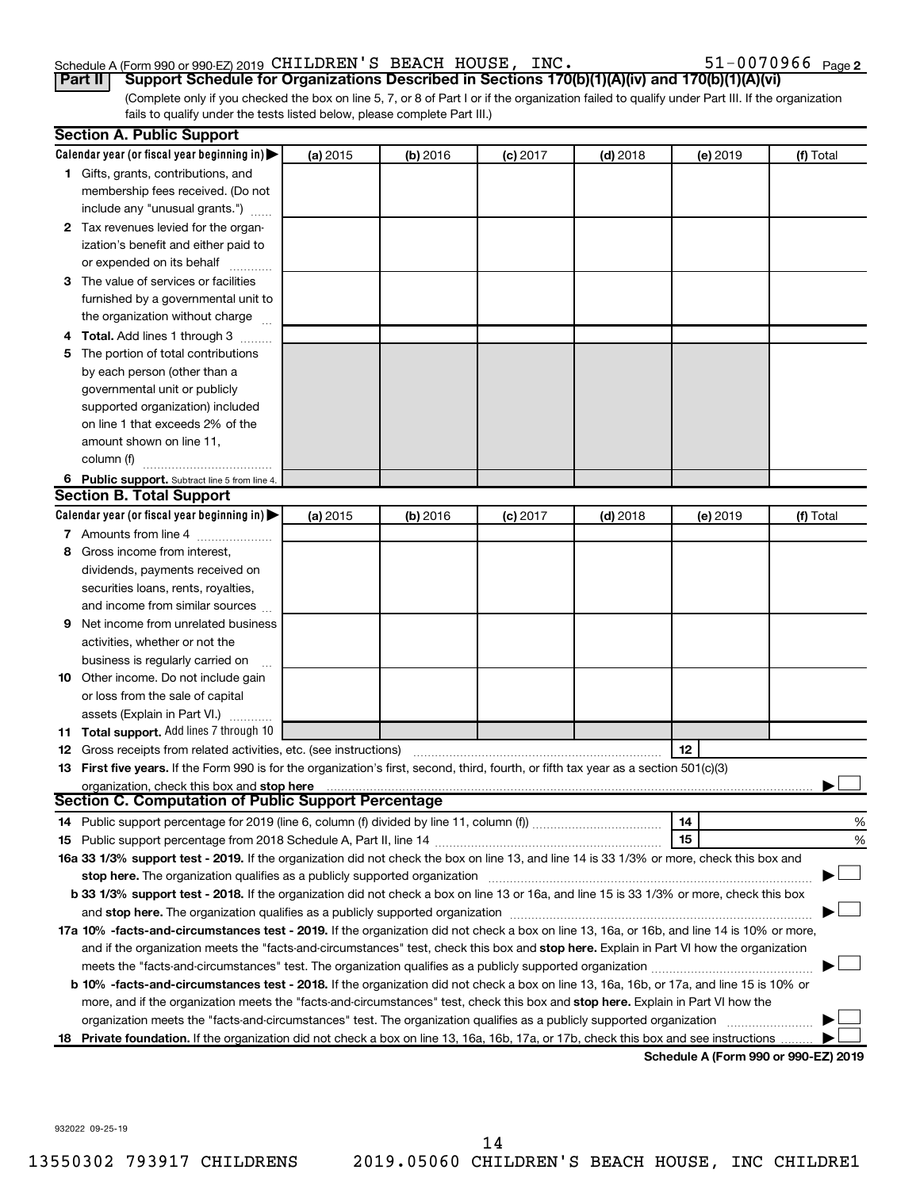#### Schedule A (Form 990 or 990-EZ) 2019 CHILDREN'S BEACH HOUSE, INC.  $51-0070966$  Page

51-0070966 <sub>Page 2</sub>

(Complete only if you checked the box on line 5, 7, or 8 of Part I or if the organization failed to qualify under Part III. If the organization fails to qualify under the tests listed below, please complete Part III.) **Part II Support Schedule for Organizations Described in Sections 170(b)(1)(A)(iv) and 170(b)(1)(A)(vi)**

| Calendar year (or fiscal year beginning in)<br>(a) 2015<br>(b) 2016<br>$(c)$ 2017<br>$(d)$ 2018<br>(e) 2019<br>(f) Total<br>1 Gifts, grants, contributions, and<br>membership fees received. (Do not<br>include any "unusual grants.")<br>2 Tax revenues levied for the organ-<br>ization's benefit and either paid to<br>or expended on its behalf<br>3 The value of services or facilities<br>furnished by a governmental unit to<br>the organization without charge<br>4 Total. Add lines 1 through 3<br>5 The portion of total contributions<br>by each person (other than a<br>governmental unit or publicly<br>supported organization) included<br>on line 1 that exceeds 2% of the<br>amount shown on line 11,<br>column (f)<br>6 Public support. Subtract line 5 from line 4.<br><b>Section B. Total Support</b><br>Calendar year (or fiscal year beginning in)<br>(a) 2015<br>(b) 2016<br>$(c)$ 2017<br>$(d)$ 2018<br>(e) 2019<br>(f) Total<br>7 Amounts from line 4<br>8 Gross income from interest,<br>dividends, payments received on<br>securities loans, rents, royalties,<br>and income from similar sources<br>Net income from unrelated business<br>9<br>activities, whether or not the<br>business is regularly carried on<br>10 Other income. Do not include gain<br>or loss from the sale of capital<br>assets (Explain in Part VI.)<br>11 Total support. Add lines 7 through 10<br>12<br><b>12</b> Gross receipts from related activities, etc. (see instructions)<br>13 First five years. If the Form 990 is for the organization's first, second, third, fourth, or fifth tax year as a section 501(c)(3)<br>organization, check this box and stop here<br><b>Section C. Computation of Public Support Percentage</b><br>14<br>%<br>15<br>%<br>16a 33 1/3% support test - 2019. If the organization did not check the box on line 13, and line 14 is 33 1/3% or more, check this box and<br>stop here. The organization qualifies as a publicly supported organization manufactured content and the support of the state of the state of the state of the state of the state of the state of the state of the state of the<br>b 33 1/3% support test - 2018. If the organization did not check a box on line 13 or 16a, and line 15 is 33 1/3% or more, check this box<br>17a 10% -facts-and-circumstances test - 2019. If the organization did not check a box on line 13, 16a, or 16b, and line 14 is 10% or more,<br>and if the organization meets the "facts-and-circumstances" test, check this box and stop here. Explain in Part VI how the organization<br><b>b 10%</b> -facts-and-circumstances test - 2018. If the organization did not check a box on line 13, 16a, 16b, or 17a, and line 15 is 10% or<br>more, and if the organization meets the "facts-and-circumstances" test, check this box and stop here. Explain in Part VI how the<br>organization meets the "facts-and-circumstances" test. The organization qualifies as a publicly supported organization<br>18 Private foundation. If the organization did not check a box on line 13, 16a, 16b, 17a, or 17b, check this box and see instructions.<br>Schedule A (Form 990 or 990-F7) 2019 | <b>Section A. Public Support</b> |  |  |  |
|------------------------------------------------------------------------------------------------------------------------------------------------------------------------------------------------------------------------------------------------------------------------------------------------------------------------------------------------------------------------------------------------------------------------------------------------------------------------------------------------------------------------------------------------------------------------------------------------------------------------------------------------------------------------------------------------------------------------------------------------------------------------------------------------------------------------------------------------------------------------------------------------------------------------------------------------------------------------------------------------------------------------------------------------------------------------------------------------------------------------------------------------------------------------------------------------------------------------------------------------------------------------------------------------------------------------------------------------------------------------------------------------------------------------------------------------------------------------------------------------------------------------------------------------------------------------------------------------------------------------------------------------------------------------------------------------------------------------------------------------------------------------------------------------------------------------------------------------------------------------------------------------------------------------------------------------------------------------------------------------------------------------------------------------------------------------------------------------------------------------------------------------------------------------------------------------------------------------------------------------------------------------------------------------------------------------------------------------------------------------------------------------------------------------------------------------------------------------------------------------------------------------------------------------------------------------------------------------------------------------------------------------------------------------------------------------------------------------------------------------------------------------------------------------------------------------------------------------------------------------------------------------------------------------------------------------------------------------------------------------------------------------------------------------------------------------------------------------------------------------------------------------------------------------------------------|----------------------------------|--|--|--|
|                                                                                                                                                                                                                                                                                                                                                                                                                                                                                                                                                                                                                                                                                                                                                                                                                                                                                                                                                                                                                                                                                                                                                                                                                                                                                                                                                                                                                                                                                                                                                                                                                                                                                                                                                                                                                                                                                                                                                                                                                                                                                                                                                                                                                                                                                                                                                                                                                                                                                                                                                                                                                                                                                                                                                                                                                                                                                                                                                                                                                                                                                                                                                                                          |                                  |  |  |  |
|                                                                                                                                                                                                                                                                                                                                                                                                                                                                                                                                                                                                                                                                                                                                                                                                                                                                                                                                                                                                                                                                                                                                                                                                                                                                                                                                                                                                                                                                                                                                                                                                                                                                                                                                                                                                                                                                                                                                                                                                                                                                                                                                                                                                                                                                                                                                                                                                                                                                                                                                                                                                                                                                                                                                                                                                                                                                                                                                                                                                                                                                                                                                                                                          |                                  |  |  |  |
|                                                                                                                                                                                                                                                                                                                                                                                                                                                                                                                                                                                                                                                                                                                                                                                                                                                                                                                                                                                                                                                                                                                                                                                                                                                                                                                                                                                                                                                                                                                                                                                                                                                                                                                                                                                                                                                                                                                                                                                                                                                                                                                                                                                                                                                                                                                                                                                                                                                                                                                                                                                                                                                                                                                                                                                                                                                                                                                                                                                                                                                                                                                                                                                          |                                  |  |  |  |
|                                                                                                                                                                                                                                                                                                                                                                                                                                                                                                                                                                                                                                                                                                                                                                                                                                                                                                                                                                                                                                                                                                                                                                                                                                                                                                                                                                                                                                                                                                                                                                                                                                                                                                                                                                                                                                                                                                                                                                                                                                                                                                                                                                                                                                                                                                                                                                                                                                                                                                                                                                                                                                                                                                                                                                                                                                                                                                                                                                                                                                                                                                                                                                                          |                                  |  |  |  |
|                                                                                                                                                                                                                                                                                                                                                                                                                                                                                                                                                                                                                                                                                                                                                                                                                                                                                                                                                                                                                                                                                                                                                                                                                                                                                                                                                                                                                                                                                                                                                                                                                                                                                                                                                                                                                                                                                                                                                                                                                                                                                                                                                                                                                                                                                                                                                                                                                                                                                                                                                                                                                                                                                                                                                                                                                                                                                                                                                                                                                                                                                                                                                                                          |                                  |  |  |  |
|                                                                                                                                                                                                                                                                                                                                                                                                                                                                                                                                                                                                                                                                                                                                                                                                                                                                                                                                                                                                                                                                                                                                                                                                                                                                                                                                                                                                                                                                                                                                                                                                                                                                                                                                                                                                                                                                                                                                                                                                                                                                                                                                                                                                                                                                                                                                                                                                                                                                                                                                                                                                                                                                                                                                                                                                                                                                                                                                                                                                                                                                                                                                                                                          |                                  |  |  |  |
|                                                                                                                                                                                                                                                                                                                                                                                                                                                                                                                                                                                                                                                                                                                                                                                                                                                                                                                                                                                                                                                                                                                                                                                                                                                                                                                                                                                                                                                                                                                                                                                                                                                                                                                                                                                                                                                                                                                                                                                                                                                                                                                                                                                                                                                                                                                                                                                                                                                                                                                                                                                                                                                                                                                                                                                                                                                                                                                                                                                                                                                                                                                                                                                          |                                  |  |  |  |
|                                                                                                                                                                                                                                                                                                                                                                                                                                                                                                                                                                                                                                                                                                                                                                                                                                                                                                                                                                                                                                                                                                                                                                                                                                                                                                                                                                                                                                                                                                                                                                                                                                                                                                                                                                                                                                                                                                                                                                                                                                                                                                                                                                                                                                                                                                                                                                                                                                                                                                                                                                                                                                                                                                                                                                                                                                                                                                                                                                                                                                                                                                                                                                                          |                                  |  |  |  |
|                                                                                                                                                                                                                                                                                                                                                                                                                                                                                                                                                                                                                                                                                                                                                                                                                                                                                                                                                                                                                                                                                                                                                                                                                                                                                                                                                                                                                                                                                                                                                                                                                                                                                                                                                                                                                                                                                                                                                                                                                                                                                                                                                                                                                                                                                                                                                                                                                                                                                                                                                                                                                                                                                                                                                                                                                                                                                                                                                                                                                                                                                                                                                                                          |                                  |  |  |  |
|                                                                                                                                                                                                                                                                                                                                                                                                                                                                                                                                                                                                                                                                                                                                                                                                                                                                                                                                                                                                                                                                                                                                                                                                                                                                                                                                                                                                                                                                                                                                                                                                                                                                                                                                                                                                                                                                                                                                                                                                                                                                                                                                                                                                                                                                                                                                                                                                                                                                                                                                                                                                                                                                                                                                                                                                                                                                                                                                                                                                                                                                                                                                                                                          |                                  |  |  |  |
|                                                                                                                                                                                                                                                                                                                                                                                                                                                                                                                                                                                                                                                                                                                                                                                                                                                                                                                                                                                                                                                                                                                                                                                                                                                                                                                                                                                                                                                                                                                                                                                                                                                                                                                                                                                                                                                                                                                                                                                                                                                                                                                                                                                                                                                                                                                                                                                                                                                                                                                                                                                                                                                                                                                                                                                                                                                                                                                                                                                                                                                                                                                                                                                          |                                  |  |  |  |
|                                                                                                                                                                                                                                                                                                                                                                                                                                                                                                                                                                                                                                                                                                                                                                                                                                                                                                                                                                                                                                                                                                                                                                                                                                                                                                                                                                                                                                                                                                                                                                                                                                                                                                                                                                                                                                                                                                                                                                                                                                                                                                                                                                                                                                                                                                                                                                                                                                                                                                                                                                                                                                                                                                                                                                                                                                                                                                                                                                                                                                                                                                                                                                                          |                                  |  |  |  |
|                                                                                                                                                                                                                                                                                                                                                                                                                                                                                                                                                                                                                                                                                                                                                                                                                                                                                                                                                                                                                                                                                                                                                                                                                                                                                                                                                                                                                                                                                                                                                                                                                                                                                                                                                                                                                                                                                                                                                                                                                                                                                                                                                                                                                                                                                                                                                                                                                                                                                                                                                                                                                                                                                                                                                                                                                                                                                                                                                                                                                                                                                                                                                                                          |                                  |  |  |  |
|                                                                                                                                                                                                                                                                                                                                                                                                                                                                                                                                                                                                                                                                                                                                                                                                                                                                                                                                                                                                                                                                                                                                                                                                                                                                                                                                                                                                                                                                                                                                                                                                                                                                                                                                                                                                                                                                                                                                                                                                                                                                                                                                                                                                                                                                                                                                                                                                                                                                                                                                                                                                                                                                                                                                                                                                                                                                                                                                                                                                                                                                                                                                                                                          |                                  |  |  |  |
|                                                                                                                                                                                                                                                                                                                                                                                                                                                                                                                                                                                                                                                                                                                                                                                                                                                                                                                                                                                                                                                                                                                                                                                                                                                                                                                                                                                                                                                                                                                                                                                                                                                                                                                                                                                                                                                                                                                                                                                                                                                                                                                                                                                                                                                                                                                                                                                                                                                                                                                                                                                                                                                                                                                                                                                                                                                                                                                                                                                                                                                                                                                                                                                          |                                  |  |  |  |
|                                                                                                                                                                                                                                                                                                                                                                                                                                                                                                                                                                                                                                                                                                                                                                                                                                                                                                                                                                                                                                                                                                                                                                                                                                                                                                                                                                                                                                                                                                                                                                                                                                                                                                                                                                                                                                                                                                                                                                                                                                                                                                                                                                                                                                                                                                                                                                                                                                                                                                                                                                                                                                                                                                                                                                                                                                                                                                                                                                                                                                                                                                                                                                                          |                                  |  |  |  |
|                                                                                                                                                                                                                                                                                                                                                                                                                                                                                                                                                                                                                                                                                                                                                                                                                                                                                                                                                                                                                                                                                                                                                                                                                                                                                                                                                                                                                                                                                                                                                                                                                                                                                                                                                                                                                                                                                                                                                                                                                                                                                                                                                                                                                                                                                                                                                                                                                                                                                                                                                                                                                                                                                                                                                                                                                                                                                                                                                                                                                                                                                                                                                                                          |                                  |  |  |  |
|                                                                                                                                                                                                                                                                                                                                                                                                                                                                                                                                                                                                                                                                                                                                                                                                                                                                                                                                                                                                                                                                                                                                                                                                                                                                                                                                                                                                                                                                                                                                                                                                                                                                                                                                                                                                                                                                                                                                                                                                                                                                                                                                                                                                                                                                                                                                                                                                                                                                                                                                                                                                                                                                                                                                                                                                                                                                                                                                                                                                                                                                                                                                                                                          |                                  |  |  |  |
|                                                                                                                                                                                                                                                                                                                                                                                                                                                                                                                                                                                                                                                                                                                                                                                                                                                                                                                                                                                                                                                                                                                                                                                                                                                                                                                                                                                                                                                                                                                                                                                                                                                                                                                                                                                                                                                                                                                                                                                                                                                                                                                                                                                                                                                                                                                                                                                                                                                                                                                                                                                                                                                                                                                                                                                                                                                                                                                                                                                                                                                                                                                                                                                          |                                  |  |  |  |
|                                                                                                                                                                                                                                                                                                                                                                                                                                                                                                                                                                                                                                                                                                                                                                                                                                                                                                                                                                                                                                                                                                                                                                                                                                                                                                                                                                                                                                                                                                                                                                                                                                                                                                                                                                                                                                                                                                                                                                                                                                                                                                                                                                                                                                                                                                                                                                                                                                                                                                                                                                                                                                                                                                                                                                                                                                                                                                                                                                                                                                                                                                                                                                                          |                                  |  |  |  |
|                                                                                                                                                                                                                                                                                                                                                                                                                                                                                                                                                                                                                                                                                                                                                                                                                                                                                                                                                                                                                                                                                                                                                                                                                                                                                                                                                                                                                                                                                                                                                                                                                                                                                                                                                                                                                                                                                                                                                                                                                                                                                                                                                                                                                                                                                                                                                                                                                                                                                                                                                                                                                                                                                                                                                                                                                                                                                                                                                                                                                                                                                                                                                                                          |                                  |  |  |  |
|                                                                                                                                                                                                                                                                                                                                                                                                                                                                                                                                                                                                                                                                                                                                                                                                                                                                                                                                                                                                                                                                                                                                                                                                                                                                                                                                                                                                                                                                                                                                                                                                                                                                                                                                                                                                                                                                                                                                                                                                                                                                                                                                                                                                                                                                                                                                                                                                                                                                                                                                                                                                                                                                                                                                                                                                                                                                                                                                                                                                                                                                                                                                                                                          |                                  |  |  |  |
|                                                                                                                                                                                                                                                                                                                                                                                                                                                                                                                                                                                                                                                                                                                                                                                                                                                                                                                                                                                                                                                                                                                                                                                                                                                                                                                                                                                                                                                                                                                                                                                                                                                                                                                                                                                                                                                                                                                                                                                                                                                                                                                                                                                                                                                                                                                                                                                                                                                                                                                                                                                                                                                                                                                                                                                                                                                                                                                                                                                                                                                                                                                                                                                          |                                  |  |  |  |
|                                                                                                                                                                                                                                                                                                                                                                                                                                                                                                                                                                                                                                                                                                                                                                                                                                                                                                                                                                                                                                                                                                                                                                                                                                                                                                                                                                                                                                                                                                                                                                                                                                                                                                                                                                                                                                                                                                                                                                                                                                                                                                                                                                                                                                                                                                                                                                                                                                                                                                                                                                                                                                                                                                                                                                                                                                                                                                                                                                                                                                                                                                                                                                                          |                                  |  |  |  |
|                                                                                                                                                                                                                                                                                                                                                                                                                                                                                                                                                                                                                                                                                                                                                                                                                                                                                                                                                                                                                                                                                                                                                                                                                                                                                                                                                                                                                                                                                                                                                                                                                                                                                                                                                                                                                                                                                                                                                                                                                                                                                                                                                                                                                                                                                                                                                                                                                                                                                                                                                                                                                                                                                                                                                                                                                                                                                                                                                                                                                                                                                                                                                                                          |                                  |  |  |  |
|                                                                                                                                                                                                                                                                                                                                                                                                                                                                                                                                                                                                                                                                                                                                                                                                                                                                                                                                                                                                                                                                                                                                                                                                                                                                                                                                                                                                                                                                                                                                                                                                                                                                                                                                                                                                                                                                                                                                                                                                                                                                                                                                                                                                                                                                                                                                                                                                                                                                                                                                                                                                                                                                                                                                                                                                                                                                                                                                                                                                                                                                                                                                                                                          |                                  |  |  |  |
|                                                                                                                                                                                                                                                                                                                                                                                                                                                                                                                                                                                                                                                                                                                                                                                                                                                                                                                                                                                                                                                                                                                                                                                                                                                                                                                                                                                                                                                                                                                                                                                                                                                                                                                                                                                                                                                                                                                                                                                                                                                                                                                                                                                                                                                                                                                                                                                                                                                                                                                                                                                                                                                                                                                                                                                                                                                                                                                                                                                                                                                                                                                                                                                          |                                  |  |  |  |
|                                                                                                                                                                                                                                                                                                                                                                                                                                                                                                                                                                                                                                                                                                                                                                                                                                                                                                                                                                                                                                                                                                                                                                                                                                                                                                                                                                                                                                                                                                                                                                                                                                                                                                                                                                                                                                                                                                                                                                                                                                                                                                                                                                                                                                                                                                                                                                                                                                                                                                                                                                                                                                                                                                                                                                                                                                                                                                                                                                                                                                                                                                                                                                                          |                                  |  |  |  |
|                                                                                                                                                                                                                                                                                                                                                                                                                                                                                                                                                                                                                                                                                                                                                                                                                                                                                                                                                                                                                                                                                                                                                                                                                                                                                                                                                                                                                                                                                                                                                                                                                                                                                                                                                                                                                                                                                                                                                                                                                                                                                                                                                                                                                                                                                                                                                                                                                                                                                                                                                                                                                                                                                                                                                                                                                                                                                                                                                                                                                                                                                                                                                                                          |                                  |  |  |  |
|                                                                                                                                                                                                                                                                                                                                                                                                                                                                                                                                                                                                                                                                                                                                                                                                                                                                                                                                                                                                                                                                                                                                                                                                                                                                                                                                                                                                                                                                                                                                                                                                                                                                                                                                                                                                                                                                                                                                                                                                                                                                                                                                                                                                                                                                                                                                                                                                                                                                                                                                                                                                                                                                                                                                                                                                                                                                                                                                                                                                                                                                                                                                                                                          |                                  |  |  |  |
|                                                                                                                                                                                                                                                                                                                                                                                                                                                                                                                                                                                                                                                                                                                                                                                                                                                                                                                                                                                                                                                                                                                                                                                                                                                                                                                                                                                                                                                                                                                                                                                                                                                                                                                                                                                                                                                                                                                                                                                                                                                                                                                                                                                                                                                                                                                                                                                                                                                                                                                                                                                                                                                                                                                                                                                                                                                                                                                                                                                                                                                                                                                                                                                          |                                  |  |  |  |
|                                                                                                                                                                                                                                                                                                                                                                                                                                                                                                                                                                                                                                                                                                                                                                                                                                                                                                                                                                                                                                                                                                                                                                                                                                                                                                                                                                                                                                                                                                                                                                                                                                                                                                                                                                                                                                                                                                                                                                                                                                                                                                                                                                                                                                                                                                                                                                                                                                                                                                                                                                                                                                                                                                                                                                                                                                                                                                                                                                                                                                                                                                                                                                                          |                                  |  |  |  |
|                                                                                                                                                                                                                                                                                                                                                                                                                                                                                                                                                                                                                                                                                                                                                                                                                                                                                                                                                                                                                                                                                                                                                                                                                                                                                                                                                                                                                                                                                                                                                                                                                                                                                                                                                                                                                                                                                                                                                                                                                                                                                                                                                                                                                                                                                                                                                                                                                                                                                                                                                                                                                                                                                                                                                                                                                                                                                                                                                                                                                                                                                                                                                                                          |                                  |  |  |  |
|                                                                                                                                                                                                                                                                                                                                                                                                                                                                                                                                                                                                                                                                                                                                                                                                                                                                                                                                                                                                                                                                                                                                                                                                                                                                                                                                                                                                                                                                                                                                                                                                                                                                                                                                                                                                                                                                                                                                                                                                                                                                                                                                                                                                                                                                                                                                                                                                                                                                                                                                                                                                                                                                                                                                                                                                                                                                                                                                                                                                                                                                                                                                                                                          |                                  |  |  |  |
|                                                                                                                                                                                                                                                                                                                                                                                                                                                                                                                                                                                                                                                                                                                                                                                                                                                                                                                                                                                                                                                                                                                                                                                                                                                                                                                                                                                                                                                                                                                                                                                                                                                                                                                                                                                                                                                                                                                                                                                                                                                                                                                                                                                                                                                                                                                                                                                                                                                                                                                                                                                                                                                                                                                                                                                                                                                                                                                                                                                                                                                                                                                                                                                          |                                  |  |  |  |
|                                                                                                                                                                                                                                                                                                                                                                                                                                                                                                                                                                                                                                                                                                                                                                                                                                                                                                                                                                                                                                                                                                                                                                                                                                                                                                                                                                                                                                                                                                                                                                                                                                                                                                                                                                                                                                                                                                                                                                                                                                                                                                                                                                                                                                                                                                                                                                                                                                                                                                                                                                                                                                                                                                                                                                                                                                                                                                                                                                                                                                                                                                                                                                                          |                                  |  |  |  |
|                                                                                                                                                                                                                                                                                                                                                                                                                                                                                                                                                                                                                                                                                                                                                                                                                                                                                                                                                                                                                                                                                                                                                                                                                                                                                                                                                                                                                                                                                                                                                                                                                                                                                                                                                                                                                                                                                                                                                                                                                                                                                                                                                                                                                                                                                                                                                                                                                                                                                                                                                                                                                                                                                                                                                                                                                                                                                                                                                                                                                                                                                                                                                                                          |                                  |  |  |  |
|                                                                                                                                                                                                                                                                                                                                                                                                                                                                                                                                                                                                                                                                                                                                                                                                                                                                                                                                                                                                                                                                                                                                                                                                                                                                                                                                                                                                                                                                                                                                                                                                                                                                                                                                                                                                                                                                                                                                                                                                                                                                                                                                                                                                                                                                                                                                                                                                                                                                                                                                                                                                                                                                                                                                                                                                                                                                                                                                                                                                                                                                                                                                                                                          |                                  |  |  |  |
|                                                                                                                                                                                                                                                                                                                                                                                                                                                                                                                                                                                                                                                                                                                                                                                                                                                                                                                                                                                                                                                                                                                                                                                                                                                                                                                                                                                                                                                                                                                                                                                                                                                                                                                                                                                                                                                                                                                                                                                                                                                                                                                                                                                                                                                                                                                                                                                                                                                                                                                                                                                                                                                                                                                                                                                                                                                                                                                                                                                                                                                                                                                                                                                          |                                  |  |  |  |
|                                                                                                                                                                                                                                                                                                                                                                                                                                                                                                                                                                                                                                                                                                                                                                                                                                                                                                                                                                                                                                                                                                                                                                                                                                                                                                                                                                                                                                                                                                                                                                                                                                                                                                                                                                                                                                                                                                                                                                                                                                                                                                                                                                                                                                                                                                                                                                                                                                                                                                                                                                                                                                                                                                                                                                                                                                                                                                                                                                                                                                                                                                                                                                                          |                                  |  |  |  |
|                                                                                                                                                                                                                                                                                                                                                                                                                                                                                                                                                                                                                                                                                                                                                                                                                                                                                                                                                                                                                                                                                                                                                                                                                                                                                                                                                                                                                                                                                                                                                                                                                                                                                                                                                                                                                                                                                                                                                                                                                                                                                                                                                                                                                                                                                                                                                                                                                                                                                                                                                                                                                                                                                                                                                                                                                                                                                                                                                                                                                                                                                                                                                                                          |                                  |  |  |  |
|                                                                                                                                                                                                                                                                                                                                                                                                                                                                                                                                                                                                                                                                                                                                                                                                                                                                                                                                                                                                                                                                                                                                                                                                                                                                                                                                                                                                                                                                                                                                                                                                                                                                                                                                                                                                                                                                                                                                                                                                                                                                                                                                                                                                                                                                                                                                                                                                                                                                                                                                                                                                                                                                                                                                                                                                                                                                                                                                                                                                                                                                                                                                                                                          |                                  |  |  |  |
|                                                                                                                                                                                                                                                                                                                                                                                                                                                                                                                                                                                                                                                                                                                                                                                                                                                                                                                                                                                                                                                                                                                                                                                                                                                                                                                                                                                                                                                                                                                                                                                                                                                                                                                                                                                                                                                                                                                                                                                                                                                                                                                                                                                                                                                                                                                                                                                                                                                                                                                                                                                                                                                                                                                                                                                                                                                                                                                                                                                                                                                                                                                                                                                          |                                  |  |  |  |
|                                                                                                                                                                                                                                                                                                                                                                                                                                                                                                                                                                                                                                                                                                                                                                                                                                                                                                                                                                                                                                                                                                                                                                                                                                                                                                                                                                                                                                                                                                                                                                                                                                                                                                                                                                                                                                                                                                                                                                                                                                                                                                                                                                                                                                                                                                                                                                                                                                                                                                                                                                                                                                                                                                                                                                                                                                                                                                                                                                                                                                                                                                                                                                                          |                                  |  |  |  |
|                                                                                                                                                                                                                                                                                                                                                                                                                                                                                                                                                                                                                                                                                                                                                                                                                                                                                                                                                                                                                                                                                                                                                                                                                                                                                                                                                                                                                                                                                                                                                                                                                                                                                                                                                                                                                                                                                                                                                                                                                                                                                                                                                                                                                                                                                                                                                                                                                                                                                                                                                                                                                                                                                                                                                                                                                                                                                                                                                                                                                                                                                                                                                                                          |                                  |  |  |  |
|                                                                                                                                                                                                                                                                                                                                                                                                                                                                                                                                                                                                                                                                                                                                                                                                                                                                                                                                                                                                                                                                                                                                                                                                                                                                                                                                                                                                                                                                                                                                                                                                                                                                                                                                                                                                                                                                                                                                                                                                                                                                                                                                                                                                                                                                                                                                                                                                                                                                                                                                                                                                                                                                                                                                                                                                                                                                                                                                                                                                                                                                                                                                                                                          |                                  |  |  |  |
|                                                                                                                                                                                                                                                                                                                                                                                                                                                                                                                                                                                                                                                                                                                                                                                                                                                                                                                                                                                                                                                                                                                                                                                                                                                                                                                                                                                                                                                                                                                                                                                                                                                                                                                                                                                                                                                                                                                                                                                                                                                                                                                                                                                                                                                                                                                                                                                                                                                                                                                                                                                                                                                                                                                                                                                                                                                                                                                                                                                                                                                                                                                                                                                          |                                  |  |  |  |
|                                                                                                                                                                                                                                                                                                                                                                                                                                                                                                                                                                                                                                                                                                                                                                                                                                                                                                                                                                                                                                                                                                                                                                                                                                                                                                                                                                                                                                                                                                                                                                                                                                                                                                                                                                                                                                                                                                                                                                                                                                                                                                                                                                                                                                                                                                                                                                                                                                                                                                                                                                                                                                                                                                                                                                                                                                                                                                                                                                                                                                                                                                                                                                                          |                                  |  |  |  |
|                                                                                                                                                                                                                                                                                                                                                                                                                                                                                                                                                                                                                                                                                                                                                                                                                                                                                                                                                                                                                                                                                                                                                                                                                                                                                                                                                                                                                                                                                                                                                                                                                                                                                                                                                                                                                                                                                                                                                                                                                                                                                                                                                                                                                                                                                                                                                                                                                                                                                                                                                                                                                                                                                                                                                                                                                                                                                                                                                                                                                                                                                                                                                                                          |                                  |  |  |  |
|                                                                                                                                                                                                                                                                                                                                                                                                                                                                                                                                                                                                                                                                                                                                                                                                                                                                                                                                                                                                                                                                                                                                                                                                                                                                                                                                                                                                                                                                                                                                                                                                                                                                                                                                                                                                                                                                                                                                                                                                                                                                                                                                                                                                                                                                                                                                                                                                                                                                                                                                                                                                                                                                                                                                                                                                                                                                                                                                                                                                                                                                                                                                                                                          |                                  |  |  |  |

**Schedule A (Form 990 or 990-EZ) 2019**

932022 09-25-19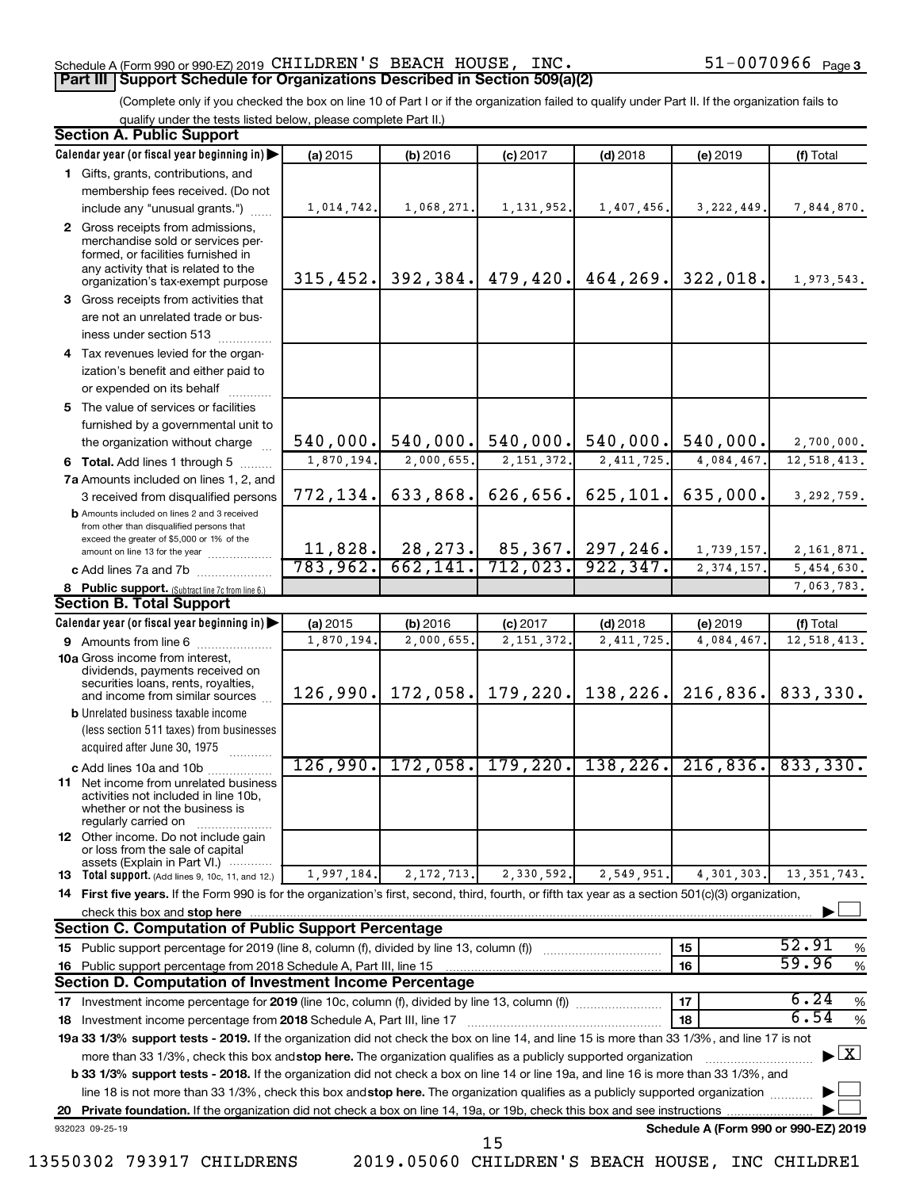#### Schedule A (Form 990 or 990-EZ) 2019 CHILDREN'S BEACH HOUSE, INC.  $51-0070966$  Page

### **Part III Support Schedule for Organizations Described in Section 509(a)(2)**

(Complete only if you checked the box on line 10 of Part I or if the organization failed to qualify under Part II. If the organization fails to qualify under the tests listed below, please complete Part II.)

|                                                                                                                                                                                                                                            | <b>Section A. Public Support</b>                                                                                                                    |                         |                                       |                                 |                           |                       |                                          |  |
|--------------------------------------------------------------------------------------------------------------------------------------------------------------------------------------------------------------------------------------------|-----------------------------------------------------------------------------------------------------------------------------------------------------|-------------------------|---------------------------------------|---------------------------------|---------------------------|-----------------------|------------------------------------------|--|
|                                                                                                                                                                                                                                            | Calendar year (or fiscal year beginning in)                                                                                                         | (a) 2015                | (b) 2016                              | $(c)$ 2017                      | $(d)$ 2018                | (e) 2019              | (f) Total                                |  |
|                                                                                                                                                                                                                                            | 1 Gifts, grants, contributions, and                                                                                                                 |                         |                                       |                                 |                           |                       |                                          |  |
|                                                                                                                                                                                                                                            | membership fees received. (Do not                                                                                                                   |                         |                                       |                                 |                           |                       |                                          |  |
|                                                                                                                                                                                                                                            | include any "unusual grants.")                                                                                                                      | 1,014,742.              | 1,068,271.                            | 1, 131, 952.                    | 1,407,456.                | 3, 222, 449.          | 7,844,870.                               |  |
|                                                                                                                                                                                                                                            | 2 Gross receipts from admissions,<br>merchandise sold or services per-<br>formed, or facilities furnished in<br>any activity that is related to the | 315, 452.               |                                       | 392, 384.   479, 420.           | 464, 269.                 | 322,018.              |                                          |  |
|                                                                                                                                                                                                                                            | organization's tax-exempt purpose                                                                                                                   |                         |                                       |                                 |                           |                       | 1,973,543.                               |  |
|                                                                                                                                                                                                                                            | 3 Gross receipts from activities that                                                                                                               |                         |                                       |                                 |                           |                       |                                          |  |
|                                                                                                                                                                                                                                            | are not an unrelated trade or bus-<br>iness under section 513                                                                                       |                         |                                       |                                 |                           |                       |                                          |  |
|                                                                                                                                                                                                                                            | 4 Tax revenues levied for the organ-                                                                                                                |                         |                                       |                                 |                           |                       |                                          |  |
|                                                                                                                                                                                                                                            | ization's benefit and either paid to<br>or expended on its behalf                                                                                   |                         |                                       |                                 |                           |                       |                                          |  |
|                                                                                                                                                                                                                                            | 5 The value of services or facilities                                                                                                               |                         |                                       |                                 |                           |                       |                                          |  |
|                                                                                                                                                                                                                                            | furnished by a governmental unit to                                                                                                                 |                         |                                       |                                 |                           |                       |                                          |  |
|                                                                                                                                                                                                                                            | the organization without charge                                                                                                                     | 540,000.                |                                       | $540,000$ . 540,000.            | 540,000.                  | 540,000.              | 2,700,000.                               |  |
|                                                                                                                                                                                                                                            | 6 Total. Add lines 1 through 5                                                                                                                      | $\overline{1,870,194.}$ | 2,000,655.                            | 2, 151, 372.                    | 2, 411, 725.              | 4,084,467.            | 12,518,413.                              |  |
|                                                                                                                                                                                                                                            | 7a Amounts included on lines 1, 2, and                                                                                                              |                         |                                       |                                 |                           |                       |                                          |  |
|                                                                                                                                                                                                                                            | 3 received from disqualified persons                                                                                                                | 772,134.                | 633,868.                              | 626,656.                        | 625,101.                  | 635,000.              | 3,292,759.                               |  |
|                                                                                                                                                                                                                                            | <b>b</b> Amounts included on lines 2 and 3 received<br>from other than disqualified persons that<br>exceed the greater of \$5,000 or 1% of the      |                         |                                       |                                 |                           |                       |                                          |  |
|                                                                                                                                                                                                                                            | amount on line 13 for the year                                                                                                                      | 783,962.                | $11,828.$ 28, 273. 85, 367. 297, 246. |                                 |                           | 1,739,157.            | 2, 161, 871.                             |  |
|                                                                                                                                                                                                                                            | c Add lines 7a and 7b                                                                                                                               |                         |                                       | 662, 141. 712, 023. 922, 347.   |                           | 2, 374, 157.          | 5,454,630.                               |  |
|                                                                                                                                                                                                                                            | 8 Public support. (Subtract line 7c from line 6.)                                                                                                   |                         |                                       |                                 |                           |                       | 7,063,783.                               |  |
|                                                                                                                                                                                                                                            | <b>Section B. Total Support</b>                                                                                                                     |                         |                                       |                                 |                           |                       |                                          |  |
|                                                                                                                                                                                                                                            | Calendar year (or fiscal year beginning in)                                                                                                         | (a) 2015<br>1,870,194.  | (b) 2016<br>2,000,655.                | $(c)$ 2017<br>2, 151, 372.      | $(d)$ 2018<br>2, 411, 725 | (e) 2019<br>4,084,467 | (f) Total<br>12,518,413.                 |  |
|                                                                                                                                                                                                                                            | <b>9</b> Amounts from line 6<br><b>10a</b> Gross income from interest,                                                                              |                         |                                       |                                 |                           |                       |                                          |  |
|                                                                                                                                                                                                                                            | dividends, payments received on<br>securities loans, rents, royalties,<br>and income from similar sources                                           | 126,990.                |                                       | $172,058$ , 179, 220. 138, 226. |                           | 216,836.              | 833,330.                                 |  |
|                                                                                                                                                                                                                                            | <b>b</b> Unrelated business taxable income                                                                                                          |                         |                                       |                                 |                           |                       |                                          |  |
|                                                                                                                                                                                                                                            | (less section 511 taxes) from businesses                                                                                                            |                         |                                       |                                 |                           |                       |                                          |  |
|                                                                                                                                                                                                                                            | acquired after June 30, 1975                                                                                                                        |                         |                                       |                                 |                           |                       |                                          |  |
|                                                                                                                                                                                                                                            | c Add lines 10a and 10b                                                                                                                             | 126,990.                |                                       | $172,058$ , 179, 220, 138, 226, |                           | 216,836.              | 833,330.                                 |  |
|                                                                                                                                                                                                                                            | <b>11</b> Net income from unrelated business<br>activities not included in line 10b,<br>whether or not the business is<br>regularly carried on      |                         |                                       |                                 |                           |                       |                                          |  |
|                                                                                                                                                                                                                                            | <b>12</b> Other income. Do not include gain<br>or loss from the sale of capital<br>assets (Explain in Part VI.)                                     |                         |                                       |                                 |                           |                       |                                          |  |
|                                                                                                                                                                                                                                            | <b>13</b> Total support. (Add lines 9, 10c, 11, and 12.)                                                                                            | 1,997,184.              | 2, 172, 713.                          | 2,330,592.                      | 2,549,951.                | 4,301,303.            | 13, 351, 743.                            |  |
|                                                                                                                                                                                                                                            | 14 First five years. If the Form 990 is for the organization's first, second, third, fourth, or fifth tax year as a section 501(c)(3) organization, |                         |                                       |                                 |                           |                       |                                          |  |
|                                                                                                                                                                                                                                            | check this box and stop here                                                                                                                        |                         |                                       |                                 |                           |                       |                                          |  |
|                                                                                                                                                                                                                                            | <b>Section C. Computation of Public Support Percentage</b>                                                                                          |                         |                                       |                                 |                           |                       |                                          |  |
|                                                                                                                                                                                                                                            |                                                                                                                                                     |                         |                                       |                                 |                           | 15                    | 52.91<br>%                               |  |
|                                                                                                                                                                                                                                            | 16 Public support percentage from 2018 Schedule A, Part III, line 15                                                                                |                         |                                       |                                 |                           | 16                    | 59.96<br>$\%$                            |  |
|                                                                                                                                                                                                                                            | <b>Section D. Computation of Investment Income Percentage</b>                                                                                       |                         |                                       |                                 |                           |                       |                                          |  |
| 6.24<br>17<br>$\%$<br>17 Investment income percentage for 2019 (line 10c, column (f), divided by line 13, column (f))                                                                                                                      |                                                                                                                                                     |                         |                                       |                                 |                           |                       |                                          |  |
| 6.54<br>%<br>18<br>18 Investment income percentage from 2018 Schedule A, Part III, line 17<br>19a 33 1/3% support tests - 2019. If the organization did not check the box on line 14, and line 15 is more than 33 1/3%, and line 17 is not |                                                                                                                                                     |                         |                                       |                                 |                           |                       |                                          |  |
|                                                                                                                                                                                                                                            |                                                                                                                                                     |                         |                                       |                                 |                           |                       | $\blacktriangleright$ $\boxed{\text{X}}$ |  |
|                                                                                                                                                                                                                                            | more than 33 1/3%, check this box and stop here. The organization qualifies as a publicly supported organization                                    |                         |                                       |                                 |                           |                       |                                          |  |
|                                                                                                                                                                                                                                            | b 33 1/3% support tests - 2018. If the organization did not check a box on line 14 or line 19a, and line 16 is more than 33 1/3%, and               |                         |                                       |                                 |                           |                       |                                          |  |
|                                                                                                                                                                                                                                            | line 18 is not more than 33 1/3%, check this box and stop here. The organization qualifies as a publicly supported organization                     |                         |                                       |                                 |                           |                       |                                          |  |
| 20                                                                                                                                                                                                                                         |                                                                                                                                                     |                         |                                       |                                 |                           |                       |                                          |  |
|                                                                                                                                                                                                                                            | Schedule A (Form 990 or 990-EZ) 2019<br>932023 09-25-19<br>15                                                                                       |                         |                                       |                                 |                           |                       |                                          |  |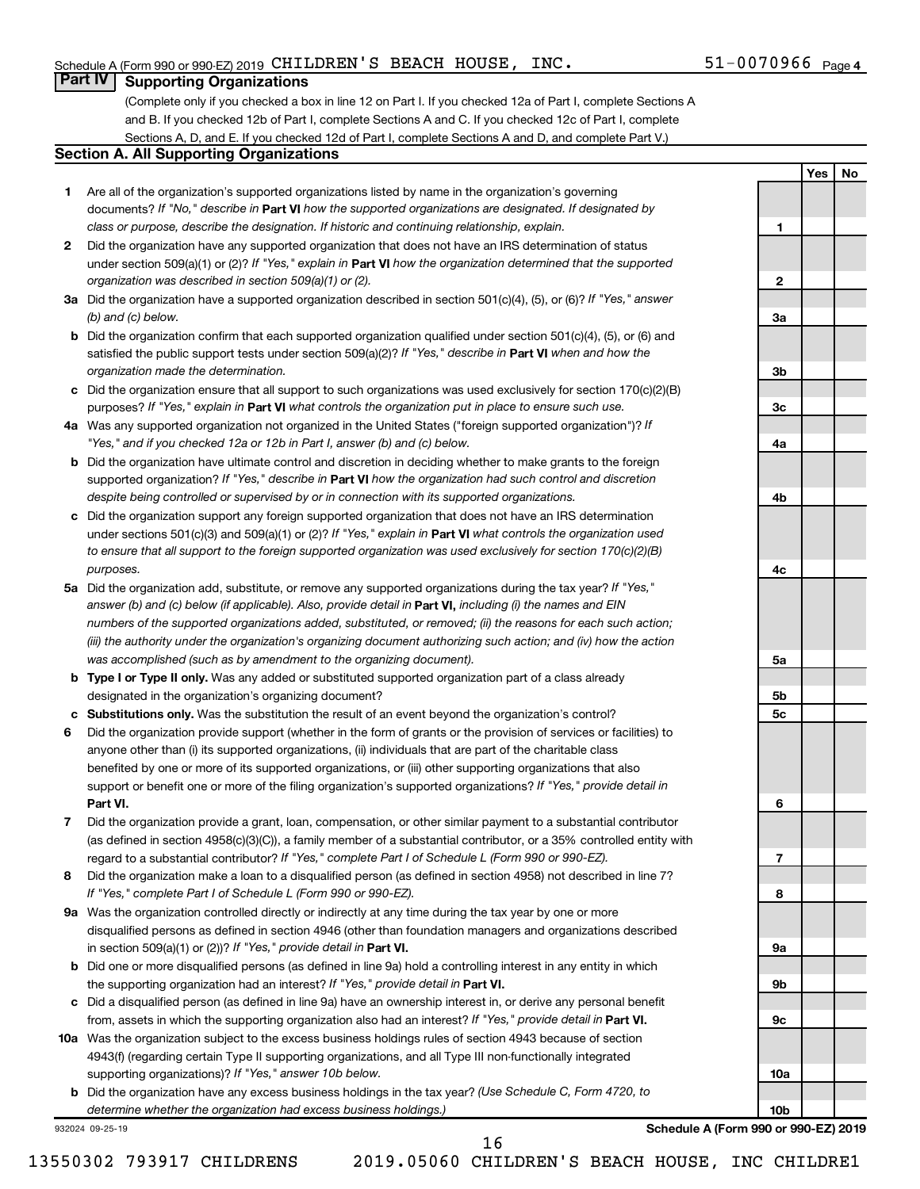**1**

**2**

**3a**

**3b**

**3c**

**4a**

**4b**

**4c**

**5a**

**5b 5c**

**6**

**7**

**8**

**9a**

**9b**

**9c**

**10a**

**10b**

**Yes No**

### **Part IV Supporting Organizations**

(Complete only if you checked a box in line 12 on Part I. If you checked 12a of Part I, complete Sections A and B. If you checked 12b of Part I, complete Sections A and C. If you checked 12c of Part I, complete Sections A, D, and E. If you checked 12d of Part I, complete Sections A and D, and complete Part V.)

#### **Section A. All Supporting Organizations**

- **1** Are all of the organization's supported organizations listed by name in the organization's governing documents? If "No," describe in Part VI how the supported organizations are designated. If designated by *class or purpose, describe the designation. If historic and continuing relationship, explain.*
- **2** Did the organization have any supported organization that does not have an IRS determination of status under section 509(a)(1) or (2)? If "Yes," explain in Part **VI** how the organization determined that the supported *organization was described in section 509(a)(1) or (2).*
- **3a** Did the organization have a supported organization described in section 501(c)(4), (5), or (6)? If "Yes," answer *(b) and (c) below.*
- **b** Did the organization confirm that each supported organization qualified under section 501(c)(4), (5), or (6) and satisfied the public support tests under section 509(a)(2)? If "Yes," describe in Part VI when and how the *organization made the determination.*
- **c** Did the organization ensure that all support to such organizations was used exclusively for section 170(c)(2)(B) purposes? If "Yes," explain in Part VI what controls the organization put in place to ensure such use.
- **4 a** *If* Was any supported organization not organized in the United States ("foreign supported organization")? *"Yes," and if you checked 12a or 12b in Part I, answer (b) and (c) below.*
- **b** Did the organization have ultimate control and discretion in deciding whether to make grants to the foreign supported organization? If "Yes," describe in Part VI how the organization had such control and discretion *despite being controlled or supervised by or in connection with its supported organizations.*
- **c** Did the organization support any foreign supported organization that does not have an IRS determination under sections 501(c)(3) and 509(a)(1) or (2)? If "Yes," explain in Part VI what controls the organization used *to ensure that all support to the foreign supported organization was used exclusively for section 170(c)(2)(B) purposes.*
- **5a** Did the organization add, substitute, or remove any supported organizations during the tax year? If "Yes," answer (b) and (c) below (if applicable). Also, provide detail in **Part VI,** including (i) the names and EIN *numbers of the supported organizations added, substituted, or removed; (ii) the reasons for each such action; (iii) the authority under the organization's organizing document authorizing such action; and (iv) how the action was accomplished (such as by amendment to the organizing document).*
- **b Type I or Type II only.** Was any added or substituted supported organization part of a class already designated in the organization's organizing document?
- **c Substitutions only.**  Was the substitution the result of an event beyond the organization's control?
- **6** Did the organization provide support (whether in the form of grants or the provision of services or facilities) to **Part VI.** support or benefit one or more of the filing organization's supported organizations? If "Yes," provide detail in anyone other than (i) its supported organizations, (ii) individuals that are part of the charitable class benefited by one or more of its supported organizations, or (iii) other supporting organizations that also
- **7** Did the organization provide a grant, loan, compensation, or other similar payment to a substantial contributor regard to a substantial contributor? If "Yes," complete Part I of Schedule L (Form 990 or 990-EZ). (as defined in section 4958(c)(3)(C)), a family member of a substantial contributor, or a 35% controlled entity with
- **8** Did the organization make a loan to a disqualified person (as defined in section 4958) not described in line 7? *If "Yes," complete Part I of Schedule L (Form 990 or 990-EZ).*
- **9 a** Was the organization controlled directly or indirectly at any time during the tax year by one or more in section 509(a)(1) or (2))? If "Yes," provide detail in **Part VI.** disqualified persons as defined in section 4946 (other than foundation managers and organizations described
- **b** Did one or more disqualified persons (as defined in line 9a) hold a controlling interest in any entity in which the supporting organization had an interest? If "Yes," provide detail in Part VI.
- **c** Did a disqualified person (as defined in line 9a) have an ownership interest in, or derive any personal benefit from, assets in which the supporting organization also had an interest? If "Yes," provide detail in Part VI.
- **10 a** Was the organization subject to the excess business holdings rules of section 4943 because of section supporting organizations)? If "Yes," answer 10b below. 4943(f) (regarding certain Type II supporting organizations, and all Type III non-functionally integrated
	- **b** Did the organization have any excess business holdings in the tax year? (Use Schedule C, Form 4720, to *determine whether the organization had excess business holdings.)*

932024 09-25-19

**Schedule A (Form 990 or 990-EZ) 2019**

16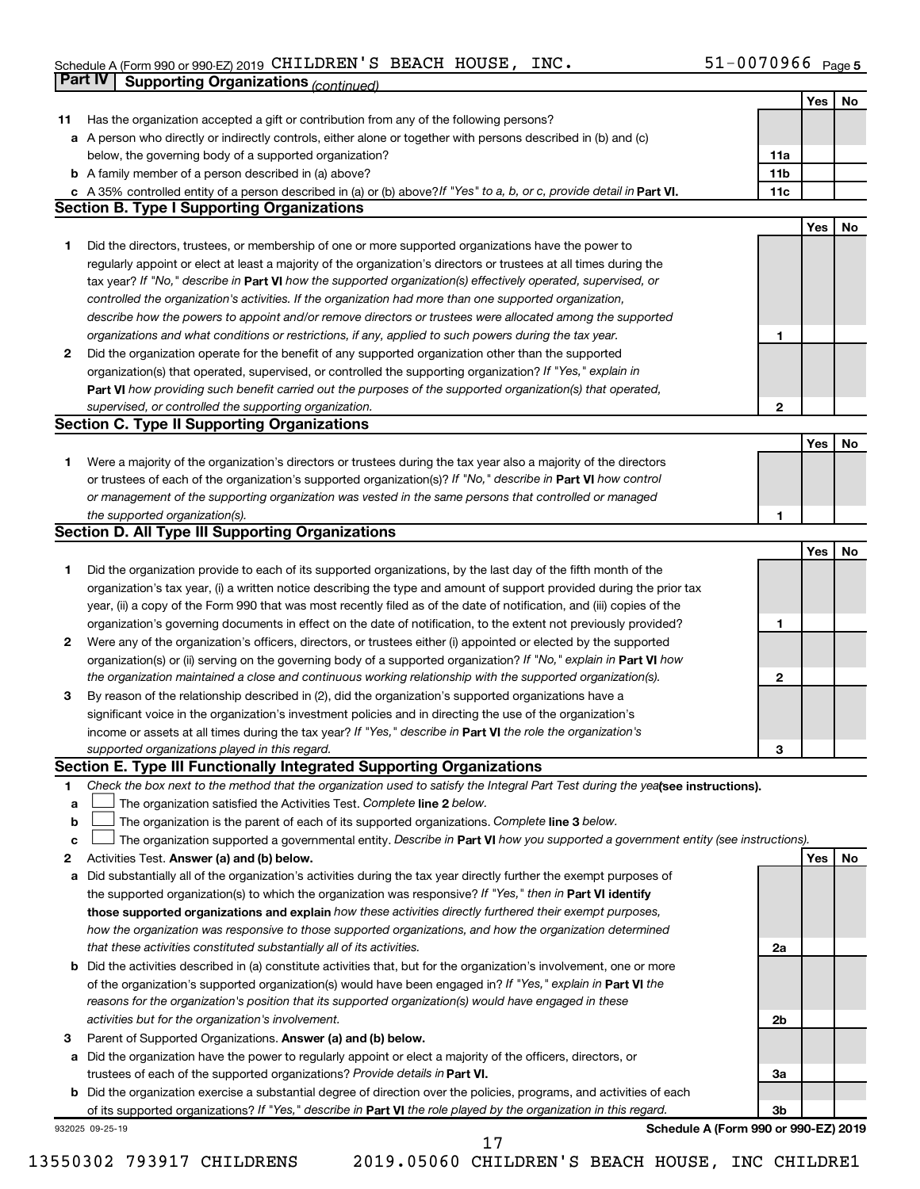#### Schedule A (Form 990 or 990-EZ) 2019 CHILDREN S BEACH HOUSE , INC .  $51-007096$  Page CHILDREN'S BEACH HOUSE, INC. 51-0070966

|    | <b>Part IV</b>  | <b>Supporting Organizations (continued)</b>                                                                                                                                                                                                       |                 |     |    |
|----|-----------------|---------------------------------------------------------------------------------------------------------------------------------------------------------------------------------------------------------------------------------------------------|-----------------|-----|----|
|    |                 |                                                                                                                                                                                                                                                   |                 | Yes | No |
| 11 |                 | Has the organization accepted a gift or contribution from any of the following persons?                                                                                                                                                           |                 |     |    |
| а  |                 | A person who directly or indirectly controls, either alone or together with persons described in (b) and (c)                                                                                                                                      |                 |     |    |
|    |                 | below, the governing body of a supported organization?                                                                                                                                                                                            | 11a             |     |    |
|    |                 | <b>b</b> A family member of a person described in (a) above?                                                                                                                                                                                      | 11 <sub>b</sub> |     |    |
|    |                 | c A 35% controlled entity of a person described in (a) or (b) above? If "Yes" to a, b, or c, provide detail in Part VI.                                                                                                                           | 11c             |     |    |
|    |                 | <b>Section B. Type I Supporting Organizations</b>                                                                                                                                                                                                 |                 |     |    |
|    |                 |                                                                                                                                                                                                                                                   |                 | Yes | No |
| 1. |                 | Did the directors, trustees, or membership of one or more supported organizations have the power to                                                                                                                                               |                 |     |    |
|    |                 | regularly appoint or elect at least a majority of the organization's directors or trustees at all times during the                                                                                                                                |                 |     |    |
|    |                 | tax year? If "No," describe in Part VI how the supported organization(s) effectively operated, supervised, or                                                                                                                                     |                 |     |    |
|    |                 | controlled the organization's activities. If the organization had more than one supported organization,                                                                                                                                           |                 |     |    |
|    |                 | describe how the powers to appoint and/or remove directors or trustees were allocated among the supported                                                                                                                                         |                 |     |    |
|    |                 | organizations and what conditions or restrictions, if any, applied to such powers during the tax year.                                                                                                                                            | 1               |     |    |
| 2  |                 | Did the organization operate for the benefit of any supported organization other than the supported                                                                                                                                               |                 |     |    |
|    |                 | organization(s) that operated, supervised, or controlled the supporting organization? If "Yes," explain in                                                                                                                                        |                 |     |    |
|    |                 | Part VI how providing such benefit carried out the purposes of the supported organization(s) that operated,                                                                                                                                       |                 |     |    |
|    |                 | supervised, or controlled the supporting organization.                                                                                                                                                                                            | $\mathbf{2}$    |     |    |
|    |                 | <b>Section C. Type II Supporting Organizations</b>                                                                                                                                                                                                |                 |     |    |
|    |                 |                                                                                                                                                                                                                                                   |                 | Yes | No |
| 1. |                 | Were a majority of the organization's directors or trustees during the tax year also a majority of the directors                                                                                                                                  |                 |     |    |
|    |                 | or trustees of each of the organization's supported organization(s)? If "No," describe in Part VI how control                                                                                                                                     |                 |     |    |
|    |                 | or management of the supporting organization was vested in the same persons that controlled or managed                                                                                                                                            |                 |     |    |
|    |                 | the supported organization(s).                                                                                                                                                                                                                    | 1               |     |    |
|    |                 | <b>Section D. All Type III Supporting Organizations</b>                                                                                                                                                                                           |                 |     |    |
|    |                 |                                                                                                                                                                                                                                                   |                 | Yes | No |
| 1  |                 | Did the organization provide to each of its supported organizations, by the last day of the fifth month of the                                                                                                                                    |                 |     |    |
|    |                 | organization's tax year, (i) a written notice describing the type and amount of support provided during the prior tax                                                                                                                             |                 |     |    |
|    |                 | year, (ii) a copy of the Form 990 that was most recently filed as of the date of notification, and (iii) copies of the                                                                                                                            |                 |     |    |
|    |                 | organization's governing documents in effect on the date of notification, to the extent not previously provided?                                                                                                                                  | 1               |     |    |
| 2  |                 | Were any of the organization's officers, directors, or trustees either (i) appointed or elected by the supported                                                                                                                                  |                 |     |    |
|    |                 | organization(s) or (ii) serving on the governing body of a supported organization? If "No," explain in Part VI how                                                                                                                                |                 |     |    |
|    |                 | the organization maintained a close and continuous working relationship with the supported organization(s).                                                                                                                                       | $\mathbf{2}$    |     |    |
| 3  |                 | By reason of the relationship described in (2), did the organization's supported organizations have a                                                                                                                                             |                 |     |    |
|    |                 | significant voice in the organization's investment policies and in directing the use of the organization's                                                                                                                                        |                 |     |    |
|    |                 | income or assets at all times during the tax year? If "Yes," describe in Part VI the role the organization's                                                                                                                                      |                 |     |    |
|    |                 | supported organizations played in this regard.                                                                                                                                                                                                    | з               |     |    |
|    |                 | Section E. Type III Functionally Integrated Supporting Organizations                                                                                                                                                                              |                 |     |    |
| 1  |                 | Check the box next to the method that the organization used to satisfy the Integral Part Test during the yealsee instructions).                                                                                                                   |                 |     |    |
| a  |                 | The organization satisfied the Activities Test. Complete line 2 below.                                                                                                                                                                            |                 |     |    |
| b  |                 | The organization is the parent of each of its supported organizations. Complete line 3 below.                                                                                                                                                     |                 |     |    |
| c  |                 | The organization supported a governmental entity. Describe in Part VI how you supported a government entity (see instructions).                                                                                                                   |                 |     |    |
| 2  |                 | Activities Test. Answer (a) and (b) below.                                                                                                                                                                                                        |                 | Yes | No |
| а  |                 | Did substantially all of the organization's activities during the tax year directly further the exempt purposes of                                                                                                                                |                 |     |    |
|    |                 | the supported organization(s) to which the organization was responsive? If "Yes," then in Part VI identify                                                                                                                                        |                 |     |    |
|    |                 | those supported organizations and explain how these activities directly furthered their exempt purposes,                                                                                                                                          |                 |     |    |
|    |                 | how the organization was responsive to those supported organizations, and how the organization determined                                                                                                                                         |                 |     |    |
|    |                 | that these activities constituted substantially all of its activities.                                                                                                                                                                            | 2a              |     |    |
| b  |                 | Did the activities described in (a) constitute activities that, but for the organization's involvement, one or more                                                                                                                               |                 |     |    |
|    |                 | of the organization's supported organization(s) would have been engaged in? If "Yes," explain in Part VI the                                                                                                                                      |                 |     |    |
|    |                 | reasons for the organization's position that its supported organization(s) would have engaged in these                                                                                                                                            |                 |     |    |
|    |                 | activities but for the organization's involvement.                                                                                                                                                                                                | 2b              |     |    |
| з  |                 | Parent of Supported Organizations. Answer (a) and (b) below.                                                                                                                                                                                      |                 |     |    |
| а  |                 | Did the organization have the power to regularly appoint or elect a majority of the officers, directors, or                                                                                                                                       |                 |     |    |
|    |                 | trustees of each of the supported organizations? Provide details in Part VI.                                                                                                                                                                      | За              |     |    |
|    |                 | <b>b</b> Did the organization exercise a substantial degree of direction over the policies, programs, and activities of each<br>of its supported organizations? If "Yes," describe in Part VI the role played by the organization in this regard. | 3b              |     |    |
|    | 932025 09-25-19 | Schedule A (Form 990 or 990-EZ) 2019                                                                                                                                                                                                              |                 |     |    |
|    |                 | 17                                                                                                                                                                                                                                                |                 |     |    |

<sup>13550302 793917</sup> CHILDRENS 2019.05060 CHILDREN'S BEACH HOUSE, INC CHILDRE1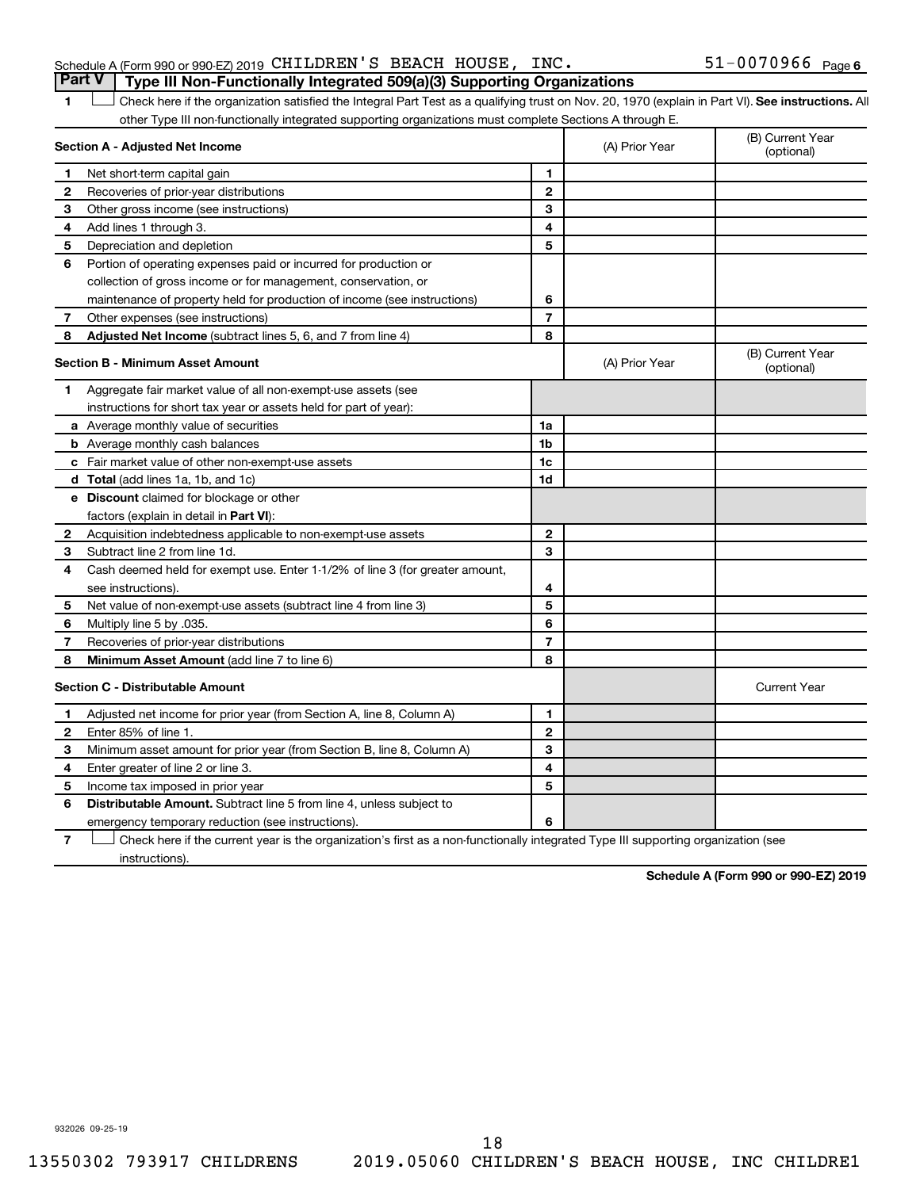| Schedule A (Form 990 or 990-EZ) 2019 $\,$ CHILDREN $^{\prime}$ S $\,$ BEACH $\,$ HOUSE , $\,$ INC $\,$ . |  |  | $51 - 0070966$ $_{\text{Page 6}}$ |  |
|----------------------------------------------------------------------------------------------------------|--|--|-----------------------------------|--|
| <b>Part V</b> Type III Non-Functionally Integrated 509(a)(3) Supporting Organizations                    |  |  |                                   |  |

1 **Letter See instructions.** All Check here if the organization satisfied the Integral Part Test as a qualifying trust on Nov. 20, 1970 (explain in Part VI). See instructions. All other Type III non-functionally integrated supporting organizations must complete Sections A through E.

|              | Section A - Adjusted Net Income                                              |                | (A) Prior Year | (B) Current Year<br>(optional) |
|--------------|------------------------------------------------------------------------------|----------------|----------------|--------------------------------|
| 1            | Net short-term capital gain                                                  | 1              |                |                                |
| 2            | Recoveries of prior-year distributions                                       | $\mathbf{2}$   |                |                                |
| 3            | Other gross income (see instructions)                                        | 3              |                |                                |
| 4            | Add lines 1 through 3.                                                       | 4              |                |                                |
| 5            | Depreciation and depletion                                                   | 5              |                |                                |
| 6            | Portion of operating expenses paid or incurred for production or             |                |                |                                |
|              | collection of gross income or for management, conservation, or               |                |                |                                |
|              | maintenance of property held for production of income (see instructions)     | 6              |                |                                |
| 7            | Other expenses (see instructions)                                            | $\overline{7}$ |                |                                |
| 8            | Adjusted Net Income (subtract lines 5, 6, and 7 from line 4)                 | 8              |                |                                |
|              | <b>Section B - Minimum Asset Amount</b>                                      |                | (A) Prior Year | (B) Current Year<br>(optional) |
| 1            | Aggregate fair market value of all non-exempt-use assets (see                |                |                |                                |
|              | instructions for short tax year or assets held for part of year):            |                |                |                                |
|              | a Average monthly value of securities                                        | 1a             |                |                                |
|              | <b>b</b> Average monthly cash balances                                       | 1b             |                |                                |
|              | c Fair market value of other non-exempt-use assets                           | 1 <sub>c</sub> |                |                                |
|              | d Total (add lines 1a, 1b, and 1c)                                           | 1d             |                |                                |
|              | <b>e</b> Discount claimed for blockage or other                              |                |                |                                |
|              | factors (explain in detail in <b>Part VI</b> ):                              |                |                |                                |
| 2            | Acquisition indebtedness applicable to non-exempt-use assets                 | $\mathbf{2}$   |                |                                |
| З            | Subtract line 2 from line 1d.                                                | 3              |                |                                |
| 4            | Cash deemed held for exempt use. Enter 1-1/2% of line 3 (for greater amount, |                |                |                                |
|              | see instructions).                                                           | 4              |                |                                |
| 5            | Net value of non-exempt-use assets (subtract line 4 from line 3)             | 5              |                |                                |
| 6            | Multiply line 5 by .035.                                                     | 6              |                |                                |
| 7            | Recoveries of prior-year distributions                                       | $\overline{7}$ |                |                                |
| 8            | Minimum Asset Amount (add line 7 to line 6)                                  | 8              |                |                                |
|              | <b>Section C - Distributable Amount</b>                                      |                |                | <b>Current Year</b>            |
| 1            | Adjusted net income for prior year (from Section A, line 8, Column A)        | 1              |                |                                |
| $\mathbf{2}$ | Enter 85% of line 1.                                                         | $\overline{2}$ |                |                                |
| 3            | Minimum asset amount for prior year (from Section B, line 8, Column A)       | 3              |                |                                |
| 4            | Enter greater of line 2 or line 3.                                           | 4              |                |                                |
| 5            | Income tax imposed in prior year                                             | 5              |                |                                |
| 6            | Distributable Amount. Subtract line 5 from line 4, unless subject to         |                |                |                                |
|              | emergency temporary reduction (see instructions).                            | 6              |                |                                |
|              |                                                                              |                |                |                                |

**7** Check here if the current year is the organization's first as a non-functionally integrated Type III supporting organization (see † instructions).

**Schedule A (Form 990 or 990-EZ) 2019**

932026 09-25-19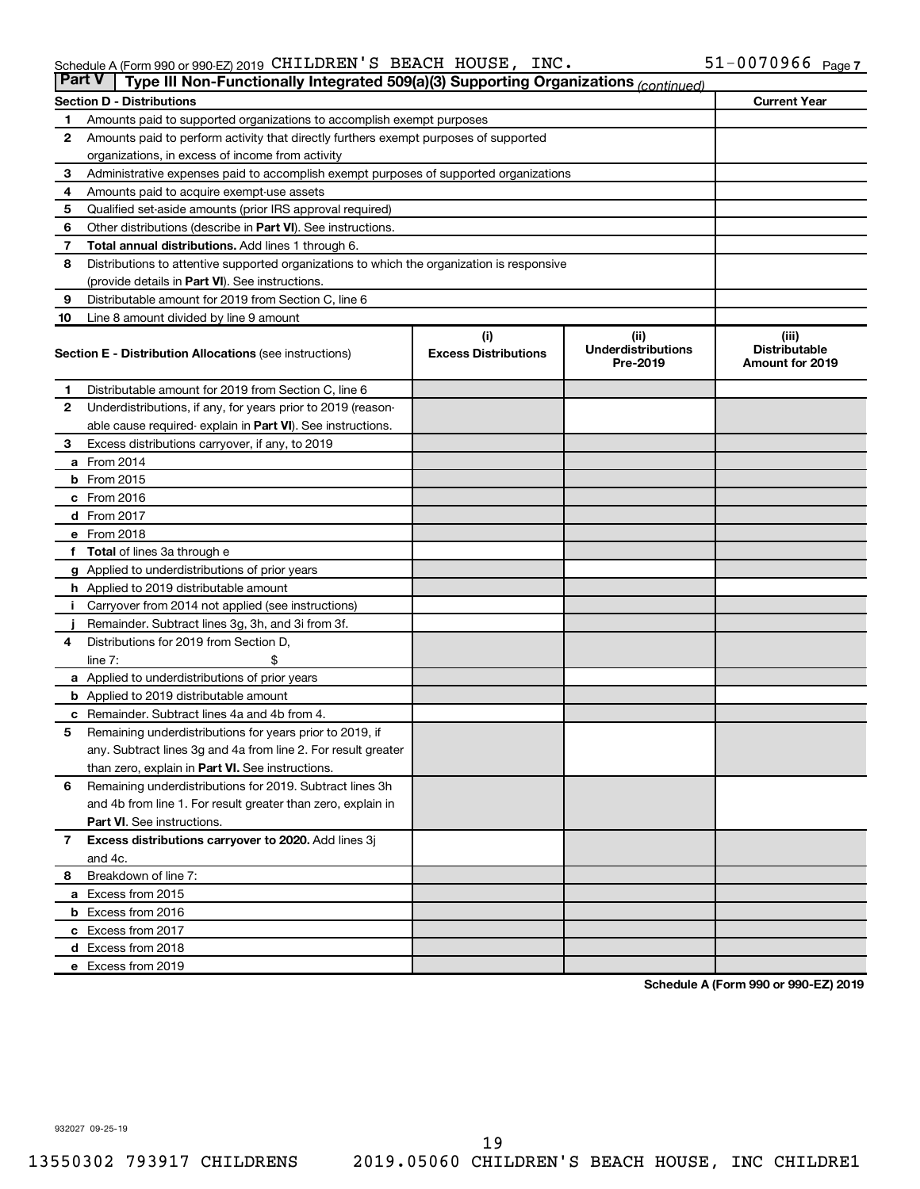#### Schedule A (Form 990 or 990-EZ) 2019 CHILDREN S BEACH HOUSE , INC .  $51-007096$  Page CHILDREN'S BEACH HOUSE, INC. 51-0070966

| <b>Part V</b> | Type III Non-Functionally Integrated 509(a)(3) Supporting Organizations (continued)        |                             |                                       |                                                |  |  |  |  |  |
|---------------|--------------------------------------------------------------------------------------------|-----------------------------|---------------------------------------|------------------------------------------------|--|--|--|--|--|
|               | <b>Current Year</b><br><b>Section D - Distributions</b>                                    |                             |                                       |                                                |  |  |  |  |  |
| 1             | Amounts paid to supported organizations to accomplish exempt purposes                      |                             |                                       |                                                |  |  |  |  |  |
| $\mathbf{2}$  | Amounts paid to perform activity that directly furthers exempt purposes of supported       |                             |                                       |                                                |  |  |  |  |  |
|               | organizations, in excess of income from activity                                           |                             |                                       |                                                |  |  |  |  |  |
| 3             | Administrative expenses paid to accomplish exempt purposes of supported organizations      |                             |                                       |                                                |  |  |  |  |  |
| 4             | Amounts paid to acquire exempt-use assets                                                  |                             |                                       |                                                |  |  |  |  |  |
| 5             | Qualified set-aside amounts (prior IRS approval required)                                  |                             |                                       |                                                |  |  |  |  |  |
| 6             | Other distributions (describe in <b>Part VI</b> ). See instructions.                       |                             |                                       |                                                |  |  |  |  |  |
| 7             | Total annual distributions. Add lines 1 through 6.                                         |                             |                                       |                                                |  |  |  |  |  |
| 8             | Distributions to attentive supported organizations to which the organization is responsive |                             |                                       |                                                |  |  |  |  |  |
|               | (provide details in Part VI). See instructions.                                            |                             |                                       |                                                |  |  |  |  |  |
| 9             | Distributable amount for 2019 from Section C, line 6                                       |                             |                                       |                                                |  |  |  |  |  |
| 10            | Line 8 amount divided by line 9 amount                                                     |                             |                                       |                                                |  |  |  |  |  |
|               |                                                                                            | (i)                         | (ii)                                  | (iii)                                          |  |  |  |  |  |
|               | <b>Section E - Distribution Allocations (see instructions)</b>                             | <b>Excess Distributions</b> | <b>Underdistributions</b><br>Pre-2019 | <b>Distributable</b><br><b>Amount for 2019</b> |  |  |  |  |  |
| 1             | Distributable amount for 2019 from Section C, line 6                                       |                             |                                       |                                                |  |  |  |  |  |
| $\mathbf{2}$  | Underdistributions, if any, for years prior to 2019 (reason-                               |                             |                                       |                                                |  |  |  |  |  |
|               | able cause required-explain in Part VI). See instructions.                                 |                             |                                       |                                                |  |  |  |  |  |
| 3             | Excess distributions carryover, if any, to 2019                                            |                             |                                       |                                                |  |  |  |  |  |
|               | a From 2014                                                                                |                             |                                       |                                                |  |  |  |  |  |
|               | <b>b</b> From 2015                                                                         |                             |                                       |                                                |  |  |  |  |  |
|               | c From 2016                                                                                |                             |                                       |                                                |  |  |  |  |  |
|               | <b>d</b> From 2017                                                                         |                             |                                       |                                                |  |  |  |  |  |
|               | e From 2018                                                                                |                             |                                       |                                                |  |  |  |  |  |
|               | f Total of lines 3a through e                                                              |                             |                                       |                                                |  |  |  |  |  |
|               | <b>g</b> Applied to underdistributions of prior years                                      |                             |                                       |                                                |  |  |  |  |  |
|               | h Applied to 2019 distributable amount                                                     |                             |                                       |                                                |  |  |  |  |  |
| Ť.            | Carryover from 2014 not applied (see instructions)                                         |                             |                                       |                                                |  |  |  |  |  |
|               | Remainder. Subtract lines 3g, 3h, and 3i from 3f.                                          |                             |                                       |                                                |  |  |  |  |  |
| 4             | Distributions for 2019 from Section D,                                                     |                             |                                       |                                                |  |  |  |  |  |
|               | line $7:$                                                                                  |                             |                                       |                                                |  |  |  |  |  |
|               | a Applied to underdistributions of prior years                                             |                             |                                       |                                                |  |  |  |  |  |
|               | <b>b</b> Applied to 2019 distributable amount                                              |                             |                                       |                                                |  |  |  |  |  |
| с             | Remainder. Subtract lines 4a and 4b from 4.                                                |                             |                                       |                                                |  |  |  |  |  |
| 5             | Remaining underdistributions for years prior to 2019, if                                   |                             |                                       |                                                |  |  |  |  |  |
|               | any. Subtract lines 3g and 4a from line 2. For result greater                              |                             |                                       |                                                |  |  |  |  |  |
|               | than zero, explain in Part VI. See instructions.                                           |                             |                                       |                                                |  |  |  |  |  |
| 6             | Remaining underdistributions for 2019. Subtract lines 3h                                   |                             |                                       |                                                |  |  |  |  |  |
|               | and 4b from line 1. For result greater than zero, explain in                               |                             |                                       |                                                |  |  |  |  |  |
|               | <b>Part VI.</b> See instructions.                                                          |                             |                                       |                                                |  |  |  |  |  |
| $\mathbf{7}$  | Excess distributions carryover to 2020. Add lines 3j                                       |                             |                                       |                                                |  |  |  |  |  |
|               | and 4c.                                                                                    |                             |                                       |                                                |  |  |  |  |  |
| 8             | Breakdown of line 7:                                                                       |                             |                                       |                                                |  |  |  |  |  |
|               | a Excess from 2015                                                                         |                             |                                       |                                                |  |  |  |  |  |
|               | <b>b</b> Excess from 2016                                                                  |                             |                                       |                                                |  |  |  |  |  |
|               | c Excess from 2017                                                                         |                             |                                       |                                                |  |  |  |  |  |
|               | d Excess from 2018                                                                         |                             |                                       |                                                |  |  |  |  |  |
|               | e Excess from 2019                                                                         |                             |                                       |                                                |  |  |  |  |  |

**Schedule A (Form 990 or 990-EZ) 2019**

932027 09-25-19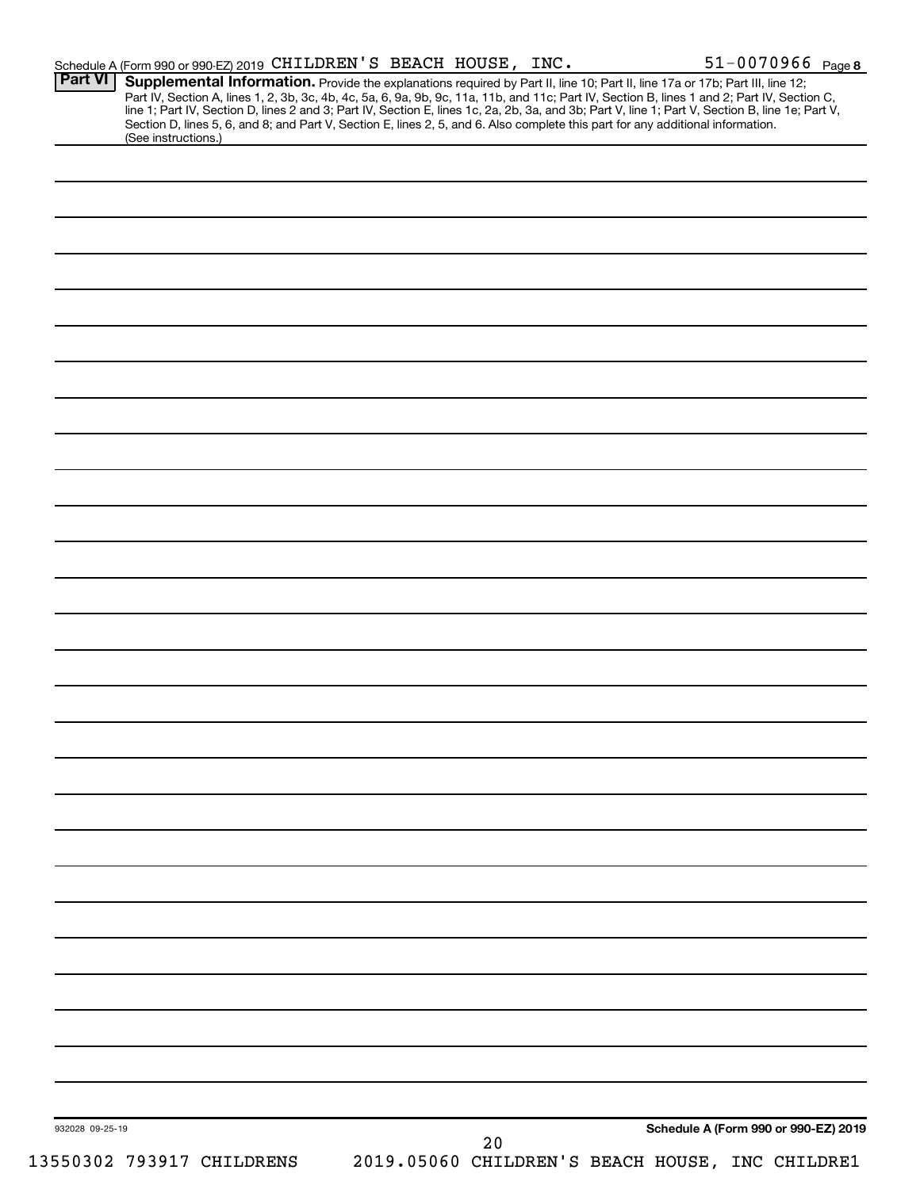| <b>Part VI</b>  | Schedule A (Form 990 or 990-EZ) 2019 CHILDREN'S BEACH HOUSE, INC.<br>Supplemental Information. Provide the explanations required by Part II, line 10; Part II, line 17a or 17b; Part III, line 12;                                                                                                                                                                                                                                  |                                                 |    |  | 51-0070966 Page 8                    |  |
|-----------------|-------------------------------------------------------------------------------------------------------------------------------------------------------------------------------------------------------------------------------------------------------------------------------------------------------------------------------------------------------------------------------------------------------------------------------------|-------------------------------------------------|----|--|--------------------------------------|--|
|                 | Part IV, Section A, lines 1, 2, 3b, 3c, 4b, 4c, 5a, 6, 9a, 9b, 9c, 11a, 11b, and 11c; Part IV, Section B, lines 1 and 2; Part IV, Section C,<br>line 1; Part IV, Section D, lines 2 and 3; Part IV, Section E, lines 1c, 2a, 2b, 3a, and 3b; Part V, line 1; Part V, Section B, line 1e; Part V,<br>Section D, lines 5, 6, and 8; and Part V, Section E, lines 2, 5, and 6. Also complete this part for any additional information. |                                                 |    |  |                                      |  |
|                 | (See instructions.)                                                                                                                                                                                                                                                                                                                                                                                                                 |                                                 |    |  |                                      |  |
|                 |                                                                                                                                                                                                                                                                                                                                                                                                                                     |                                                 |    |  |                                      |  |
|                 |                                                                                                                                                                                                                                                                                                                                                                                                                                     |                                                 |    |  |                                      |  |
|                 |                                                                                                                                                                                                                                                                                                                                                                                                                                     |                                                 |    |  |                                      |  |
|                 |                                                                                                                                                                                                                                                                                                                                                                                                                                     |                                                 |    |  |                                      |  |
|                 |                                                                                                                                                                                                                                                                                                                                                                                                                                     |                                                 |    |  |                                      |  |
|                 |                                                                                                                                                                                                                                                                                                                                                                                                                                     |                                                 |    |  |                                      |  |
|                 |                                                                                                                                                                                                                                                                                                                                                                                                                                     |                                                 |    |  |                                      |  |
|                 |                                                                                                                                                                                                                                                                                                                                                                                                                                     |                                                 |    |  |                                      |  |
|                 |                                                                                                                                                                                                                                                                                                                                                                                                                                     |                                                 |    |  |                                      |  |
|                 |                                                                                                                                                                                                                                                                                                                                                                                                                                     |                                                 |    |  |                                      |  |
|                 |                                                                                                                                                                                                                                                                                                                                                                                                                                     |                                                 |    |  |                                      |  |
|                 |                                                                                                                                                                                                                                                                                                                                                                                                                                     |                                                 |    |  |                                      |  |
|                 |                                                                                                                                                                                                                                                                                                                                                                                                                                     |                                                 |    |  |                                      |  |
|                 |                                                                                                                                                                                                                                                                                                                                                                                                                                     |                                                 |    |  |                                      |  |
|                 |                                                                                                                                                                                                                                                                                                                                                                                                                                     |                                                 |    |  |                                      |  |
|                 |                                                                                                                                                                                                                                                                                                                                                                                                                                     |                                                 |    |  |                                      |  |
|                 |                                                                                                                                                                                                                                                                                                                                                                                                                                     |                                                 |    |  |                                      |  |
|                 |                                                                                                                                                                                                                                                                                                                                                                                                                                     |                                                 |    |  |                                      |  |
|                 |                                                                                                                                                                                                                                                                                                                                                                                                                                     |                                                 |    |  |                                      |  |
|                 |                                                                                                                                                                                                                                                                                                                                                                                                                                     |                                                 |    |  |                                      |  |
|                 |                                                                                                                                                                                                                                                                                                                                                                                                                                     |                                                 |    |  |                                      |  |
|                 |                                                                                                                                                                                                                                                                                                                                                                                                                                     |                                                 |    |  |                                      |  |
|                 |                                                                                                                                                                                                                                                                                                                                                                                                                                     |                                                 |    |  |                                      |  |
|                 |                                                                                                                                                                                                                                                                                                                                                                                                                                     |                                                 |    |  |                                      |  |
|                 |                                                                                                                                                                                                                                                                                                                                                                                                                                     |                                                 |    |  |                                      |  |
|                 |                                                                                                                                                                                                                                                                                                                                                                                                                                     |                                                 |    |  |                                      |  |
|                 |                                                                                                                                                                                                                                                                                                                                                                                                                                     |                                                 |    |  |                                      |  |
|                 |                                                                                                                                                                                                                                                                                                                                                                                                                                     |                                                 |    |  |                                      |  |
|                 |                                                                                                                                                                                                                                                                                                                                                                                                                                     |                                                 |    |  |                                      |  |
|                 |                                                                                                                                                                                                                                                                                                                                                                                                                                     |                                                 |    |  |                                      |  |
|                 |                                                                                                                                                                                                                                                                                                                                                                                                                                     |                                                 |    |  |                                      |  |
|                 |                                                                                                                                                                                                                                                                                                                                                                                                                                     |                                                 |    |  |                                      |  |
|                 |                                                                                                                                                                                                                                                                                                                                                                                                                                     |                                                 |    |  |                                      |  |
|                 |                                                                                                                                                                                                                                                                                                                                                                                                                                     |                                                 |    |  |                                      |  |
|                 |                                                                                                                                                                                                                                                                                                                                                                                                                                     |                                                 |    |  |                                      |  |
|                 |                                                                                                                                                                                                                                                                                                                                                                                                                                     |                                                 |    |  |                                      |  |
|                 |                                                                                                                                                                                                                                                                                                                                                                                                                                     |                                                 |    |  |                                      |  |
|                 |                                                                                                                                                                                                                                                                                                                                                                                                                                     |                                                 |    |  |                                      |  |
|                 |                                                                                                                                                                                                                                                                                                                                                                                                                                     |                                                 |    |  |                                      |  |
|                 |                                                                                                                                                                                                                                                                                                                                                                                                                                     |                                                 |    |  |                                      |  |
|                 |                                                                                                                                                                                                                                                                                                                                                                                                                                     |                                                 |    |  |                                      |  |
|                 |                                                                                                                                                                                                                                                                                                                                                                                                                                     |                                                 |    |  |                                      |  |
|                 |                                                                                                                                                                                                                                                                                                                                                                                                                                     |                                                 |    |  |                                      |  |
|                 |                                                                                                                                                                                                                                                                                                                                                                                                                                     |                                                 |    |  |                                      |  |
| 932028 09-25-19 |                                                                                                                                                                                                                                                                                                                                                                                                                                     |                                                 | 20 |  | Schedule A (Form 990 or 990-EZ) 2019 |  |
|                 | 13550302 793917 CHILDRENS                                                                                                                                                                                                                                                                                                                                                                                                           | 2019.05060 CHILDREN'S BEACH HOUSE, INC CHILDRE1 |    |  |                                      |  |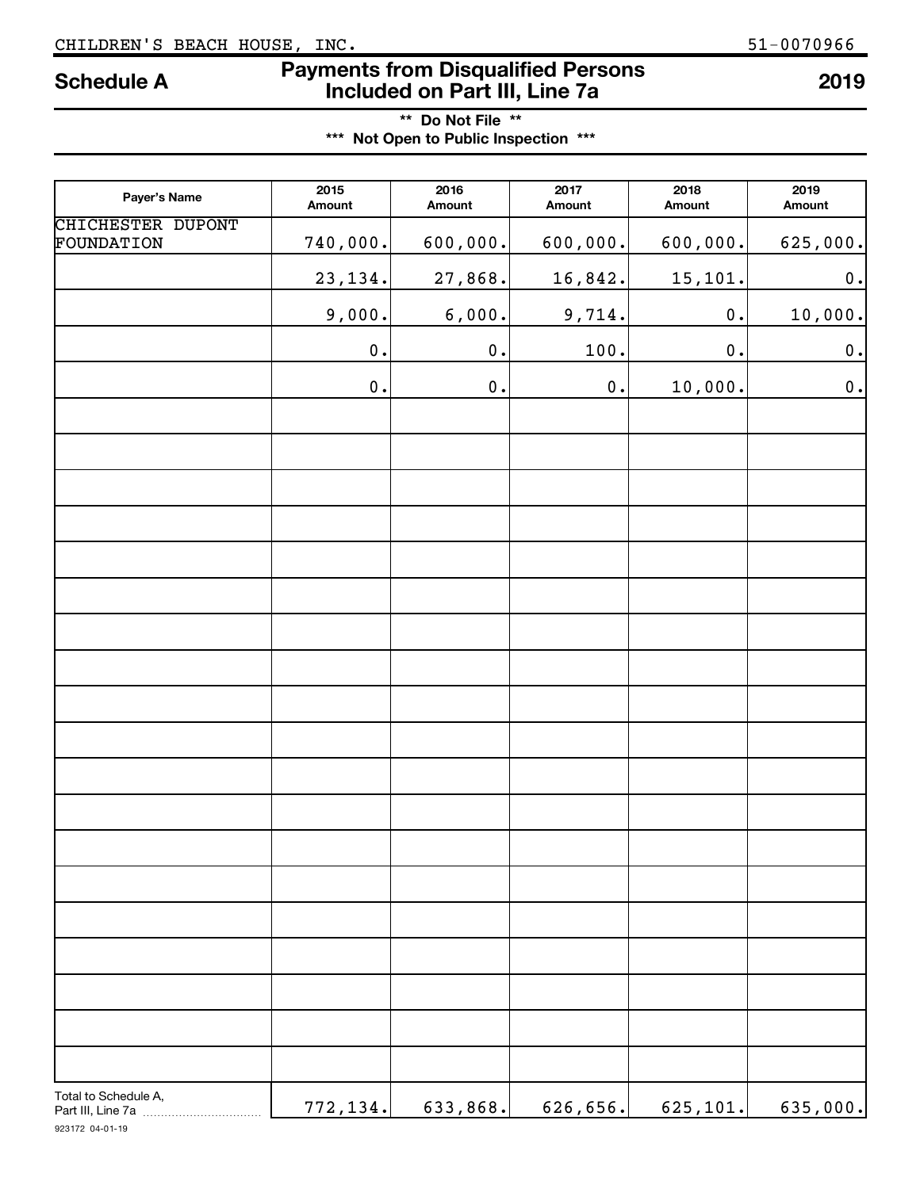### CHILDREN'S BEACH HOUSE, INC. 51-0070966

# **Payments from Disqualified Persons Included on Part III, Line 7a Schedule A <sup>2019</sup>**

| ** Do Not File **                     |  |
|---------------------------------------|--|
| *** Not Open to Public Inspection *** |  |

| Payer's Name                    | 2015<br>Amount     | 2016<br>Amount     | 2017<br>Amount | 2018<br>Amount     | 2019<br>Amount     |
|---------------------------------|--------------------|--------------------|----------------|--------------------|--------------------|
| CHICHESTER DUPONT<br>FOUNDATION | 740,000.           | 600,000.           | 600,000.       | 600,000.           | 625,000.           |
|                                 | 23, 134.           | 27,868.            | 16,842.        | 15,101.            | $\boldsymbol{0}$ . |
|                                 | 9,000.             | 6,000.             | 9,714.         | $\mathbf 0$ .      | 10,000.            |
|                                 | $\boldsymbol{0}$ . | $\boldsymbol{0}$ . | 100.           | $\boldsymbol{0}$ . | $\boldsymbol{0}$ . |
|                                 | $\boldsymbol{0}$ . | $\boldsymbol{0}$ . | $\mathbf 0$ .  | 10,000.            | $\mathbf 0$ .      |
|                                 |                    |                    |                |                    |                    |
|                                 |                    |                    |                |                    |                    |
|                                 |                    |                    |                |                    |                    |
|                                 |                    |                    |                |                    |                    |
|                                 |                    |                    |                |                    |                    |
|                                 |                    |                    |                |                    |                    |
|                                 |                    |                    |                |                    |                    |
|                                 |                    |                    |                |                    |                    |
|                                 |                    |                    |                |                    |                    |
|                                 |                    |                    |                |                    |                    |
|                                 |                    |                    |                |                    |                    |
|                                 |                    |                    |                |                    |                    |
|                                 |                    |                    |                |                    |                    |
|                                 |                    |                    |                |                    |                    |
|                                 |                    |                    |                |                    |                    |
|                                 |                    |                    |                |                    |                    |
|                                 |                    |                    |                |                    |                    |
|                                 |                    |                    |                |                    |                    |
| Total to Schedule A,            | 772,134.           | 633,868.           | 626, 656.      | 625, 101.          | 635,000.           |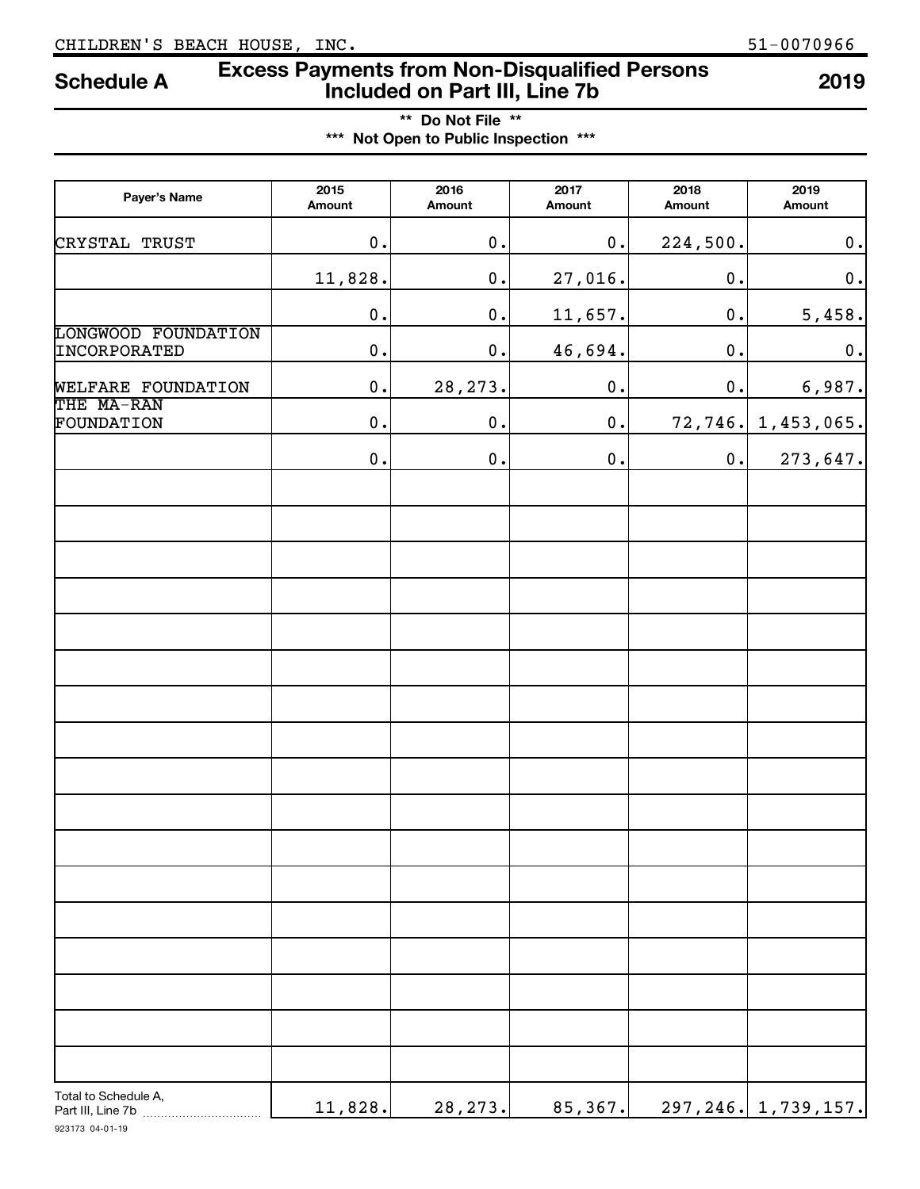## **Excess Payments from Non-Disqualified Persons Included on Part III, Line 7b Schedule A <sup>2019</sup>**

**\*\* Do Not File \*\* \*\*\* Not Open to Public Inspection \*\*\***

| Payer's Name                               | 2015<br>Amount | 2016<br>Amount | 2017<br>Amount  | 2018<br>Amount     | 2019<br>Amount         |
|--------------------------------------------|----------------|----------------|-----------------|--------------------|------------------------|
| CRYSTAL TRUST                              | $\mathbf 0$ .  | $\mathbf 0$ .  | $\mathbf 0$ .   | 224,500.           | $\mathbf 0$ .          |
|                                            | 11,828.        | $\mathbf 0$ .  | 27,016.         | $\mathbf 0$ .      | $\mathbf 0$ .          |
|                                            | $\mathbf 0$ .  | $\mathbf 0$ .  | 11,657.         | $\mathbf 0$ .      | 5,458.                 |
| <b>LONGWOOD FOUNDATION</b><br>INCORPORATED | $\mathbf 0$ .  | $\mathbf 0$ .  | 46,694.         | $\boldsymbol{0}$ . | $\mathbf 0$ .          |
| WELFARE FOUNDATION                         | $\mathbf 0$ .  | 28, 273.       | $\mathfrak o$ . | $\mathbf 0$ .      | 6,987.                 |
| THE MA-RAN<br>FOUNDATION                   | $\mathbf 0$ .  | $\mathbf 0$ .  | $\mathbf 0$ .   | 72, 746.           | 1,453,065.             |
|                                            | $\mathbf 0$ .  | $\mathbf 0$ .  | $\mathfrak o$ . | $\mathbf 0$ .      | 273,647.               |
|                                            |                |                |                 |                    |                        |
|                                            |                |                |                 |                    |                        |
|                                            |                |                |                 |                    |                        |
|                                            |                |                |                 |                    |                        |
|                                            |                |                |                 |                    |                        |
|                                            |                |                |                 |                    |                        |
|                                            |                |                |                 |                    |                        |
|                                            |                |                |                 |                    |                        |
|                                            |                |                |                 |                    |                        |
|                                            |                |                |                 |                    |                        |
|                                            |                |                |                 |                    |                        |
|                                            |                |                |                 |                    |                        |
|                                            |                |                |                 |                    |                        |
|                                            |                |                |                 |                    |                        |
| Total to Schedule A,<br>Part III, Line 7b  | 11,828.        | 28, 273.       | 85,367.         |                    | 297, 246, 1, 739, 157. |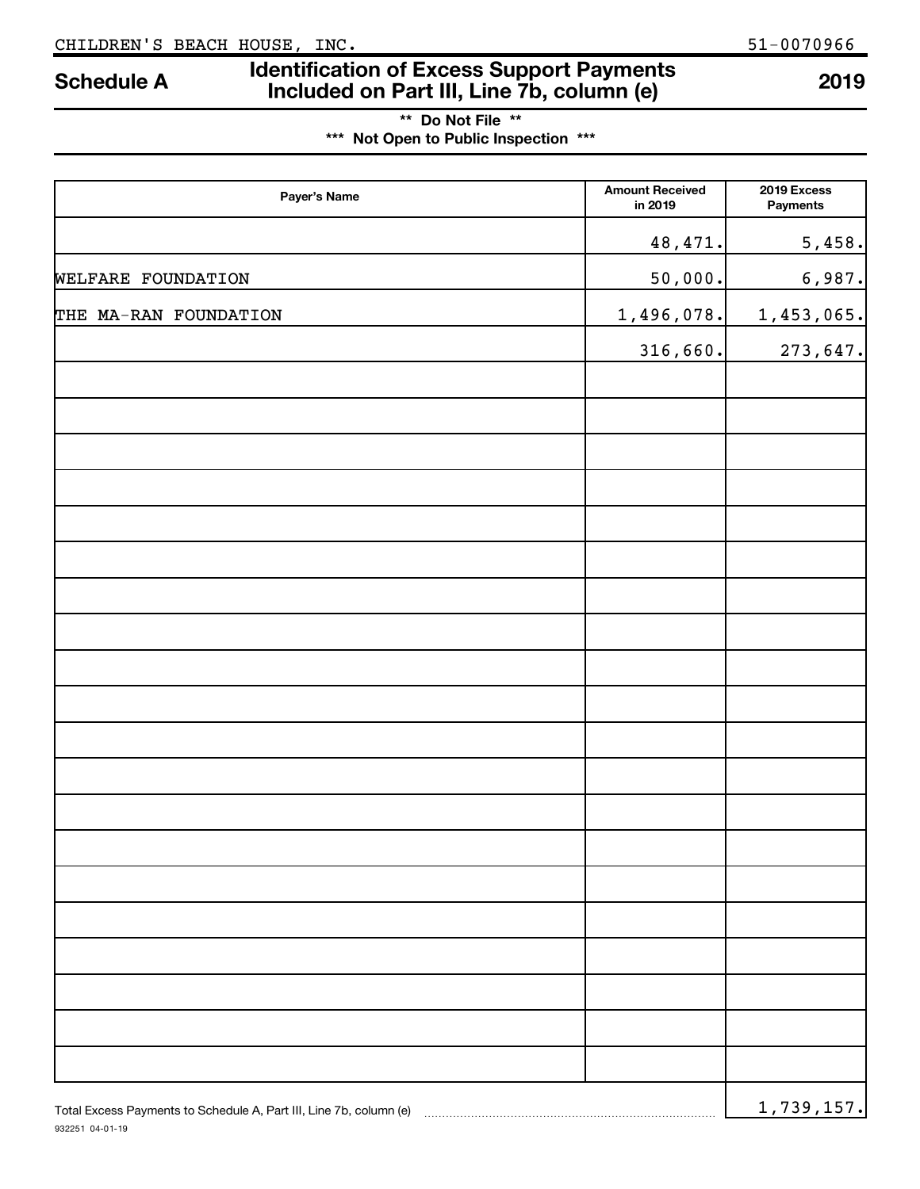932251 04-01-19

# **Identification of Excess Support Payments Included on Part III, Line 7b, column (e) Schedule A <sup>2019</sup>**

| ** Do Not File **                     |  |
|---------------------------------------|--|
| *** Not Open to Public Inspection *** |  |

| Payer's Name                                                       | <b>Amount Received</b><br>in 2019 | 2019 Excess<br>Payments |
|--------------------------------------------------------------------|-----------------------------------|-------------------------|
|                                                                    | 48,471.                           | 5,458.                  |
| WELFARE FOUNDATION                                                 | 50,000.                           | 6,987.                  |
| THE MA-RAN FOUNDATION                                              | 1,496,078.                        | 1,453,065.              |
|                                                                    | 316,660.                          | 273,647.                |
|                                                                    |                                   |                         |
|                                                                    |                                   |                         |
|                                                                    |                                   |                         |
|                                                                    |                                   |                         |
|                                                                    |                                   |                         |
|                                                                    |                                   |                         |
|                                                                    |                                   |                         |
|                                                                    |                                   |                         |
|                                                                    |                                   |                         |
|                                                                    |                                   |                         |
|                                                                    |                                   |                         |
|                                                                    |                                   |                         |
|                                                                    |                                   |                         |
|                                                                    |                                   |                         |
|                                                                    |                                   |                         |
|                                                                    |                                   |                         |
|                                                                    |                                   |                         |
|                                                                    |                                   |                         |
|                                                                    |                                   |                         |
|                                                                    |                                   |                         |
| Total Excess Payments to Schedule A, Part III, Line 7b, column (e) |                                   | 1,739,157.              |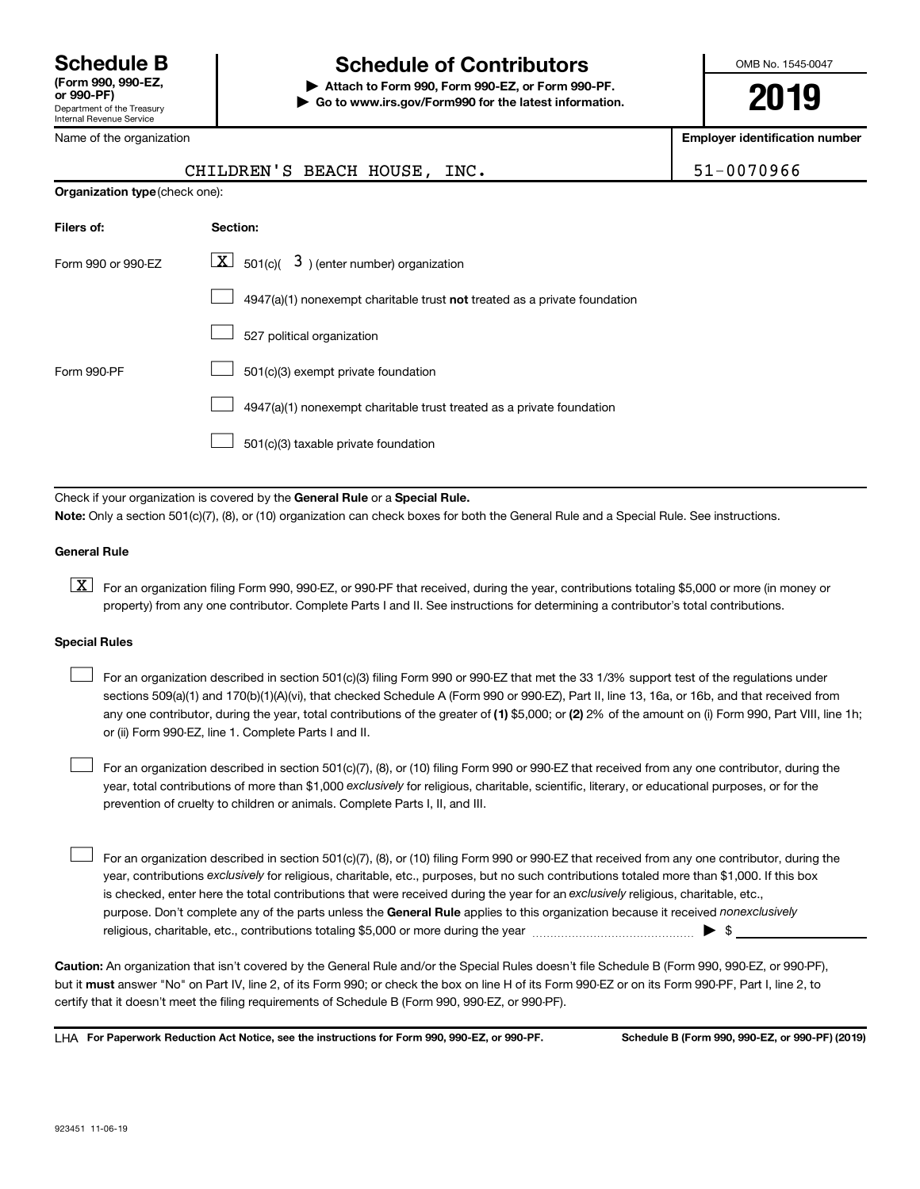## **Schedule B Schedule of Contributors**

**or 990-PF) | Attach to Form 990, Form 990-EZ, or Form 990-PF. | Go to www.irs.gov/Form990 for the latest information.** OMB No. 1545-0047

**2019**

**Employer identification number**

|                                | CHILDREN'S BEACH HOUSE, INC.                                                | 51-0070966 |
|--------------------------------|-----------------------------------------------------------------------------|------------|
| Organization type (check one): |                                                                             |            |
| Filers of:                     | Section:                                                                    |            |
| Form 990 or 990-EZ             | $\boxed{\mathbf{X}}$ 501(c)( 3) (enter number) organization                 |            |
|                                | $4947(a)(1)$ nonexempt charitable trust not treated as a private foundation |            |
|                                | 507 political organization                                                  |            |

|             | 527 political organization                                            |
|-------------|-----------------------------------------------------------------------|
| Form 990-PF | 501(c)(3) exempt private foundation                                   |
|             | 4947(a)(1) nonexempt charitable trust treated as a private foundation |
|             | $\frac{1}{2}$ 501(c)(3) taxable private foundation                    |
|             |                                                                       |

Check if your organization is covered by the General Rule or a Special Rule. **Note:**  Only a section 501(c)(7), (8), or (10) organization can check boxes for both the General Rule and a Special Rule. See instructions.

#### **General Rule**

**K** For an organization filing Form 990, 990-EZ, or 990-PF that received, during the year, contributions totaling \$5,000 or more (in money or property) from any one contributor. Complete Parts I and II. See instructions for determining a contributor's total contributions.

#### **Special Rules**

 $\Box$ 

 $\Box$ 

any one contributor, during the year, total contributions of the greater of (1) \$5,000; or (2) 2% of the amount on (i) Form 990, Part VIII, line 1h; For an organization described in section 501(c)(3) filing Form 990 or 990-EZ that met the 33 1/3% support test of the regulations under sections 509(a)(1) and 170(b)(1)(A)(vi), that checked Schedule A (Form 990 or 990-EZ), Part II, line 13, 16a, or 16b, and that received from or (ii) Form 990-EZ, line 1. Complete Parts I and II.  $\Box$ 

year, total contributions of more than \$1,000 *exclusively* for religious, charitable, scientific, literary, or educational purposes, or for the For an organization described in section 501(c)(7), (8), or (10) filing Form 990 or 990-EZ that received from any one contributor, during the prevention of cruelty to children or animals. Complete Parts I, II, and III.

purpose. Don't complete any of the parts unless the General Rule applies to this organization because it received nonexclusively year, contributions exclusively for religious, charitable, etc., purposes, but no such contributions totaled more than \$1,000. If this box is checked, enter here the total contributions that were received during the year for an exclusively religious, charitable, etc., For an organization described in section 501(c)(7), (8), or (10) filing Form 990 or 990-EZ that received from any one contributor, during the religious, charitable, etc., contributions totaling \$5,000 or more during the year  $\ldots$  $\ldots$  $\ldots$  $\ldots$  $\ldots$  $\ldots$ 

**Caution:**  An organization that isn't covered by the General Rule and/or the Special Rules doesn't file Schedule B (Form 990, 990-EZ, or 990-PF),  **must** but it answer "No" on Part IV, line 2, of its Form 990; or check the box on line H of its Form 990-EZ or on its Form 990-PF, Part I, line 2, to certify that it doesn't meet the filing requirements of Schedule B (Form 990, 990-EZ, or 990-PF).

**For Paperwork Reduction Act Notice, see the instructions for Form 990, 990-EZ, or 990-PF. Schedule B (Form 990, 990-EZ, or 990-PF) (2019)** LHA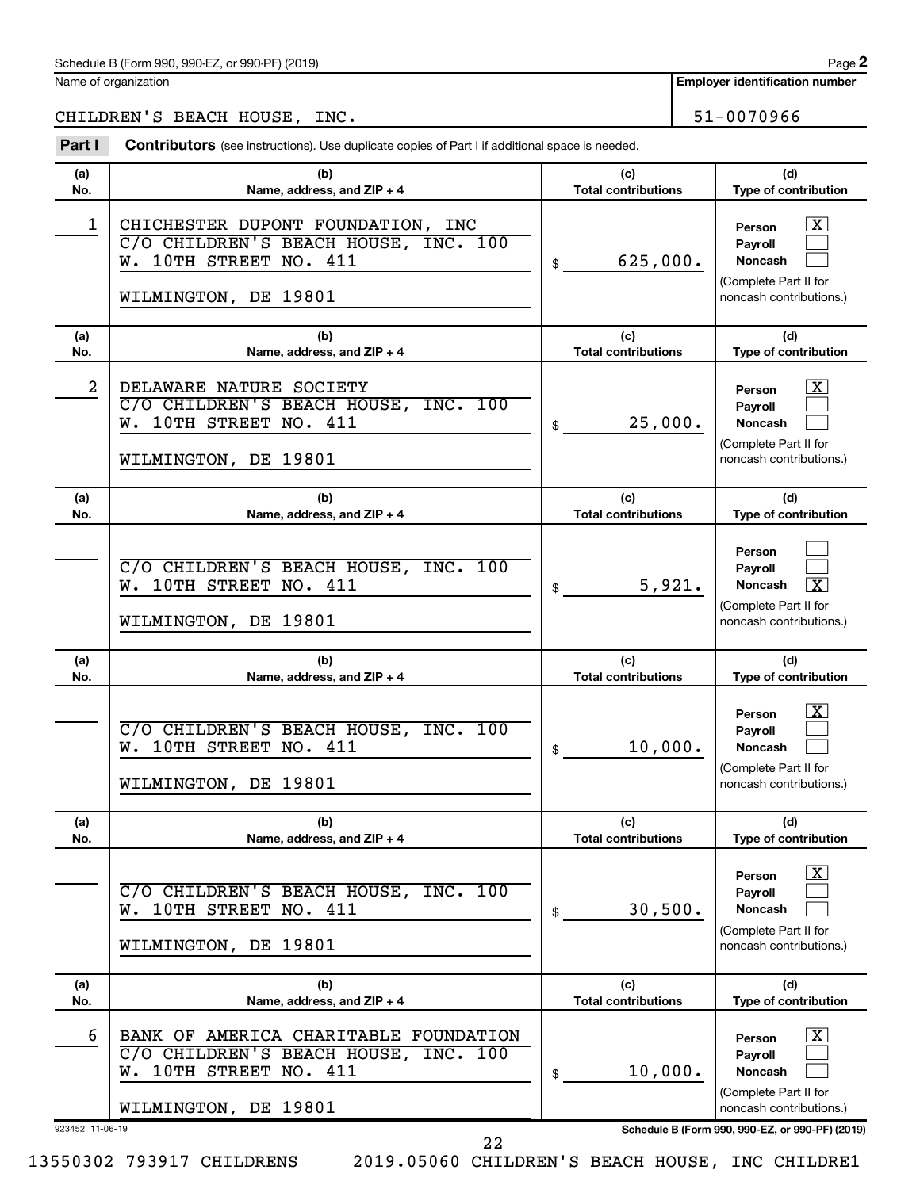**2**

**Employer identification number**

CHILDREN'S BEACH HOUSE, INC. 51-0070966

| Part I          | <b>Contributors</b> (see instructions). Use duplicate copies of Part I if additional space is needed.                           |                                   |                                                                                                                    |
|-----------------|---------------------------------------------------------------------------------------------------------------------------------|-----------------------------------|--------------------------------------------------------------------------------------------------------------------|
| (a)             | (b)                                                                                                                             | (c)                               | (d)                                                                                                                |
| No.             | Name, address, and ZIP + 4                                                                                                      | <b>Total contributions</b>        | Type of contribution                                                                                               |
| 1               | CHICHESTER DUPONT FOUNDATION, INC<br>C/O CHILDREN'S BEACH HOUSE, INC. 100<br>W. 10TH STREET NO. 411<br>WILMINGTON, DE 19801     | 625,000.<br>\$                    | $\overline{\text{X}}$<br>Person<br>Payroll<br>Noncash<br>(Complete Part II for<br>noncash contributions.)          |
| (a)             | (b)                                                                                                                             | (c)                               | (d)                                                                                                                |
| No.             | Name, address, and ZIP + 4                                                                                                      | <b>Total contributions</b>        | Type of contribution                                                                                               |
| 2               | DELAWARE NATURE SOCIETY<br>C/O CHILDREN'S BEACH HOUSE, INC. 100<br>W. 10TH STREET NO. 411<br>WILMINGTON, DE 19801               | 25,000.<br>\$                     | $\overline{\mathbf{X}}$<br>Person<br>Payroll<br>Noncash<br>(Complete Part II for<br>noncash contributions.)        |
| (a)<br>No.      | (b)<br>Name, address, and ZIP + 4                                                                                               | (c)<br><b>Total contributions</b> | (d)<br>Type of contribution                                                                                        |
|                 | C/O CHILDREN'S BEACH HOUSE, INC. 100<br>W. 10TH STREET NO. 411<br>WILMINGTON, DE 19801                                          | 5,921.<br>\$                      | Person<br>Payroll<br>$\overline{\mathbf{X}}$<br>Noncash<br>(Complete Part II for<br>noncash contributions.)        |
| (a)<br>No.      | (b)<br>Name, address, and ZIP + 4                                                                                               | (c)<br><b>Total contributions</b> | (d)<br>Type of contribution                                                                                        |
|                 | C/O CHILDREN'S BEACH HOUSE, INC. 100<br>W. 10TH STREET NO. 411<br>WILMINGTON, DE 19801                                          | 10,000.<br>\$                     | $\overline{\mathbf{X}}$<br>Person<br>Payroll<br><b>Noncash</b><br>(Complete Part II for<br>noncash contributions.) |
| (a)<br>No.      | (b)<br>Name, address, and ZIP + 4                                                                                               | (c)<br><b>Total contributions</b> | (d)<br>Type of contribution                                                                                        |
|                 | C/O CHILDREN'S BEACH HOUSE, INC. 100<br>W. 10TH STREET NO. 411<br>WILMINGTON, DE 19801                                          | 30,500.<br>\$                     | $\overline{\text{X}}$<br>Person<br>Payroll<br><b>Noncash</b><br>(Complete Part II for<br>noncash contributions.)   |
| (a)<br>No.      | (b)<br>Name, address, and ZIP + 4                                                                                               | (c)<br><b>Total contributions</b> | (d)<br>Type of contribution                                                                                        |
| 6               | BANK OF AMERICA CHARITABLE FOUNDATION<br>C/O CHILDREN'S BEACH HOUSE, INC. 100<br>W. 10TH STREET NO. 411<br>WILMINGTON, DE 19801 | 10,000.<br>\$                     | $\overline{\text{X}}$<br>Person<br>Payroll<br><b>Noncash</b><br>(Complete Part II for<br>noncash contributions.)   |
| 923452 11-06-19 |                                                                                                                                 |                                   | Schedule B (Form 990, 990-EZ, or 990-PF) (2019)                                                                    |

22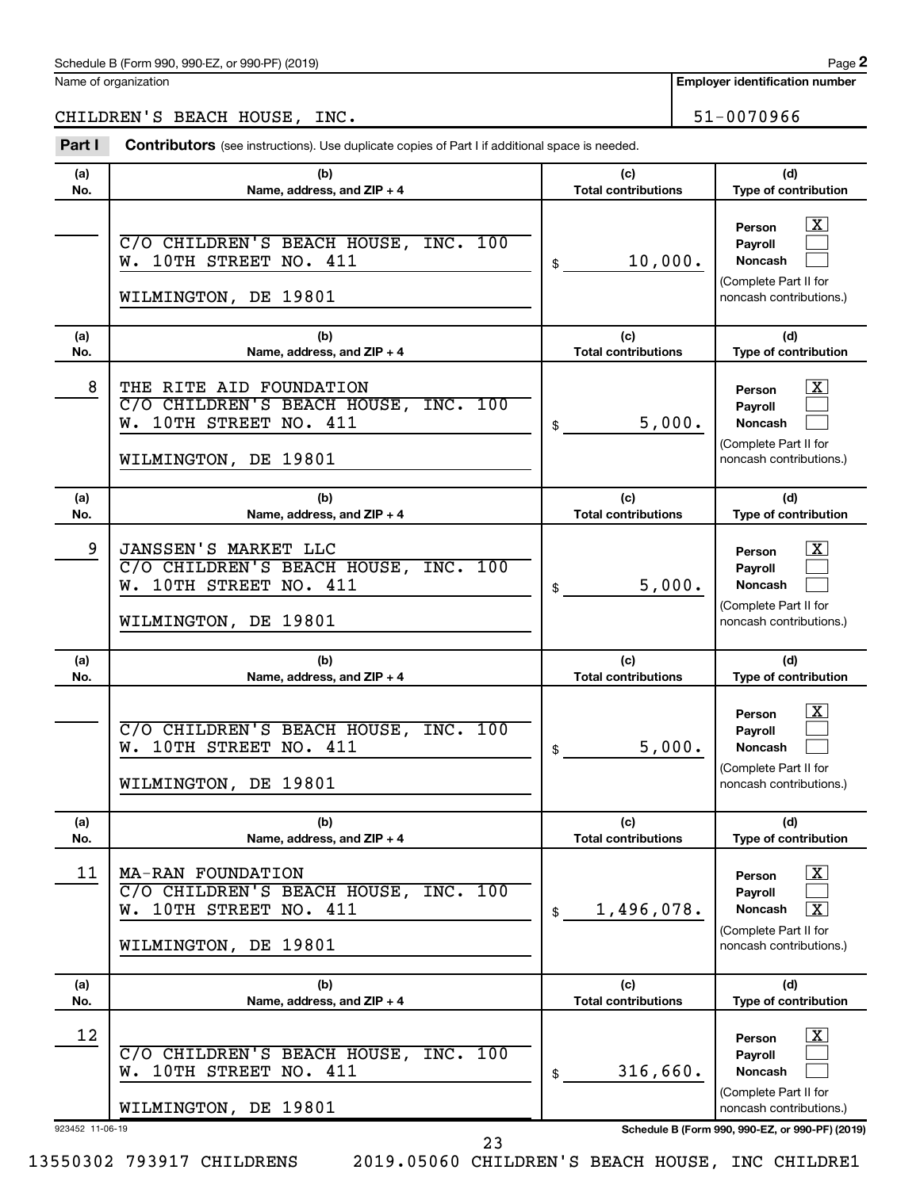**Employer identification number**

CHILDREN'S BEACH HOUSE, INC. 51-0070966

Part I Contributors (see instructions). Use duplicate copies of Part I if additional space is needed.

| (a)<br>No.            | (b)<br>Name, address, and ZIP + 4                                                                                 | (c)<br><b>Total contributions</b> | (d)<br>Type of contribution                                                                                                                     |
|-----------------------|-------------------------------------------------------------------------------------------------------------------|-----------------------------------|-------------------------------------------------------------------------------------------------------------------------------------------------|
|                       | C/O CHILDREN'S BEACH HOUSE, INC. 100<br>W. 10TH STREET NO. 411<br>WILMINGTON, DE 19801                            | 10,000.<br>\$                     | $\overline{\text{X}}$<br>Person<br>Payroll<br><b>Noncash</b><br>(Complete Part II for<br>noncash contributions.)                                |
| (a)<br>No.            | (b)<br>Name, address, and ZIP + 4                                                                                 | (c)<br><b>Total contributions</b> | (d)<br>Type of contribution                                                                                                                     |
| 8                     | THE RITE AID FOUNDATION<br>C/O CHILDREN'S BEACH HOUSE, INC. 100<br>W. 10TH STREET NO. 411<br>WILMINGTON, DE 19801 | 5,000.<br>\$                      | X<br>Person<br>Payroll<br>Noncash<br>(Complete Part II for<br>noncash contributions.)                                                           |
| (a)<br>No.            | (b)<br>Name, address, and ZIP + 4                                                                                 | (c)<br><b>Total contributions</b> | (d)<br>Type of contribution                                                                                                                     |
| 9                     | JANSSEN'S MARKET LLC<br>C/O CHILDREN'S BEACH HOUSE, INC. 100<br>W. 10TH STREET NO. 411<br>WILMINGTON, DE 19801    | 5,000.<br>\$                      | x<br>Person<br>Payroll<br><b>Noncash</b><br>(Complete Part II for<br>noncash contributions.)                                                    |
|                       |                                                                                                                   |                                   |                                                                                                                                                 |
| (a)<br>No.            | (b)<br>Name, address, and ZIP + 4                                                                                 | (c)<br><b>Total contributions</b> | (d)<br>Type of contribution                                                                                                                     |
|                       | C/O CHILDREN'S BEACH HOUSE, INC. 100<br>W. 10TH STREET NO. 411<br>WILMINGTON, DE 19801                            | 5,000.<br>\$                      | x<br>Person<br>Payroll<br>Noncash<br>(Complete Part II for<br>noncash contributions.)                                                           |
| (a)<br>No.            | (b)<br>Name, address, and ZIP + 4                                                                                 | (c)<br><b>Total contributions</b> | (d)<br><b>Type of contribution</b>                                                                                                              |
| 11                    | MA-RAN FOUNDATION<br>C/O CHILDREN'S BEACH HOUSE, INC. 100<br>W. 10TH STREET NO. 411<br>WILMINGTON, DE 19801       | 1,496,078.<br>\$                  | $\overline{\text{X}}$<br>Person<br>Payroll<br>$\overline{\textbf{x}}$<br>Noncash<br>(Complete Part II for<br>noncash contributions.)            |
| (a)<br>No.            | (b)<br>Name, address, and ZIP + 4                                                                                 | (c)<br><b>Total contributions</b> | (d)<br>Type of contribution                                                                                                                     |
| 12<br>923452 11-06-19 | C/O CHILDREN'S BEACH HOUSE, INC. 100<br>W. 10TH STREET NO. 411<br>WILMINGTON, DE 19801<br>23                      | 316,660.<br>\$                    | x<br>Person<br>Payroll<br><b>Noncash</b><br>(Complete Part II for<br>noncash contributions.)<br>Schedule B (Form 990, 990-EZ, or 990-PF) (2019) |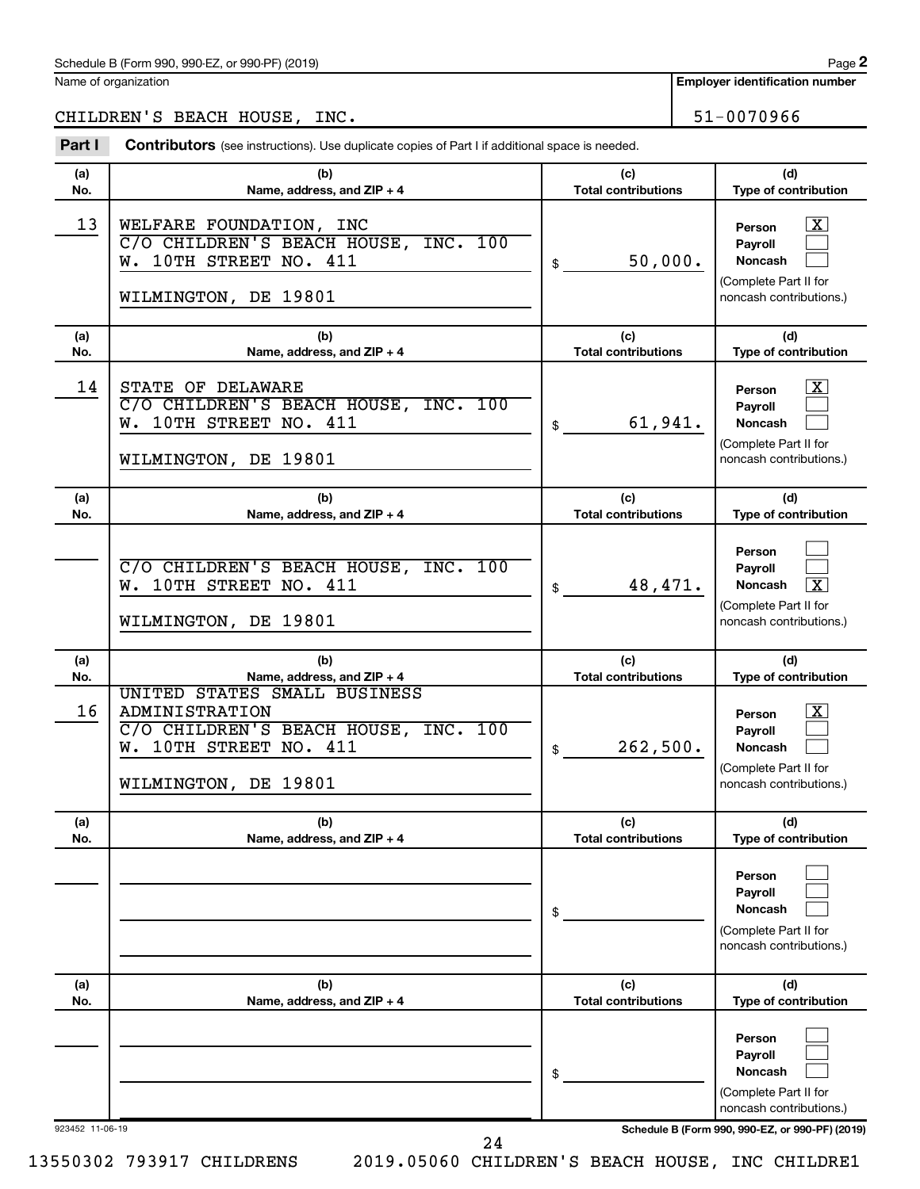**Employer identification number**

CHILDREN'S BEACH HOUSE, INC. 51-0070966

Part I Contributors (see instructions). Use duplicate copies of Part I if additional space is needed.

| (a)             | (b)                                                                                                                                             | (c)                               | (d)                                                                                                                                        |
|-----------------|-------------------------------------------------------------------------------------------------------------------------------------------------|-----------------------------------|--------------------------------------------------------------------------------------------------------------------------------------------|
| No.             | Name, address, and ZIP + 4                                                                                                                      | <b>Total contributions</b>        | Type of contribution                                                                                                                       |
| 13              | WELFARE FOUNDATION, INC<br>C/O CHILDREN'S BEACH HOUSE, INC. 100<br>W. 10TH STREET NO. 411<br>WILMINGTON, DE 19801                               | 50,000.<br>\$                     | $\lfloor x \rfloor$<br>Person<br>Payroll<br>Noncash<br>(Complete Part II for<br>noncash contributions.)                                    |
| (a)<br>No.      | (b)<br>Name, address, and ZIP + 4                                                                                                               | (c)<br><b>Total contributions</b> | (d)<br>Type of contribution                                                                                                                |
| 14              | STATE OF DELAWARE<br>C/O CHILDREN'S BEACH HOUSE, INC. 100<br>W. 10TH STREET NO. 411<br>WILMINGTON, DE 19801                                     | 61,941.<br>\$                     | $\lfloor x \rfloor$<br>Person<br><b>Payroll</b><br>Noncash<br>(Complete Part II for<br>noncash contributions.)                             |
| (a)<br>No.      | (b)<br>Name, address, and ZIP + 4                                                                                                               | (c)<br><b>Total contributions</b> | (d)<br>Type of contribution                                                                                                                |
|                 | C/O CHILDREN'S BEACH HOUSE, INC. 100<br>W. 10TH STREET NO. 411<br>WILMINGTON, DE 19801                                                          | 48,471.<br>\$                     | Person<br>Pavroll<br>$\overline{\mathbf{x}}$<br><b>Noncash</b><br>(Complete Part II for<br>noncash contributions.)                         |
|                 |                                                                                                                                                 |                                   |                                                                                                                                            |
| (a)             | (b)                                                                                                                                             | (c)                               | (d)                                                                                                                                        |
| No.             | Name, address, and ZIP + 4                                                                                                                      | <b>Total contributions</b>        | Type of contribution                                                                                                                       |
| 16              | UNITED STATES SMALL BUSINESS<br><b>ADMINISTRATION</b><br>C/O CHILDREN'S BEACH HOUSE, INC. 100<br>W. 10TH STREET NO. 411<br>WILMINGTON, DE 19801 | 262,500.<br>\$                    | $\mathbf{X}$<br>Person<br>Payroll<br>Noncash<br>(Complete Part II for<br>noncash contributions.)                                           |
| (a)<br>No.      | (b)<br>Name, address, and ZIP + 4                                                                                                               | (c)<br><b>Total contributions</b> | (d)<br><b>Type of contribution</b>                                                                                                         |
|                 |                                                                                                                                                 | \$                                | Person<br>Payroll<br><b>Noncash</b><br>(Complete Part II for<br>noncash contributions.)                                                    |
| (a)<br>No.      | (b)<br>Name, address, and ZIP + 4                                                                                                               | (c)<br><b>Total contributions</b> | (d)<br>Type of contribution                                                                                                                |
| 923452 11-06-19 |                                                                                                                                                 | \$                                | Person<br>Payroll<br><b>Noncash</b><br>(Complete Part II for<br>noncash contributions.)<br>Schedule B (Form 990, 990-EZ, or 990-PF) (2019) |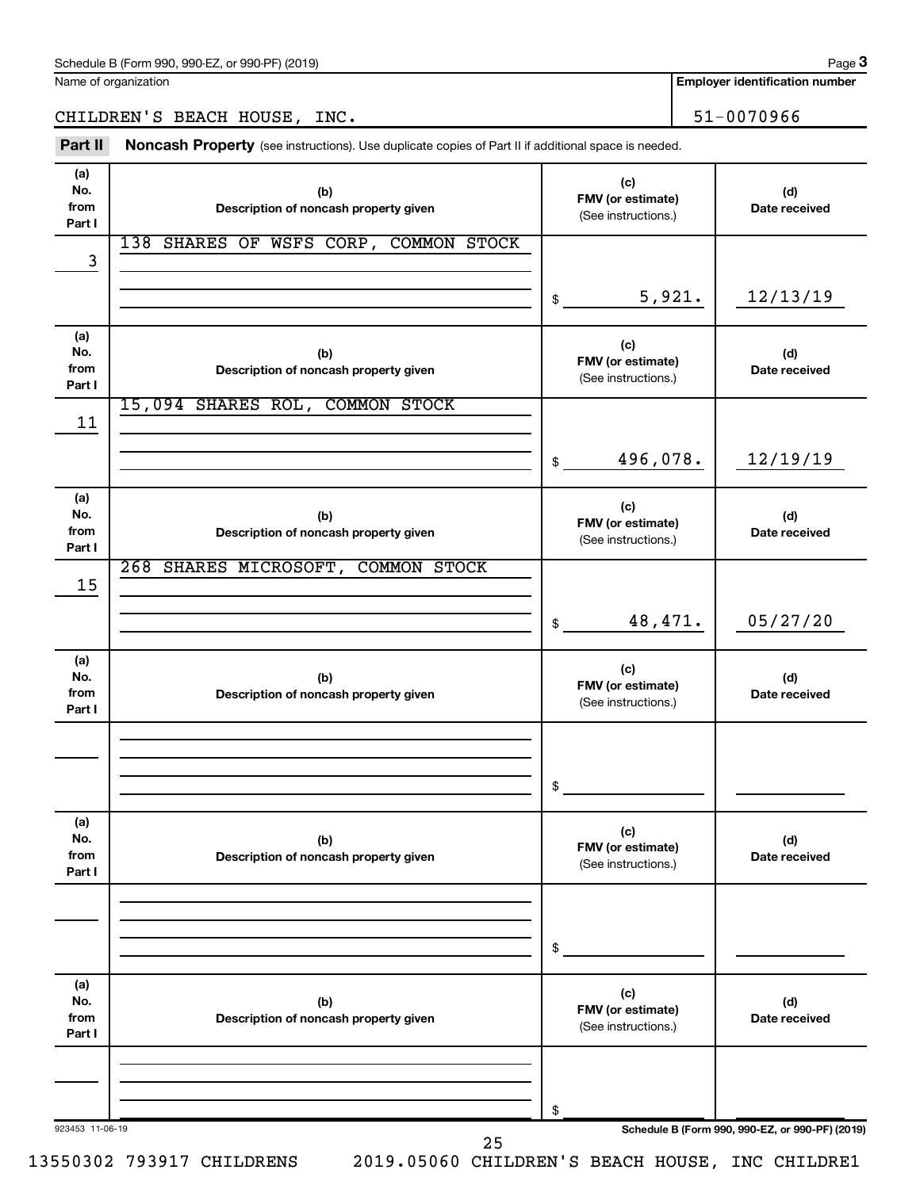**Employer identification number**

CHILDREN'S BEACH HOUSE, INC. 51-0070966

Part II Noncash Property (see instructions). Use duplicate copies of Part II if additional space is needed.

| No.<br>from<br>Part I        | (b)<br>Description of noncash property given | (c)<br>FMV (or estimate)<br>(See instructions.) | (d)<br>Date received |
|------------------------------|----------------------------------------------|-------------------------------------------------|----------------------|
| 3                            | 138 SHARES OF WSFS CORP, COMMON STOCK        | 5,921.<br>\$                                    | 12/13/19             |
| (a)<br>No.<br>from<br>Part I | (b)<br>Description of noncash property given | (c)<br>FMV (or estimate)<br>(See instructions.) | (d)<br>Date received |
| 11                           | 15,094 SHARES ROL, COMMON STOCK              | 496,078.<br>\$                                  | 12/19/19             |
| (a)<br>No.<br>from<br>Part I | (b)<br>Description of noncash property given | (c)<br>FMV (or estimate)<br>(See instructions.) | (d)<br>Date received |
| 15                           | 268 SHARES MICROSOFT, COMMON STOCK           | 48,471.<br>\$                                   | 05/27/20             |
| (a)<br>No.<br>from<br>Part I | (b)<br>Description of noncash property given | (c)<br>FMV (or estimate)<br>(See instructions.) | (d)<br>Date received |
|                              |                                              | \$                                              |                      |
| (a)<br>No.<br>from<br>Part I | (b)<br>Description of noncash property given | (c)<br>FMV (or estimate)<br>(See instructions.) | (d)<br>Date received |
|                              |                                              | \$                                              |                      |
| (a)<br>No.<br>from<br>Part I | (b)<br>Description of noncash property given | (c)<br>FMV (or estimate)<br>(See instructions.) | (d)<br>Date received |
|                              |                                              | \$                                              |                      |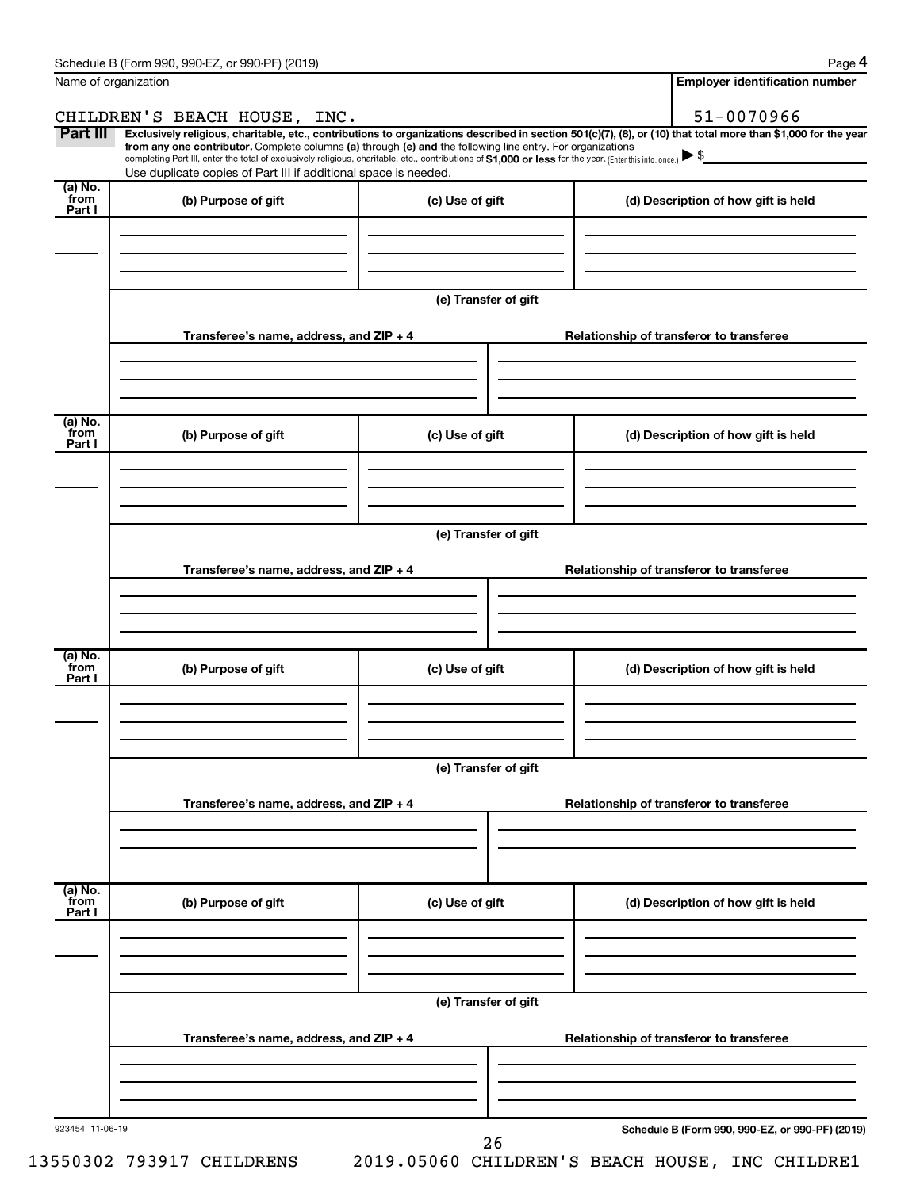|                           | Name of organization                                                                                                                                                                                                                                                                                                                                                                                                                                                                                        |                      | <b>Employer identification number</b>           |
|---------------------------|-------------------------------------------------------------------------------------------------------------------------------------------------------------------------------------------------------------------------------------------------------------------------------------------------------------------------------------------------------------------------------------------------------------------------------------------------------------------------------------------------------------|----------------------|-------------------------------------------------|
|                           | CHILDREN'S BEACH HOUSE, INC.                                                                                                                                                                                                                                                                                                                                                                                                                                                                                |                      | 51-0070966                                      |
| Part III                  | Exclusively religious, charitable, etc., contributions to organizations described in section 501(c)(7), (8), or (10) that total more than \$1,000 for the year<br>from any one contributor. Complete columns (a) through (e) and the following line entry. For organizations<br>completing Part III, enter the total of exclusively religious, charitable, etc., contributions of \$1,000 or less for the year. [Enter this info. once.]<br>Use duplicate copies of Part III if additional space is needed. |                      |                                                 |
| (a) No.                   |                                                                                                                                                                                                                                                                                                                                                                                                                                                                                                             |                      |                                                 |
| from<br>Part I            | (b) Purpose of gift                                                                                                                                                                                                                                                                                                                                                                                                                                                                                         | (c) Use of gift      | (d) Description of how gift is held             |
|                           |                                                                                                                                                                                                                                                                                                                                                                                                                                                                                                             | (e) Transfer of gift |                                                 |
|                           | Transferee's name, address, and $ZIP + 4$                                                                                                                                                                                                                                                                                                                                                                                                                                                                   |                      | Relationship of transferor to transferee        |
| (a) No.<br>from           |                                                                                                                                                                                                                                                                                                                                                                                                                                                                                                             |                      |                                                 |
| Part I                    | (b) Purpose of gift                                                                                                                                                                                                                                                                                                                                                                                                                                                                                         | (c) Use of gift      | (d) Description of how gift is held             |
|                           |                                                                                                                                                                                                                                                                                                                                                                                                                                                                                                             | (e) Transfer of gift |                                                 |
|                           | Transferee's name, address, and $ZIP + 4$                                                                                                                                                                                                                                                                                                                                                                                                                                                                   |                      | Relationship of transferor to transferee        |
| (a) No.                   |                                                                                                                                                                                                                                                                                                                                                                                                                                                                                                             |                      |                                                 |
| from<br>Part I            | (b) Purpose of gift                                                                                                                                                                                                                                                                                                                                                                                                                                                                                         | (c) Use of gift      | (d) Description of how gift is held             |
|                           |                                                                                                                                                                                                                                                                                                                                                                                                                                                                                                             | (e) Transfer of gift |                                                 |
|                           | Transferee's name, address, and $ZIP + 4$                                                                                                                                                                                                                                                                                                                                                                                                                                                                   |                      | Relationship of transferor to transferee        |
| (a) No.<br>from<br>Part I | (b) Purpose of gift                                                                                                                                                                                                                                                                                                                                                                                                                                                                                         | (c) Use of gift      | (d) Description of how gift is held             |
|                           |                                                                                                                                                                                                                                                                                                                                                                                                                                                                                                             |                      |                                                 |
|                           |                                                                                                                                                                                                                                                                                                                                                                                                                                                                                                             | (e) Transfer of gift |                                                 |
|                           | Transferee's name, address, and ZIP + 4                                                                                                                                                                                                                                                                                                                                                                                                                                                                     |                      | Relationship of transferor to transferee        |
|                           |                                                                                                                                                                                                                                                                                                                                                                                                                                                                                                             |                      |                                                 |
| 923454 11-06-19           |                                                                                                                                                                                                                                                                                                                                                                                                                                                                                                             | 26                   | Schedule B (Form 990, 990-EZ, or 990-PF) (2019) |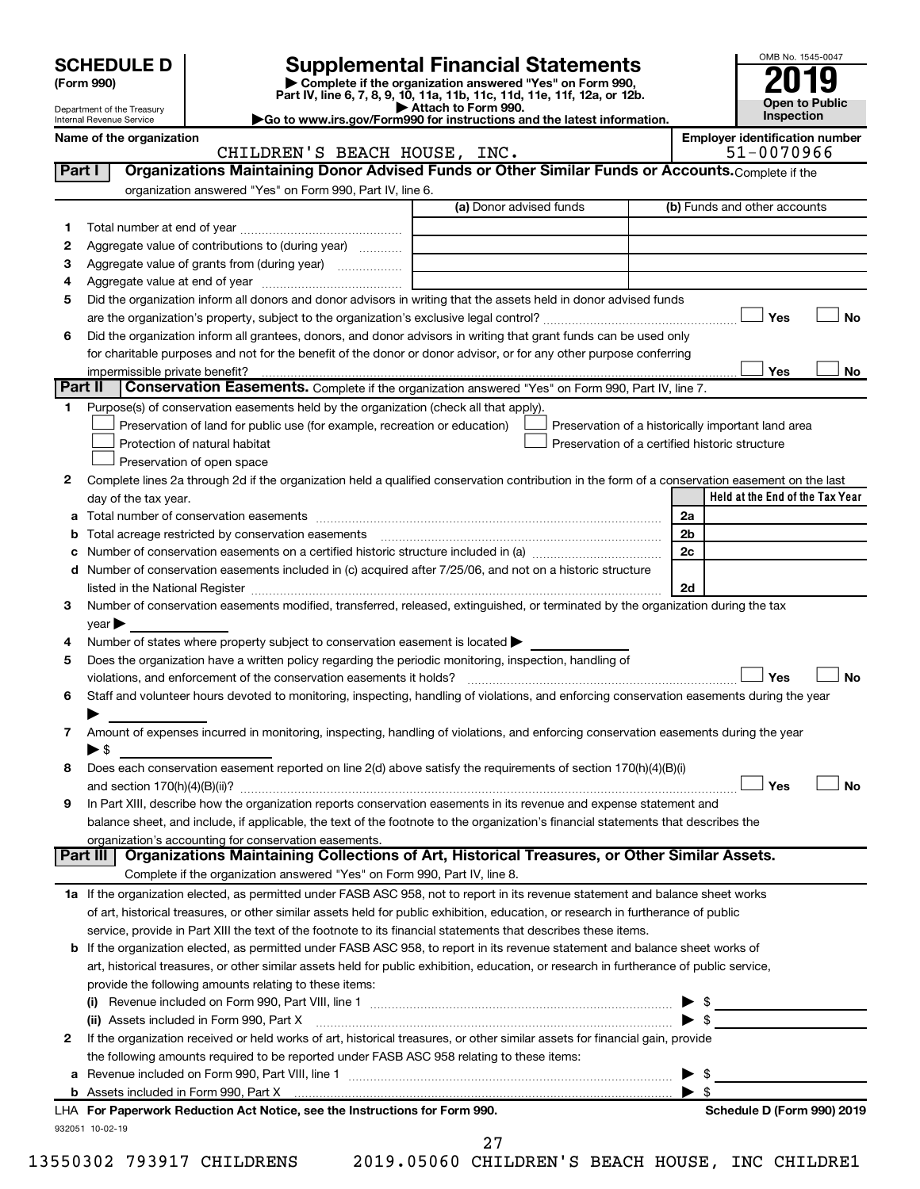| <b>SCHEDULE D</b> |  |  |
|-------------------|--|--|
|-------------------|--|--|

| (Form 990) |  |
|------------|--|
|------------|--|

# **SCHEDULE D Supplemental Financial Statements**<br> **Form 990 2019**<br> **Part IV** line 6.7.8.9.10, 11a, 11b, 11d, 11d, 11d, 11d, 11d, 12a, 0r, 12b

**(Form 990) | Complete if the organization answered "Yes" on Form 990, Part IV, line 6, 7, 8, 9, 10, 11a, 11b, 11c, 11d, 11e, 11f, 12a, or 12b.**

**Open to Public Inspection**

OMB No. 1545-0047

Department of the Treasury Internal Revenue Service **Name of the organization Employer identification number**

| Attach to Form 990.                                                                          |  |
|----------------------------------------------------------------------------------------------|--|
| $\blacktriangleright$ Go to www.irs.gov/Form990 for instructions and the latest information. |  |

|         | CHILDREN'S BEACH HOUSE, INC.                                                                                                                                                                                                             | 51-0070966                                         |
|---------|------------------------------------------------------------------------------------------------------------------------------------------------------------------------------------------------------------------------------------------|----------------------------------------------------|
| Part I  | Organizations Maintaining Donor Advised Funds or Other Similar Funds or Accounts. Complete if the                                                                                                                                        |                                                    |
|         | organization answered "Yes" on Form 990, Part IV, line 6.                                                                                                                                                                                |                                                    |
|         | (a) Donor advised funds                                                                                                                                                                                                                  | (b) Funds and other accounts                       |
| 1.      |                                                                                                                                                                                                                                          |                                                    |
| 2       | Aggregate value of contributions to (during year)                                                                                                                                                                                        |                                                    |
| з       |                                                                                                                                                                                                                                          |                                                    |
| 4       |                                                                                                                                                                                                                                          |                                                    |
| 5       | Did the organization inform all donors and donor advisors in writing that the assets held in donor advised funds                                                                                                                         |                                                    |
|         |                                                                                                                                                                                                                                          | Yes<br>No                                          |
| 6       | Did the organization inform all grantees, donors, and donor advisors in writing that grant funds can be used only                                                                                                                        |                                                    |
|         | for charitable purposes and not for the benefit of the donor or donor advisor, or for any other purpose conferring                                                                                                                       |                                                    |
|         | impermissible private benefit?                                                                                                                                                                                                           | Yes<br>No                                          |
| Part II | Conservation Easements. Complete if the organization answered "Yes" on Form 990, Part IV, line 7.                                                                                                                                        |                                                    |
|         | 1 Purpose(s) of conservation easements held by the organization (check all that apply).                                                                                                                                                  |                                                    |
|         | Preservation of land for public use (for example, recreation or education)                                                                                                                                                               | Preservation of a historically important land area |
|         | Protection of natural habitat                                                                                                                                                                                                            | Preservation of a certified historic structure     |
|         | Preservation of open space                                                                                                                                                                                                               |                                                    |
|         |                                                                                                                                                                                                                                          |                                                    |
| 2       | Complete lines 2a through 2d if the organization held a qualified conservation contribution in the form of a conservation easement on the last                                                                                           | Held at the End of the Tax Year                    |
|         | day of the tax year.                                                                                                                                                                                                                     |                                                    |
|         |                                                                                                                                                                                                                                          | 2a                                                 |
|         | <b>b</b> Total acreage restricted by conservation easements <i>manual conservation</i> conservation conservation and the conservation of the conservation of the conservation of the conservation of the conservation of the conservatio | 2 <sub>b</sub>                                     |
|         | c Number of conservation easements on a certified historic structure included in (a) manufacture included in (a)                                                                                                                         | 2c                                                 |
|         | d Number of conservation easements included in (c) acquired after 7/25/06, and not on a historic structure                                                                                                                               |                                                    |
|         | listed in the National Register [11, 1200] and the National Register [11, 1200] and the Mational Register [11, 1200] and the Mational Register [11, 1200] and the Mational Register [11, 1200] and the Mational Register [11,            | 2d                                                 |
| з       | Number of conservation easements modified, transferred, released, extinguished, or terminated by the organization during the tax                                                                                                         |                                                    |
|         | $year \triangleright$                                                                                                                                                                                                                    |                                                    |
|         | Number of states where property subject to conservation easement is located >                                                                                                                                                            |                                                    |
| 5       | Does the organization have a written policy regarding the periodic monitoring, inspection, handling of                                                                                                                                   |                                                    |
|         | violations, and enforcement of the conservation easements it holds?                                                                                                                                                                      | Yes<br>No                                          |
| 6       | Staff and volunteer hours devoted to monitoring, inspecting, handling of violations, and enforcing conservation easements during the year                                                                                                |                                                    |
|         |                                                                                                                                                                                                                                          |                                                    |
| 7       | Amount of expenses incurred in monitoring, inspecting, handling of violations, and enforcing conservation easements during the year                                                                                                      |                                                    |
|         | ▶ \$                                                                                                                                                                                                                                     |                                                    |
| 8       | Does each conservation easement reported on line 2(d) above satisfy the requirements of section 170(h)(4)(B)(i)                                                                                                                          |                                                    |
|         |                                                                                                                                                                                                                                          | Yes<br>No                                          |
| 9       | In Part XIII, describe how the organization reports conservation easements in its revenue and expense statement and                                                                                                                      |                                                    |
|         | balance sheet, and include, if applicable, the text of the footnote to the organization's financial statements that describes the                                                                                                        |                                                    |
|         | organization's accounting for conservation easements.                                                                                                                                                                                    |                                                    |
|         | Organizations Maintaining Collections of Art, Historical Treasures, or Other Similar Assets.<br>Part III                                                                                                                                 |                                                    |
|         | Complete if the organization answered "Yes" on Form 990, Part IV, line 8.                                                                                                                                                                |                                                    |
|         | 1a If the organization elected, as permitted under FASB ASC 958, not to report in its revenue statement and balance sheet works                                                                                                          |                                                    |
|         | of art, historical treasures, or other similar assets held for public exhibition, education, or research in furtherance of public                                                                                                        |                                                    |
|         | service, provide in Part XIII the text of the footnote to its financial statements that describes these items.                                                                                                                           |                                                    |
|         | <b>b</b> If the organization elected, as permitted under FASB ASC 958, to report in its revenue statement and balance sheet works of                                                                                                     |                                                    |
|         | art, historical treasures, or other similar assets held for public exhibition, education, or research in furtherance of public service,                                                                                                  |                                                    |
|         | provide the following amounts relating to these items:                                                                                                                                                                                   |                                                    |
|         | (i) Revenue included on Form 990, Part VIII, line 1 $\ldots$ $\ldots$ $\ldots$ $\ldots$ $\ldots$ $\ldots$ $\ldots$ $\ldots$ $\ldots$ $\ldots$ $\ldots$ $\ldots$                                                                          |                                                    |
|         |                                                                                                                                                                                                                                          |                                                    |
| 2       | If the organization received or held works of art, historical treasures, or other similar assets for financial gain, provide                                                                                                             |                                                    |
|         | the following amounts required to be reported under FASB ASC 958 relating to these items:                                                                                                                                                |                                                    |
|         |                                                                                                                                                                                                                                          | - \$                                               |
|         |                                                                                                                                                                                                                                          | $\blacktriangleright$ s                            |
|         | LHA For Paperwork Reduction Act Notice, see the Instructions for Form 990.                                                                                                                                                               | Schedule D (Form 990) 2019                         |
|         | 932051 10-02-19                                                                                                                                                                                                                          |                                                    |

13550302 793917 CHILDRENS 2019.05060 CHILDREN'S BEACH HOUSE, INC CHILDRE1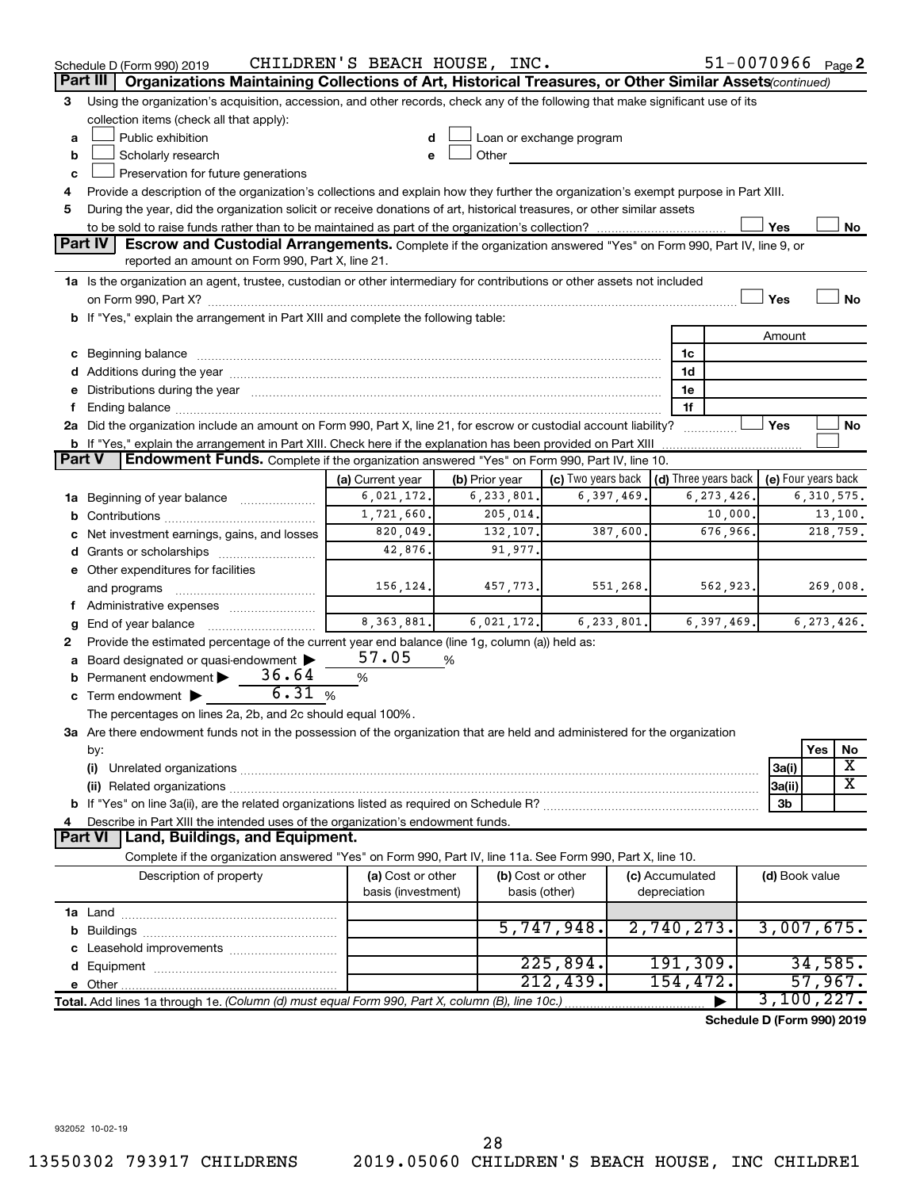|               | Schedule D (Form 990) 2019                                                                                                                                                                                                     | CHILDREN'S BEACH HOUSE, INC.            |                |                                    |                                      | 51-0070966 Page 2          |                     |              |                         |
|---------------|--------------------------------------------------------------------------------------------------------------------------------------------------------------------------------------------------------------------------------|-----------------------------------------|----------------|------------------------------------|--------------------------------------|----------------------------|---------------------|--------------|-------------------------|
|               | Organizations Maintaining Collections of Art, Historical Treasures, or Other Similar Assets (continued)<br>Part III                                                                                                            |                                         |                |                                    |                                      |                            |                     |              |                         |
| 3             | Using the organization's acquisition, accession, and other records, check any of the following that make significant use of its                                                                                                |                                         |                |                                    |                                      |                            |                     |              |                         |
|               | collection items (check all that apply):                                                                                                                                                                                       |                                         |                |                                    |                                      |                            |                     |              |                         |
| a             | Public exhibition                                                                                                                                                                                                              |                                         |                | Loan or exchange program           |                                      |                            |                     |              |                         |
| b             | Scholarly research                                                                                                                                                                                                             |                                         | Other          |                                    |                                      |                            |                     |              |                         |
| c             | Preservation for future generations                                                                                                                                                                                            |                                         |                |                                    |                                      |                            |                     |              |                         |
| 4             | Provide a description of the organization's collections and explain how they further the organization's exempt purpose in Part XIII.                                                                                           |                                         |                |                                    |                                      |                            |                     |              |                         |
| 5             | During the year, did the organization solicit or receive donations of art, historical treasures, or other similar assets                                                                                                       |                                         |                |                                    |                                      |                            |                     |              |                         |
|               |                                                                                                                                                                                                                                |                                         |                |                                    |                                      |                            | Yes                 |              | No                      |
|               | <b>Part IV</b><br><b>Escrow and Custodial Arrangements.</b> Complete if the organization answered "Yes" on Form 990, Part IV, line 9, or<br>reported an amount on Form 990, Part X, line 21.                                   |                                         |                |                                    |                                      |                            |                     |              |                         |
|               | 1a Is the organization an agent, trustee, custodian or other intermediary for contributions or other assets not included                                                                                                       |                                         |                |                                    |                                      |                            |                     |              |                         |
|               |                                                                                                                                                                                                                                |                                         |                |                                    |                                      |                            | Yes                 |              | <b>No</b>               |
|               | b If "Yes," explain the arrangement in Part XIII and complete the following table:                                                                                                                                             |                                         |                |                                    |                                      |                            |                     |              |                         |
|               |                                                                                                                                                                                                                                |                                         |                |                                    |                                      |                            | Amount              |              |                         |
|               | c Beginning balance measurements and the contract of the contract of the contract of the contract of the contract of the contract of the contract of the contract of the contract of the contract of the contract of the contr |                                         |                |                                    | 1c                                   |                            |                     |              |                         |
|               | d Additions during the year manufactured and an account of the year manufactured and account of the year manufactured and account of the year manufactured and account of the year manufactured and account of the year manufa |                                         |                |                                    | 1d                                   |                            |                     |              |                         |
|               | e Distributions during the year manufactured and an account of the year manufactured and account of the year manufactured and account of the state of the state of the state of the state of the state of the state of the sta |                                         |                |                                    | 1е                                   |                            |                     |              |                         |
| f.            |                                                                                                                                                                                                                                |                                         |                |                                    | 1f                                   |                            |                     |              |                         |
|               | 2a Did the organization include an amount on Form 990, Part X, line 21, for escrow or custodial account liability?                                                                                                             |                                         |                |                                    |                                      |                            | Yes                 |              | No                      |
|               | <b>b</b> If "Yes," explain the arrangement in Part XIII. Check here if the explanation has been provided on Part XIII                                                                                                          |                                         |                |                                    | .                                    |                            |                     |              |                         |
| <b>Part V</b> | Endowment Funds. Complete if the organization answered "Yes" on Form 990, Part IV, line 10.                                                                                                                                    |                                         |                |                                    |                                      |                            |                     |              |                         |
|               |                                                                                                                                                                                                                                | (a) Current year                        | (b) Prior year | (c) Two years back                 | $\vert$ (d) Three years back $\vert$ |                            | (e) Four years back |              |                         |
|               | 1a Beginning of year balance                                                                                                                                                                                                   | 6,021,172.                              | 6,233,801.     | 6,397,469.                         |                                      | 6, 273, 426.               |                     | 6,310,575.   |                         |
|               |                                                                                                                                                                                                                                | 1,721,660.                              | 205,014.       |                                    |                                      | 10,000.                    |                     |              | 13,100.                 |
|               |                                                                                                                                                                                                                                | 820,049.                                | 132,107.       | 387,600.                           |                                      | 676,966.                   |                     | 218,759.     |                         |
|               | c Net investment earnings, gains, and losses                                                                                                                                                                                   | 42,876.                                 | 91,977.        |                                    |                                      |                            |                     |              |                         |
|               |                                                                                                                                                                                                                                |                                         |                |                                    |                                      |                            |                     |              |                         |
|               | e Other expenditures for facilities                                                                                                                                                                                            |                                         |                |                                    |                                      | 562,923.                   |                     |              |                         |
|               | and programs                                                                                                                                                                                                                   | 156,124.                                | 457,773.       | 551,268.                           |                                      |                            |                     | 269,008.     |                         |
|               |                                                                                                                                                                                                                                | 8, 363, 881.                            |                |                                    |                                      |                            |                     |              |                         |
| g             |                                                                                                                                                                                                                                |                                         | 6,021,172.     | 6, 233, 801.                       |                                      | 6,397,469.                 |                     | 6, 273, 426. |                         |
| 2             | Provide the estimated percentage of the current year end balance (line 1g, column (a)) held as:                                                                                                                                |                                         |                |                                    |                                      |                            |                     |              |                         |
|               | a Board designated or quasi-endowment >                                                                                                                                                                                        | 57.05                                   | %              |                                    |                                      |                            |                     |              |                         |
| b             | Permanent endowment $\triangleright$ 36.64<br>6.31%                                                                                                                                                                            | %                                       |                |                                    |                                      |                            |                     |              |                         |
|               | c Term endowment $\blacktriangleright$                                                                                                                                                                                         |                                         |                |                                    |                                      |                            |                     |              |                         |
|               | The percentages on lines 2a, 2b, and 2c should equal 100%.                                                                                                                                                                     |                                         |                |                                    |                                      |                            |                     |              |                         |
|               | 3a Are there endowment funds not in the possession of the organization that are held and administered for the organization                                                                                                     |                                         |                |                                    |                                      |                            |                     |              |                         |
|               | by:                                                                                                                                                                                                                            |                                         |                |                                    |                                      |                            |                     | Yes          | No                      |
|               | (i)                                                                                                                                                                                                                            |                                         |                |                                    |                                      |                            | 3a(i)               |              | X                       |
|               |                                                                                                                                                                                                                                |                                         |                |                                    |                                      |                            | 3a(ii)              |              | $\overline{\textbf{X}}$ |
|               |                                                                                                                                                                                                                                |                                         |                |                                    |                                      |                            | 3b                  |              |                         |
| 4             | Describe in Part XIII the intended uses of the organization's endowment funds.                                                                                                                                                 |                                         |                |                                    |                                      |                            |                     |              |                         |
|               | Land, Buildings, and Equipment.<br><b>Part VI</b>                                                                                                                                                                              |                                         |                |                                    |                                      |                            |                     |              |                         |
|               | Complete if the organization answered "Yes" on Form 990, Part IV, line 11a. See Form 990, Part X, line 10.                                                                                                                     |                                         |                |                                    |                                      |                            |                     |              |                         |
|               | Description of property                                                                                                                                                                                                        | (a) Cost or other<br>basis (investment) |                | (b) Cost or other<br>basis (other) | (c) Accumulated<br>depreciation      |                            | (d) Book value      |              |                         |
|               |                                                                                                                                                                                                                                |                                         |                |                                    |                                      |                            |                     |              |                         |
|               |                                                                                                                                                                                                                                |                                         |                | 5,747,948.                         | 2,740,273.                           |                            | 3,007,675.          |              |                         |
|               |                                                                                                                                                                                                                                |                                         |                |                                    |                                      |                            |                     |              |                         |
|               |                                                                                                                                                                                                                                |                                         |                | 225,894.                           | 191, 309.                            |                            |                     | 34,585.      |                         |
|               |                                                                                                                                                                                                                                |                                         |                | 212,439.                           | 154,472.                             |                            |                     | 57,967.      |                         |
|               | Total. Add lines 1a through 1e. (Column (d) must equal Form 990, Part X, column (B), line 10c.)                                                                                                                                |                                         |                |                                    |                                      |                            | 3,100,227.          |              |                         |
|               |                                                                                                                                                                                                                                |                                         |                |                                    |                                      | Schedule D (Form 990) 2019 |                     |              |                         |
|               |                                                                                                                                                                                                                                |                                         |                |                                    |                                      |                            |                     |              |                         |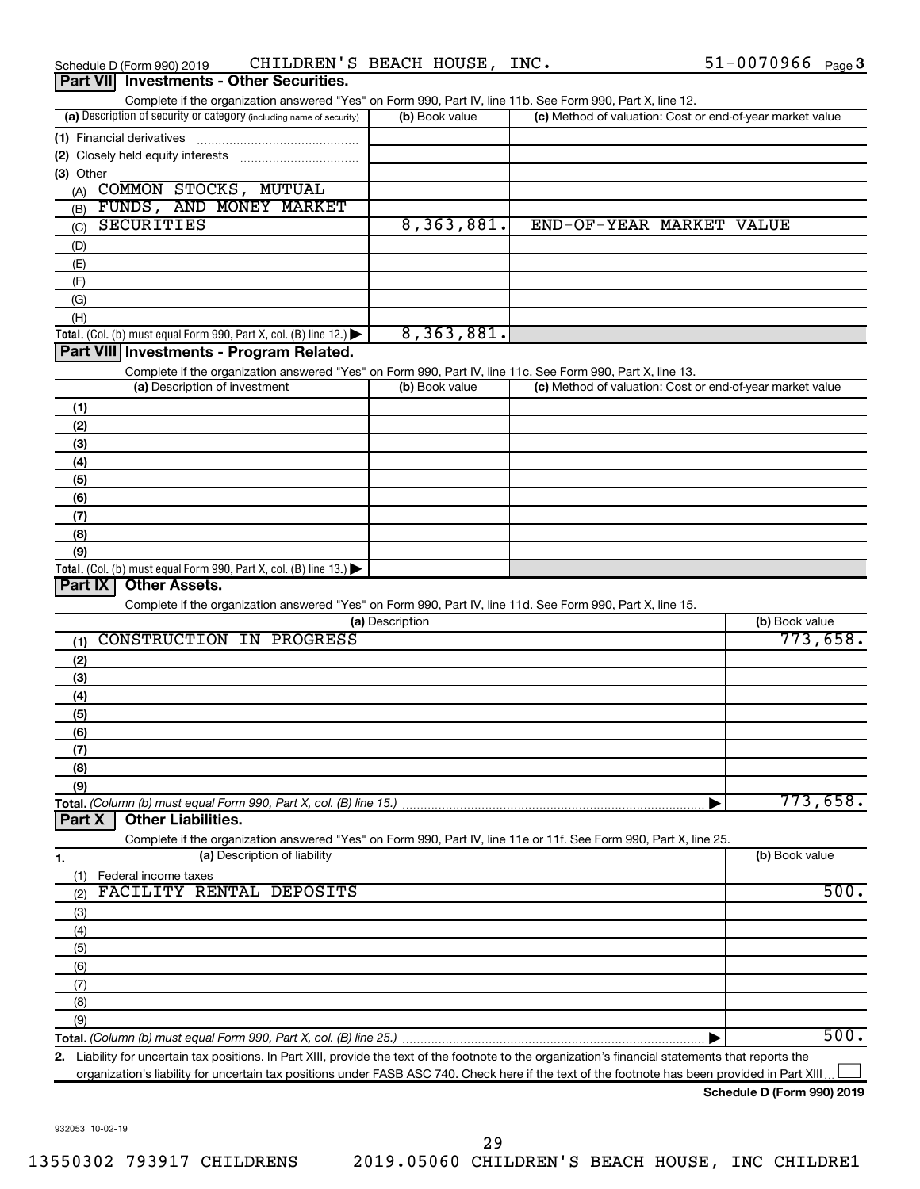|                  | Schedule D (Form 990) 2019 |                               | CHILDREN'S BEACH HOUSE, INC.                                         |                 |                |                                                                                                                                                                         | $51 - 0070966$ Page 3 |          |
|------------------|----------------------------|-------------------------------|----------------------------------------------------------------------|-----------------|----------------|-------------------------------------------------------------------------------------------------------------------------------------------------------------------------|-----------------------|----------|
| <b>Part VIII</b> |                            |                               | <b>Investments - Other Securities.</b>                               |                 |                |                                                                                                                                                                         |                       |          |
|                  |                            |                               |                                                                      |                 |                | Complete if the organization answered "Yes" on Form 990, Part IV, line 11b. See Form 990, Part X, line 12.                                                              |                       |          |
|                  |                            |                               | (a) Description of security or category (including name of security) |                 | (b) Book value | (c) Method of valuation: Cost or end-of-year market value                                                                                                               |                       |          |
|                  | (1) Financial derivatives  |                               |                                                                      |                 |                |                                                                                                                                                                         |                       |          |
|                  |                            |                               |                                                                      |                 |                |                                                                                                                                                                         |                       |          |
| (3) Other        |                            |                               |                                                                      |                 |                |                                                                                                                                                                         |                       |          |
|                  | (A) COMMON STOCKS, MUTUAL  |                               |                                                                      |                 |                |                                                                                                                                                                         |                       |          |
| (B)              |                            |                               | FUNDS, AND MONEY MARKET                                              |                 |                |                                                                                                                                                                         |                       |          |
| (C)              | <b>SECURITIES</b>          |                               |                                                                      |                 | 8,363,881.     | END-OF-YEAR MARKET VALUE                                                                                                                                                |                       |          |
| (D)              |                            |                               |                                                                      |                 |                |                                                                                                                                                                         |                       |          |
| (E)              |                            |                               |                                                                      |                 |                |                                                                                                                                                                         |                       |          |
| (F)              |                            |                               |                                                                      |                 |                |                                                                                                                                                                         |                       |          |
| (G)              |                            |                               |                                                                      |                 |                |                                                                                                                                                                         |                       |          |
| (H)              |                            |                               |                                                                      |                 |                |                                                                                                                                                                         |                       |          |
|                  |                            |                               | Total. (Col. (b) must equal Form 990, Part X, col. (B) line 12.)     |                 | 8,363,881.     |                                                                                                                                                                         |                       |          |
|                  |                            |                               | Part VIII Investments - Program Related.                             |                 |                |                                                                                                                                                                         |                       |          |
|                  |                            |                               |                                                                      |                 |                |                                                                                                                                                                         |                       |          |
|                  |                            | (a) Description of investment |                                                                      |                 | (b) Book value | Complete if the organization answered "Yes" on Form 990, Part IV, line 11c. See Form 990, Part X, line 13.<br>(c) Method of valuation: Cost or end-of-year market value |                       |          |
|                  |                            |                               |                                                                      |                 |                |                                                                                                                                                                         |                       |          |
| (1)              |                            |                               |                                                                      |                 |                |                                                                                                                                                                         |                       |          |
| (2)              |                            |                               |                                                                      |                 |                |                                                                                                                                                                         |                       |          |
| (3)              |                            |                               |                                                                      |                 |                |                                                                                                                                                                         |                       |          |
| (4)              |                            |                               |                                                                      |                 |                |                                                                                                                                                                         |                       |          |
| (5)              |                            |                               |                                                                      |                 |                |                                                                                                                                                                         |                       |          |
| (6)              |                            |                               |                                                                      |                 |                |                                                                                                                                                                         |                       |          |
| (7)              |                            |                               |                                                                      |                 |                |                                                                                                                                                                         |                       |          |
| (8)              |                            |                               |                                                                      |                 |                |                                                                                                                                                                         |                       |          |
| (9)              |                            |                               |                                                                      |                 |                |                                                                                                                                                                         |                       |          |
|                  |                            |                               | Total. (Col. (b) must equal Form 990, Part X, col. (B) line $13$ .)  |                 |                |                                                                                                                                                                         |                       |          |
| Part IX          | <b>Other Assets.</b>       |                               |                                                                      |                 |                |                                                                                                                                                                         |                       |          |
|                  |                            |                               |                                                                      |                 |                | Complete if the organization answered "Yes" on Form 990, Part IV, line 11d. See Form 990, Part X, line 15.                                                              |                       |          |
|                  |                            |                               |                                                                      | (a) Description |                |                                                                                                                                                                         | (b) Book value        |          |
| (1)              |                            |                               | CONSTRUCTION IN PROGRESS                                             |                 |                |                                                                                                                                                                         |                       | 773,658. |
| (2)              |                            |                               |                                                                      |                 |                |                                                                                                                                                                         |                       |          |
| (3)              |                            |                               |                                                                      |                 |                |                                                                                                                                                                         |                       |          |
| (4)              |                            |                               |                                                                      |                 |                |                                                                                                                                                                         |                       |          |
| (5)              |                            |                               |                                                                      |                 |                |                                                                                                                                                                         |                       |          |
| (6)              |                            |                               |                                                                      |                 |                |                                                                                                                                                                         |                       |          |
| (7)              |                            |                               |                                                                      |                 |                |                                                                                                                                                                         |                       |          |
| (8)              |                            |                               |                                                                      |                 |                |                                                                                                                                                                         |                       |          |
| (9)              |                            |                               |                                                                      |                 |                |                                                                                                                                                                         |                       |          |
|                  |                            |                               | Total. (Column (b) must equal Form 990, Part X, col. (B) line 15.)   |                 |                |                                                                                                                                                                         |                       | 773,658. |
| Part X           | <b>Other Liabilities.</b>  |                               |                                                                      |                 |                |                                                                                                                                                                         |                       |          |
|                  |                            |                               |                                                                      |                 |                | Complete if the organization answered "Yes" on Form 990, Part IV, line 11e or 11f. See Form 990, Part X, line 25.                                                       |                       |          |
| 1.               |                            |                               | (a) Description of liability                                         |                 |                |                                                                                                                                                                         | (b) Book value        |          |
| (1)              | Federal income taxes       |                               |                                                                      |                 |                |                                                                                                                                                                         |                       |          |
| (2)              |                            |                               | FACILITY RENTAL DEPOSITS                                             |                 |                |                                                                                                                                                                         |                       | 500.     |
| (3)              |                            |                               |                                                                      |                 |                |                                                                                                                                                                         |                       |          |
| (4)              |                            |                               |                                                                      |                 |                |                                                                                                                                                                         |                       |          |
| (5)              |                            |                               |                                                                      |                 |                |                                                                                                                                                                         |                       |          |
| (6)              |                            |                               |                                                                      |                 |                |                                                                                                                                                                         |                       |          |
| (7)              |                            |                               |                                                                      |                 |                |                                                                                                                                                                         |                       |          |
| (8)              |                            |                               |                                                                      |                 |                |                                                                                                                                                                         |                       |          |
| (9)              |                            |                               |                                                                      |                 |                |                                                                                                                                                                         |                       |          |
|                  |                            |                               | Total. (Column (b) must equal Form 990, Part X, col. (B) line 25.)   |                 |                |                                                                                                                                                                         |                       | 500.     |
|                  |                            |                               |                                                                      |                 |                |                                                                                                                                                                         |                       |          |

**2.** Liability for uncertain tax positions. In Part XIII, provide the text of the footnote to the organization's financial statements that reports the organization's liability for uncertain tax positions under FASB ASC 740. Check here if the text of the footnote has been provided in Part XIII...  $\perp$ 

932053 10-02-19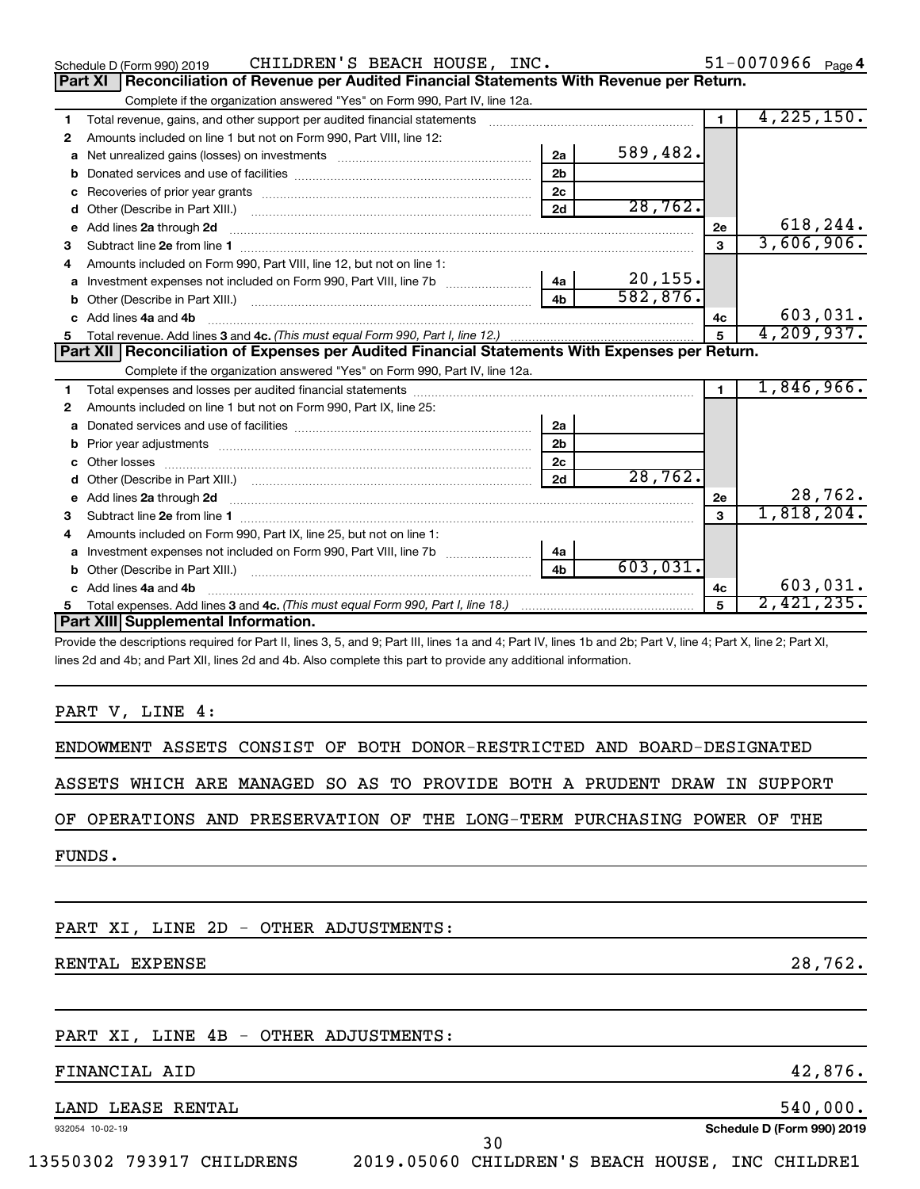|   | CHILDREN'S BEACH HOUSE, INC.<br>Schedule D (Form 990) 2019                                                                                                                                                                                                                   |                |          |              | $51 - 0070966$ Page 4 |
|---|------------------------------------------------------------------------------------------------------------------------------------------------------------------------------------------------------------------------------------------------------------------------------|----------------|----------|--------------|-----------------------|
|   | Reconciliation of Revenue per Audited Financial Statements With Revenue per Return.<br><b>Part XI</b>                                                                                                                                                                        |                |          |              |                       |
|   | Complete if the organization answered "Yes" on Form 990, Part IV, line 12a.                                                                                                                                                                                                  |                |          |              |                       |
| 1 | Total revenue, gains, and other support per audited financial statements                                                                                                                                                                                                     |                |          | $\mathbf 1$  | 4,225,150.            |
| 2 | Amounts included on line 1 but not on Form 990, Part VIII, line 12:                                                                                                                                                                                                          |                |          |              |                       |
| a |                                                                                                                                                                                                                                                                              | 2a             | 589,482. |              |                       |
| b |                                                                                                                                                                                                                                                                              | 2 <sub>b</sub> |          |              |                       |
| c |                                                                                                                                                                                                                                                                              | 2c             |          |              |                       |
| d |                                                                                                                                                                                                                                                                              | 2d             | 28,762.  |              |                       |
|   | e Add lines 2a through 2d                                                                                                                                                                                                                                                    |                |          | 2e           | 618,244.              |
| 3 |                                                                                                                                                                                                                                                                              |                |          | $\mathbf{a}$ | 3,606,906.            |
| 4 | Amounts included on Form 990, Part VIII, line 12, but not on line 1:                                                                                                                                                                                                         |                |          |              |                       |
| a |                                                                                                                                                                                                                                                                              | 4a             | 20, 155. |              |                       |
| b | Other (Describe in Part XIII.) [1001] [2010] [2010] [2010] [3010] [3010] [3010] [3010] [3010] [3010] [3010] [3010] [3010] [3010] [3010] [3010] [3010] [3010] [3010] [3010] [3010] [3010] [3010] [3010] [3010] [3010] [3010] [3                                               | 4 <sub>h</sub> | 582,876. |              |                       |
|   | c Add lines 4a and 4b                                                                                                                                                                                                                                                        |                |          | 4c           | 603,031.              |
| 5 |                                                                                                                                                                                                                                                                              |                |          | 5            | 4, 209, 937.          |
|   | Part XII   Reconciliation of Expenses per Audited Financial Statements With Expenses per Return.                                                                                                                                                                             |                |          |              |                       |
|   | Complete if the organization answered "Yes" on Form 990, Part IV, line 12a.                                                                                                                                                                                                  |                |          |              |                       |
| 1 |                                                                                                                                                                                                                                                                              |                |          | 1.           | 1,846,966.            |
| 2 | Amounts included on line 1 but not on Form 990, Part IX, line 25:                                                                                                                                                                                                            |                |          |              |                       |
| a |                                                                                                                                                                                                                                                                              | 2a             |          |              |                       |
| b |                                                                                                                                                                                                                                                                              | 2 <sub>b</sub> |          |              |                       |
|   |                                                                                                                                                                                                                                                                              | 2c             |          |              |                       |
| d |                                                                                                                                                                                                                                                                              | 2d             | 28,762.  |              |                       |
|   | e Add lines 2a through 2d <b>[10]</b> [10] <b>All and Provide 20</b> [10] <b>All and Provide 20</b> [10] <b>All and Provide 20</b> [10] <b>All and Provide 20</b> [10] <b>All and Provide 20</b> [10] <b>All and Provide 20</b> [10] <b>All and Provide 20</b> [10] <b>A</b> |                |          | 2e           | 28,762.               |
| 3 |                                                                                                                                                                                                                                                                              |                |          | $\mathbf{a}$ | 1,818,204.            |
| 4 | Amounts included on Form 990, Part IX, line 25, but not on line 1:                                                                                                                                                                                                           |                |          |              |                       |
|   |                                                                                                                                                                                                                                                                              | 4a             |          |              |                       |
|   |                                                                                                                                                                                                                                                                              | 4 <sub>b</sub> | 603,031. |              |                       |
|   | c Add lines 4a and 4b                                                                                                                                                                                                                                                        |                |          | 4c           | 603,031.              |
| 5 |                                                                                                                                                                                                                                                                              |                |          | 5            | 2,421,235.            |
|   |                                                                                                                                                                                                                                                                              |                |          |              |                       |
|   | Part XIII Supplemental Information.                                                                                                                                                                                                                                          |                |          |              |                       |
|   | Provide the descriptions required for Part II, lines 3, 5, and 9; Part III, lines 1a and 4; Part IV, lines 1b and 2b; Part V, line 4; Part X, line 2; Part XI,                                                                                                               |                |          |              |                       |

PART V, LINE 4:

ENDOWMENT ASSETS CONSIST OF BOTH DONOR-RESTRICTED AND BOARD-DESIGNATED

ASSETS WHICH ARE MANAGED SO AS TO PROVIDE BOTH A PRUDENT DRAW IN SUPPORT

OF OPERATIONS AND PRESERVATION OF THE LONG-TERM PURCHASING POWER OF THE

FUNDS.

PART XI, LINE 2D - OTHER ADJUSTMENTS:

RENTAL EXPENSE 28,762.

#### PART XI, LINE 4B - OTHER ADJUSTMENTS:

#### FINANCIAL AID 42,876.

### LAND LEASE RENTAL 540,000.

932054 10-02-19

**Schedule D (Form 990) 2019**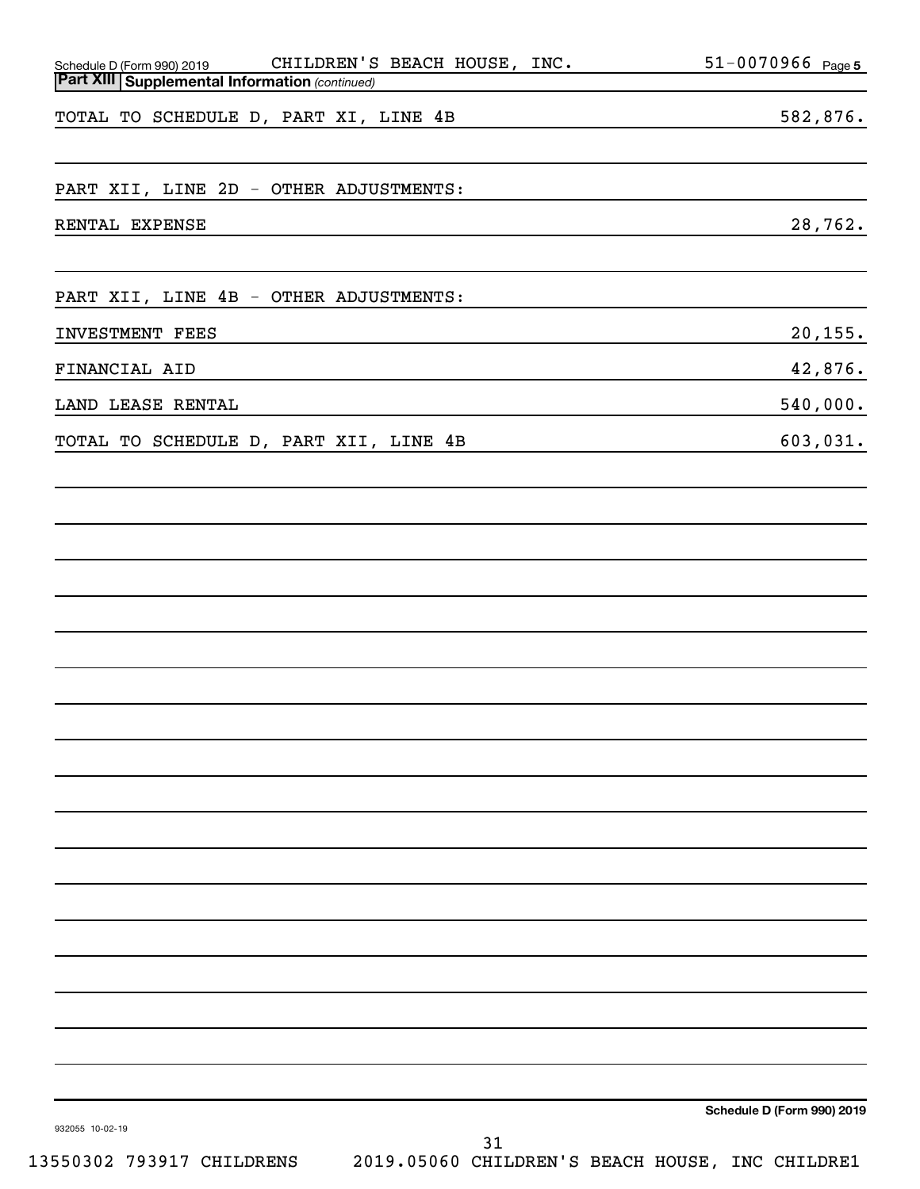| Schedule D (Form 990) 2019 CHILDREN'S BEACH HOUSE, INC.<br>Part XIII Supplemental Information (continued) | 51-0070966 Page 5                 |
|-----------------------------------------------------------------------------------------------------------|-----------------------------------|
| TOTAL TO SCHEDULE D, PART XI, LINE 4B                                                                     | 582,876.                          |
| PART XII, LINE 2D - OTHER ADJUSTMENTS:                                                                    |                                   |
| RENTAL EXPENSE                                                                                            | 28,762.                           |
| PART XII, LINE 4B - OTHER ADJUSTMENTS:                                                                    |                                   |
| INVESTMENT FEES                                                                                           | 20, 155.                          |
| FINANCIAL AID                                                                                             | 42,876.                           |
| LAND LEASE RENTAL                                                                                         | 540,000.                          |
| TOTAL TO SCHEDULE D, PART XII, LINE 4B                                                                    | 603,031.                          |
|                                                                                                           |                                   |
|                                                                                                           |                                   |
|                                                                                                           |                                   |
|                                                                                                           |                                   |
|                                                                                                           |                                   |
|                                                                                                           |                                   |
|                                                                                                           |                                   |
|                                                                                                           |                                   |
|                                                                                                           |                                   |
|                                                                                                           |                                   |
|                                                                                                           |                                   |
|                                                                                                           |                                   |
|                                                                                                           |                                   |
|                                                                                                           |                                   |
|                                                                                                           | Schedule D (Form 990) 2019        |
| 932055 10-02-19<br>31<br>EE0309 703017 GUITIDORNG<br><b>DO10 DEDED</b><br>$\alpha$                        | <b>TITA</b><br>$\alpha$ ii Tirman |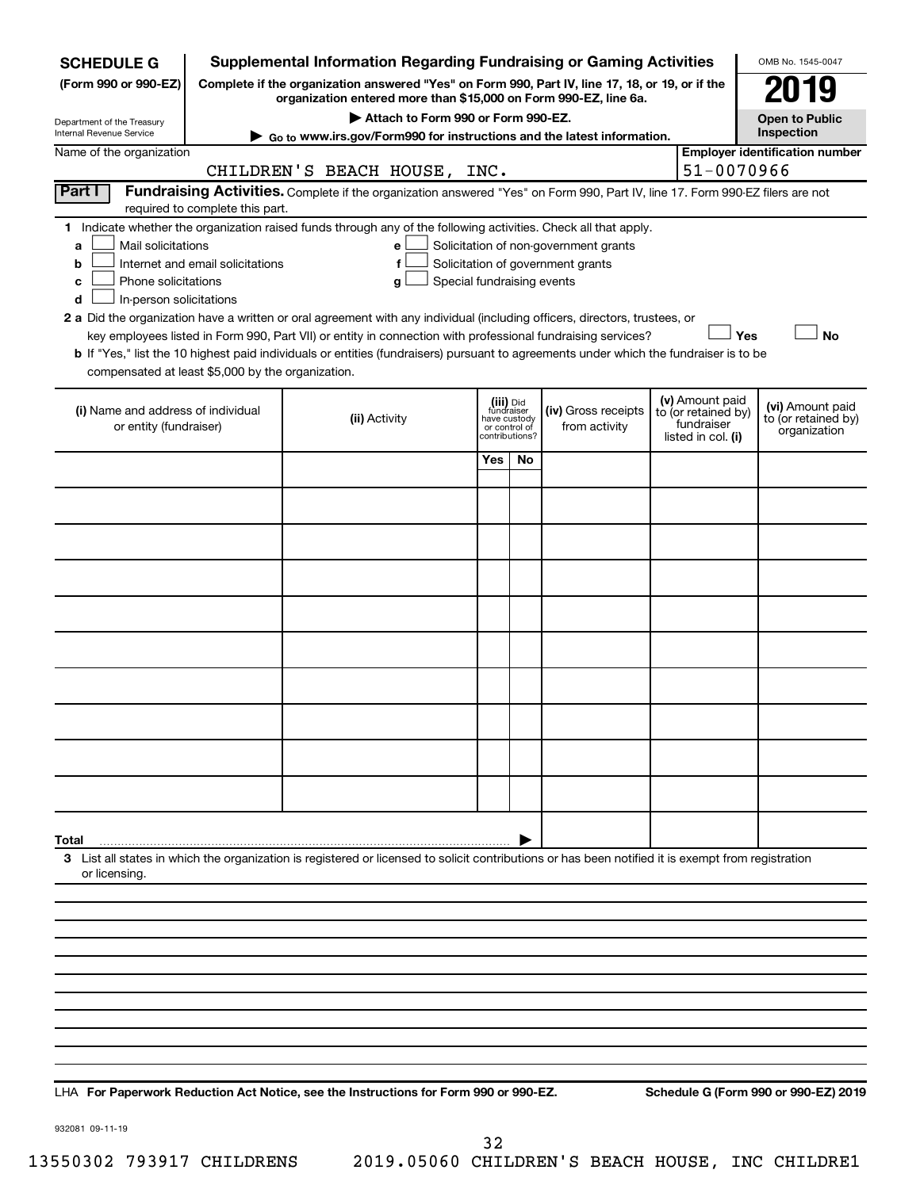| <b>SCHEDULE G</b>                                                                        |                                                                                                                                                                            | <b>Supplemental Information Regarding Fundraising or Gaming Activities</b>                                                                                                                                                                                                                 |                                                                            |     |                                                                            |  |                                                                            | OMB No. 1545-0047                                       |
|------------------------------------------------------------------------------------------|----------------------------------------------------------------------------------------------------------------------------------------------------------------------------|--------------------------------------------------------------------------------------------------------------------------------------------------------------------------------------------------------------------------------------------------------------------------------------------|----------------------------------------------------------------------------|-----|----------------------------------------------------------------------------|--|----------------------------------------------------------------------------|---------------------------------------------------------|
| (Form 990 or 990-EZ)                                                                     | Complete if the organization answered "Yes" on Form 990, Part IV, line 17, 18, or 19, or if the<br>119<br>organization entered more than \$15,000 on Form 990-EZ, line 6a. |                                                                                                                                                                                                                                                                                            |                                                                            |     |                                                                            |  |                                                                            |                                                         |
| Department of the Treasury                                                               | Attach to Form 990 or Form 990-EZ.<br><b>Open to Public</b>                                                                                                                |                                                                                                                                                                                                                                                                                            |                                                                            |     |                                                                            |  |                                                                            |                                                         |
| Internal Revenue Service                                                                 |                                                                                                                                                                            | ► Go to www.irs.gov/Form990 for instructions and the latest information.                                                                                                                                                                                                                   |                                                                            |     |                                                                            |  |                                                                            | Inspection                                              |
| Name of the organization                                                                 |                                                                                                                                                                            | CHILDREN'S BEACH HOUSE, INC.                                                                                                                                                                                                                                                               |                                                                            |     |                                                                            |  | 51-0070966                                                                 | <b>Employer identification number</b>                   |
| Part I                                                                                   |                                                                                                                                                                            | Fundraising Activities. Complete if the organization answered "Yes" on Form 990, Part IV, line 17. Form 990-EZ filers are not                                                                                                                                                              |                                                                            |     |                                                                            |  |                                                                            |                                                         |
|                                                                                          | required to complete this part.                                                                                                                                            |                                                                                                                                                                                                                                                                                            |                                                                            |     |                                                                            |  |                                                                            |                                                         |
| Mail solicitations<br>a<br>b<br>Phone solicitations<br>c<br>In-person solicitations<br>d | Internet and email solicitations                                                                                                                                           | 1 Indicate whether the organization raised funds through any of the following activities. Check all that apply.<br>е<br>f<br>Special fundraising events<br>g<br>2 a Did the organization have a written or oral agreement with any individual (including officers, directors, trustees, or |                                                                            |     | Solicitation of non-government grants<br>Solicitation of government grants |  |                                                                            |                                                         |
|                                                                                          |                                                                                                                                                                            | key employees listed in Form 990, Part VII) or entity in connection with professional fundraising services?                                                                                                                                                                                |                                                                            |     |                                                                            |  | Yes                                                                        | <b>No</b>                                               |
|                                                                                          |                                                                                                                                                                            | b If "Yes," list the 10 highest paid individuals or entities (fundraisers) pursuant to agreements under which the fundraiser is to be                                                                                                                                                      |                                                                            |     |                                                                            |  |                                                                            |                                                         |
| compensated at least \$5,000 by the organization.                                        |                                                                                                                                                                            |                                                                                                                                                                                                                                                                                            |                                                                            |     |                                                                            |  |                                                                            |                                                         |
| (i) Name and address of individual<br>or entity (fundraiser)                             |                                                                                                                                                                            | (ii) Activity                                                                                                                                                                                                                                                                              | (iii) Did<br>fundraiser<br>have custody<br>or control of<br>contributions? |     | (iv) Gross receipts<br>from activity                                       |  | (v) Amount paid<br>to (or retained by)<br>fundraiser<br>listed in col. (i) | (vi) Amount paid<br>to (or retained by)<br>organization |
|                                                                                          |                                                                                                                                                                            |                                                                                                                                                                                                                                                                                            | Yes                                                                        | No. |                                                                            |  |                                                                            |                                                         |
|                                                                                          |                                                                                                                                                                            |                                                                                                                                                                                                                                                                                            |                                                                            |     |                                                                            |  |                                                                            |                                                         |
|                                                                                          |                                                                                                                                                                            |                                                                                                                                                                                                                                                                                            |                                                                            |     |                                                                            |  |                                                                            |                                                         |
|                                                                                          |                                                                                                                                                                            |                                                                                                                                                                                                                                                                                            |                                                                            |     |                                                                            |  |                                                                            |                                                         |
|                                                                                          |                                                                                                                                                                            |                                                                                                                                                                                                                                                                                            |                                                                            |     |                                                                            |  |                                                                            |                                                         |
|                                                                                          |                                                                                                                                                                            |                                                                                                                                                                                                                                                                                            |                                                                            |     |                                                                            |  |                                                                            |                                                         |
|                                                                                          |                                                                                                                                                                            |                                                                                                                                                                                                                                                                                            |                                                                            |     |                                                                            |  |                                                                            |                                                         |
|                                                                                          |                                                                                                                                                                            |                                                                                                                                                                                                                                                                                            |                                                                            |     |                                                                            |  |                                                                            |                                                         |
|                                                                                          |                                                                                                                                                                            |                                                                                                                                                                                                                                                                                            |                                                                            |     |                                                                            |  |                                                                            |                                                         |
|                                                                                          |                                                                                                                                                                            |                                                                                                                                                                                                                                                                                            |                                                                            |     |                                                                            |  |                                                                            |                                                         |
|                                                                                          |                                                                                                                                                                            |                                                                                                                                                                                                                                                                                            |                                                                            |     |                                                                            |  |                                                                            |                                                         |
| Total                                                                                    |                                                                                                                                                                            | 3 List all states in which the organization is registered or licensed to solicit contributions or has been notified it is exempt from registration                                                                                                                                         |                                                                            |     |                                                                            |  |                                                                            |                                                         |
| or licensing.                                                                            |                                                                                                                                                                            |                                                                                                                                                                                                                                                                                            |                                                                            |     |                                                                            |  |                                                                            |                                                         |
|                                                                                          |                                                                                                                                                                            |                                                                                                                                                                                                                                                                                            |                                                                            |     |                                                                            |  |                                                                            |                                                         |
|                                                                                          |                                                                                                                                                                            |                                                                                                                                                                                                                                                                                            |                                                                            |     |                                                                            |  |                                                                            |                                                         |
|                                                                                          |                                                                                                                                                                            |                                                                                                                                                                                                                                                                                            |                                                                            |     |                                                                            |  |                                                                            |                                                         |
|                                                                                          |                                                                                                                                                                            |                                                                                                                                                                                                                                                                                            |                                                                            |     |                                                                            |  |                                                                            |                                                         |
|                                                                                          |                                                                                                                                                                            |                                                                                                                                                                                                                                                                                            |                                                                            |     |                                                                            |  |                                                                            |                                                         |
|                                                                                          |                                                                                                                                                                            |                                                                                                                                                                                                                                                                                            |                                                                            |     |                                                                            |  |                                                                            |                                                         |
|                                                                                          |                                                                                                                                                                            |                                                                                                                                                                                                                                                                                            |                                                                            |     |                                                                            |  |                                                                            |                                                         |

**For Paperwork Reduction Act Notice, see the Instructions for Form 990 or 990-EZ. Schedule G (Form 990 or 990-EZ) 2019** LHA

932081 09-11-19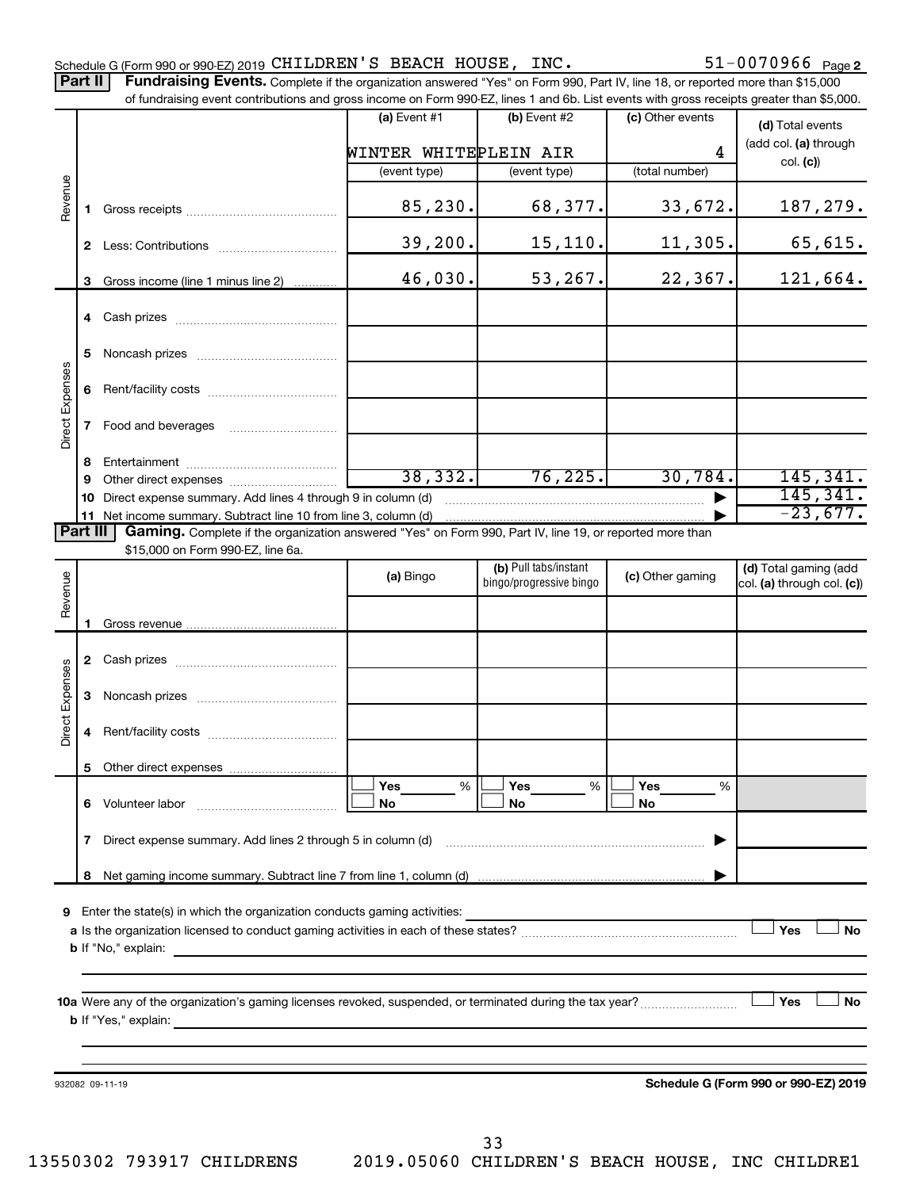Part II | Fundraising Events. Complete if the organization answered "Yes" on Form 990, Part IV, line 18, or reported more than \$15,000 of fundraising event contributions and gross income on Form 990-EZ, lines 1 and 6b. List events with gross receipts greater than \$5,000.

|                 |    |                                                                                                                                                                                                                                    | (a) Event $#1$        | (b) Event #2            | (c) Other events | (d) Total events                     |
|-----------------|----|------------------------------------------------------------------------------------------------------------------------------------------------------------------------------------------------------------------------------------|-----------------------|-------------------------|------------------|--------------------------------------|
|                 |    |                                                                                                                                                                                                                                    |                       |                         |                  | (add col. (a) through                |
|                 |    |                                                                                                                                                                                                                                    | WINTER WHITEPLEIN AIR |                         | 4                | col. (c)                             |
|                 |    |                                                                                                                                                                                                                                    | (event type)          | (event type)            | (total number)   |                                      |
| Revenue         | 1. |                                                                                                                                                                                                                                    | 85,230.               | 68,377.                 | 33,672.          | 187,279.                             |
|                 | 2  |                                                                                                                                                                                                                                    | 39,200.               | 15, 110.                | 11, 305.         | 65,615.                              |
|                 | 3  | Gross income (line 1 minus line 2)                                                                                                                                                                                                 | 46,030.               | 53,267.                 | 22, 367.         | 121,664.                             |
|                 | 4  |                                                                                                                                                                                                                                    |                       |                         |                  |                                      |
|                 | 5  |                                                                                                                                                                                                                                    |                       |                         |                  |                                      |
| Direct Expenses | 6  |                                                                                                                                                                                                                                    |                       |                         |                  |                                      |
|                 | 7  | Food and beverages                                                                                                                                                                                                                 |                       |                         |                  |                                      |
|                 | 8  |                                                                                                                                                                                                                                    |                       |                         |                  |                                      |
|                 | 9  |                                                                                                                                                                                                                                    | 38,332.               | 76, 225.                | 30,784.          | 145,341.                             |
|                 | 10 | Direct expense summary. Add lines 4 through 9 in column (d)                                                                                                                                                                        |                       |                         |                  | 145, 341.                            |
|                 |    | 11 Net income summary. Subtract line 10 from line 3, column (d)                                                                                                                                                                    |                       |                         |                  | $-23,677.$                           |
| <b>Part III</b> |    | Gaming. Complete if the organization answered "Yes" on Form 990, Part IV, line 19, or reported more than                                                                                                                           |                       |                         |                  |                                      |
|                 |    | \$15,000 on Form 990-EZ, line 6a.                                                                                                                                                                                                  |                       |                         |                  |                                      |
|                 |    |                                                                                                                                                                                                                                    | (a) Bingo             | (b) Pull tabs/instant   | (c) Other gaming | (d) Total gaming (add                |
| Revenue         |    |                                                                                                                                                                                                                                    |                       | bingo/progressive bingo |                  | col. (a) through col. (c))           |
|                 |    |                                                                                                                                                                                                                                    |                       |                         |                  |                                      |
|                 |    |                                                                                                                                                                                                                                    |                       |                         |                  |                                      |
|                 |    |                                                                                                                                                                                                                                    |                       |                         |                  |                                      |
|                 |    |                                                                                                                                                                                                                                    |                       |                         |                  |                                      |
| Direct Expenses | 3  | Noncash prizes <b>contained matter and the state of the state of the state of the state of the state of the state of the state of the state of the state of the state of the state of the state of the state of the state of t</b> |                       |                         |                  |                                      |
|                 | 4  |                                                                                                                                                                                                                                    |                       |                         |                  |                                      |
|                 |    |                                                                                                                                                                                                                                    |                       |                         |                  |                                      |
|                 |    |                                                                                                                                                                                                                                    | Yes<br>%              | Yes<br>%                | Yes<br>%         |                                      |
|                 | 6  | Volunteer labor                                                                                                                                                                                                                    | No                    | No                      | No               |                                      |
|                 | 7  | Direct expense summary. Add lines 2 through 5 in column (d)                                                                                                                                                                        |                       |                         |                  |                                      |
|                 | 8  |                                                                                                                                                                                                                                    |                       |                         |                  |                                      |
|                 |    |                                                                                                                                                                                                                                    |                       |                         |                  |                                      |
| 9               |    | Enter the state(s) in which the organization conducts gaming activities:                                                                                                                                                           |                       |                         |                  |                                      |
|                 |    |                                                                                                                                                                                                                                    |                       |                         |                  | Yes<br><b>No</b>                     |
|                 |    | <b>b</b> If "No," explain:<br>the control of the control of the control of the control of the control of the control of                                                                                                            |                       |                         |                  |                                      |
|                 |    |                                                                                                                                                                                                                                    |                       |                         |                  |                                      |
|                 |    |                                                                                                                                                                                                                                    |                       |                         |                  |                                      |
|                 |    |                                                                                                                                                                                                                                    |                       |                         |                  | Yes<br><b>No</b>                     |
|                 |    | <b>b</b> If "Yes," explain:<br><u> 1989 - Johann Harry Harry Harry Harry Harry Harry Harry Harry Harry Harry Harry Harry Harry Harry Harry Harry</u>                                                                               |                       |                         |                  |                                      |
|                 |    |                                                                                                                                                                                                                                    |                       |                         |                  |                                      |
|                 |    |                                                                                                                                                                                                                                    |                       |                         |                  |                                      |
|                 |    | 932082 09-11-19                                                                                                                                                                                                                    |                       |                         |                  | Schedule G (Form 990 or 990-EZ) 2019 |
|                 |    |                                                                                                                                                                                                                                    |                       |                         |                  |                                      |
|                 |    |                                                                                                                                                                                                                                    |                       |                         |                  |                                      |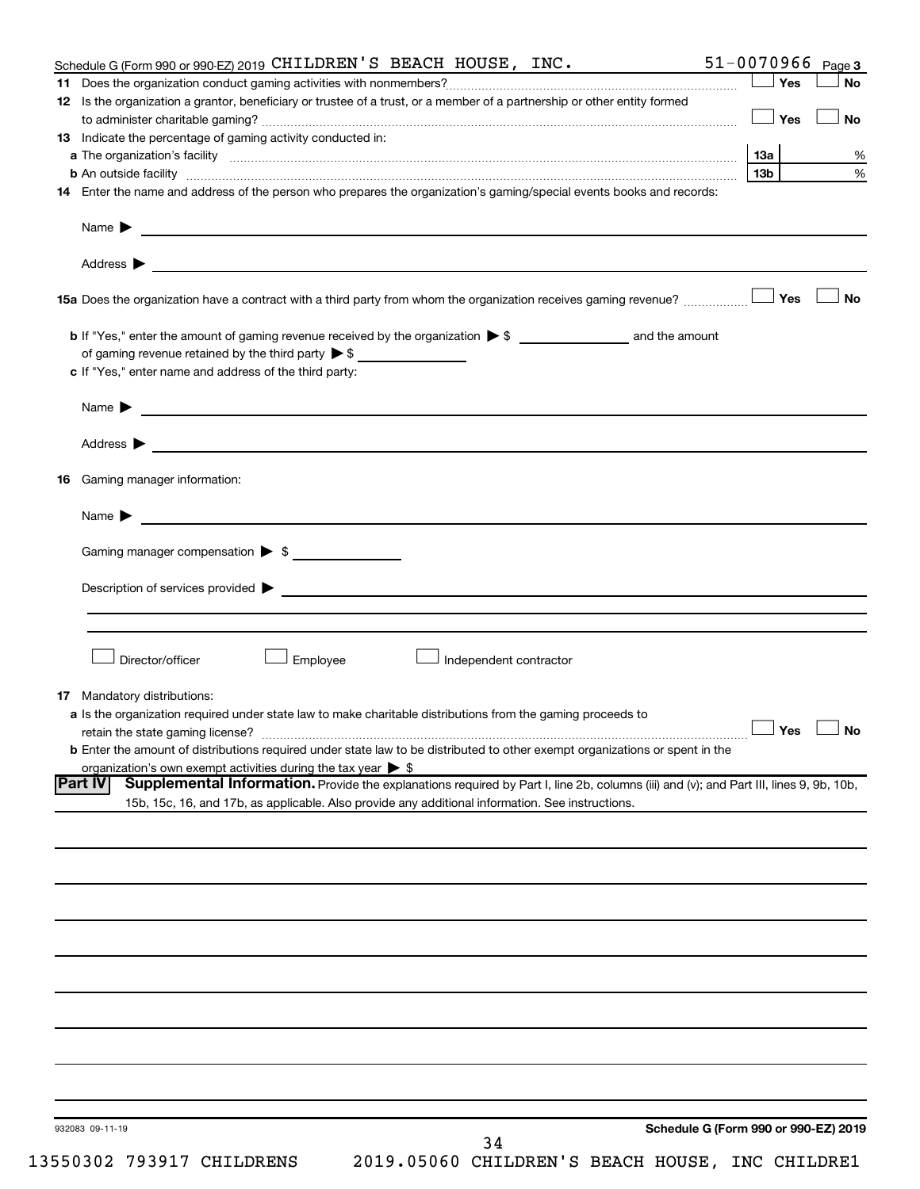| Schedule G (Form 990 or 990-EZ) 2019 CHILDREN'S BEACH HOUSE, INC.            |                                                                                                                                                                                                                                | $51 - 0070966$ Page 3                |
|------------------------------------------------------------------------------|--------------------------------------------------------------------------------------------------------------------------------------------------------------------------------------------------------------------------------|--------------------------------------|
|                                                                              |                                                                                                                                                                                                                                | Yes<br><b>No</b>                     |
|                                                                              | 12 Is the organization a grantor, beneficiary or trustee of a trust, or a member of a partnership or other entity formed                                                                                                       |                                      |
|                                                                              |                                                                                                                                                                                                                                | Yes<br>No                            |
| 13 Indicate the percentage of gaming activity conducted in:                  |                                                                                                                                                                                                                                |                                      |
|                                                                              |                                                                                                                                                                                                                                | 13a                                  |
|                                                                              |                                                                                                                                                                                                                                | 13 <sub>b</sub>                      |
|                                                                              | 14 Enter the name and address of the person who prepares the organization's gaming/special events books and records:                                                                                                           |                                      |
|                                                                              |                                                                                                                                                                                                                                |                                      |
| Name $\triangleright$                                                        |                                                                                                                                                                                                                                |                                      |
|                                                                              |                                                                                                                                                                                                                                |                                      |
|                                                                              |                                                                                                                                                                                                                                |                                      |
|                                                                              |                                                                                                                                                                                                                                |                                      |
|                                                                              | 15a Does the organization have a contract with a third party from whom the organization receives gaming revenue?                                                                                                               | Yes<br><b>No</b>                     |
|                                                                              |                                                                                                                                                                                                                                |                                      |
|                                                                              | <b>b</b> If "Yes," enter the amount of gaming revenue received by the organization $\triangleright$ \$ and the amount                                                                                                          |                                      |
| of gaming revenue retained by the third party $\triangleright$ \$            |                                                                                                                                                                                                                                |                                      |
| c If "Yes," enter name and address of the third party:                       |                                                                                                                                                                                                                                |                                      |
|                                                                              |                                                                                                                                                                                                                                |                                      |
|                                                                              | Name $\blacktriangleright$ $\lrcorner$                                                                                                                                                                                         |                                      |
|                                                                              |                                                                                                                                                                                                                                |                                      |
|                                                                              | Address $\blacktriangleright$                                                                                                                                                                                                  |                                      |
|                                                                              |                                                                                                                                                                                                                                |                                      |
| Gaming manager information:<br>16                                            |                                                                                                                                                                                                                                |                                      |
|                                                                              |                                                                                                                                                                                                                                |                                      |
| Name $\blacktriangleright$                                                   |                                                                                                                                                                                                                                |                                      |
|                                                                              |                                                                                                                                                                                                                                |                                      |
| Gaming manager compensation $\triangleright$ \$                              |                                                                                                                                                                                                                                |                                      |
|                                                                              |                                                                                                                                                                                                                                |                                      |
|                                                                              | Description of services provided to the contract of the contract of the contract of the contract of the contract of the contract of the contract of the contract of the contract of the contract of the contract of the contra |                                      |
|                                                                              |                                                                                                                                                                                                                                |                                      |
|                                                                              |                                                                                                                                                                                                                                |                                      |
| Director/officer                                                             | Employee<br>Independent contractor                                                                                                                                                                                             |                                      |
|                                                                              |                                                                                                                                                                                                                                |                                      |
| 17 Mandatory distributions:                                                  |                                                                                                                                                                                                                                |                                      |
|                                                                              | a Is the organization required under state law to make charitable distributions from the gaming proceeds to                                                                                                                    |                                      |
|                                                                              |                                                                                                                                                                                                                                | $\Box$ Yes $\Box$ No                 |
|                                                                              | <b>b</b> Enter the amount of distributions required under state law to be distributed to other exempt organizations or spent in the                                                                                            |                                      |
| organization's own exempt activities during the tax year $\triangleright$ \$ |                                                                                                                                                                                                                                |                                      |
| Part IV                                                                      | Supplemental Information. Provide the explanations required by Part I, line 2b, columns (iii) and (v); and Part III, lines 9, 9b, 10b,                                                                                         |                                      |
|                                                                              | 15b, 15c, 16, and 17b, as applicable. Also provide any additional information. See instructions.                                                                                                                               |                                      |
|                                                                              |                                                                                                                                                                                                                                |                                      |
|                                                                              |                                                                                                                                                                                                                                |                                      |
|                                                                              |                                                                                                                                                                                                                                |                                      |
|                                                                              |                                                                                                                                                                                                                                |                                      |
|                                                                              |                                                                                                                                                                                                                                |                                      |
|                                                                              |                                                                                                                                                                                                                                |                                      |
|                                                                              |                                                                                                                                                                                                                                |                                      |
|                                                                              |                                                                                                                                                                                                                                |                                      |
|                                                                              |                                                                                                                                                                                                                                |                                      |
|                                                                              |                                                                                                                                                                                                                                |                                      |
|                                                                              |                                                                                                                                                                                                                                |                                      |
|                                                                              |                                                                                                                                                                                                                                |                                      |
|                                                                              |                                                                                                                                                                                                                                |                                      |
|                                                                              |                                                                                                                                                                                                                                |                                      |
|                                                                              |                                                                                                                                                                                                                                |                                      |
|                                                                              |                                                                                                                                                                                                                                |                                      |
| 932083 09-11-19                                                              |                                                                                                                                                                                                                                | Schedule G (Form 990 or 990-EZ) 2019 |
|                                                                              | 34                                                                                                                                                                                                                             |                                      |
| 13550302 793917 CHILDRENS                                                    | 2019.05060 CHILDREN'S BEACH HOUSE, INC CHILDRE1                                                                                                                                                                                |                                      |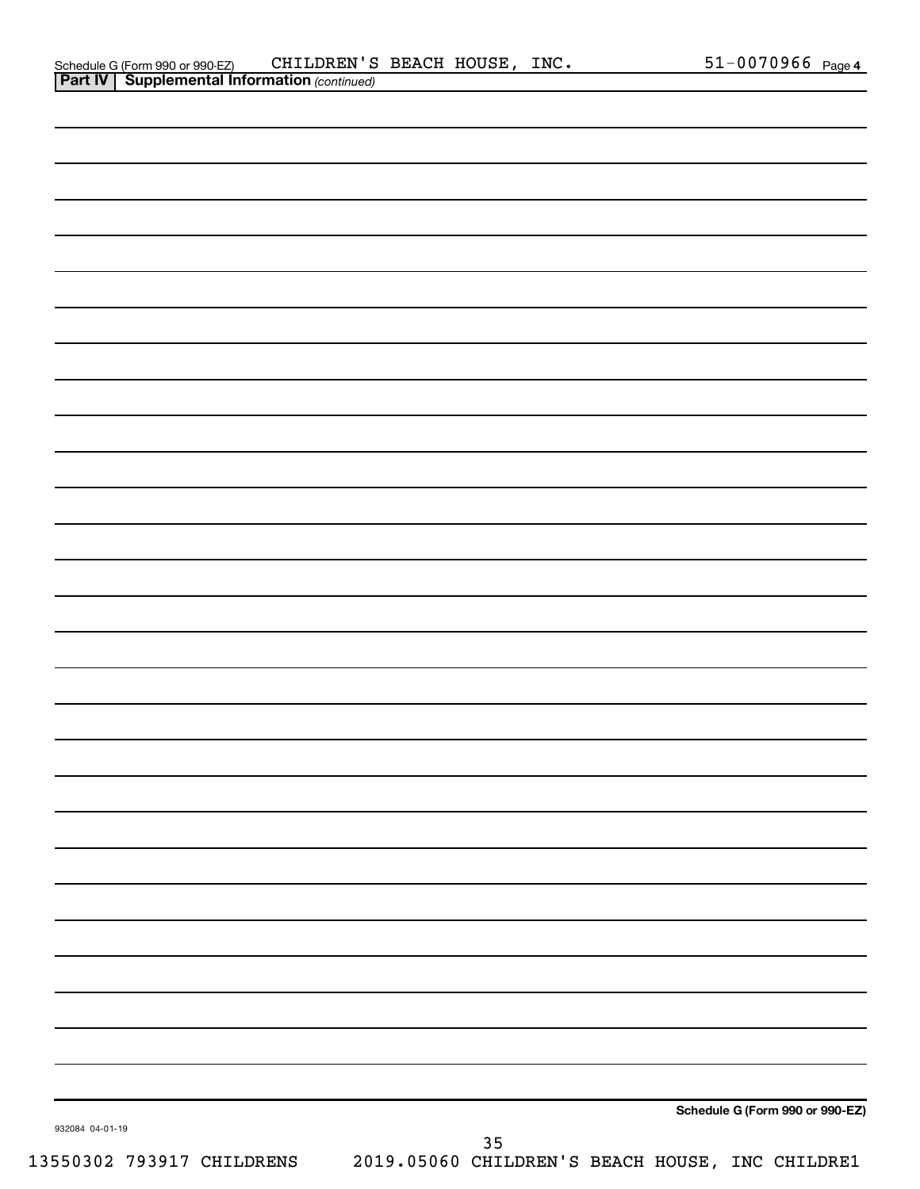| Schedule G (Form 990 or 990-EZ)    | CHIL |
|------------------------------------|------|
| Part IV   Supplemental Information |      |

| 932084 04-01-19                                                           |    | Schedule G (Form 990 or 990-EZ) |
|---------------------------------------------------------------------------|----|---------------------------------|
| 13550302 793917 CHILDRENS 2019.05060 CHILDREN'S BEACH HOUSE, INC CHILDRE1 | 35 |                                 |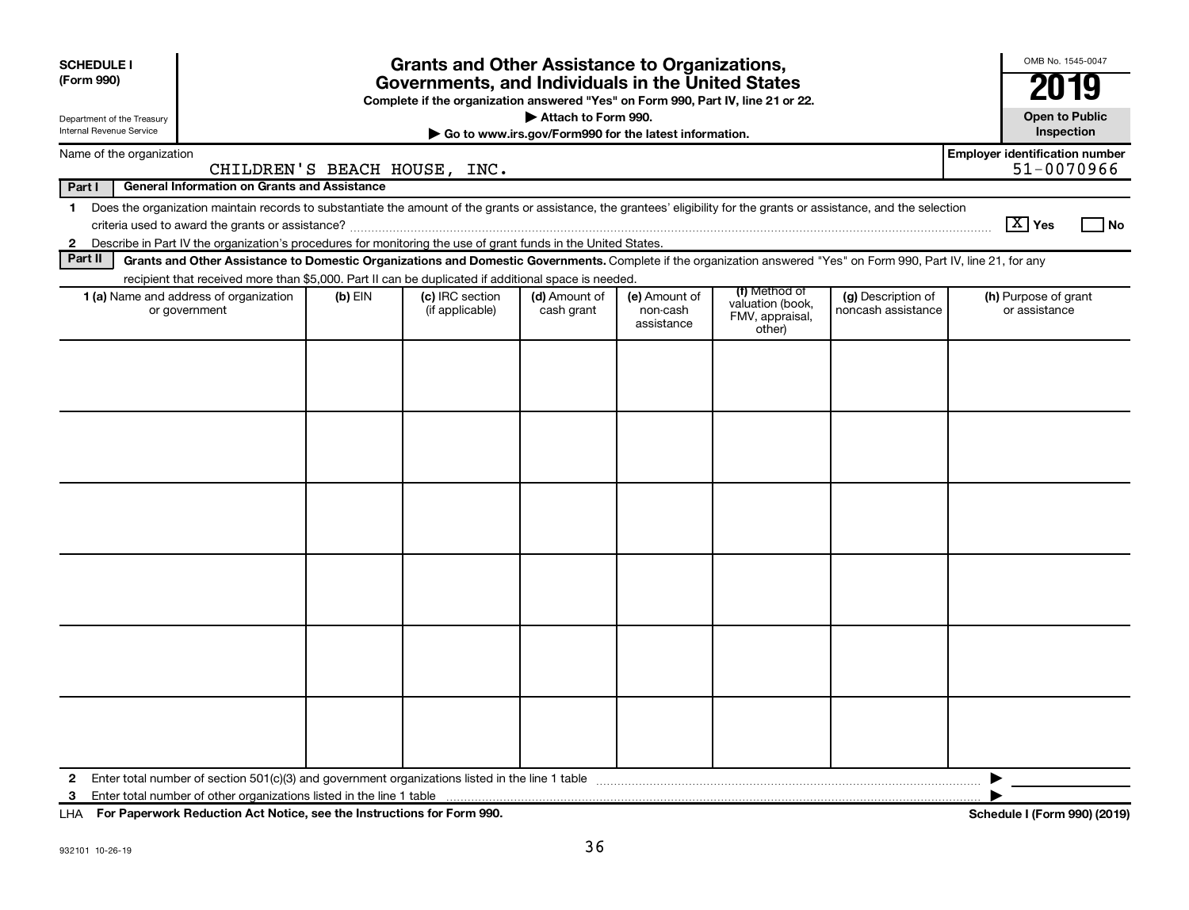| <b>SCHEDULE I</b><br>(Form 990)<br>Department of the Treasury<br>Internal Revenue Service |                                                                                                                                                                          |           | <b>Grants and Other Assistance to Organizations,</b><br>Governments, and Individuals in the United States<br>Complete if the organization answered "Yes" on Form 990, Part IV, line 21 or 22. | Attach to Form 990.<br>Go to www.irs.gov/Form990 for the latest information. |                                         |                                               |                                          |                                       | OMB No. 1545-0047<br><b>Open to Public</b><br>Inspection |      |
|-------------------------------------------------------------------------------------------|--------------------------------------------------------------------------------------------------------------------------------------------------------------------------|-----------|-----------------------------------------------------------------------------------------------------------------------------------------------------------------------------------------------|------------------------------------------------------------------------------|-----------------------------------------|-----------------------------------------------|------------------------------------------|---------------------------------------|----------------------------------------------------------|------|
| Name of the organization                                                                  |                                                                                                                                                                          |           |                                                                                                                                                                                               |                                                                              |                                         |                                               |                                          | <b>Employer identification number</b> |                                                          |      |
|                                                                                           |                                                                                                                                                                          |           | CHILDREN'S BEACH HOUSE, INC.                                                                                                                                                                  |                                                                              |                                         |                                               |                                          |                                       | 51-0070966                                               |      |
| Part I                                                                                    | <b>General Information on Grants and Assistance</b>                                                                                                                      |           |                                                                                                                                                                                               |                                                                              |                                         |                                               |                                          |                                       |                                                          |      |
| $\mathbf 1$                                                                               | Does the organization maintain records to substantiate the amount of the grants or assistance, the grantees' eligibility for the grants or assistance, and the selection |           |                                                                                                                                                                                               |                                                                              |                                         |                                               |                                          | $\boxed{\text{X}}$ Yes                |                                                          | l No |
|                                                                                           | 2 Describe in Part IV the organization's procedures for monitoring the use of grant funds in the United States.                                                          |           |                                                                                                                                                                                               |                                                                              |                                         |                                               |                                          |                                       |                                                          |      |
| Part II                                                                                   | Grants and Other Assistance to Domestic Organizations and Domestic Governments. Complete if the organization answered "Yes" on Form 990, Part IV, line 21, for any       |           |                                                                                                                                                                                               |                                                                              |                                         |                                               |                                          |                                       |                                                          |      |
|                                                                                           | recipient that received more than \$5,000. Part II can be duplicated if additional space is needed.                                                                      |           |                                                                                                                                                                                               |                                                                              |                                         | (f) Method of                                 |                                          |                                       |                                                          |      |
|                                                                                           | 1 (a) Name and address of organization<br>or government                                                                                                                  | $(b)$ EIN | (c) IRC section<br>(if applicable)                                                                                                                                                            | (d) Amount of<br>cash grant                                                  | (e) Amount of<br>non-cash<br>assistance | valuation (book,<br>FMV, appraisal,<br>other) | (g) Description of<br>noncash assistance |                                       | (h) Purpose of grant<br>or assistance                    |      |
|                                                                                           |                                                                                                                                                                          |           |                                                                                                                                                                                               |                                                                              |                                         |                                               |                                          |                                       |                                                          |      |
| 2                                                                                         |                                                                                                                                                                          |           |                                                                                                                                                                                               |                                                                              |                                         |                                               |                                          |                                       |                                                          |      |
| 3                                                                                         |                                                                                                                                                                          |           |                                                                                                                                                                                               |                                                                              |                                         |                                               |                                          |                                       |                                                          |      |

**For Paperwork Reduction Act Notice, see the Instructions for Form 990. Schedule I (Form 990) (2019)** LHA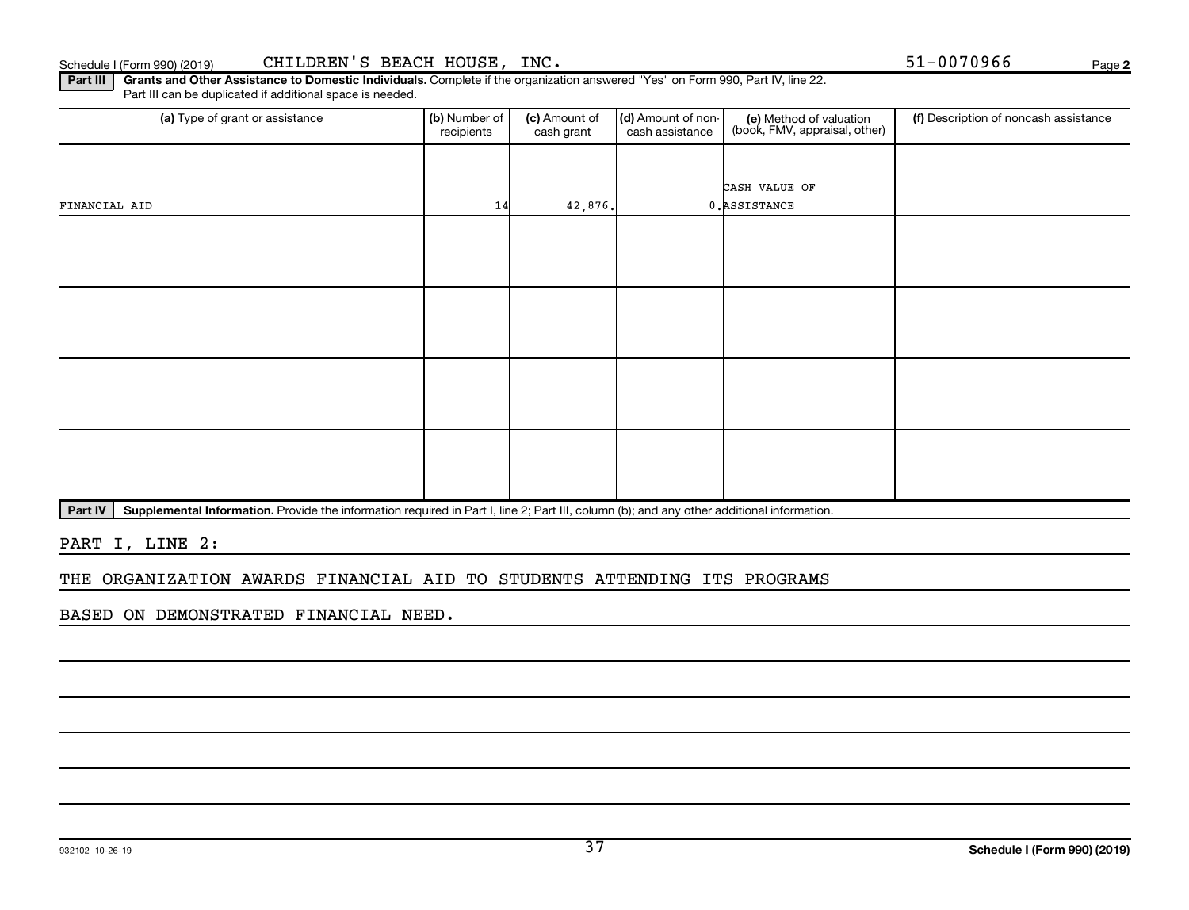**2**

Part III | Grants and Other Assistance to Domestic Individuals. Complete if the organization answered "Yes" on Form 990, Part IV, line 22. Part III can be duplicated if additional space is needed.

| (a) Type of grant or assistance | (b) Number of<br>recipients | (c) Amount of<br>cash grant | (d) Amount of non-<br>cash assistance | (e) Method of valuation<br>(book, FMV, appraisal, other) | (f) Description of noncash assistance |
|---------------------------------|-----------------------------|-----------------------------|---------------------------------------|----------------------------------------------------------|---------------------------------------|
|                                 |                             |                             |                                       |                                                          |                                       |
|                                 |                             |                             |                                       | CASH VALUE OF                                            |                                       |
| FINANCIAL AID                   | 14                          | 42,876.                     |                                       | 0. ASSISTANCE                                            |                                       |
|                                 |                             |                             |                                       |                                                          |                                       |
|                                 |                             |                             |                                       |                                                          |                                       |
|                                 |                             |                             |                                       |                                                          |                                       |
|                                 |                             |                             |                                       |                                                          |                                       |
|                                 |                             |                             |                                       |                                                          |                                       |
|                                 |                             |                             |                                       |                                                          |                                       |
|                                 |                             |                             |                                       |                                                          |                                       |
|                                 |                             |                             |                                       |                                                          |                                       |
|                                 |                             |                             |                                       |                                                          |                                       |
|                                 |                             |                             |                                       |                                                          |                                       |
|                                 |                             |                             |                                       |                                                          |                                       |
|                                 |                             |                             |                                       |                                                          |                                       |

Part IV | Supplemental Information. Provide the information required in Part I, line 2; Part III, column (b); and any other additional information.

PART I, LINE 2:

#### THE ORGANIZATION AWARDS FINANCIAL AID TO STUDENTS ATTENDING ITS PROGRAMS

BASED ON DEMONSTRATED FINANCIAL NEED.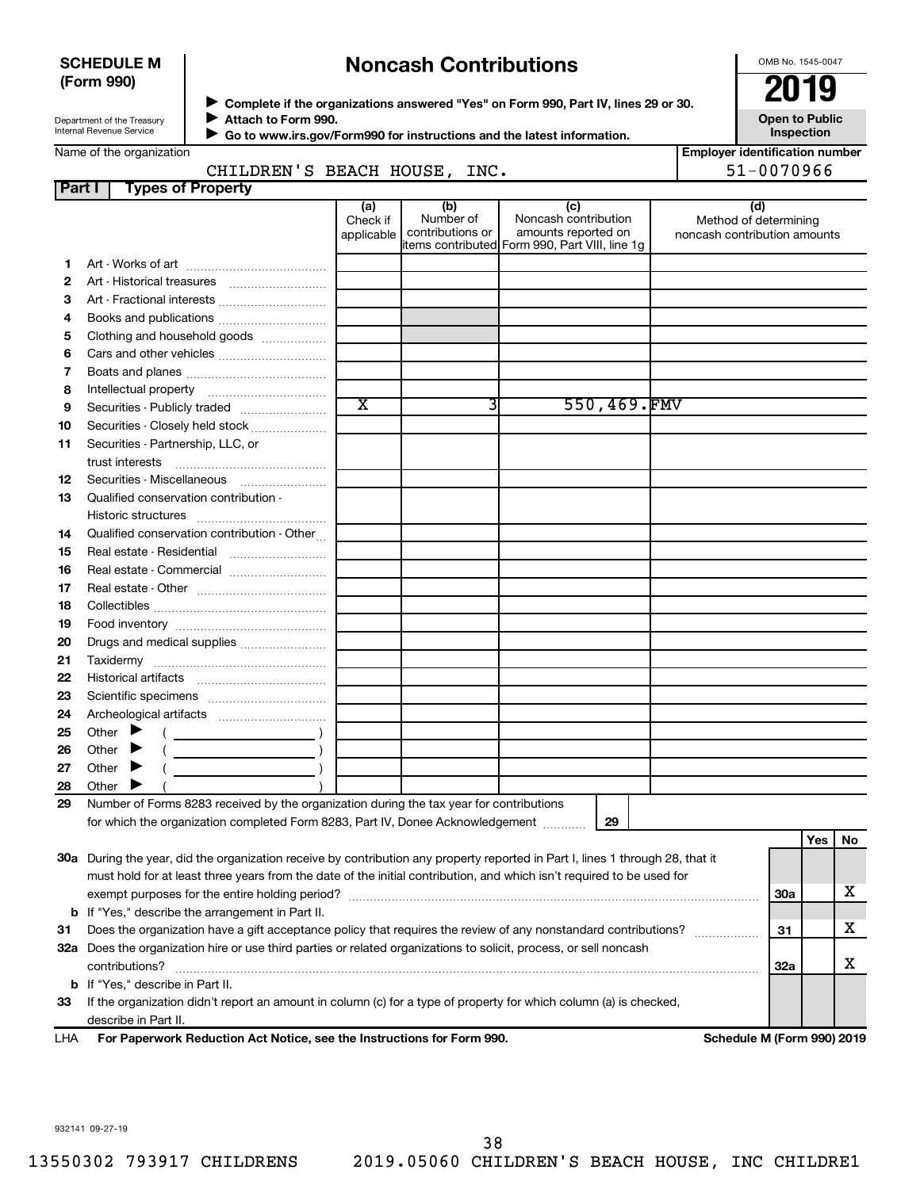#### **SCHEDULE M (Form 990)**

## **Noncash Contributions**

OMB No. 1545-0047

**Employer identification number**

| Department of the Treasury |  |  |  |
|----------------------------|--|--|--|
|                            |  |  |  |
| Internal Revenue Service   |  |  |  |
|                            |  |  |  |

◆ Complete if the organizations answered "Yes" on Form 990, Part IV, lines 29 or 30.<br>▶ Complete if the organizations answered "Yes" on Form 990, Part IV, lines 29 or 30. **Attach to Form 990.** J

**Open to Public Inspection**

| Name of the organization |  |
|--------------------------|--|
|--------------------------|--|

 **Go to www.irs.gov/Form990 for instructions and the latest information.** J

| arile or the organization |                       |  |
|---------------------------|-----------------------|--|
|                           | CHILDREN'S BEACH HOUS |  |

|               | CHILDREN'S BEACH HOUSE, INC.                                                                                                                                                                                                                                                                                                                                                                                                                  |                               |                                      |                                                                                                      |                              | 51-0070966                   |                    |   |
|---------------|-----------------------------------------------------------------------------------------------------------------------------------------------------------------------------------------------------------------------------------------------------------------------------------------------------------------------------------------------------------------------------------------------------------------------------------------------|-------------------------------|--------------------------------------|------------------------------------------------------------------------------------------------------|------------------------------|------------------------------|--------------------|---|
| <b>Part I</b> | <b>Types of Property</b>                                                                                                                                                                                                                                                                                                                                                                                                                      |                               |                                      |                                                                                                      |                              |                              |                    |   |
|               |                                                                                                                                                                                                                                                                                                                                                                                                                                               | (a)<br>Check if<br>applicable | (b)<br>Number of<br>contributions or | (c)<br>Noncash contribution<br>amounts reported on<br>items contributed Form 990, Part VIII, line 1g | noncash contribution amounts | (d)<br>Method of determining |                    |   |
| 1.            |                                                                                                                                                                                                                                                                                                                                                                                                                                               |                               |                                      |                                                                                                      |                              |                              |                    |   |
| 2             |                                                                                                                                                                                                                                                                                                                                                                                                                                               |                               |                                      |                                                                                                      |                              |                              |                    |   |
| З             |                                                                                                                                                                                                                                                                                                                                                                                                                                               |                               |                                      |                                                                                                      |                              |                              |                    |   |
| 4             |                                                                                                                                                                                                                                                                                                                                                                                                                                               |                               |                                      |                                                                                                      |                              |                              |                    |   |
| 5             | Clothing and household goods                                                                                                                                                                                                                                                                                                                                                                                                                  |                               |                                      |                                                                                                      |                              |                              |                    |   |
| 6             |                                                                                                                                                                                                                                                                                                                                                                                                                                               |                               |                                      |                                                                                                      |                              |                              |                    |   |
| 7             |                                                                                                                                                                                                                                                                                                                                                                                                                                               |                               |                                      |                                                                                                      |                              |                              |                    |   |
| 8             |                                                                                                                                                                                                                                                                                                                                                                                                                                               |                               |                                      |                                                                                                      |                              |                              |                    |   |
| 9             |                                                                                                                                                                                                                                                                                                                                                                                                                                               | $\overline{\text{x}}$         | 3                                    | 550,469.FMV                                                                                          |                              |                              |                    |   |
| 10            | Securities - Closely held stock                                                                                                                                                                                                                                                                                                                                                                                                               |                               |                                      |                                                                                                      |                              |                              |                    |   |
| 11            | Securities - Partnership, LLC, or                                                                                                                                                                                                                                                                                                                                                                                                             |                               |                                      |                                                                                                      |                              |                              |                    |   |
|               | trust interests                                                                                                                                                                                                                                                                                                                                                                                                                               |                               |                                      |                                                                                                      |                              |                              |                    |   |
| 12            | Securities - Miscellaneous                                                                                                                                                                                                                                                                                                                                                                                                                    |                               |                                      |                                                                                                      |                              |                              |                    |   |
| 13            | Qualified conservation contribution -                                                                                                                                                                                                                                                                                                                                                                                                         |                               |                                      |                                                                                                      |                              |                              |                    |   |
|               |                                                                                                                                                                                                                                                                                                                                                                                                                                               |                               |                                      |                                                                                                      |                              |                              |                    |   |
| 14            | Qualified conservation contribution - Other                                                                                                                                                                                                                                                                                                                                                                                                   |                               |                                      |                                                                                                      |                              |                              |                    |   |
| 15            |                                                                                                                                                                                                                                                                                                                                                                                                                                               |                               |                                      |                                                                                                      |                              |                              |                    |   |
| 16            | Real estate - Commercial                                                                                                                                                                                                                                                                                                                                                                                                                      |                               |                                      |                                                                                                      |                              |                              |                    |   |
| 17            |                                                                                                                                                                                                                                                                                                                                                                                                                                               |                               |                                      |                                                                                                      |                              |                              |                    |   |
| 18            |                                                                                                                                                                                                                                                                                                                                                                                                                                               |                               |                                      |                                                                                                      |                              |                              |                    |   |
| 19            |                                                                                                                                                                                                                                                                                                                                                                                                                                               |                               |                                      |                                                                                                      |                              |                              |                    |   |
| 20            |                                                                                                                                                                                                                                                                                                                                                                                                                                               |                               |                                      |                                                                                                      |                              |                              |                    |   |
| 21            |                                                                                                                                                                                                                                                                                                                                                                                                                                               |                               |                                      |                                                                                                      |                              |                              |                    |   |
| 22            |                                                                                                                                                                                                                                                                                                                                                                                                                                               |                               |                                      |                                                                                                      |                              |                              |                    |   |
| 23            |                                                                                                                                                                                                                                                                                                                                                                                                                                               |                               |                                      |                                                                                                      |                              |                              |                    |   |
| 24            |                                                                                                                                                                                                                                                                                                                                                                                                                                               |                               |                                      |                                                                                                      |                              |                              |                    |   |
| 25            | Other $\blacktriangleright$<br>$\left(\begin{array}{ccc}\n&\n&\n\end{array}\right)$                                                                                                                                                                                                                                                                                                                                                           |                               |                                      |                                                                                                      |                              |                              |                    |   |
| 26            | $(\begin{array}{cccccccccc} \textbf{0} & \textbf{0} & \textbf{0} & \textbf{0} & \textbf{0} & \textbf{0} & \textbf{0} & \textbf{0} & \textbf{0} & \textbf{0} & \textbf{0} & \textbf{0} & \textbf{0} & \textbf{0} & \textbf{0} & \textbf{0} & \textbf{0} & \textbf{0} & \textbf{0} & \textbf{0} & \textbf{0} & \textbf{0} & \textbf{0} & \textbf{0} & \textbf{0} & \textbf{0} & \textbf{0} & \textbf{0} & \textbf{0} & \textbf{0} & \$<br>Other |                               |                                      |                                                                                                      |                              |                              |                    |   |
| 27<br>28      | Other $\blacktriangleright$<br>$\left(\begin{array}{ccc} 0 & 0 & 0 \\ 0 & 0 & 0 \\ 0 & 0 & 0 \end{array}\right)$<br>Other                                                                                                                                                                                                                                                                                                                     |                               |                                      |                                                                                                      |                              |                              |                    |   |
| 29            | Number of Forms 8283 received by the organization during the tax year for contributions                                                                                                                                                                                                                                                                                                                                                       |                               |                                      |                                                                                                      |                              |                              |                    |   |
|               | for which the organization completed Form 8283, Part IV, Donee Acknowledgement                                                                                                                                                                                                                                                                                                                                                                |                               |                                      | 29                                                                                                   |                              |                              |                    |   |
|               | 30a During the year, did the organization receive by contribution any property reported in Part I, lines 1 through 28, that it                                                                                                                                                                                                                                                                                                                |                               |                                      |                                                                                                      |                              |                              | $\sqrt{Y}$ es   No |   |
|               | must hold for at least three years from the date of the initial contribution, and which isn't required to be used for                                                                                                                                                                                                                                                                                                                         |                               |                                      |                                                                                                      |                              |                              |                    |   |
|               |                                                                                                                                                                                                                                                                                                                                                                                                                                               |                               |                                      |                                                                                                      |                              | 30a                          |                    | х |
|               | <b>b</b> If "Yes," describe the arrangement in Part II.                                                                                                                                                                                                                                                                                                                                                                                       |                               |                                      |                                                                                                      |                              |                              |                    |   |
| 31            | Does the organization have a gift acceptance policy that requires the review of any nonstandard contributions?                                                                                                                                                                                                                                                                                                                                |                               |                                      |                                                                                                      |                              | 31                           |                    | х |
|               | 32a Does the organization hire or use third parties or related organizations to solicit, process, or sell noncash                                                                                                                                                                                                                                                                                                                             |                               |                                      |                                                                                                      |                              |                              |                    |   |
|               |                                                                                                                                                                                                                                                                                                                                                                                                                                               |                               |                                      |                                                                                                      |                              |                              |                    |   |

**33** If the organization didn't report an amount in column (c) for a type of property for which column (a) is checked, describe in Part II.

 $\text{contributions?}$   $\ldots$   $\ldots$   $\ldots$   $\ldots$   $\ldots$   $\ldots$   $\ldots$   $\ldots$   $\ldots$   $\ldots$   $\ldots$   $\ldots$   $\ldots$   $\ldots$   $\ldots$   $\ldots$   $\ldots$   $\ldots$   $\ldots$ 

**For Paperwork Reduction Act Notice, see the Instructions for Form 990. Schedule M (Form 990) 2019** LHA

**32a**

X

932141 09-27-19

**b** If "Yes," describe in Part II.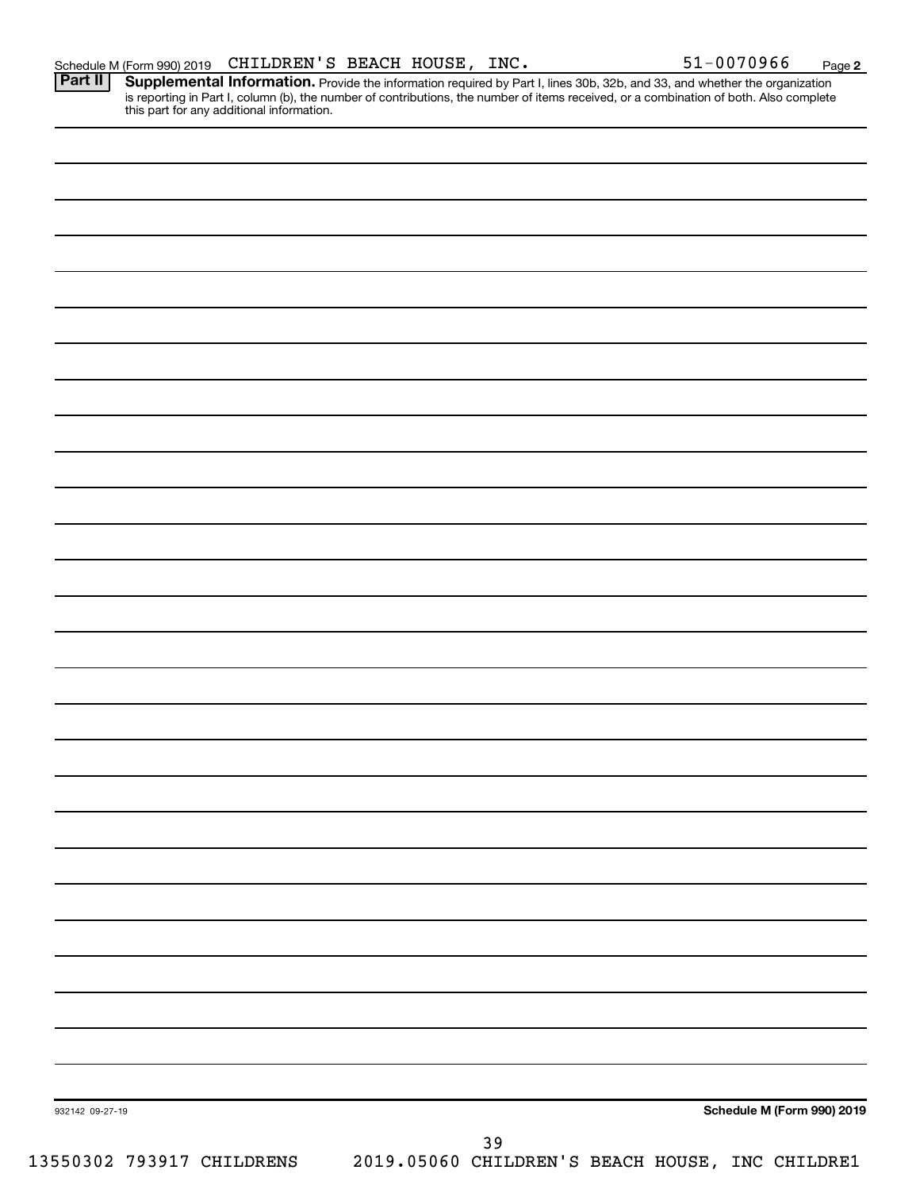Provide the information required by Part I, lines 30b, 32b, and 33, and whether the organization is reporting in Part I, column (b), the number of contributions, the number of items received, or a combination of both. Also complete this part for any additional information. **Part II Supplemental Information.** 

| 932142 09-27-19 | Schedule M (Form 990) 2019                                                      |
|-----------------|---------------------------------------------------------------------------------|
|                 |                                                                                 |
|                 | 39<br>13550302 793917 CHILDRENS 2019.05060 CHILDREN'S BEACH HOUSE, INC CHILDRE1 |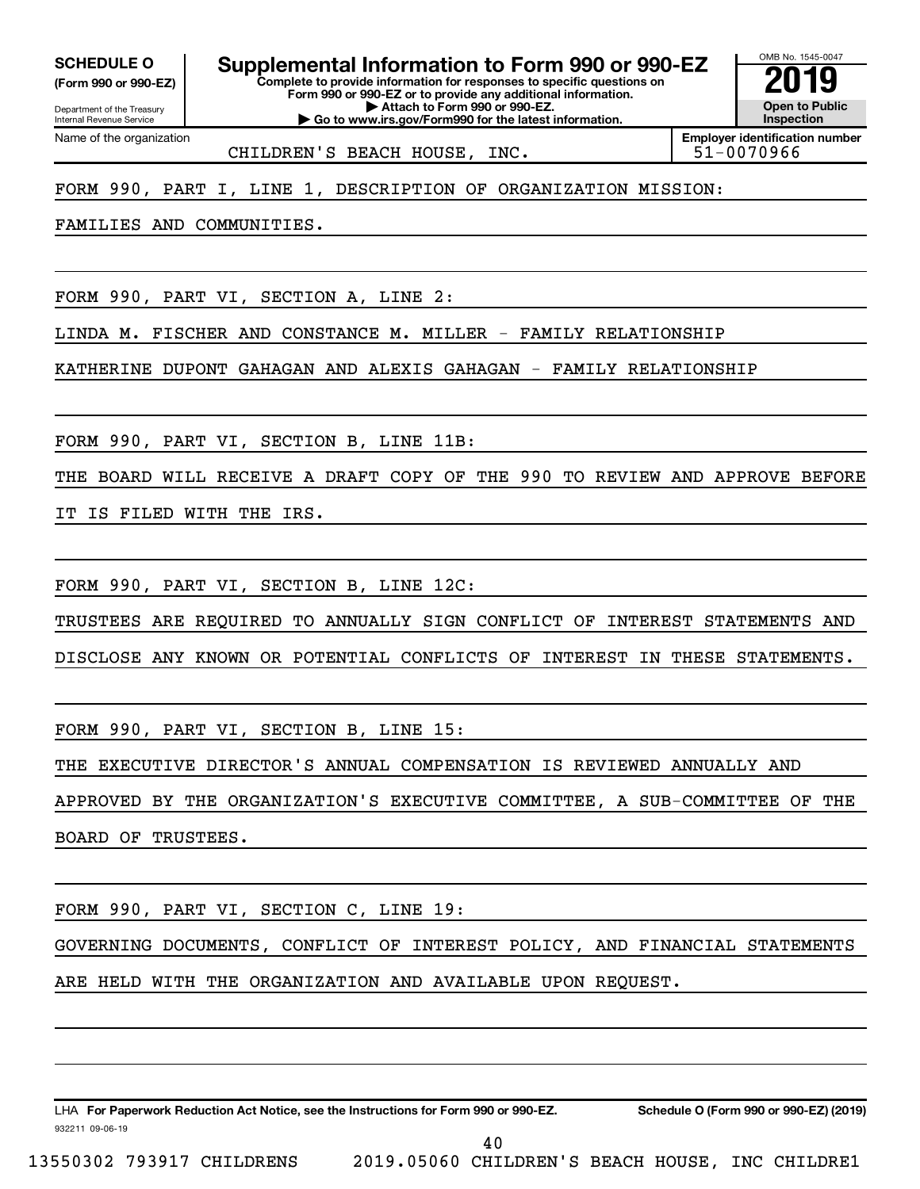**(Form 990 or 990-EZ)**

**SCHEDULE O Supplemental Information to Form 990 or 990-EZ 2019** 

Department of the Treasury Internal Revenue Service Name of the organization **Complete to provide information for responses to specific questions on Form 990 or 990-EZ or to provide any additional information. | Attach to Form 990 or 990-EZ.**

**| Go to www.irs.gov/Form990 for the latest information.**

OMB No. 1545-0047 **Open to Public Inspection**

CHILDREN'S BEACH HOUSE, INC. | 51-0070966

**Employer identification number**

#### FORM 990, PART I, LINE 1, DESCRIPTION OF ORGANIZATION MISSION:

FAMILIES AND COMMUNITIES.

FORM 990, PART VI, SECTION A, LINE 2:

LINDA M. FISCHER AND CONSTANCE M. MILLER - FAMILY RELATIONSHIP

KATHERINE DUPONT GAHAGAN AND ALEXIS GAHAGAN - FAMILY RELATIONSHIP

FORM 990, PART VI, SECTION B, LINE 11B:

THE BOARD WILL RECEIVE A DRAFT COPY OF THE 990 TO REVIEW AND APPROVE BEFORE

IT IS FILED WITH THE IRS.

FORM 990, PART VI, SECTION B, LINE 12C:

TRUSTEES ARE REQUIRED TO ANNUALLY SIGN CONFLICT OF INTEREST STATEMENTS AND

DISCLOSE ANY KNOWN OR POTENTIAL CONFLICTS OF INTEREST IN THESE STATEMENTS.

FORM 990, PART VI, SECTION B, LINE 15:

THE EXECUTIVE DIRECTOR'S ANNUAL COMPENSATION IS REVIEWED ANNUALLY AND

APPROVED BY THE ORGANIZATION'S EXECUTIVE COMMITTEE, A SUB-COMMITTEE OF THE

BOARD OF TRUSTEES.

FORM 990, PART VI, SECTION C, LINE 19:

GOVERNING DOCUMENTS, CONFLICT OF INTEREST POLICY, AND FINANCIAL STATEMENTS ARE HELD WITH THE ORGANIZATION AND AVAILABLE UPON REQUEST.

932211 09-06-19 LHA For Paperwork Reduction Act Notice, see the Instructions for Form 990 or 990-EZ. Schedule O (Form 990 or 990-EZ) (2019)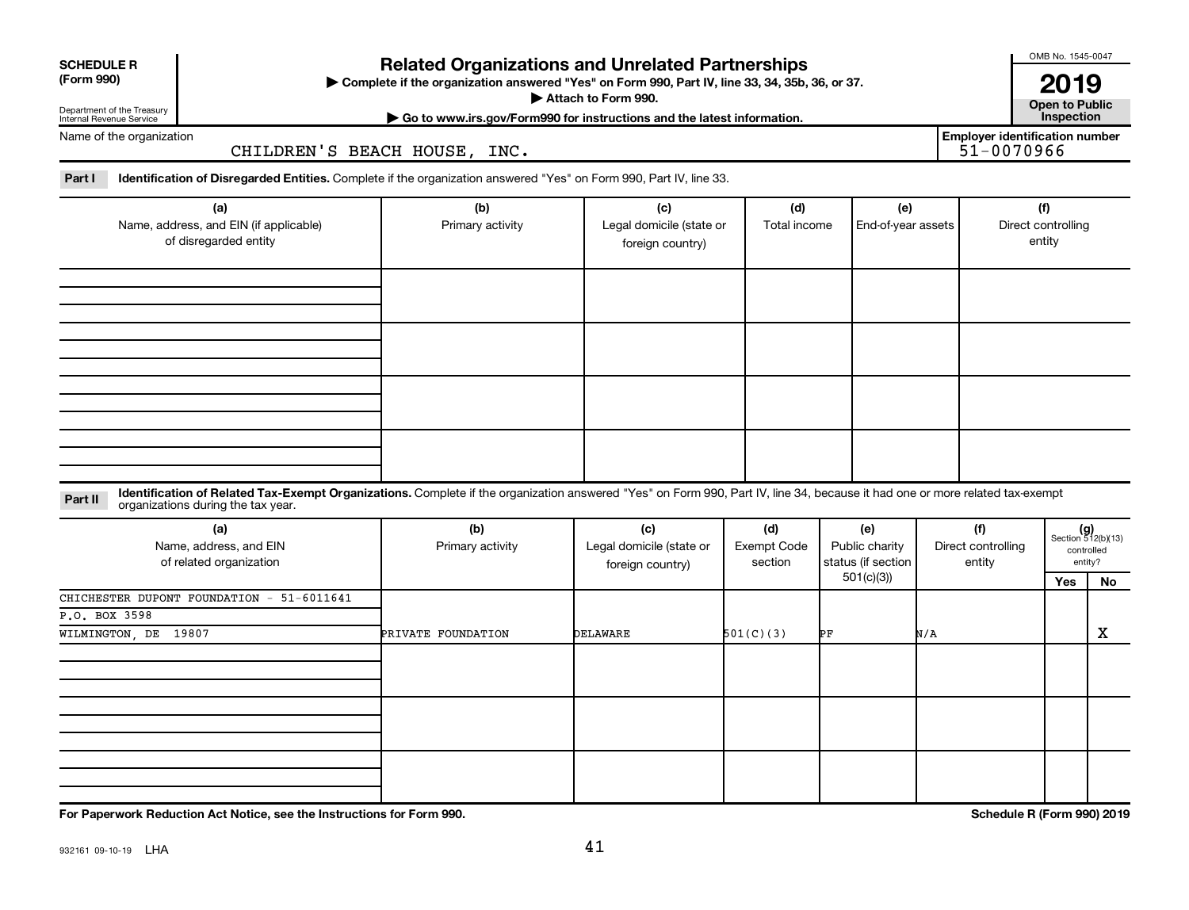| <b>SCHEDULE R</b> |  |
|-------------------|--|
|                   |  |

Department of the Treasury

### **Related Organizations and Unrelated Partnerships**

**(Form 990) Complete if the organization answered "Yes" on Form 990, Part IV, line 33, 34, 35b, 36, or 37.** |

**Attach to Form 990. Contract to Form 990. Contract to Public** 

OMB No. 1545-0047

**| Go to www.irs.gov/Form990 for instructions and the latest information. Inspection 2019**<br>Open to Public

**Employer identification number**

Internal Revenue Service Name of the organization

CHILDREN'S BEACH HOUSE, INC.

Part I ldentification of Disregarded Entities. Complete if the organization answered "Yes" on Form 990, Part IV, line 33.

| (a)<br>Name, address, and EIN (if applicable)<br>of disregarded entity | (b)<br>Primary activity | (c)<br>Legal domicile (state or<br>foreign country) | (d)<br>Total income | (e)<br>End-of-year assets | (f)<br>Direct controlling<br>entity |
|------------------------------------------------------------------------|-------------------------|-----------------------------------------------------|---------------------|---------------------------|-------------------------------------|
|                                                                        |                         |                                                     |                     |                           |                                     |
|                                                                        |                         |                                                     |                     |                           |                                     |
|                                                                        |                         |                                                     |                     |                           |                                     |
|                                                                        |                         |                                                     |                     |                           |                                     |

#### **Part II** Identification of Related Tax-Exempt Organizations. Complete if the organization answered "Yes" on Form 990, Part IV, line 34, because it had one or more related tax-exempt<br>Part II acconizations during the tax ye organizations during the tax year.

| (a)<br>Name, address, and EIN<br>of related organization | (b)<br>Primary activity | (c)<br>Legal domicile (state or<br>foreign country) | (d)<br><b>Exempt Code</b><br>section | (e)<br>Public charity<br>status (if section | (f)<br>Direct controlling<br>entity |     | $(g)$<br>Section 512(b)(13)<br>controlled<br>entity? |
|----------------------------------------------------------|-------------------------|-----------------------------------------------------|--------------------------------------|---------------------------------------------|-------------------------------------|-----|------------------------------------------------------|
|                                                          |                         |                                                     |                                      | 501(c)(3))                                  |                                     | Yes | No                                                   |
| CHICHESTER DUPONT FOUNDATION - 51-6011641                |                         |                                                     |                                      |                                             |                                     |     |                                                      |
| P.O. BOX 3598                                            |                         |                                                     |                                      |                                             |                                     |     |                                                      |
| WILMINGTON, DE 19807                                     | PRIVATE FOUNDATION      | DELAWARE                                            | 501(C)(3)                            | ÞЕ                                          | N/A                                 |     | X                                                    |
|                                                          |                         |                                                     |                                      |                                             |                                     |     |                                                      |
|                                                          |                         |                                                     |                                      |                                             |                                     |     |                                                      |
|                                                          |                         |                                                     |                                      |                                             |                                     |     |                                                      |

**For Paperwork Reduction Act Notice, see the Instructions for Form 990. Schedule R (Form 990) 2019**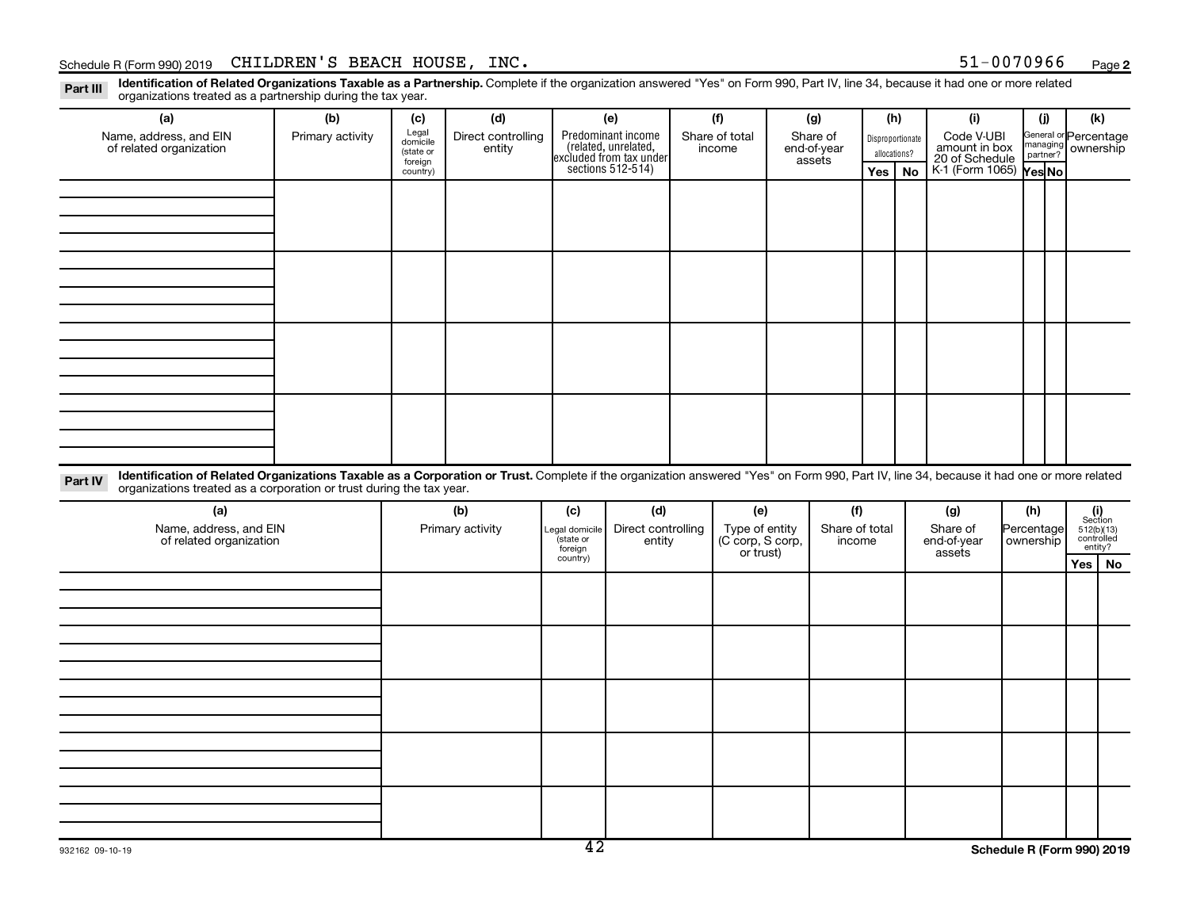#### Schedule R (Form 990) 2019 Page CHILDREN'S BEACH HOUSE, INC. 51-0070966

**2**

Part III Identification of Related Organizations Taxable as a Partnership. Complete if the organization answered "Yes" on Form 990, Part IV, line 34, because it had one or more related<br>Read to the organizations tracted as organizations treated as a partnership during the tax year.

| organizations trouted as a partnership dannig the tax year.                                                                                                                                                                                                                 |                  |                       |                    |                     |                                                                                            |  |                                    |  |                |                  |              |                                               |  |                       |                                                                                                               |  |
|-----------------------------------------------------------------------------------------------------------------------------------------------------------------------------------------------------------------------------------------------------------------------------|------------------|-----------------------|--------------------|---------------------|--------------------------------------------------------------------------------------------|--|------------------------------------|--|----------------|------------------|--------------|-----------------------------------------------|--|-----------------------|---------------------------------------------------------------------------------------------------------------|--|
| (a)                                                                                                                                                                                                                                                                         | (b)              | (c)                   | (d)                |                     | (e)                                                                                        |  | (f)<br>(g)                         |  | (h)            |                  |              | (i)                                           |  | (i)                   | (k)                                                                                                           |  |
| Name, address, and EIN                                                                                                                                                                                                                                                      | Primary activity | Legal                 | Direct controlling |                     | Predominant income<br>(related, unrelated,<br>excluded from tax under<br>sections 512-514) |  | Share of total                     |  | Share of       | Disproportionate |              | Code V-UBI<br>amount in box<br>20 of Schedule |  | General or Percentage |                                                                                                               |  |
| of related organization                                                                                                                                                                                                                                                     |                  | domicile<br>(state or | entity             |                     |                                                                                            |  | income                             |  | end-of-year    |                  | allocations? |                                               |  | managing ownership    |                                                                                                               |  |
|                                                                                                                                                                                                                                                                             |                  | foreign<br>country)   |                    |                     |                                                                                            |  |                                    |  | assets         | Yes              | <b>No</b>    | K 1 (Form 1065) Yes No                        |  |                       |                                                                                                               |  |
|                                                                                                                                                                                                                                                                             |                  |                       |                    |                     |                                                                                            |  |                                    |  |                |                  |              |                                               |  |                       |                                                                                                               |  |
|                                                                                                                                                                                                                                                                             |                  |                       |                    |                     |                                                                                            |  |                                    |  |                |                  |              |                                               |  |                       |                                                                                                               |  |
|                                                                                                                                                                                                                                                                             |                  |                       |                    |                     |                                                                                            |  |                                    |  |                |                  |              |                                               |  |                       |                                                                                                               |  |
|                                                                                                                                                                                                                                                                             |                  |                       |                    |                     |                                                                                            |  |                                    |  |                |                  |              |                                               |  |                       |                                                                                                               |  |
|                                                                                                                                                                                                                                                                             |                  |                       |                    |                     |                                                                                            |  |                                    |  |                |                  |              |                                               |  |                       |                                                                                                               |  |
|                                                                                                                                                                                                                                                                             |                  |                       |                    |                     |                                                                                            |  |                                    |  |                |                  |              |                                               |  |                       |                                                                                                               |  |
|                                                                                                                                                                                                                                                                             |                  |                       |                    |                     |                                                                                            |  |                                    |  |                |                  |              |                                               |  |                       |                                                                                                               |  |
|                                                                                                                                                                                                                                                                             |                  |                       |                    |                     |                                                                                            |  |                                    |  |                |                  |              |                                               |  |                       |                                                                                                               |  |
|                                                                                                                                                                                                                                                                             |                  |                       |                    |                     |                                                                                            |  |                                    |  |                |                  |              |                                               |  |                       |                                                                                                               |  |
|                                                                                                                                                                                                                                                                             |                  |                       |                    |                     |                                                                                            |  |                                    |  |                |                  |              |                                               |  |                       |                                                                                                               |  |
|                                                                                                                                                                                                                                                                             |                  |                       |                    |                     |                                                                                            |  |                                    |  |                |                  |              |                                               |  |                       |                                                                                                               |  |
|                                                                                                                                                                                                                                                                             |                  |                       |                    |                     |                                                                                            |  |                                    |  |                |                  |              |                                               |  |                       |                                                                                                               |  |
|                                                                                                                                                                                                                                                                             |                  |                       |                    |                     |                                                                                            |  |                                    |  |                |                  |              |                                               |  |                       |                                                                                                               |  |
|                                                                                                                                                                                                                                                                             |                  |                       |                    |                     |                                                                                            |  |                                    |  |                |                  |              |                                               |  |                       |                                                                                                               |  |
|                                                                                                                                                                                                                                                                             |                  |                       |                    |                     |                                                                                            |  |                                    |  |                |                  |              |                                               |  |                       |                                                                                                               |  |
|                                                                                                                                                                                                                                                                             |                  |                       |                    |                     |                                                                                            |  |                                    |  |                |                  |              |                                               |  |                       |                                                                                                               |  |
|                                                                                                                                                                                                                                                                             |                  |                       |                    |                     |                                                                                            |  |                                    |  |                |                  |              |                                               |  |                       |                                                                                                               |  |
|                                                                                                                                                                                                                                                                             |                  |                       |                    |                     |                                                                                            |  |                                    |  |                |                  |              |                                               |  |                       |                                                                                                               |  |
|                                                                                                                                                                                                                                                                             |                  |                       |                    |                     |                                                                                            |  |                                    |  |                |                  |              |                                               |  |                       |                                                                                                               |  |
| Identification of Related Organizations Taxable as a Corporation or Trust. Complete if the organization answered "Yes" on Form 990, Part IV, line 34, because it had one or more related<br>Part IV<br>organizations treated as a corporation or trust during the tax year. |                  |                       |                    |                     |                                                                                            |  |                                    |  |                |                  |              |                                               |  |                       |                                                                                                               |  |
| (a)                                                                                                                                                                                                                                                                         |                  | (b)                   |                    | (c)                 | (d)                                                                                        |  | (e)                                |  | (f)            |                  | (g)          |                                               |  | (h)                   |                                                                                                               |  |
| Name, address, and EIN                                                                                                                                                                                                                                                      |                  | Primary activity      |                    | Legal domicile      | Direct controlling                                                                         |  |                                    |  | Share of total |                  |              | Share of                                      |  | Percentage            | $\begin{array}{c} \textbf{(i)}\\ \text{Section}\\ 512 \text{(b)} \text{(13)}\\ \text{controlled} \end{array}$ |  |
| of related organization                                                                                                                                                                                                                                                     |                  |                       |                    | state or            | entity                                                                                     |  | Type of entity<br>(C corp, S corp, |  |                | income           |              | end-of-year                                   |  | ownership             |                                                                                                               |  |
|                                                                                                                                                                                                                                                                             |                  |                       |                    | foreign<br>country) |                                                                                            |  | or trust)                          |  |                |                  |              | assets                                        |  |                       | entity?                                                                                                       |  |
|                                                                                                                                                                                                                                                                             |                  |                       |                    |                     |                                                                                            |  |                                    |  |                |                  |              |                                               |  |                       | Yes   No                                                                                                      |  |
|                                                                                                                                                                                                                                                                             |                  |                       |                    |                     |                                                                                            |  |                                    |  |                |                  |              |                                               |  |                       |                                                                                                               |  |
|                                                                                                                                                                                                                                                                             |                  |                       |                    |                     |                                                                                            |  |                                    |  |                |                  |              |                                               |  |                       |                                                                                                               |  |
|                                                                                                                                                                                                                                                                             |                  |                       |                    |                     |                                                                                            |  |                                    |  |                |                  |              |                                               |  |                       |                                                                                                               |  |
|                                                                                                                                                                                                                                                                             |                  |                       |                    |                     |                                                                                            |  |                                    |  |                |                  |              |                                               |  |                       |                                                                                                               |  |
|                                                                                                                                                                                                                                                                             |                  |                       |                    |                     |                                                                                            |  |                                    |  |                |                  |              |                                               |  |                       |                                                                                                               |  |
|                                                                                                                                                                                                                                                                             |                  |                       |                    |                     |                                                                                            |  |                                    |  |                |                  |              |                                               |  |                       |                                                                                                               |  |
|                                                                                                                                                                                                                                                                             |                  |                       |                    |                     |                                                                                            |  |                                    |  |                |                  |              |                                               |  |                       |                                                                                                               |  |
|                                                                                                                                                                                                                                                                             |                  |                       |                    |                     |                                                                                            |  |                                    |  |                |                  |              |                                               |  |                       |                                                                                                               |  |
|                                                                                                                                                                                                                                                                             |                  |                       |                    |                     |                                                                                            |  |                                    |  |                |                  |              |                                               |  |                       |                                                                                                               |  |
|                                                                                                                                                                                                                                                                             |                  |                       |                    |                     |                                                                                            |  |                                    |  |                |                  |              |                                               |  |                       |                                                                                                               |  |
|                                                                                                                                                                                                                                                                             |                  |                       |                    |                     |                                                                                            |  |                                    |  |                |                  |              |                                               |  |                       |                                                                                                               |  |
|                                                                                                                                                                                                                                                                             |                  |                       |                    |                     |                                                                                            |  |                                    |  |                |                  |              |                                               |  |                       |                                                                                                               |  |
|                                                                                                                                                                                                                                                                             |                  |                       |                    |                     |                                                                                            |  |                                    |  |                |                  |              |                                               |  |                       |                                                                                                               |  |
|                                                                                                                                                                                                                                                                             |                  |                       |                    |                     |                                                                                            |  |                                    |  |                |                  |              |                                               |  |                       |                                                                                                               |  |
|                                                                                                                                                                                                                                                                             |                  |                       |                    |                     |                                                                                            |  |                                    |  |                |                  |              |                                               |  |                       |                                                                                                               |  |
|                                                                                                                                                                                                                                                                             |                  |                       |                    |                     |                                                                                            |  |                                    |  |                |                  |              |                                               |  |                       |                                                                                                               |  |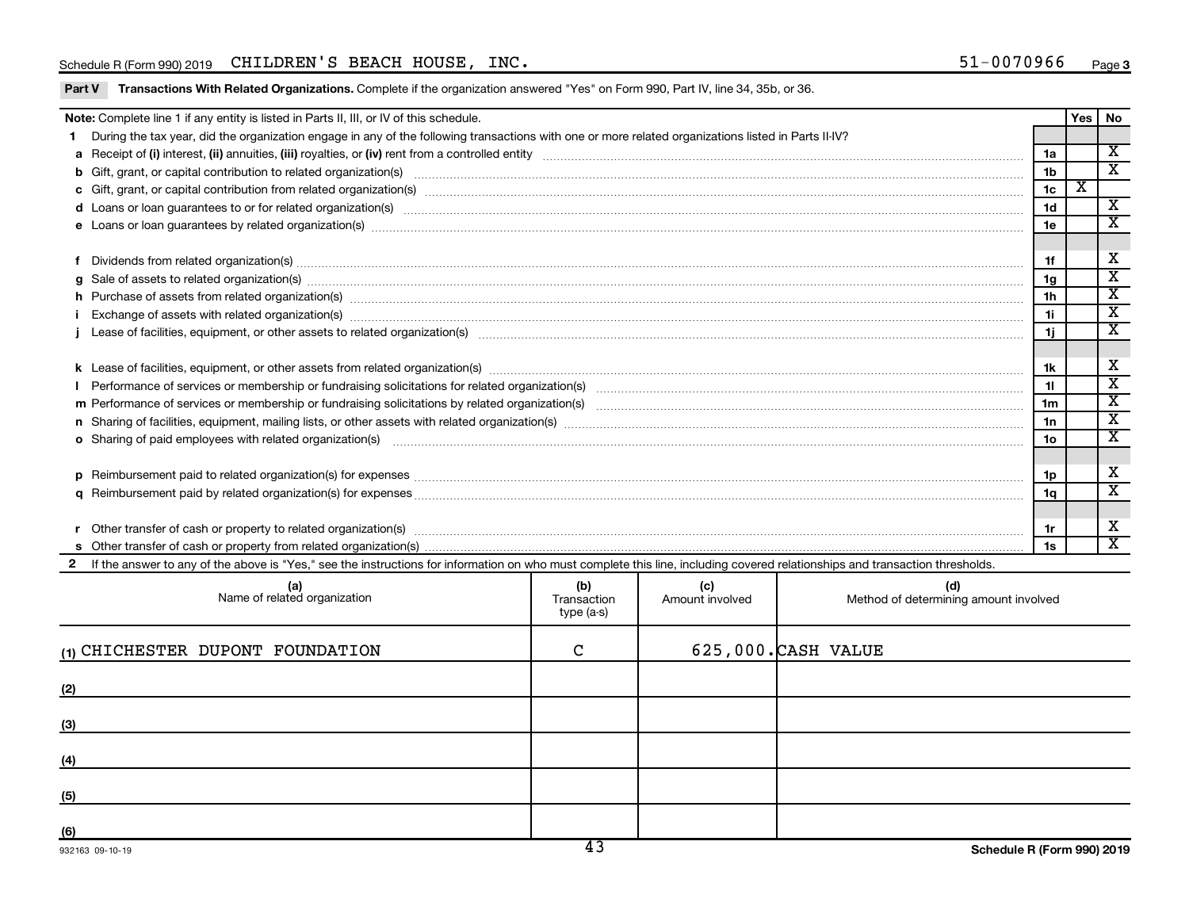#### Schedule R (Form 990) 2019 Page CHILDREN'S BEACH HOUSE, INC. 51-0070966

Part V Transactions With Related Organizations. Complete if the organization answered "Yes" on Form 990, Part IV, line 34, 35b, or 36.

|                                                                                                                                                                                                                                     | Note: Complete line 1 if any entity is listed in Parts II, III, or IV of this schedule.                                                                                                                                             |  |  |  |                | Yes                     | No                      |  |  |  |
|-------------------------------------------------------------------------------------------------------------------------------------------------------------------------------------------------------------------------------------|-------------------------------------------------------------------------------------------------------------------------------------------------------------------------------------------------------------------------------------|--|--|--|----------------|-------------------------|-------------------------|--|--|--|
|                                                                                                                                                                                                                                     | During the tax year, did the organization engage in any of the following transactions with one or more related organizations listed in Parts II-IV?                                                                                 |  |  |  |                |                         |                         |  |  |  |
|                                                                                                                                                                                                                                     |                                                                                                                                                                                                                                     |  |  |  | 1a             |                         | $\overline{\mathbf{x}}$ |  |  |  |
|                                                                                                                                                                                                                                     |                                                                                                                                                                                                                                     |  |  |  | 1 <sub>b</sub> |                         | $\overline{\mathbf{x}}$ |  |  |  |
|                                                                                                                                                                                                                                     |                                                                                                                                                                                                                                     |  |  |  | 1 <sub>c</sub> | $\overline{\textbf{X}}$ |                         |  |  |  |
|                                                                                                                                                                                                                                     | d Loans or loan guarantees to or for related organization(s) www.communities.com/www.communities.com/www.communities.com/www.communities.com/www.communities.com/www.communities.com/www.communities.com/www.communities.com/w      |  |  |  | 1 <sub>d</sub> |                         | $\overline{\mathbf{X}}$ |  |  |  |
|                                                                                                                                                                                                                                     | e Loans or loan guarantees by related organization(s) manufaction content to content the manufacture content of the manufacture content of the manufacture content of the manufacture content of the local manufacture content      |  |  |  | 1e             |                         | $\overline{\texttt{x}}$ |  |  |  |
|                                                                                                                                                                                                                                     |                                                                                                                                                                                                                                     |  |  |  |                |                         |                         |  |  |  |
| Dividends from related organization(s) machinesis and contract and contract and contract and contract and contract and contract and contract and contract and contract and contract and contract and contract and contract and      |                                                                                                                                                                                                                                     |  |  |  |                |                         |                         |  |  |  |
| Sale of assets to related organization(s) www.assettion.com/www.assettion.com/www.assettion.com/www.assettion.com/www.assettion.com/www.assettion.com/www.assettion.com/www.assettion.com/www.assettion.com/www.assettion.com/<br>a |                                                                                                                                                                                                                                     |  |  |  |                |                         |                         |  |  |  |
|                                                                                                                                                                                                                                     | h Purchase of assets from related organization(s) manufactured content to content the content of assets from related organization(s) manufactured content to content the content of the content of the content of the content       |  |  |  | 1 <sub>h</sub> |                         | $\overline{\texttt{x}}$ |  |  |  |
|                                                                                                                                                                                                                                     | Exchange of assets with related organization(s) www.walescommunity.com/walescommunity/walescommunity/walescommunity/walescommunity/walescommunity/walescommunity/walescommunity/walescommunity/walescommunity/walescommunity/w      |  |  |  | 1i.            |                         | $\overline{\texttt{x}}$ |  |  |  |
|                                                                                                                                                                                                                                     |                                                                                                                                                                                                                                     |  |  |  |                |                         |                         |  |  |  |
|                                                                                                                                                                                                                                     |                                                                                                                                                                                                                                     |  |  |  |                |                         |                         |  |  |  |
|                                                                                                                                                                                                                                     |                                                                                                                                                                                                                                     |  |  |  |                |                         |                         |  |  |  |
|                                                                                                                                                                                                                                     |                                                                                                                                                                                                                                     |  |  |  | 11             |                         | $\overline{\texttt{x}}$ |  |  |  |
|                                                                                                                                                                                                                                     |                                                                                                                                                                                                                                     |  |  |  | 1 <sub>m</sub> |                         | $\overline{\texttt{x}}$ |  |  |  |
|                                                                                                                                                                                                                                     |                                                                                                                                                                                                                                     |  |  |  | 1n             |                         | $\overline{\mathbf{x}}$ |  |  |  |
|                                                                                                                                                                                                                                     | o Sharing of paid employees with related organization(s) <b>manufactual control and constructs</b> construct and and constructed and constructed and constructed and constructed and constructed and constructed and constructed an |  |  |  | 1 <sub>o</sub> |                         | $\overline{\texttt{x}}$ |  |  |  |
|                                                                                                                                                                                                                                     |                                                                                                                                                                                                                                     |  |  |  |                |                         |                         |  |  |  |
| <b>p</b>                                                                                                                                                                                                                            |                                                                                                                                                                                                                                     |  |  |  | 1 <sub>p</sub> |                         | X                       |  |  |  |
|                                                                                                                                                                                                                                     |                                                                                                                                                                                                                                     |  |  |  | 1q             |                         | $\overline{\textbf{x}}$ |  |  |  |
|                                                                                                                                                                                                                                     |                                                                                                                                                                                                                                     |  |  |  |                |                         |                         |  |  |  |
|                                                                                                                                                                                                                                     | Other transfer of cash or property to related organization(s) www.communities.com/www.communities.com/www.communities.com/www.communities.com/www.communities.com/www.communities.com/www.communities.com/www.communities.com/      |  |  |  | 1r             |                         | х                       |  |  |  |
|                                                                                                                                                                                                                                     |                                                                                                                                                                                                                                     |  |  |  | 1s             |                         | $\overline{\mathbf{x}}$ |  |  |  |
|                                                                                                                                                                                                                                     | 2 If the answer to any of the above is "Yes," see the instructions for information on who must complete this line, including covered relationships and transaction thresholds.                                                      |  |  |  |                |                         |                         |  |  |  |
|                                                                                                                                                                                                                                     | (b)<br>(c)<br>(d)<br>(a)<br>Name of related organization<br>Method of determining amount involved<br>Amount involved<br>Transaction<br>type (a-s)                                                                                   |  |  |  |                |                         |                         |  |  |  |
|                                                                                                                                                                                                                                     |                                                                                                                                                                                                                                     |  |  |  |                |                         |                         |  |  |  |

| (1) CHICHESTER DUPONT FOUNDATION | $\sim$ | $625,000$ . CASH VALUE |
|----------------------------------|--------|------------------------|
| (2)                              |        |                        |
| (3)                              |        |                        |
|                                  |        |                        |
| (4)                              |        |                        |
| (5)                              |        |                        |
| (6)                              |        |                        |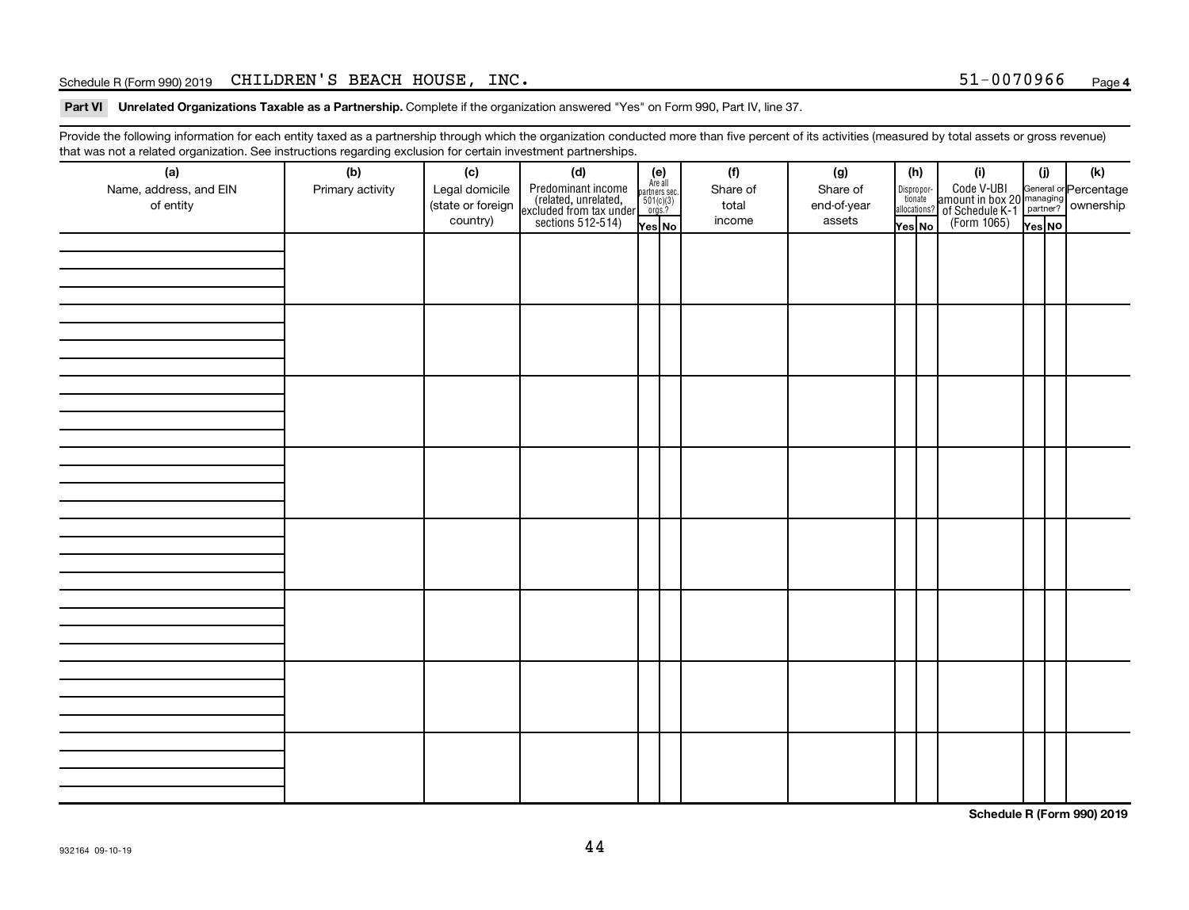#### Schedule R (Form 990) 2019 Page CHILDREN'S BEACH HOUSE, INC. 51-0070966

Part VI Unrelated Organizations Taxable as a Partnership. Complete if the organization answered "Yes" on Form 990, Part IV, line 37.

Provide the following information for each entity taxed as a partnership through which the organization conducted more than five percent of its activities (measured by total assets or gross revenue) that was not a related organization. See instructions regarding exclusion for certain investment partnerships.

| (a)<br>Name, address, and EIN<br>of entity | - - -<br>(b)<br>Primary activity | (c)<br>Legal domicile<br>(state or foreign<br>country) | - - - - <sub>1</sub> - - 1<br>(d)<br>Predominant income<br>(related, unrelated,<br>excluded from tax under<br>sections 512-514) | (e)<br>Are all<br>partners sec.<br>$\frac{501(c)(3)}{0rgs?}$<br>Yes No | (f)<br>Share of<br>total<br>income | (g)<br>Share of<br>end-of-year<br>assets | Dispropor-<br>tionate<br>allocations?<br>Yes No | (h) | (i)<br>Code V-UBI<br>amount in box 20 managing<br>of Schedule K-1<br>(Form 1065)<br>$\overline{Y_{\text{res}}}\overline{NQ}$ | (i)<br>Yes NO | (k) |
|--------------------------------------------|----------------------------------|--------------------------------------------------------|---------------------------------------------------------------------------------------------------------------------------------|------------------------------------------------------------------------|------------------------------------|------------------------------------------|-------------------------------------------------|-----|------------------------------------------------------------------------------------------------------------------------------|---------------|-----|
|                                            |                                  |                                                        |                                                                                                                                 |                                                                        |                                    |                                          |                                                 |     |                                                                                                                              |               |     |
|                                            |                                  |                                                        |                                                                                                                                 |                                                                        |                                    |                                          |                                                 |     |                                                                                                                              |               |     |
|                                            |                                  |                                                        |                                                                                                                                 |                                                                        |                                    |                                          |                                                 |     |                                                                                                                              |               |     |
|                                            |                                  |                                                        |                                                                                                                                 |                                                                        |                                    |                                          |                                                 |     |                                                                                                                              |               |     |
|                                            |                                  |                                                        |                                                                                                                                 |                                                                        |                                    |                                          |                                                 |     |                                                                                                                              |               |     |
|                                            |                                  |                                                        |                                                                                                                                 |                                                                        |                                    |                                          |                                                 |     |                                                                                                                              |               |     |
|                                            |                                  |                                                        |                                                                                                                                 |                                                                        |                                    |                                          |                                                 |     |                                                                                                                              |               |     |
|                                            |                                  |                                                        |                                                                                                                                 |                                                                        |                                    |                                          |                                                 |     |                                                                                                                              |               |     |

**Schedule R (Form 990) 2019**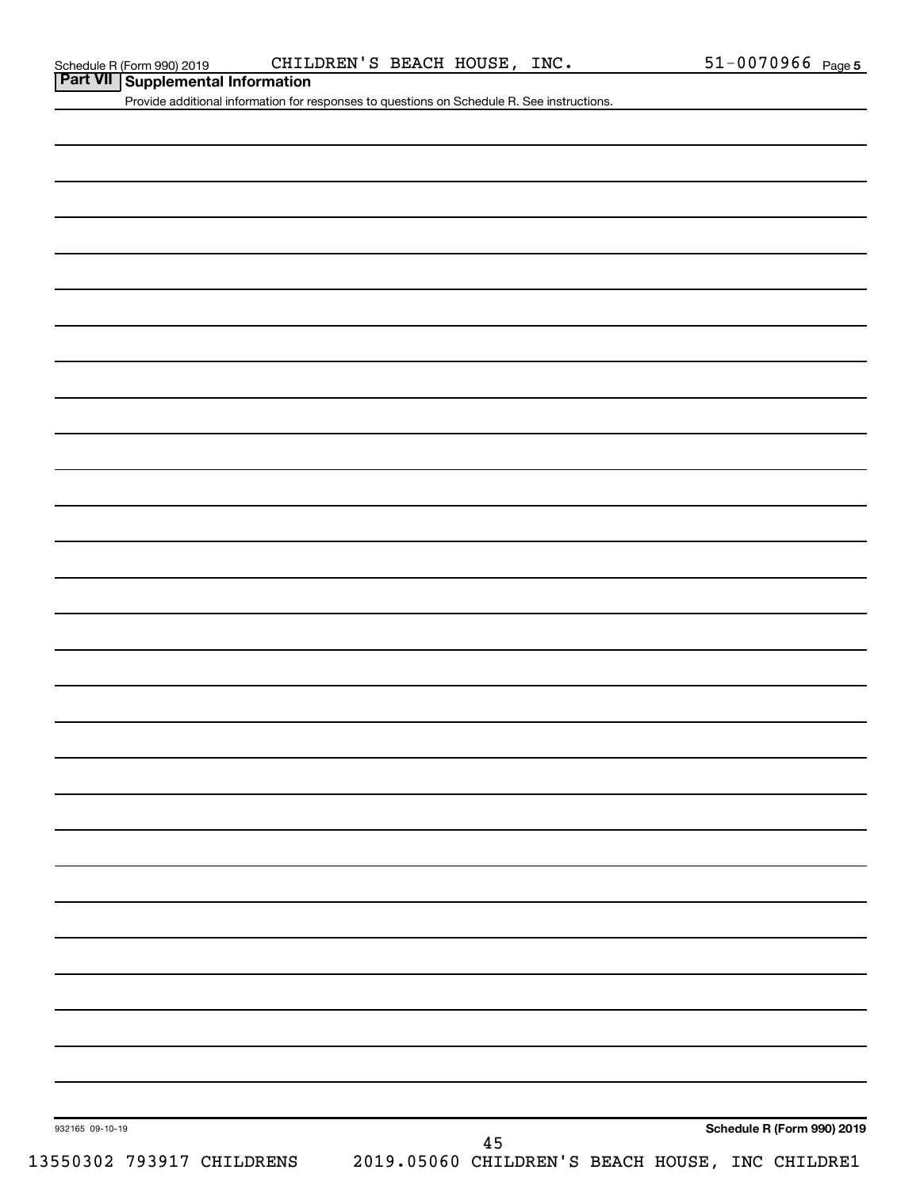|  | Part VII Supplemental Information |  |
|--|-----------------------------------|--|
|--|-----------------------------------|--|

Provide additional information for responses to questions on Schedule R. See instructions.

| 932165 09-10-19           |  |  | 45                                              |  | Schedule R (Form 990) 2019 |
|---------------------------|--|--|-------------------------------------------------|--|----------------------------|
| 13550302 793917 CHILDRENS |  |  | 2019.05060 CHILDREN'S BEACH HOUSE, INC CHILDRE1 |  |                            |